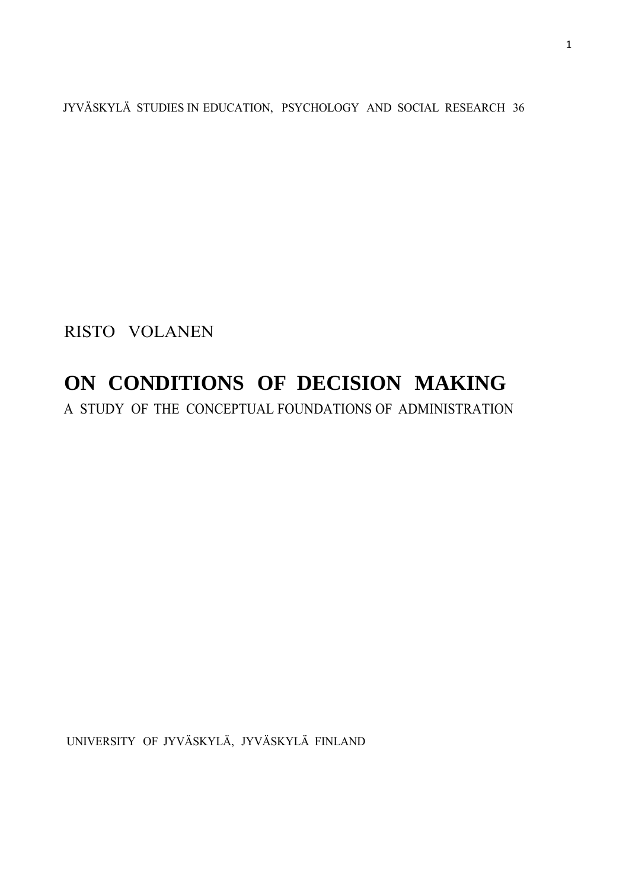JYVÄSKYLÄ STUDIES IN EDUCATION, PSYCHOLOGY AND SOCIAL RESEARCH 36

RISTO VOLANEN

# **ON CONDITIONS OF DECISION MAKING**

A STUDY OF THE CONCEPTUAL FOUNDATIONS OF ADMINISTRATION

UNIVERSITY OF JYVÄSKYLÄ, JYVÄSKYLÄ FINLAND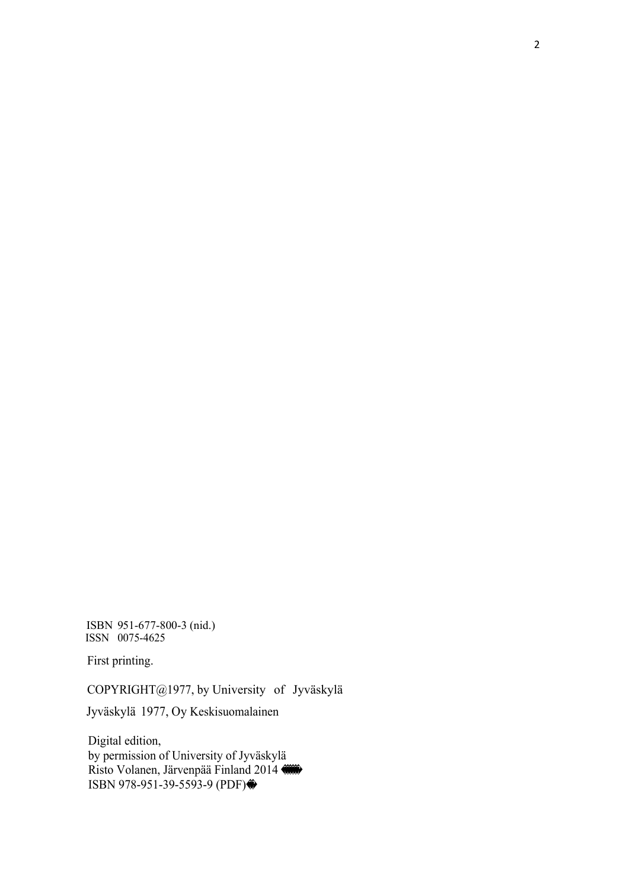ISBN 951-677-800-3 (nid.) ISSN 0075-4625

First printing.

COPYRIGHT@1977, by University of Jyväskylä

Jyväskylä 1977, Oy Keskisuomalainen

 Digital edition, by permission of University of Jyväskylä Risto Volanen, Järvenpää Finland 2014 ISBN 978-951-39-5593-9 (PDF)��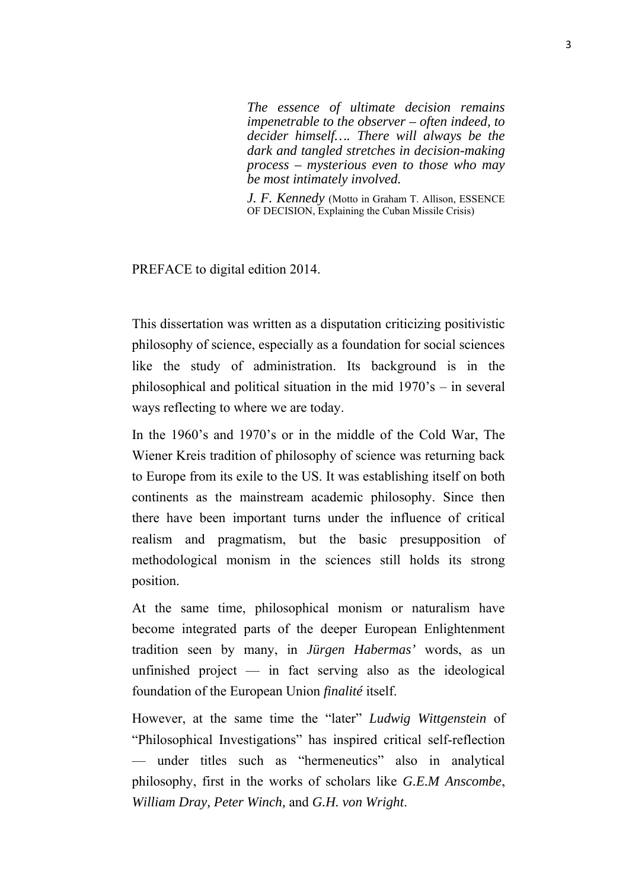*The essence of ultimate decision remains impenetrable to the observer – often indeed, to decider himself…. There will always be the dark and tangled stretches in decision-making process – mysterious even to those who may be most intimately involved.*

*J. F. Kennedy* (Motto in Graham T. Allison, ESSENCE OF DECISION, Explaining the Cuban Missile Crisis)

PREFACE to digital edition 2014.

This dissertation was written as a disputation criticizing positivistic philosophy of science, especially as a foundation for social sciences like the study of administration. Its background is in the philosophical and political situation in the mid 1970's – in several ways reflecting to where we are today.

In the 1960's and 1970's or in the middle of the Cold War, The Wiener Kreis tradition of philosophy of science was returning back to Europe from its exile to the US. It was establishing itself on both continents as the mainstream academic philosophy. Since then there have been important turns under the influence of critical realism and pragmatism, but the basic presupposition of methodological monism in the sciences still holds its strong position.

At the same time, philosophical monism or naturalism have become integrated parts of the deeper European Enlightenment tradition seen by many, in *Jürgen Habermas'* words, as un unfinished project — in fact serving also as the ideological foundation of the European Union *finalité* itself.

However, at the same time the "later" *Ludwig Wittgenstein* of "Philosophical Investigations" has inspired critical self-reflection — under titles such as "hermeneutics" also in analytical philosophy, first in the works of scholars like *G.E.M Anscombe*, *William Dray, Peter Winch,* and *G.H. von Wright*.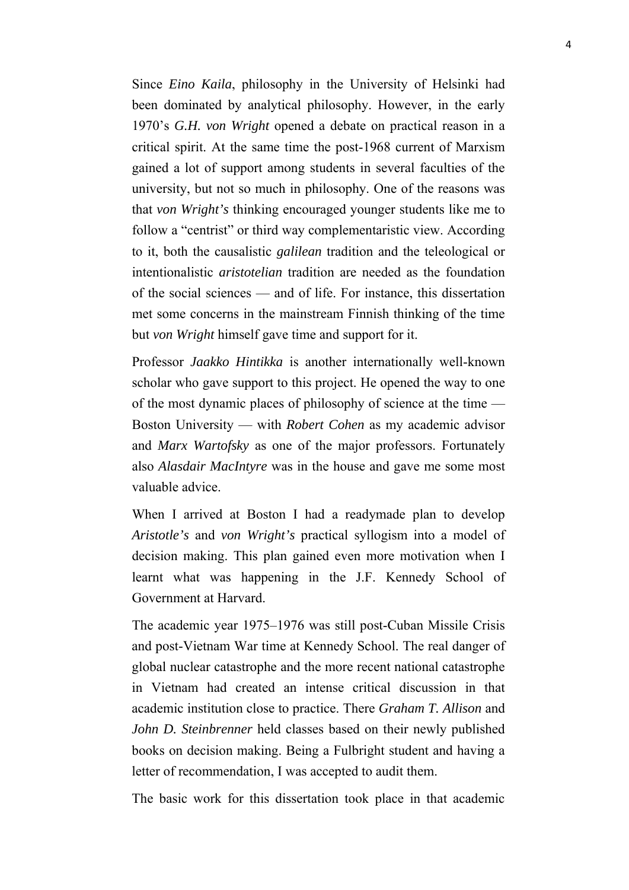Since *Eino Kaila*, philosophy in the University of Helsinki had been dominated by analytical philosophy. However, in the early 1970's *G.H. von Wright* opened a debate on practical reason in a critical spirit. At the same time the post-1968 current of Marxism gained a lot of support among students in several faculties of the university, but not so much in philosophy. One of the reasons was that *von Wright's* thinking encouraged younger students like me to follow a "centrist" or third way complementaristic view. According to it, both the causalistic *galilean* tradition and the teleological or intentionalistic *aristotelian* tradition are needed as the foundation of the social sciences — and of life. For instance, this dissertation met some concerns in the mainstream Finnish thinking of the time but *von Wright* himself gave time and support for it.

Professor *Jaakko Hintikka* is another internationally well-known scholar who gave support to this project. He opened the way to one of the most dynamic places of philosophy of science at the time — Boston University — with *Robert Cohen* as my academic advisor and *Marx Wartofsky* as one of the major professors. Fortunately also *Alasdair MacIntyre* was in the house and gave me some most valuable advice.

When I arrived at Boston I had a readymade plan to develop *Aristotle's* and *von Wright's* practical syllogism into a model of decision making. This plan gained even more motivation when I learnt what was happening in the J.F. Kennedy School of Government at Harvard.

The academic year 1975–1976 was still post-Cuban Missile Crisis and post-Vietnam War time at Kennedy School. The real danger of global nuclear catastrophe and the more recent national catastrophe in Vietnam had created an intense critical discussion in that academic institution close to practice. There *Graham T. Allison* and *John D. Steinbrenner* held classes based on their newly published books on decision making. Being a Fulbright student and having a letter of recommendation, I was accepted to audit them.

The basic work for this dissertation took place in that academic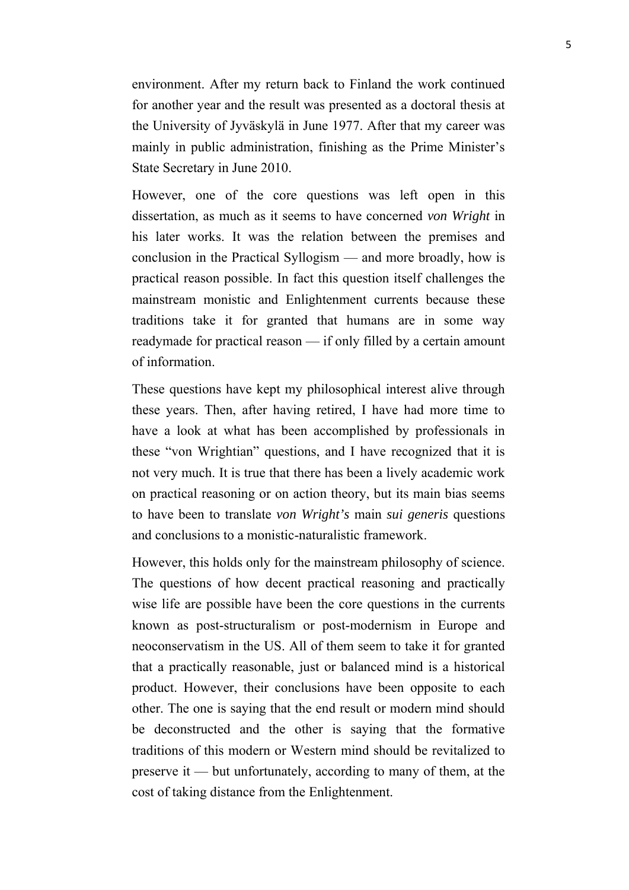environment. After my return back to Finland the work continued for another year and the result was presented as a doctoral thesis at the University of Jyväskylä in June 1977. After that my career was mainly in public administration, finishing as the Prime Minister's State Secretary in June 2010.

However, one of the core questions was left open in this dissertation, as much as it seems to have concerned *von Wright* in his later works. It was the relation between the premises and conclusion in the Practical Syllogism — and more broadly, how is practical reason possible. In fact this question itself challenges the mainstream monistic and Enlightenment currents because these traditions take it for granted that humans are in some way readymade for practical reason — if only filled by a certain amount of information.

These questions have kept my philosophical interest alive through these years. Then, after having retired, I have had more time to have a look at what has been accomplished by professionals in these "von Wrightian" questions, and I have recognized that it is not very much. It is true that there has been a lively academic work on practical reasoning or on action theory, but its main bias seems to have been to translate *von Wright's* main *sui generis* questions and conclusions to a monistic-naturalistic framework.

However, this holds only for the mainstream philosophy of science. The questions of how decent practical reasoning and practically wise life are possible have been the core questions in the currents known as post-structuralism or post-modernism in Europe and neoconservatism in the US. All of them seem to take it for granted that a practically reasonable, just or balanced mind is a historical product. However, their conclusions have been opposite to each other. The one is saying that the end result or modern mind should be deconstructed and the other is saying that the formative traditions of this modern or Western mind should be revitalized to preserve it — but unfortunately, according to many of them, at the cost of taking distance from the Enlightenment.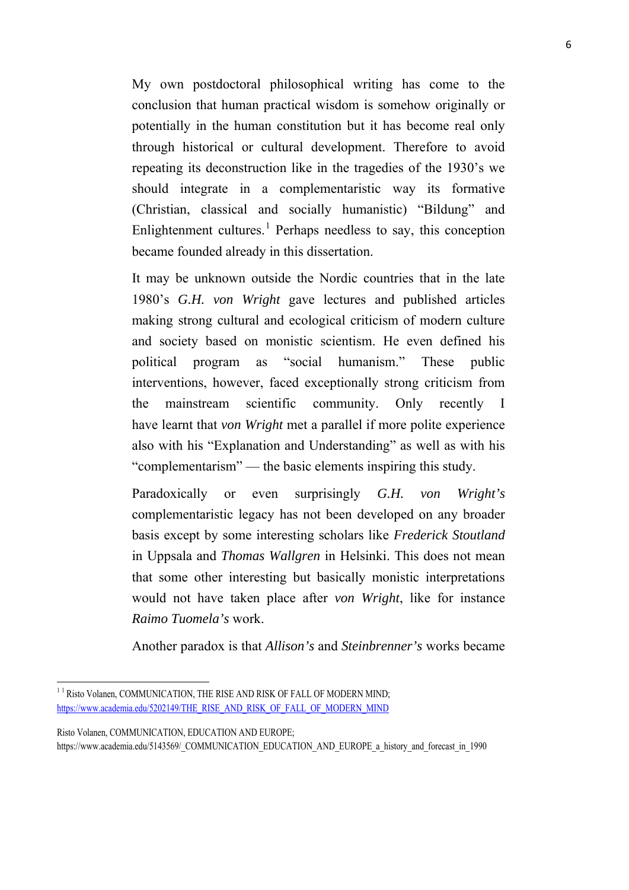My own postdoctoral philosophical writing has come to the conclusion that human practical wisdom is somehow originally or potentially in the human constitution but it has become real only through historical or cultural development. Therefore to avoid repeating its deconstruction like in the tragedies of the 1930's we should integrate in a complementaristic way its formative (Christian, classical and socially humanistic) "Bildung" and Enlightenment cultures.<sup>[1](#page-5-0)</sup> Perhaps needless to say, this conception became founded already in this dissertation.

It may be unknown outside the Nordic countries that in the late 1980's *G.H. von Wright* gave lectures and published articles making strong cultural and ecological criticism of modern culture and society based on monistic scientism. He even defined his political program as "social humanism." These public interventions, however, faced exceptionally strong criticism from the mainstream scientific community. Only recently I have learnt that *von Wright* met a parallel if more polite experience also with his "Explanation and Understanding" as well as with his "complementarism" — the basic elements inspiring this study.

Paradoxically or even surprisingly *G.H. von Wright's* complementaristic legacy has not been developed on any broader basis except by some interesting scholars like *Frederick Stoutland* in Uppsala and *Thomas Wallgren* in Helsinki. This does not mean that some other interesting but basically monistic interpretations would not have taken place after *von Wright*, like for instance *Raimo Tuomela's* work.

Another paradox is that *Allison's* and *Steinbrenner's* works became

<u>.</u>

<span id="page-5-0"></span><sup>&</sup>lt;sup>11</sup> Risto Volanen, COMMUNICATION, THE RISE AND RISK OF FALL OF MODERN MIND; [https://www.academia.edu/5202149/THE\\_RISE\\_AND\\_RISK\\_OF\\_FALL\\_OF\\_MODERN\\_MIND](https://www.academia.edu/5202149/THE_RISE_AND_RISK_OF_FALL_OF_MODERN_MIND)

Risto Volanen, COMMUNICATION, EDUCATION AND EUROPE; https://www.academia.edu/5143569/\_COMMUNICATION\_EDUCATION\_AND\_EUROPE\_a\_history\_and\_forecast\_in\_1990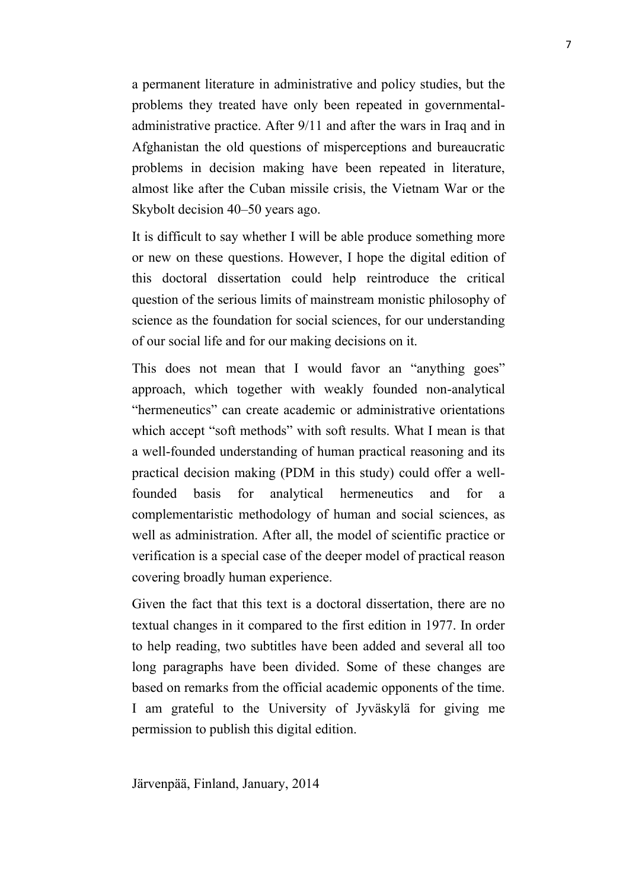a permanent literature in administrative and policy studies, but the problems they treated have only been repeated in governmentaladministrative practice. After 9/11 and after the wars in Iraq and in Afghanistan the old questions of misperceptions and bureaucratic problems in decision making have been repeated in literature, almost like after the Cuban missile crisis, the Vietnam War or the Skybolt decision 40–50 years ago.

It is difficult to say whether I will be able produce something more or new on these questions. However, I hope the digital edition of this doctoral dissertation could help reintroduce the critical question of the serious limits of mainstream monistic philosophy of science as the foundation for social sciences, for our understanding of our social life and for our making decisions on it.

This does not mean that I would favor an "anything goes" approach, which together with weakly founded non-analytical "hermeneutics" can create academic or administrative orientations which accept "soft methods" with soft results. What I mean is that a well-founded understanding of human practical reasoning and its practical decision making (PDM in this study) could offer a wellfounded basis for analytical hermeneutics and for a complementaristic methodology of human and social sciences, as well as administration. After all, the model of scientific practice or verification is a special case of the deeper model of practical reason covering broadly human experience.

Given the fact that this text is a doctoral dissertation, there are no textual changes in it compared to the first edition in 1977. In order to help reading, two subtitles have been added and several all too long paragraphs have been divided. Some of these changes are based on remarks from the official academic opponents of the time. I am grateful to the University of Jyväskylä for giving me permission to publish this digital edition.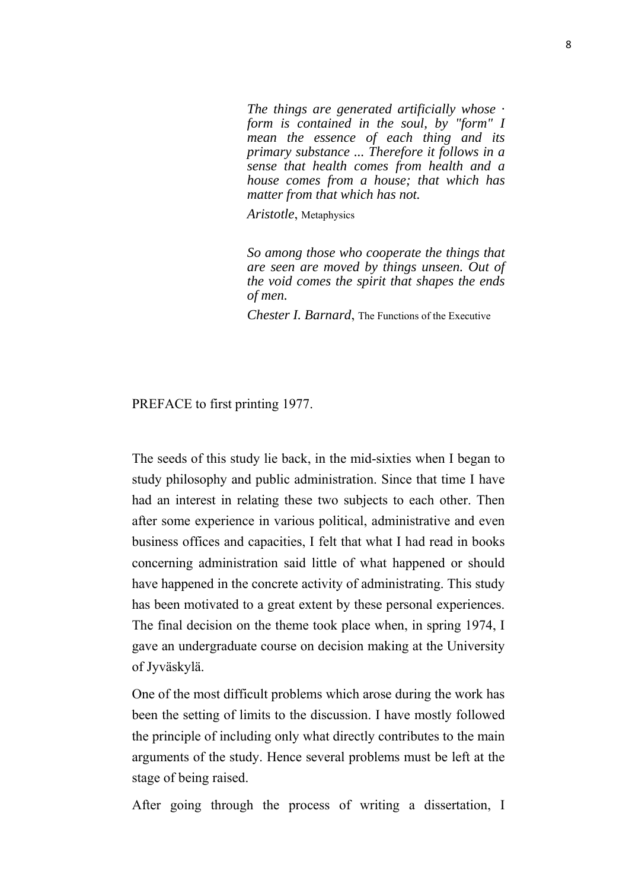*The things are generated artificially whose · form is contained in the soul, by "form" I mean the essence of each thing and its primary substance ... Therefore it follows in a sense that health comes from health and a house comes from a house; that which has matter from that which has not.*

*Aristotle*, Metaphysics

*So among those who cooperate the things that are seen are moved by things unseen. Out of the void comes the spirit that shapes the ends of men.*

*Chester I. Barnard*, The Functions of the Executive

PREFACE to first printing 1977.

The seeds of this study lie back, in the mid-sixties when I began to study philosophy and public administration. Since that time I have had an interest in relating these two subjects to each other. Then after some experience in various political, administrative and even business offices and capacities, I felt that what I had read in books concerning administration said little of what happened or should have happened in the concrete activity of administrating. This study has been motivated to a great extent by these personal experiences. The final decision on the theme took place when, in spring 1974, I gave an undergraduate course on decision making at the University of Jyväskylä.

One of the most difficult problems which arose during the work has been the setting of limits to the discussion. I have mostly followed the principle of including only what directly contributes to the main arguments of the study. Hence several problems must be left at the stage of being raised.

After going through the process of writing a dissertation, I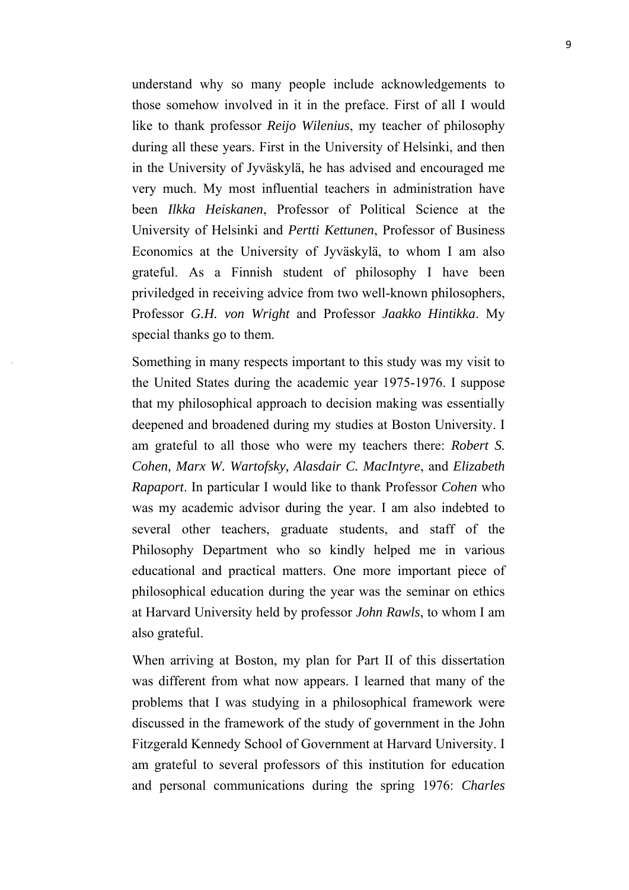understand why so many people include acknowledgements to those somehow involved in it in the preface. First of all I would like to thank professor *Reijo Wilenius*, my teacher of philosophy during all these years. First in the University of Helsinki, and then in the University of Jyväskylä, he has advised and encouraged me very much. My most influential teachers in administration have been *Ilkka Heiskanen*, Professor of Political Science at the University of Helsinki and *Pertti Kettunen*, Professor of Business Economics at the University of Jyväskylä, to whom I am also grateful. As a Finnish student of philosophy I have been priviledged in receiving advice from two well-known philosophers, Professor *G.H. von Wright* and Professor *Jaakko Hintikka*. My special thanks go to them.

Something in many respects important to this study was my visit to the United States during the academic year 1975-1976. I suppose that my philosophical approach to decision making was essentially deepened and broadened during my studies at Boston University. I am grateful to all those who were my teachers there: *Robert S. Cohen, Marx W. Wartofsky, Alasdair C. MacIntyre*, and *Elizabeth Rapaport*. In particular I would like to thank Professor *Cohen* who was my academic advisor during the year. I am also indebted to several other teachers, graduate students, and staff of the Philosophy Department who so kindly helped me in various educational and practical matters. One more important piece of philosophical education during the year was the seminar on ethics at Harvard University held by professor *John Rawls*, to whom I am also grateful.

When arriving at Boston, my plan for Part II of this dissertation was different from what now appears. I learned that many of the problems that I was studying in a philosophical framework were discussed in the framework of the study of government in the John Fitzgerald Kennedy School of Government at Harvard University. I am grateful to several professors of this institution for education and personal communications during the spring 1976: *Charles*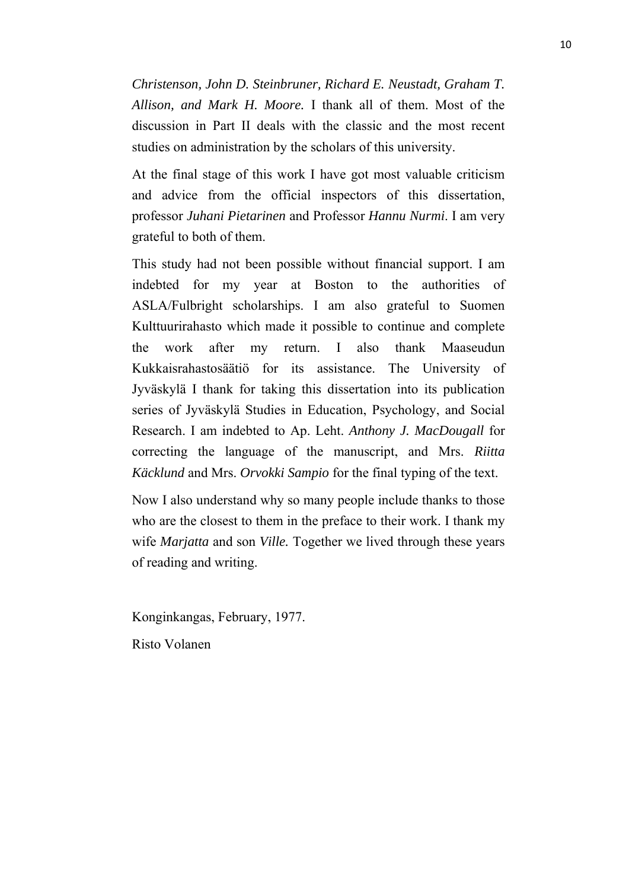*Christenson, John D. Steinbruner, Richard E. Neustadt, Graham T. Allison, and Mark H. Moore.* I thank all of them. Most of the discussion in Part II deals with the classic and the most recent studies on administration by the scholars of this university.

At the final stage of this work I have got most valuable criticism and advice from the official inspectors of this dissertation, professor *Juhani Pietarinen* and Professor *Hannu Nurmi*. I am very grateful to both of them.

This study had not been possible without financial support. I am indebted for my year at Boston to the authorities of ASLA/Fulbright scholarships. I am also grateful to Suomen Kulttuurirahasto which made it possible to continue and complete the work after my return. I also thank Maaseudun Kukkaisrahastosäätiö for its assistance. The University of Jyväskylä I thank for taking this dissertation into its publication series of Jyväskylä Studies in Education, Psychology, and Social Research. I am indebted to Ap. Leht. *Anthony J. MacDougall* for correcting the language of the manuscript, and Mrs. *Riitta Käcklund* and Mrs. *Orvokki Sampio* for the final typing of the text.

Now I also understand why so many people include thanks to those who are the closest to them in the preface to their work. I thank my wife *Marjatta* and son *Ville.* Together we lived through these years of reading and writing.

Konginkangas, February, 1977.

Risto Volanen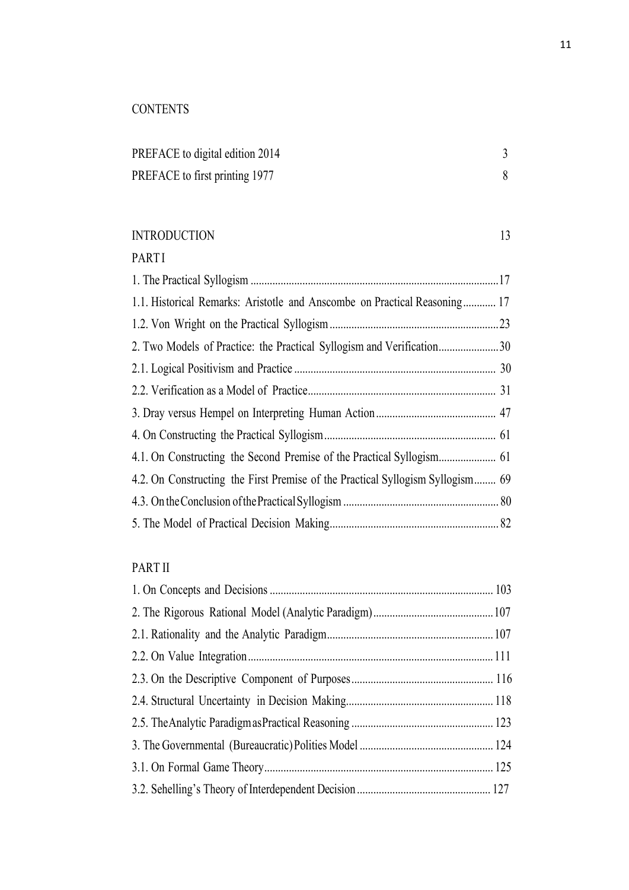# **CONTENTS**

| PREFACE to digital edition 2014 |  |
|---------------------------------|--|
| PREFACE to first printing 1977  |  |

## INTRODUCTION 13

## **PARTI**

| 1.1. Historical Remarks: Aristotle and Anscombe on Practical Reasoning 17      |  |
|--------------------------------------------------------------------------------|--|
|                                                                                |  |
| 2. Two Models of Practice: the Practical Syllogism and Verification30          |  |
|                                                                                |  |
|                                                                                |  |
|                                                                                |  |
|                                                                                |  |
|                                                                                |  |
| 4.2. On Constructing the First Premise of the Practical Syllogism Syllogism 69 |  |
|                                                                                |  |
|                                                                                |  |

# PART II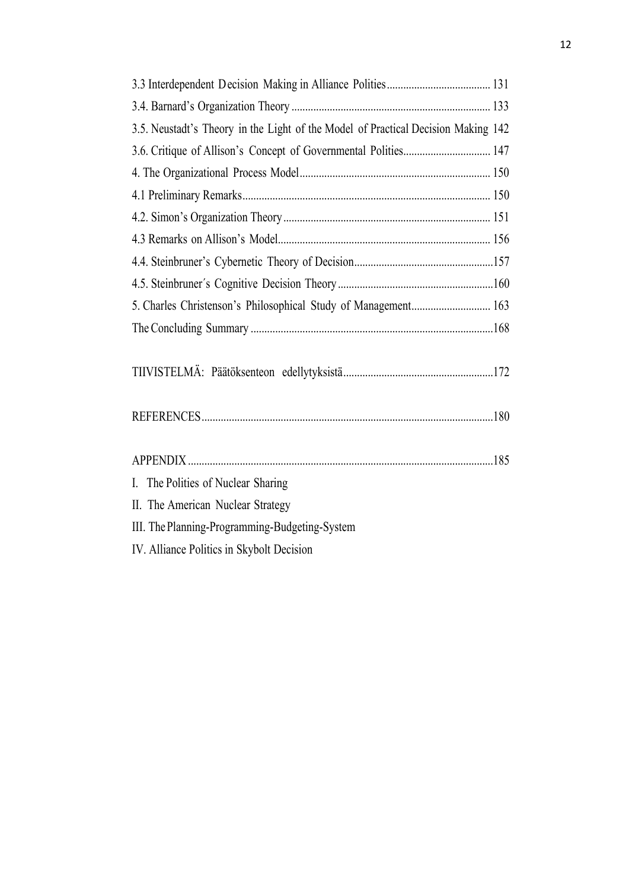| 3.5. Neustadt's Theory in the Light of the Model of Practical Decision Making 142 |  |
|-----------------------------------------------------------------------------------|--|
|                                                                                   |  |
|                                                                                   |  |
|                                                                                   |  |
|                                                                                   |  |
|                                                                                   |  |
|                                                                                   |  |
|                                                                                   |  |
|                                                                                   |  |
|                                                                                   |  |
|                                                                                   |  |
|                                                                                   |  |
|                                                                                   |  |
|                                                                                   |  |
|                                                                                   |  |
|                                                                                   |  |
| I. The Polities of Nuclear Sharing                                                |  |
| II. The American Nuclear Strategy                                                 |  |
| III. The Planning-Programming-Budgeting-System                                    |  |
| IV. Alliance Politics in Skybolt Decision                                         |  |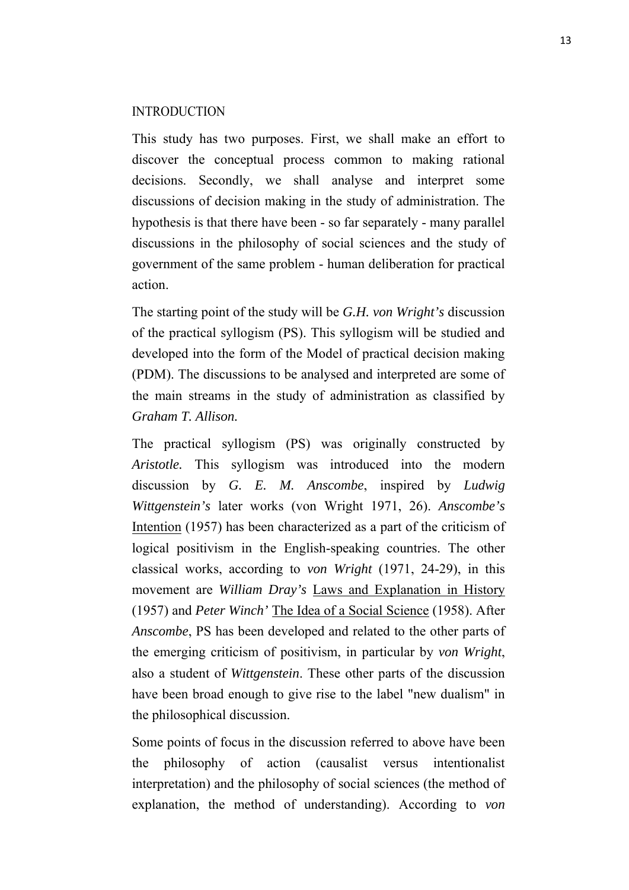#### INTRODUCTION

This study has two purposes. First, we shall make an effort to discover the conceptual process common to making rational decisions. Secondly, we shall analyse and interpret some discussions of decision making in the study of administration. The hypothesis is that there have been - so far separately - many parallel discussions in the philosophy of social sciences and the study of government of the same problem - human deliberation for practical action.

The starting point of the study will be *G.H. von Wright's* discussion of the practical syllogism (PS). This syllogism will be studied and developed into the form of the Model of practical decision making (PDM). The discussions to be analysed and interpreted are some of the main streams in the study of administration as classified by *Graham T. Allison.*

The practical syllogism (PS) was originally constructed by *Aristotle.* This syllogism was introduced into the modern discussion by *G. E. M. Anscombe*, inspired by *Ludwig Wittgenstein's* later works (von Wright 1971, 26). *Anscombe's* Intention (1957) has been characterized as a part of the criticism of logical positivism in the English-speaking countries. The other classical works, according to *von Wright* (1971, 24-29), in this movement are *William Dray's* Laws and Explanation in History (1957) and *Peter Winch'* The Idea of a Social Science (1958). After *Anscombe*, PS has been developed and related to the other parts of the emerging criticism of positivism, in particular by *von Wright*, also a student of *Wittgenstein*. These other parts of the discussion have been broad enough to give rise to the label "new dualism" in the philosophical discussion.

Some points of focus in the discussion referred to above have been the philosophy of action (causalist versus intentionalist interpretation) and the philosophy of social sciences (the method of explanation, the method of understanding). According to *von*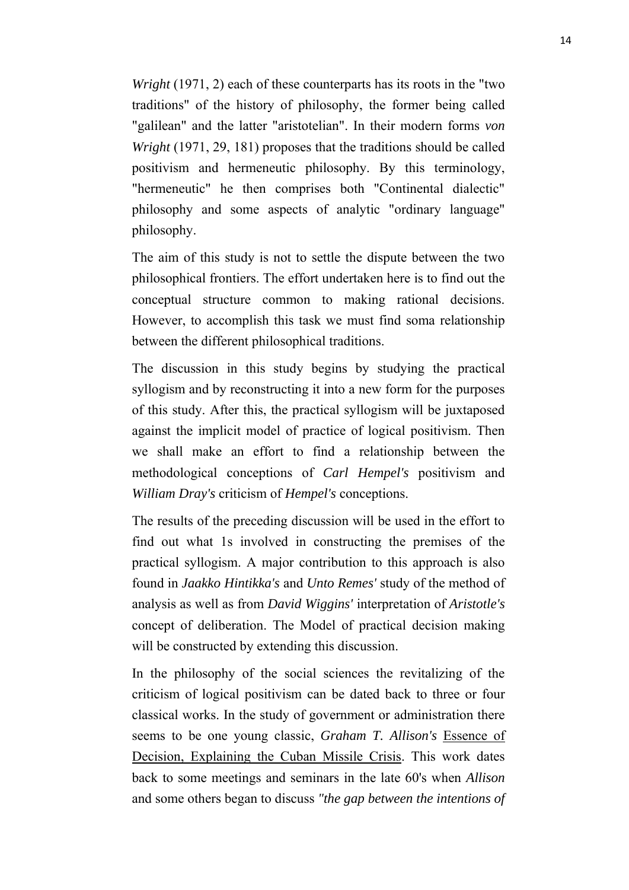*Wright* (1971, 2) each of these counterparts has its roots in the "two traditions" of the history of philosophy, the former being called "galilean" and the latter "aristotelian". In their modern forms *von Wright* (1971, 29, 181) proposes that the traditions should be called positivism and hermeneutic philosophy. By this terminology, "hermeneutic" he then comprises both "Continental dialectic" philosophy and some aspects of analytic "ordinary language" philosophy.

The aim of this study is not to settle the dispute between the two philosophical frontiers. The effort undertaken here is to find out the conceptual structure common to making rational decisions. However, to accomplish this task we must find soma relationship between the different philosophical traditions.

The discussion in this study begins by studying the practical syllogism and by reconstructing it into a new form for the purposes of this study. After this, the practical syllogism will be juxtaposed against the implicit model of practice of logical positivism. Then we shall make an effort to find a relationship between the methodological conceptions of *Carl Hempel's* positivism and *William Dray's* criticism of *Hempel's* conceptions.

The results of the preceding discussion will be used in the effort to find out what 1s involved in constructing the premises of the practical syllogism. A major contribution to this approach is also found in *Jaakko Hintikka's* and *Unto Remes'* study of the method of analysis as well as from *David Wiggins'* interpretation of *Aristotle's* concept of deliberation. The Model of practical decision making will be constructed by extending this discussion.

In the philosophy of the social sciences the revitalizing of the criticism of logical positivism can be dated back to three or four classical works. In the study of government or administration there seems to be one young classic, *Graham T. Allison's* Essence of Decision, Explaining the Cuban Missile Crisis. This work dates back to some meetings and seminars in the late 60's when *Allison* and some others began to discuss *"the gap between the intentions of*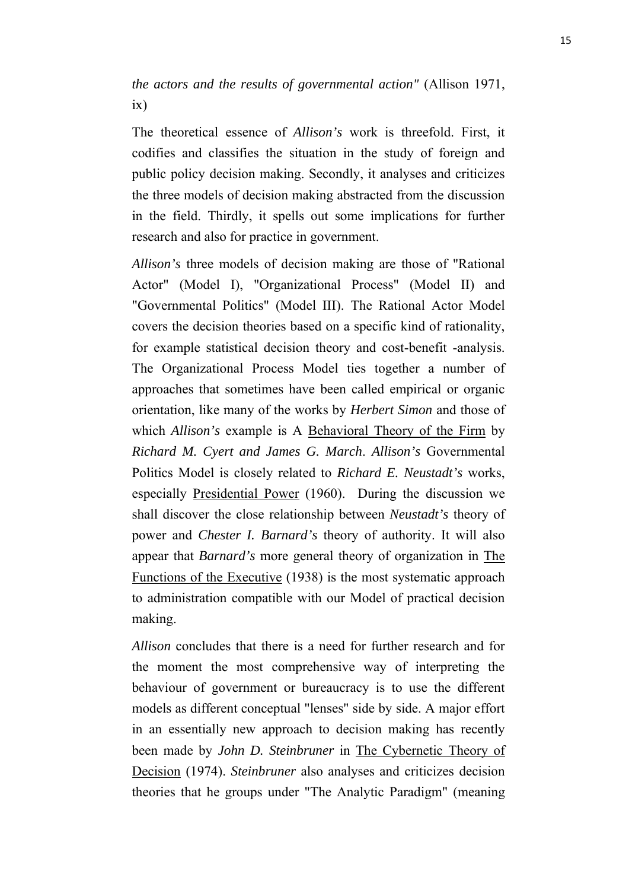*the actors and the results of governmental action"* (Allison 1971, ix)

The theoretical essence of *Allison's* work is threefold. First, it codifies and classifies the situation in the study of foreign and public policy decision making. Secondly, it analyses and criticizes the three models of decision making abstracted from the discussion in the field. Thirdly, it spells out some implications for further research and also for practice in government.

*Allison's* three models of decision making are those of "Rational Actor" (Model I), "Organizational Process" (Model II) and "Governmental Politics" (Model III). The Rational Actor Model covers the decision theories based on a specific kind of rationality, for example statistical decision theory and cost-benefit -analysis. The Organizational Process Model ties together a number of approaches that sometimes have been called empirical or organic orientation, like many of the works by *Herbert Simon* and those of which *Allison's* example is A Behavioral Theory of the Firm by *Richard M. Cyert and James G. March*. *Allison's* Governmental Politics Model is closely related to *Richard E. Neustadt's* works, especially Presidential Power (1960). During the discussion we shall discover the close relationship between *Neustadt's* theory of power and *Chester I. Barnard's* theory of authority. It will also appear that *Barnard's* more general theory of organization in The Functions of the Executive (1938) is the most systematic approach to administration compatible with our Model of practical decision making.

*Allison* concludes that there is a need for further research and for the moment the most comprehensive way of interpreting the behaviour of government or bureaucracy is to use the different models as different conceptual "lenses" side by side. A major effort in an essentially new approach to decision making has recently been made by *John D. Steinbruner* in The Cybernetic Theory of Decision (1974). *Steinbruner* also analyses and criticizes decision theories that he groups under "The Analytic Paradigm" (meaning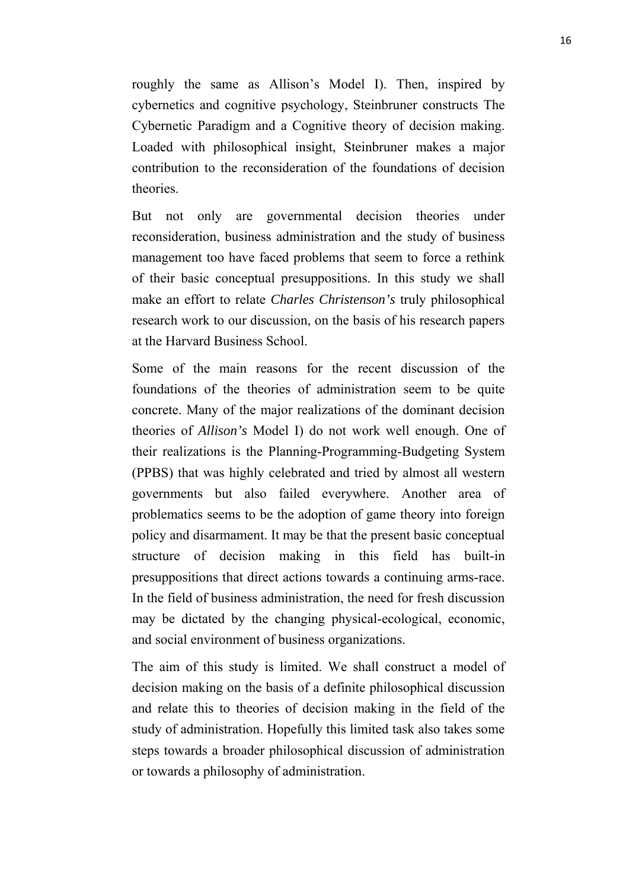roughly the same as Allison's Model I). Then, inspired by cybernetics and cognitive psychology, Steinbruner constructs The Cybernetic Paradigm and a Cognitive theory of decision making. Loaded with philosophical insight, Steinbruner makes a major contribution to the reconsideration of the foundations of decision theories.

But not only are governmental decision theories under reconsideration, business administration and the study of business management too have faced problems that seem to force a rethink of their basic conceptual presuppositions. In this study we shall make an effort to relate *Charles Christenson's* truly philosophical research work to our discussion, on the basis of his research papers at the Harvard Business School.

Some of the main reasons for the recent discussion of the foundations of the theories of administration seem to be quite concrete. Many of the major realizations of the dominant decision theories of *Allison's* Model I) do not work well enough. One of their realizations is the Planning-Programming-Budgeting System (PPBS) that was highly celebrated and tried by almost all western governments but also failed everywhere. Another area of problematics seems to be the adoption of game theory into foreign policy and disarmament. It may be that the present basic conceptual structure of decision making in this field has built-in presuppositions that direct actions towards a continuing arms-race. In the field of business administration, the need for fresh discussion may be dictated by the changing physical-ecological, economic, and social environment of business organizations.

The aim of this study is limited. We shall construct a model of decision making on the basis of a definite philosophical discussion and relate this to theories of decision making in the field of the study of administration. Hopefully this limited task also takes some steps towards a broader philosophical discussion of administration or towards a philosophy of administration.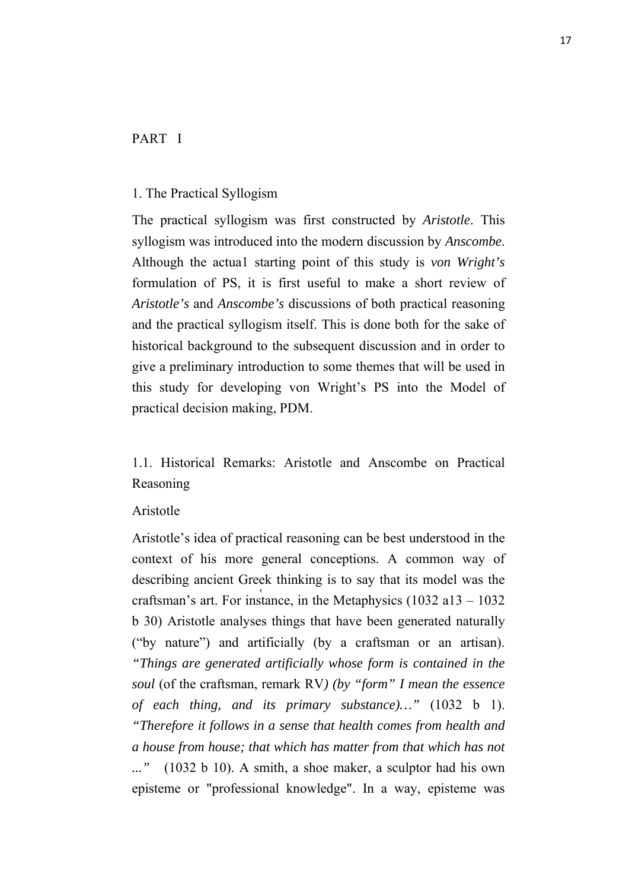## PART I

#### 1. The Practical Syllogism

The practical syllogism was first constructed by *Aristotle*. This syllogism was introduced into the modern discussion by *Anscombe*. Although the actua1 starting point of this study is *von Wright's* formulation of PS, it is first useful to make a short review of *Aristotle's* and *Anscombe's* discussions of both practical reasoning and the practical syllogism itself. This is done both for the sake of historical background to the subsequent discussion and in order to give a preliminary introduction to some themes that will be used in this study for developing von Wright's PS into the Model of practical decision making, PDM.

1.1. Historical Remarks: Aristotle and Anscombe on Practical Reasoning

#### Aristotle

 $\overline{\phantom{a}}$ Aristotle's idea of practical reasoning can be best understood in the context of his more general conceptions. A common way of describing ancient Greek thinking is to say that its model was the craftsman's art. For instance, in the Metaphysics (1032 a13 – 1032 b 30) Aristotle analyses things that have been generated naturally ("by nature") and artificially (by a craftsman or an artisan). *"Things are generated artificially whose form is contained in the soul* (of the craftsman, remark RV*) (by "form" I mean the essence of each thing, and its primary substance)…"* (1032 b 1). *"Therefore it follows in a sense that health comes from health and a house from house; that which has matter from that which has not ..."* (1032 b 10). A smith, a shoe maker, a sculptor had his own episteme or "professional knowledge". In a way, episteme was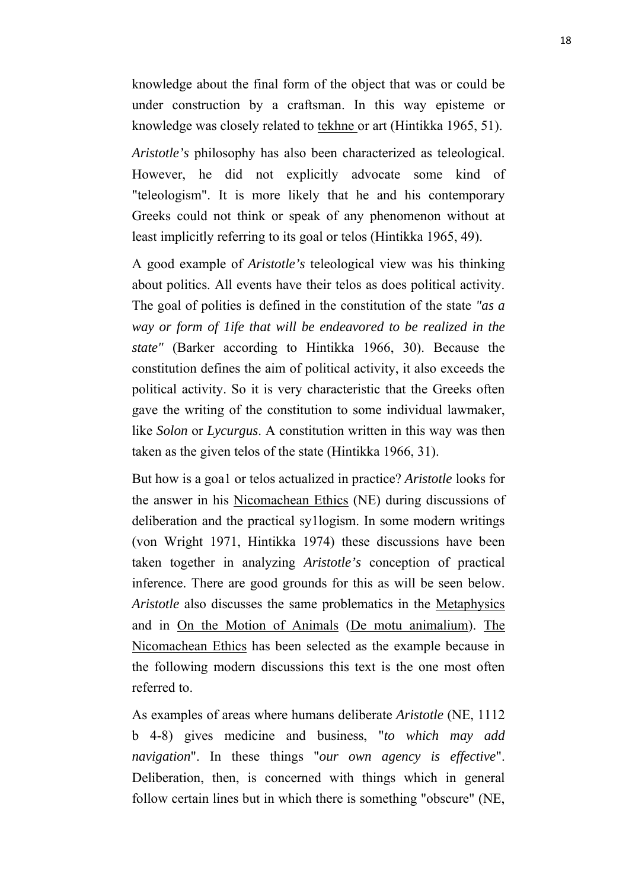knowledge about the final form of the object that was or could be under construction by a craftsman. In this way episteme or knowledge was closely related to tekhne or art (Hintikka 1965, 51).

*Aristotle's* philosophy has also been characterized as teleological. However, he did not explicitly advocate some kind of "teleologism". It is more likely that he and his contemporary Greeks could not think or speak of any phenomenon without at least implicitly referring to its goal or telos (Hintikka 1965, 49).

A good example of *Aristotle's* teleological view was his thinking about politics. All events have their telos as does political activity. The goal of polities is defined in the constitution of the state *"as a way or form of 1ife that will be endeavored to be realized in the state"* (Barker according to Hintikka 1966, 30). Because the constitution defines the aim of political activity, it also exceeds the political activity. So it is very characteristic that the Greeks often gave the writing of the constitution to some individual lawmaker, like *Solon* or *Lycurgus*. A constitution written in this way was then taken as the given telos of the state (Hintikka 1966, 31).

But how is a goa1 or telos actualized in practice? *Aristotle* looks for the answer in his Nicomachean Ethics (NE) during discussions of deliberation and the practical sy1logism. In some modern writings (von Wright 1971, Hintikka 1974) these discussions have been taken together in analyzing *Aristotle's* conception of practical inference. There are good grounds for this as will be seen below. *Aristotle* also discusses the same problematics in the Metaphysics and in On the Motion of Animals (De motu animalium). The Nicomachean Ethics has been selected as the example because in the following modern discussions this text is the one most often referred to.

As examples of areas where humans deliberate *Aristotle* (NE, 1112 b 4-8) gives medicine and business, "*to which may add navigation*". In these things "*our own agency is effective*". Deliberation, then, is concerned with things which in general follow certain lines but in which there is something "obscure" (NE,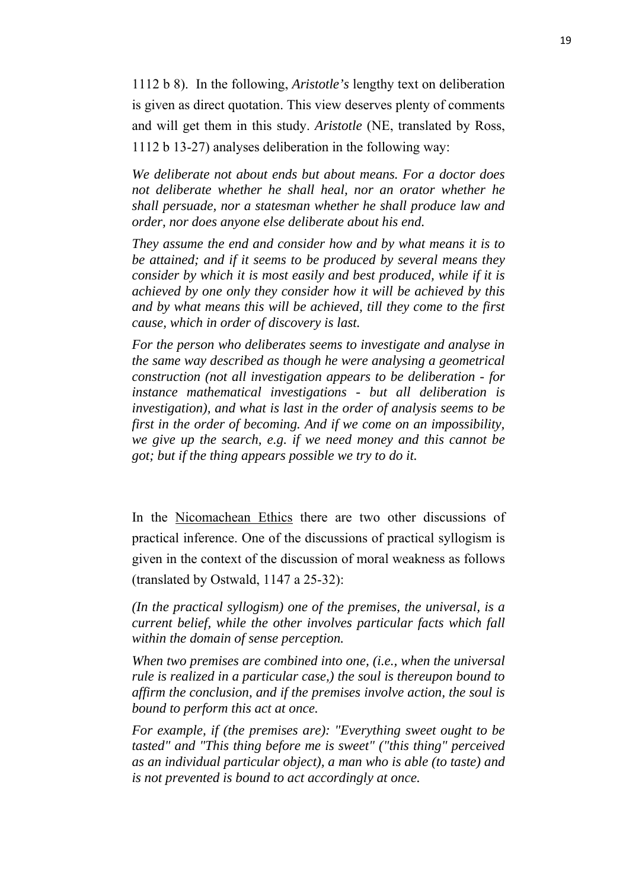1112 b 8). In the following, *Aristotle's* lengthy text on deliberation is given as direct quotation. This view deserves plenty of comments and will get them in this study. *Aristotle* (NE, translated by Ross, 1112 b 13-27) analyses deliberation in the following way:

*We deliberate not about ends but about means. For a doctor does not deliberate whether he shall heal, nor an orator whether he shall persuade, nor a statesman whether he shall produce law and order, nor does anyone else deliberate about his end.* 

*They assume the end and consider how and by what means it is to be attained; and if it seems to be produced by several means they consider by which it is most easily and best produced, while if it is achieved by one only they consider how it will be achieved by this and by what means this will be achieved, till they come to the first cause, which in order of discovery is last.* 

*For the person who deliberates seems to investigate and analyse in the same way described as though he were analysing a geometrical construction (not all investigation appears to be deliberation - for instance mathematical investigations - but all deliberation is investigation), and what is last in the order of analysis seems to be first in the order of becoming. And if we come on an impossibility, we give up the search, e.g. if we need money and this cannot be got; but if the thing appears possible we try to do it.*

In the Nicomachean Ethics there are two other discussions of practical inference. One of the discussions of practical syllogism is given in the context of the discussion of moral weakness as follows (translated by Ostwald, 1147 a 25-32):

*(In the practical syllogism) one of the premises, the universal, is a current belief, while the other involves particular facts which fall within the domain of sense perception.* 

*When two premises are combined into one, (i.e., when the universal rule is realized in a particular case,) the soul is thereupon bound to affirm the conclusion, and if the premises involve action, the soul is bound to perform this act at once.* 

*For example, if (the premises are): "Everything sweet ought to be tasted" and "This thing before me is sweet" ("this thing" perceived as an individual particular object), a man who is able (to taste) and is not prevented is bound to act accordingly at once.*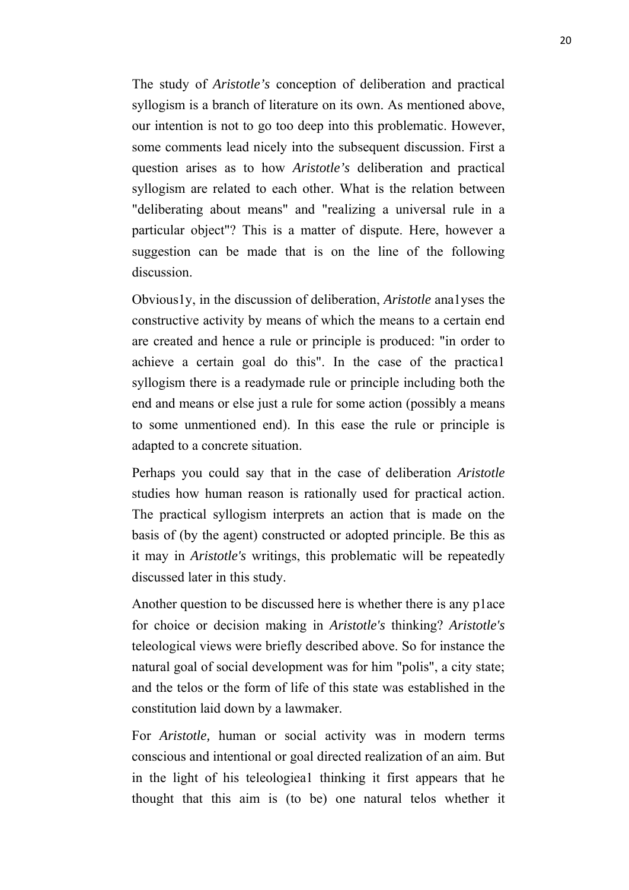The study of *Aristotle's* conception of deliberation and practical syllogism is a branch of literature on its own. As mentioned above, our intention is not to go too deep into this problematic. However, some comments lead nicely into the subsequent discussion. First a question arises as to how *Aristotle's* deliberation and practical syllogism are related to each other. What is the relation between "deliberating about means" and "realizing a universal rule in a particular object"? This is a matter of dispute. Here, however a suggestion can be made that is on the line of the following discussion.

Obvious1y, in the discussion of deliberation, *Aristotle* ana1yses the constructive activity by means of which the means to a certain end are created and hence a rule or principle is produced: "in order to achieve a certain goal do this". In the case of the practica1 syllogism there is a readymade rule or principle including both the end and means or else just a rule for some action (possibly a means to some unmentioned end). In this ease the rule or principle is adapted to a concrete situation.

Perhaps you could say that in the case of deliberation *Aristotle*  studies how human reason is rationally used for practical action. The practical syllogism interprets an action that is made on the basis of (by the agent) constructed or adopted principle. Be this as it may in *Aristotle's* writings, this problematic will be repeatedly discussed later in this study.

Another question to be discussed here is whether there is any p1ace for choice or decision making in *Aristotle's* thinking? *Aristotle's* teleological views were briefly described above. So for instance the natural goal of social development was for him "polis", a city state; and the telos or the form of life of this state was established in the constitution laid down by a lawmaker.

For *Aristotle,* human or social activity was in modern terms conscious and intentional or goal directed realization of an aim. But in the light of his teleologiea1 thinking it first appears that he thought that this aim is (to be) one natural telos whether it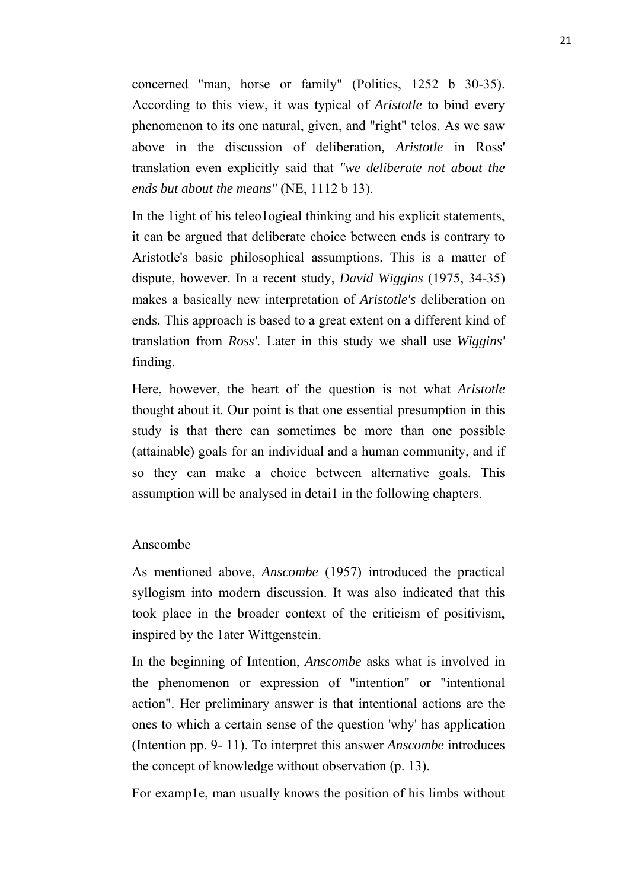concerned "man, horse or family" (Politics, 1252 b 30-35). According to this view, it was typical of *Aristotle* to bind every phenomenon to its one natural, given, and "right" telos. As we saw above in the discussion of deliberation*, Aristotle* in Ross' translation even explicitly said that *"we deliberate not about the ends but about the means"* (NE, 1112 b 13).

In the 1ight of his teleo1ogieal thinking and his explicit statements, it can be argued that deliberate choice between ends is contrary to Aristotle's basic philosophical assumptions. This is a matter of dispute, however. In a recent study, *David Wiggins* (1975, 34-35) makes a basically new interpretation of *Aristotle's* deliberation on ends. This approach is based to a great extent on a different kind of translation from *Ross'.* Later in this study we shall use *Wiggins'* finding.

Here, however, the heart of the question is not what *Aristotle* thought about it. Our point is that one essential presumption in this study is that there can sometimes be more than one possible (attainable) goals for an individual and a human community, and if so they can make a choice between alternative goals. This assumption will be analysed in detai1 in the following chapters.

#### Anscombe

As mentioned above, *Anscombe* (1957) introduced the practical syllogism into modern discussion. It was also indicated that this took place in the broader context of the criticism of positivism, inspired by the 1ater Wittgenstein.

In the beginning of Intention, *Anscombe* asks what is involved in the phenomenon or expression of "intention" or "intentional action". Her preliminary answer is that intentional actions are the ones to which a certain sense of the question 'why' has application (Intention pp. 9- 11). To interpret this answer *Anscombe* introduces the concept of knowledge without observation (p. 13).

For examp1e, man usually knows the position of his limbs without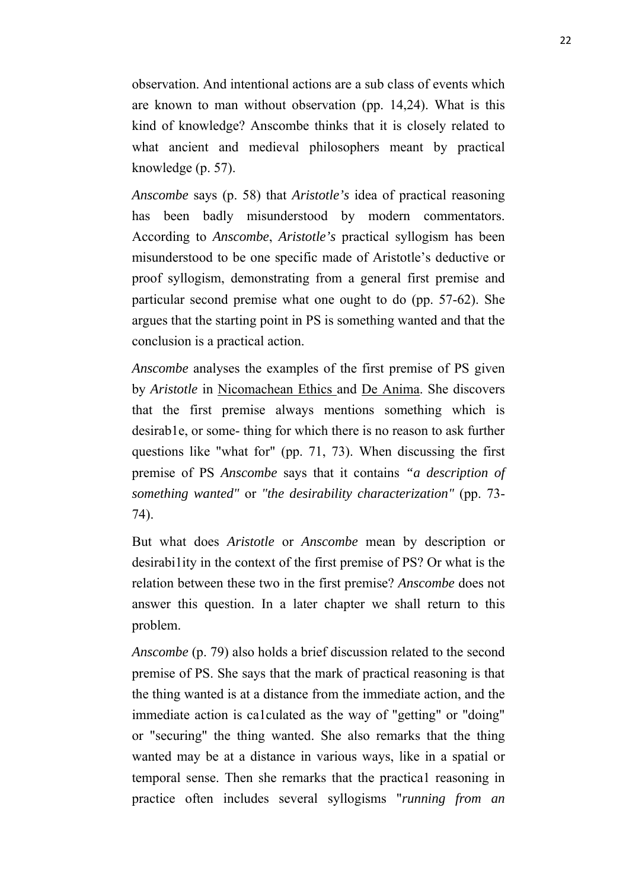observation. And intentional actions are a sub class of events which are known to man without observation (pp. 14,24). What is this kind of knowledge? Anscombe thinks that it is closely related to what ancient and medieval philosophers meant by practical knowledge (p. 57).

*Anscombe* says (p. 58) that *Aristotle's* idea of practical reasoning has been badly misunderstood by modern commentators. According to *Anscombe*, *Aristotle's* practical syllogism has been misunderstood to be one specific made of Aristotle's deductive or proof syllogism, demonstrating from a general first premise and particular second premise what one ought to do (pp. 57-62). She argues that the starting point in PS is something wanted and that the conclusion is a practical action.

*Anscombe* analyses the examples of the first premise of PS given by *Aristotle* in Nicomachean Ethics and De Anima. She discovers that the first premise always mentions something which is desirab1e, or some-thing for which there is no reason to ask further questions like "what for" (pp. 71, 73). When discussing the first premise of PS *Anscombe* says that it contains *"a description of something wanted"* or *"the desirability characterization"* (pp. 73- 74).

But what does *Aristotle* or *Anscombe* mean by description or desirabi1ity in the context of the first premise of PS? Or what is the relation between these two in the first premise? *Anscombe* does not answer this question. In a later chapter we shall return to this problem.

*Anscombe* (p. 79) also holds a brief discussion related to the second premise of PS. She says that the mark of practical reasoning is that the thing wanted is at a distance from the immediate action, and the immediate action is ca1culated as the way of "getting" or "doing" or "securing" the thing wanted. She also remarks that the thing wanted may be at a distance in various ways, like in a spatial or temporal sense. Then she remarks that the practica1 reasoning in practice often includes several syllogisms "*running from an*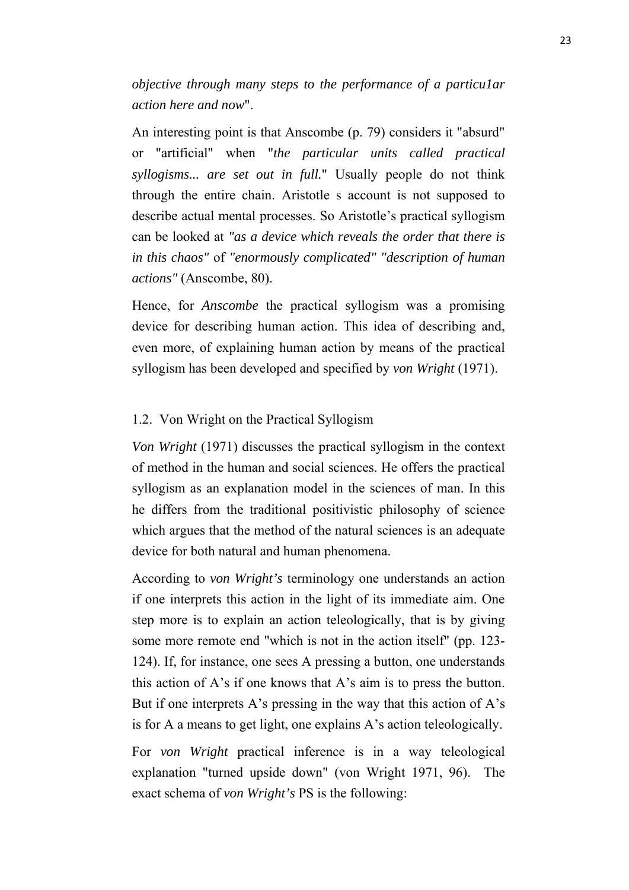*objective through many steps to the performance of a particu1ar action here and now*".

An interesting point is that Anscombe (p. 79) considers it "absurd" or "artificial" when "*the particular units called practical syllogisms... are set out in full.*" Usually people do not think through the entire chain. Aristotle s account is not supposed to describe actual mental processes. So Aristotle's practical syllogism can be looked at *"as a device which reveals the order that there is in this chaos"* of *"enormously complicated" "description of human actions"* (Anscombe, 80).

Hence, for *Anscombe* the practical syllogism was a promising device for describing human action. This idea of describing and, even more, of explaining human action by means of the practical syllogism has been developed and specified by *von Wright* (1971).

#### 1.2. Von Wright on the Practical Syllogism

*Von Wright* (1971) discusses the practical syllogism in the context of method in the human and social sciences. He offers the practical syllogism as an explanation model in the sciences of man. In this he differs from the traditional positivistic philosophy of science which argues that the method of the natural sciences is an adequate device for both natural and human phenomena.

According to *von Wright's* terminology one understands an action if one interprets this action in the light of its immediate aim. One step more is to explain an action teleologically, that is by giving some more remote end "which is not in the action itself" (pp. 123- 124). If, for instance, one sees A pressing a button, one understands this action of A's if one knows that A's aim is to press the button. But if one interprets A's pressing in the way that this action of  $A$ 's is for A a means to get light, one explains A's action teleologically.

For *von Wright* practical inference is in a way teleological explanation "turned upside down" (von Wright 1971, 96). The exact schema of *von Wright's* PS is the following: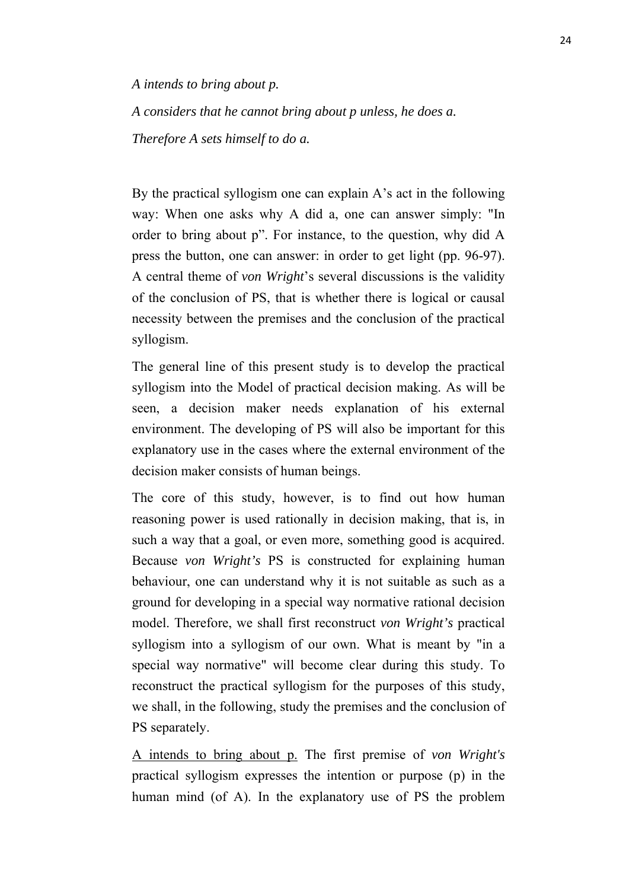*A intends to bring about p.*

*A considers that he cannot bring about p unless, he does a. Therefore A sets himself to do a.*

By the practical syllogism one can explain A's act in the following way: When one asks why A did a, one can answer simply: "In order to bring about p". For instance, to the question, why did A press the button, one can answer: in order to get light (pp. 96-97). A central theme of *von Wright*'s several discussions is the validity of the conclusion of PS, that is whether there is logical or causal necessity between the premises and the conclusion of the practical syllogism.

The general line of this present study is to develop the practical syllogism into the Model of practical decision making. As will be seen, a decision maker needs explanation of his external environment. The developing of PS will also be important for this explanatory use in the cases where the external environment of the decision maker consists of human beings.

The core of this study, however, is to find out how human reasoning power is used rationally in decision making, that is, in such a way that a goal, or even more, something good is acquired. Because *von Wright's* PS is constructed for explaining human behaviour, one can understand why it is not suitable as such as a ground for developing in a special way normative rational decision model. Therefore, we shall first reconstruct *von Wright's* practical syllogism into a syllogism of our own. What is meant by "in a special way normative" will become clear during this study. To reconstruct the practical syllogism for the purposes of this study, we shall, in the following, study the premises and the conclusion of PS separately.

A intends to bring about p. The first premise of *von Wright's* practical syllogism expresses the intention or purpose (p) in the human mind (of A). In the explanatory use of PS the problem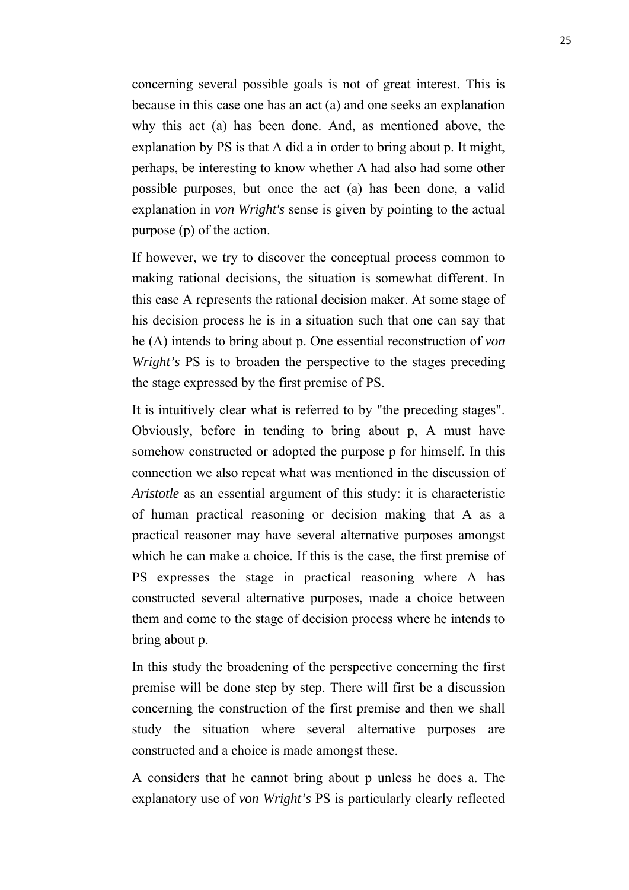concerning several possible goals is not of great interest. This is because in this case one has an act (a) and one seeks an explanation why this act (a) has been done. And, as mentioned above, the explanation by PS is that A did a in order to bring about p. It might, perhaps, be interesting to know whether A had also had some other possible purposes, but once the act (a) has been done, a valid explanation in *von Wright's* sense is given by pointing to the actual purpose (p) of the action.

If however, we try to discover the conceptual process common to making rational decisions, the situation is somewhat different. In this case A represents the rational decision maker. At some stage of his decision process he is in a situation such that one can say that he (A) intends to bring about p. One essential reconstruction of *von Wright's* PS is to broaden the perspective to the stages preceding the stage expressed by the first premise of PS.

It is intuitively clear what is referred to by "the preceding stages". Obviously, before in tending to bring about p, A must have somehow constructed or adopted the purpose p for himself. In this connection we also repeat what was mentioned in the discussion of *Aristotle* as an essential argument of this study: it is characteristic of human practical reasoning or decision making that A as a practical reasoner may have several alternative purposes amongst which he can make a choice. If this is the case, the first premise of PS expresses the stage in practical reasoning where A has constructed several alternative purposes, made a choice between them and come to the stage of decision process where he intends to bring about p.

In this study the broadening of the perspective concerning the first premise will be done step by step. There will first be a discussion concerning the construction of the first premise and then we shall study the situation where several alternative purposes are constructed and a choice is made amongst these.

A considers that he cannot bring about p unless he does a. The explanatory use of *von Wright's* PS is particularly clearly reflected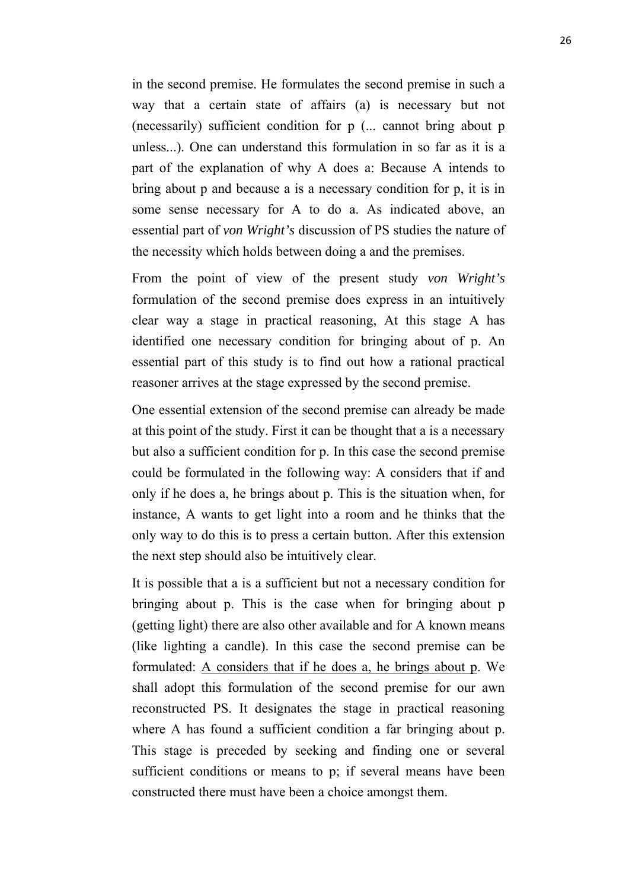in the second premise. He formulates the second premise in such a way that a certain state of affairs (a) is necessary but not (necessarily) sufficient condition for p (... cannot bring about p unless...). One can understand this formulation in so far as it is a part of the explanation of why A does a: Because A intends to bring about p and because a is a necessary condition for p, it is in some sense necessary for A to do a. As indicated above, an essential part of *von Wright's* discussion of PS studies the nature of the necessity which holds between doing a and the premises.

From the point of view of the present study *von Wright's* formulation of the second premise does express in an intuitively clear way a stage in practical reasoning, At this stage A has identified one necessary condition for bringing about of p. An essential part of this study is to find out how a rational practical reasoner arrives at the stage expressed by the second premise.

One essential extension of the second premise can already be made at this point of the study. First it can be thought that a is a necessary but also a sufficient condition for p. In this case the second premise could be formulated in the following way: A considers that if and only if he does a, he brings about p. This is the situation when, for instance, A wants to get light into a room and he thinks that the only way to do this is to press a certain button. After this extension the next step should also be intuitively clear.

It is possible that a is a sufficient but not a necessary condition for bringing about p. This is the case when for bringing about p (getting light) there are also other available and for A known means (like lighting a candle). In this case the second premise can be formulated: A considers that if he does a, he brings about p. We shall adopt this formulation of the second premise for our awn reconstructed PS. It designates the stage in practical reasoning where A has found a sufficient condition a far bringing about p. This stage is preceded by seeking and finding one or several sufficient conditions or means to p; if several means have been constructed there must have been a choice amongst them.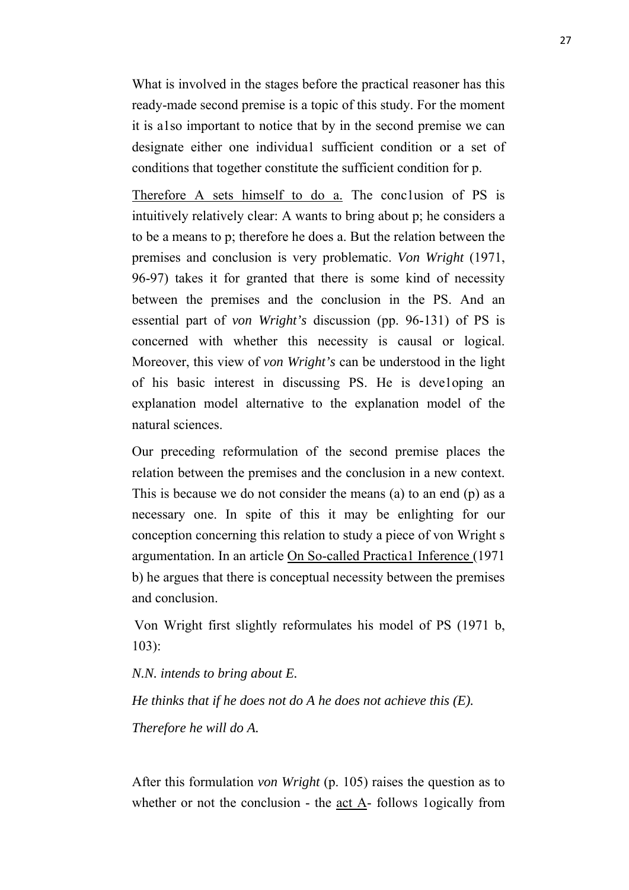What is involved in the stages before the practical reasoner has this ready-made second premise is a topic of this study. For the moment it is a1so important to notice that by in the second premise we can designate either one individua1 sufficient condition or a set of conditions that together constitute the sufficient condition for p.

Therefore A sets himself to do a. The conclusion of PS is intuitively relatively clear: A wants to bring about p; he considers a to be a means to p; therefore he does a. But the relation between the premises and conclusion is very problematic. *Von Wright* (1971, 96-97) takes it for granted that there is some kind of necessity between the premises and the conclusion in the PS. And an essential part of *von Wright's* discussion (pp. 96-131) of PS is concerned with whether this necessity is causal or logical. Moreover, this view of *von Wright's* can be understood in the light of his basic interest in discussing PS. He is deve1oping an explanation model alternative to the explanation model of the natural sciences.

Our preceding reformulation of the second premise places the relation between the premises and the conclusion in a new context. This is because we do not consider the means (a) to an end (p) as a necessary one. In spite of this it may be enlighting for our conception concerning this relation to study a piece of von Wright s argumentation. In an article On So-called Practica1 Inference (1971 b) he argues that there is conceptual necessity between the premises and conclusion.

Von Wright first slightly reformulates his model of PS (1971 b, 103):

*N.N. intends to bring about E.*

*He thinks that if he does not do A he does not achieve this (E). Therefore he will do A.*

After this formulation *von Wright* (p. 105) raises the question as to whether or not the conclusion - the act A- follows 1ogically from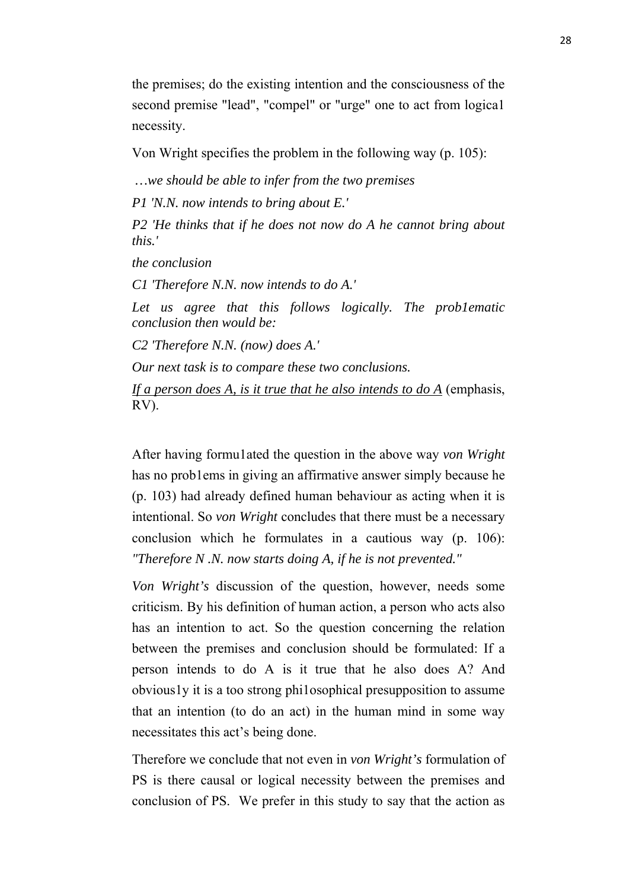the premises; do the existing intention and the consciousness of the second premise "lead", "compel" or "urge" one to act from logica1 necessity.

Von Wright specifies the problem in the following way (p. 105):

*…we should be able to infer from the two premises* 

*P1 'N.N. now intends to bring about E.'*

*P2 'He thinks that if he does not now do A he cannot bring about this.'*

*the conclusion*

*C1 'Therefore N.N. now intends to do A.'*

*Let us agree that this follows logically. The prob1ematic conclusion then would be:*

*C2 'Therefore N.N. (now) does A.'*

*Our next task is to compare these two conclusions.* 

*If a person does A, is it true that he also intends to do A* (emphasis, RV).

After having formu1ated the question in the above way *von Wright* has no prob1ems in giving an affirmative answer simply because he (p. 103) had already defined human behaviour as acting when it is intentional. So *von Wright* concludes that there must be a necessary conclusion which he formulates in a cautious way (p. 106): *"Therefore N .N. now starts doing A, if he is not prevented."*

*Von Wright's* discussion of the question, however, needs some criticism. By his definition of human action, a person who acts also has an intention to act. So the question concerning the relation between the premises and conclusion should be formulated: If a person intends to do A is it true that he also does A? And obvious1y it is a too strong phi1osophical presupposition to assume that an intention (to do an act) in the human mind in some way necessitates this act's being done.

Therefore we conclude that not even in *von Wright's* formulation of PS is there causal or logical necessity between the premises and conclusion of PS. We prefer in this study to say that the action as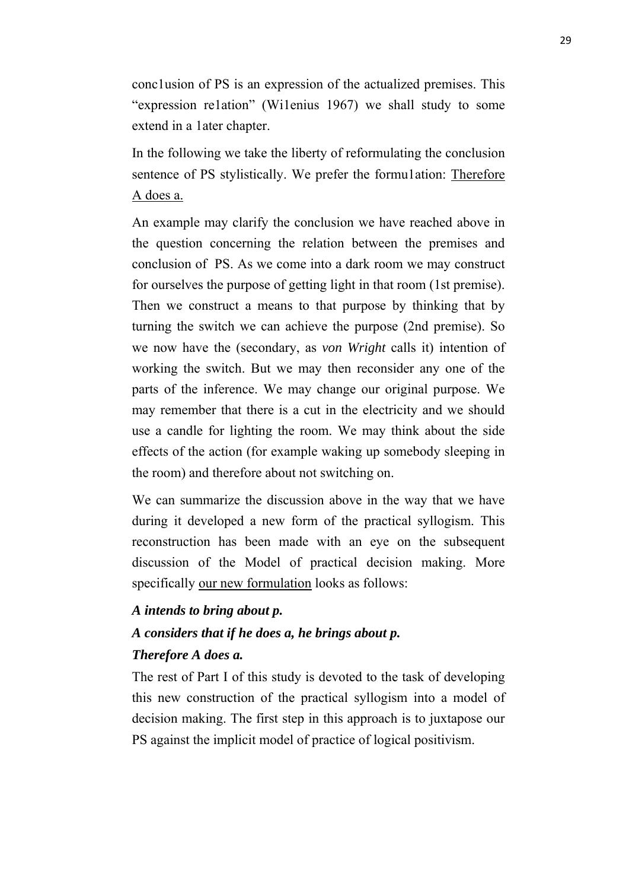conc1usion of PS is an expression of the actualized premises. This "expression re1ation" (Wi1enius 1967) we shall study to some extend in a 1ater chapter.

In the following we take the liberty of reformulating the conclusion sentence of PS stylistically. We prefer the formu1ation: Therefore A does a.

An example may clarify the conclusion we have reached above in the question concerning the relation between the premises and conclusion of PS. As we come into a dark room we may construct for ourselves the purpose of getting light in that room (1st premise). Then we construct a means to that purpose by thinking that by turning the switch we can achieve the purpose (2nd premise). So we now have the (secondary, as *von Wright* calls it) intention of working the switch. But we may then reconsider any one of the parts of the inference. We may change our original purpose. We may remember that there is a cut in the electricity and we should use a candle for lighting the room. We may think about the side effects of the action (for example waking up somebody sleeping in the room) and therefore about not switching on.

We can summarize the discussion above in the way that we have during it developed a new form of the practical syllogism. This reconstruction has been made with an eye on the subsequent discussion of the Model of practical decision making. More specifically our new formulation looks as follows:

# *A intends to bring about p. A considers that if he does a, he brings about p.*

#### *Therefore A does a.*

The rest of Part I of this study is devoted to the task of developing this new construction of the practical syllogism into a model of decision making. The first step in this approach is to juxtapose our PS against the implicit model of practice of logical positivism.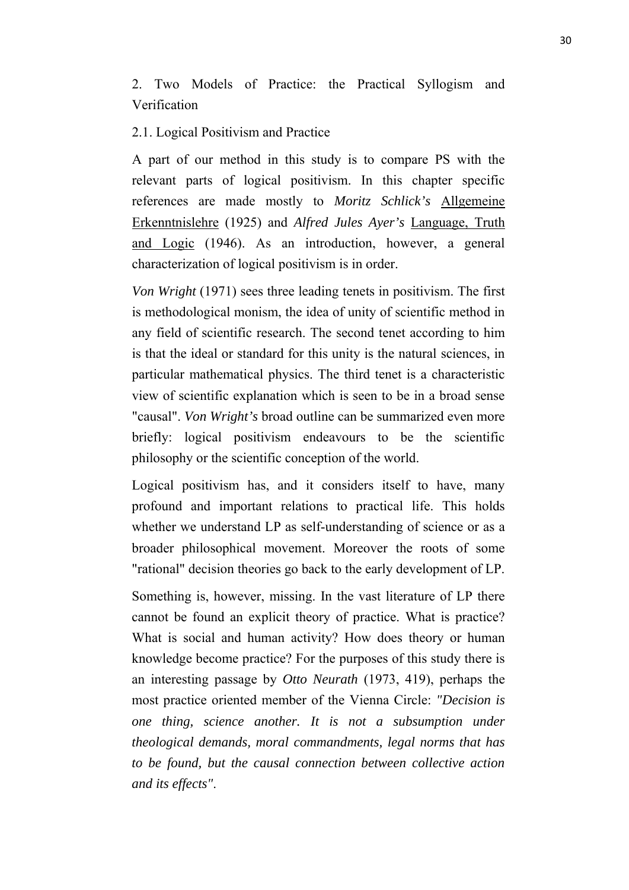2. Two Models of Practice: the Practical Syllogism and Verification

#### 2.1. Logical Positivism and Practice

A part of our method in this study is to compare PS with the relevant parts of logical positivism. In this chapter specific references are made mostly to *Moritz Schlick's* Allgemeine Erkenntnislehre (1925) and *Alfred Jules Ayer's* Language, Truth and Logic (1946). As an introduction, however, a general characterization of logical positivism is in order.

*Von Wright* (1971) sees three leading tenets in positivism. The first is methodological monism, the idea of unity of scientific method in any field of scientific research. The second tenet according to him is that the ideal or standard for this unity is the natural sciences, in particular mathematical physics. The third tenet is a characteristic view of scientific explanation which is seen to be in a broad sense "causal". *Von Wright's* broad outline can be summarized even more briefly: logical positivism endeavours to be the scientific philosophy or the scientific conception of the world.

Logical positivism has, and it considers itself to have, many profound and important relations to practical life. This holds whether we understand LP as self-understanding of science or as a broader philosophical movement. Moreover the roots of some "rational" decision theories go back to the early development of LP.

Something is, however, missing. In the vast literature of LP there cannot be found an explicit theory of practice. What is practice? What is social and human activity? How does theory or human knowledge become practice? For the purposes of this study there is an interesting passage by *Otto Neurath* (1973, 419), perhaps the most practice oriented member of the Vienna Circle: *"Decision is one thing, science another. It is not a subsumption under theological demands, moral commandments, legal norms that has to be found, but the causal connection between collective action and its effects"*.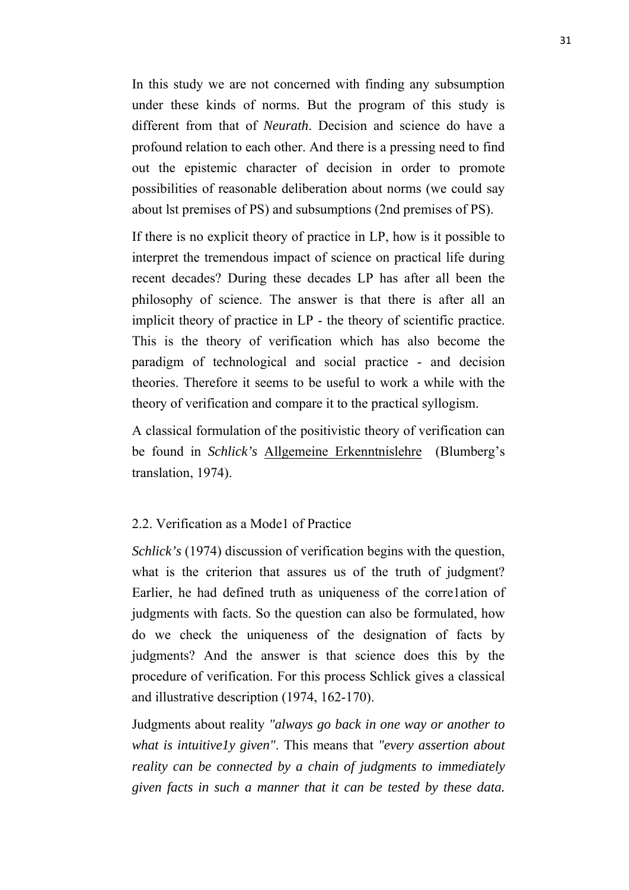In this study we are not concerned with finding any subsumption under these kinds of norms. But the program of this study is different from that of *Neurath*. Decision and science do have a profound relation to each other. And there is a pressing need to find out the epistemic character of decision in order to promote possibilities of reasonable deliberation about norms (we could say about lst premises of PS) and subsumptions (2nd premises of PS).

If there is no explicit theory of practice in LP, how is it possible to interpret the tremendous impact of science on practical life during recent decades? During these decades LP has after all been the philosophy of science. The answer is that there is after all an implicit theory of practice in LP - the theory of scientific practice. This is the theory of verification which has also become the paradigm of technological and social practice - and decision theories. Therefore it seems to be useful to work a while with the theory of verification and compare it to the practical syllogism.

A classical formulation of the positivistic theory of verification can be found in *Schlick's* Allgemeine Erkenntnislehre (Blumberg's translation, 1974).

#### 2.2. Verification as a Mode1 of Practice

*Schlick's* (1974) discussion of verification begins with the question, what is the criterion that assures us of the truth of judgment? Earlier, he had defined truth as uniqueness of the corre1ation of judgments with facts. So the question can also be formulated, how do we check the uniqueness of the designation of facts by judgments? And the answer is that science does this by the procedure of verification. For this process Schlick gives a classical and illustrative description (1974, 162-170).

Judgments about reality *"always go back in one way or another to what is intuitive1y given"*. This means that *"every assertion about reality can be connected by a chain of judgments to immediately given facts in such a manner that it can be tested by these data.*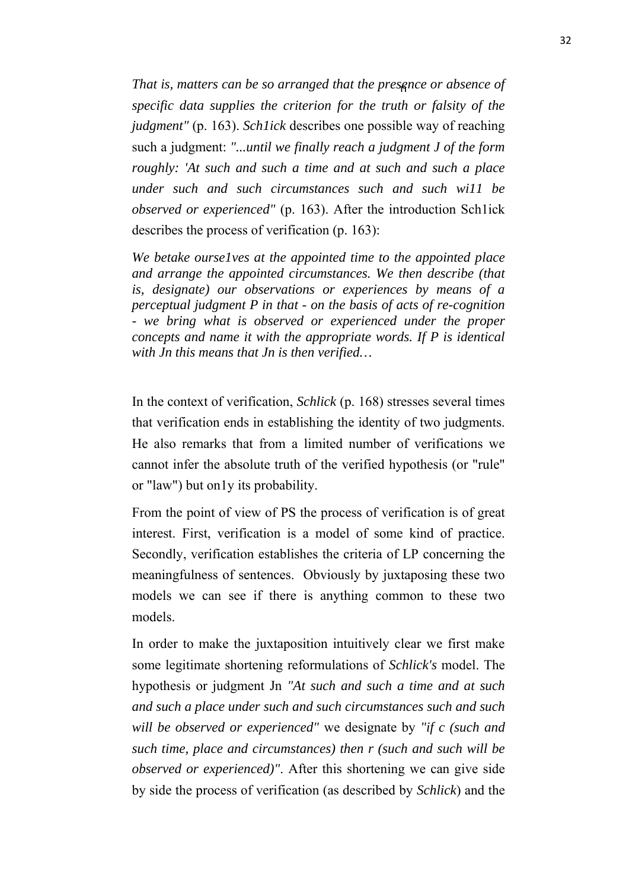*That is, matters can be so arranged that the presence or absence of specific data supplies the criterion for the truth or falsity of the judgment"* (p. 163). *Sch1ick* describes one possible way of reaching such a judgment: *"...until we finally reach a judgment J of the form roughly: 'At such and such a time and at such and such a place under such and such circumstances such and such wi11 be observed or experienced"* (p. 163). After the introduction Sch1ick describes the process of verification (p. 163):

*We betake ourse1ves at the appointed time to the appointed place and arrange the appointed circumstances. We then describe (that is, designate) our observations or experiences by means of a perceptual judgment P in that - on the basis of acts of re-cognition - we bring what is observed or experienced under the proper concepts and name it with the appropriate words. If P is identical with Jn this means that Jn is then verified…*

In the context of verification, *Schlick* (p. 168) stresses several times that verification ends in establishing the identity of two judgments. He also remarks that from a limited number of verifications we cannot infer the absolute truth of the verified hypothesis (or "rule" or "law") but on1y its probability.

From the point of view of PS the process of verification is of great interest. First, verification is a model of some kind of practice. Secondly, verification establishes the criteria of LP concerning the meaningfulness of sentences. Obviously by juxtaposing these two models we can see if there is anything common to these two models.

In order to make the juxtaposition intuitively clear we first make some legitimate shortening reformulations of *Schlick's* model. The hypothesis or judgment Jn *"At such and such a time and at such and such a place under such and such circumstances such and such will be observed or experienced"* we designate by *"if c (such and such time, place and circumstances) then r (such and such will be observed or experienced)"*. After this shortening we can give side by side the process of verification (as described by *Schlick*) and the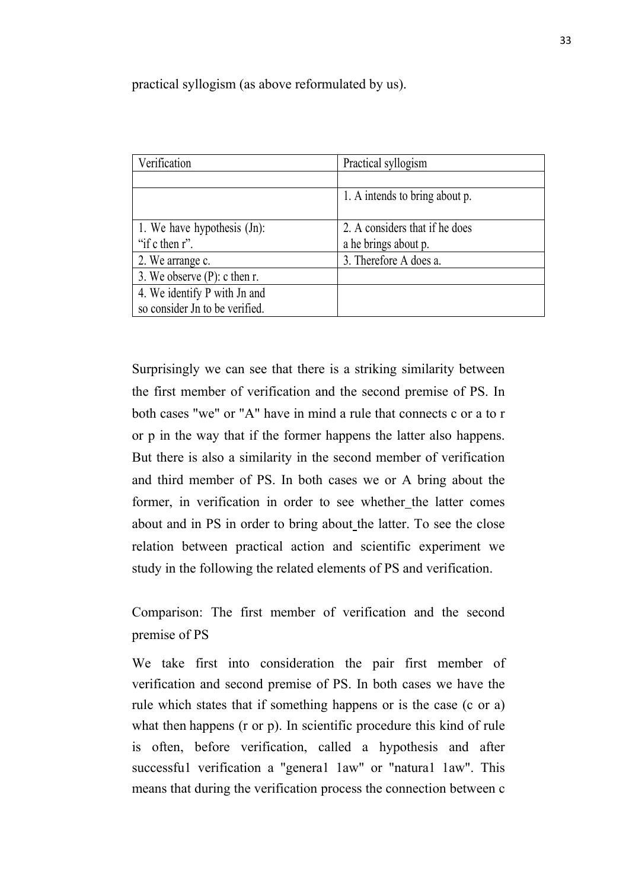practical syllogism (as above reformulated by us).

| Verification                    | Practical syllogism            |
|---------------------------------|--------------------------------|
|                                 |                                |
|                                 | 1. A intends to bring about p. |
|                                 |                                |
| 1. We have hypothesis (Jn):     | 2. A considers that if he does |
| "if $c$ then $r$ ".             | a he brings about p.           |
| 2. We arrange c.                | 3. Therefore A does a.         |
| 3. We observe $(P)$ : c then r. |                                |
| 4. We identify P with Jn and    |                                |
| so consider Jn to be verified.  |                                |

Surprisingly we can see that there is a striking similarity between the first member of verification and the second premise of PS. In both cases "we" or "A" have in mind a rule that connects c or a to r or p in the way that if the former happens the latter also happens. But there is also a similarity in the second member of verification and third member of PS. In both cases we or A bring about the former, in verification in order to see whether the latter comes about and in PS in order to bring about the latter. To see the close relation between practical action and scientific experiment we study in the following the related elements of PS and verification.

Comparison: The first member of verification and the second premise of PS

We take first into consideration the pair first member of verification and second premise of PS. In both cases we have the rule which states that if something happens or is the case (c or a) what then happens (r or p). In scientific procedure this kind of rule is often, before verification, called a hypothesis and after successful verification a "general law" or "natural law". This means that during the verification process the connection between c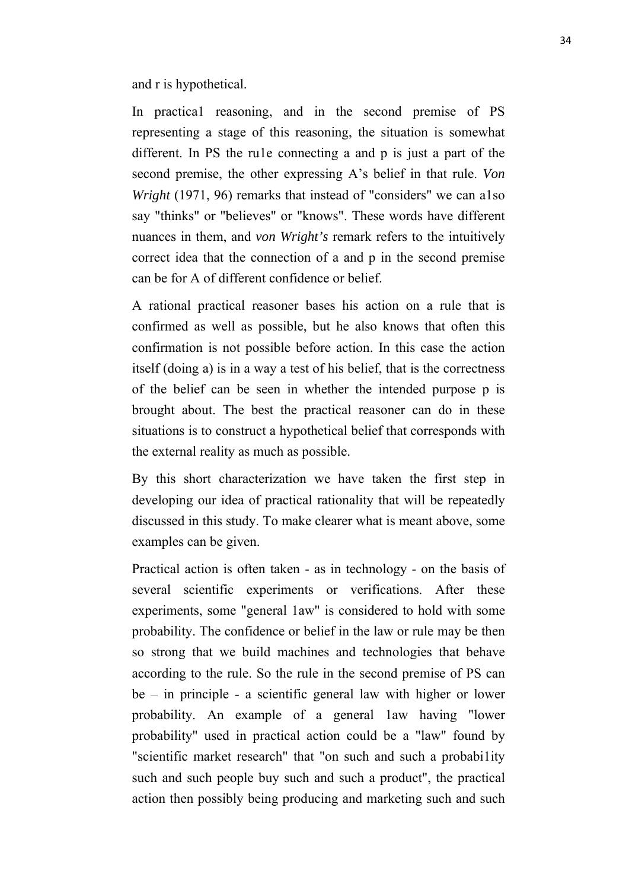and r is hypothetical.

In practica1 reasoning, and in the second premise of PS representing a stage of this reasoning, the situation is somewhat different. In PS the ru1e connecting a and p is just a part of the second premise, the other expressing A's belief in that rule. *Von Wright* (1971, 96) remarks that instead of "considers" we can also say "thinks" or "believes" or "knows". These words have different nuances in them, and *von Wright's* remark refers to the intuitively correct idea that the connection of a and p in the second premise can be for A of different confidence or belief.

A rational practical reasoner bases his action on a rule that is confirmed as well as possible, but he also knows that often this confirmation is not possible before action. In this case the action itself (doing a) is in a way a test of his belief, that is the correctness of the belief can be seen in whether the intended purpose p is brought about. The best the practical reasoner can do in these situations is to construct a hypothetical belief that corresponds with the external reality as much as possible.

By this short characterization we have taken the first step in developing our idea of practical rationality that will be repeatedly discussed in this study. To make clearer what is meant above, some examples can be given.

Practical action is often taken - as in technology - on the basis of several scientific experiments or verifications. After these experiments, some "general 1aw" is considered to hold with some probability. The confidence or belief in the law or rule may be then so strong that we build machines and technologies that behave according to the rule. So the rule in the second premise of PS can be – in principle - a scientific general law with higher or lower probability. An example of a general 1aw having "lower probability" used in practical action could be a "law" found by "scientific market research" that "on such and such a probabi1ity such and such people buy such and such a product", the practical action then possibly being producing and marketing such and such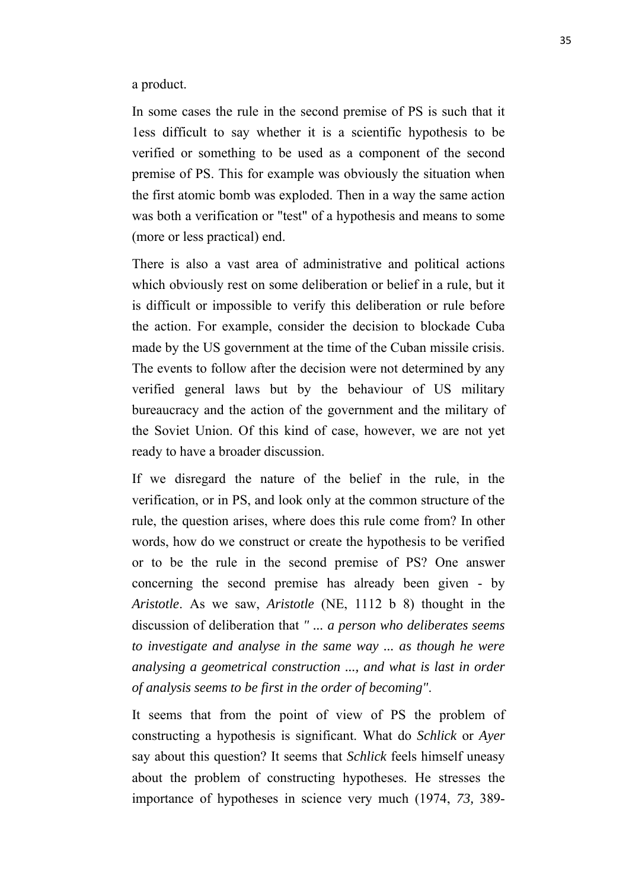a product.

In some cases the rule in the second premise of PS is such that it 1ess difficult to say whether it is a scientific hypothesis to be verified or something to be used as a component of the second premise of PS. This for example was obviously the situation when the first atomic bomb was exploded. Then in a way the same action was both a verification or "test" of a hypothesis and means to some (more or less practical) end.

There is also a vast area of administrative and political actions which obviously rest on some deliberation or belief in a rule, but it is difficult or impossible to verify this deliberation or rule before the action. For example, consider the decision to blockade Cuba made by the US government at the time of the Cuban missile crisis. The events to follow after the decision were not determined by any verified general laws but by the behaviour of US military bureaucracy and the action of the government and the military of the Soviet Union. Of this kind of case, however, we are not yet ready to have a broader discussion.

If we disregard the nature of the belief in the rule, in the verification, or in PS, and look only at the common structure of the rule, the question arises, where does this rule come from? In other words, how do we construct or create the hypothesis to be verified or to be the rule in the second premise of PS? One answer concerning the second premise has already been given - by *Aristotle*. As we saw, *Aristotle* (NE, 1112 b 8) thought in the discussion of deliberation that *" ... a person who deliberates seems to investigate and analyse in the same way ... as though he were analysing a geometrical construction ..., and what is last in order of analysis seems to be first in the order of becoming"*.

It seems that from the point of view of PS the problem of constructing a hypothesis is significant. What do *Schlick* or *Ayer*  say about this question? It seems that *Schlick* feels himself uneasy about the problem of constructing hypotheses. He stresses the importance of hypotheses in science very much (1974, *73,* 389-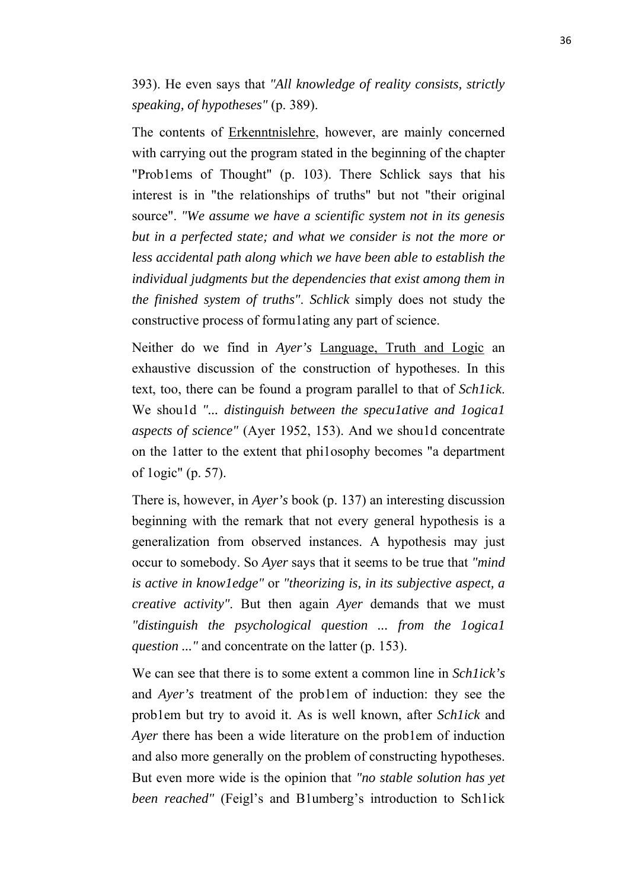393). He even says that *"All knowledge of reality consists, strictly speaking, of hypotheses"* (p. 389).

The contents of Erkenntnislehre, however, are mainly concerned with carrying out the program stated in the beginning of the chapter "Prob1ems of Thought" (p. 103). There Schlick says that his interest is in "the relationships of truths" but not "their original source". *"We assume we have a scientific system not in its genesis but in a perfected state; and what we consider is not the more or less accidental path along which we have been able to establish the individual judgments but the dependencies that exist among them in the finished system of truths"*. *Schlick* simply does not study the constructive process of formu1ating any part of science.

Neither do we find in *Ayer's* Language, Truth and Logic an exhaustive discussion of the construction of hypotheses. In this text, too, there can be found a program parallel to that of *Sch1ick*. We shou1d *"... distinguish between the specu1ative and 1ogica1 aspects of science"* (Ayer 1952, 153). And we shou1d concentrate on the 1atter to the extent that phi1osophy becomes "a department of 1ogic" (p. 57).

There is, however, in *Ayer's* book (p. 137) an interesting discussion beginning with the remark that not every general hypothesis is a generalization from observed instances. A hypothesis may just occur to somebody. So *Ayer* says that it seems to be true that *"mind is active in know1edge"* or *"theorizing is, in its subjective aspect, a creative activity"*. But then again *Ayer* demands that we must *"distinguish the psychological question ... from the 1ogica1 question ..."* and concentrate on the latter (p. 153).

We can see that there is to some extent a common line in *Sch1ick's* and *Ayer's* treatment of the prob1em of induction: they see the prob1em but try to avoid it. As is well known, after *Sch1ick* and *Ayer* there has been a wide literature on the prob1em of induction and also more generally on the problem of constructing hypotheses. But even more wide is the opinion that *"no stable solution has yet been reached"* (Feigl's and B1umberg's introduction to Sch1ick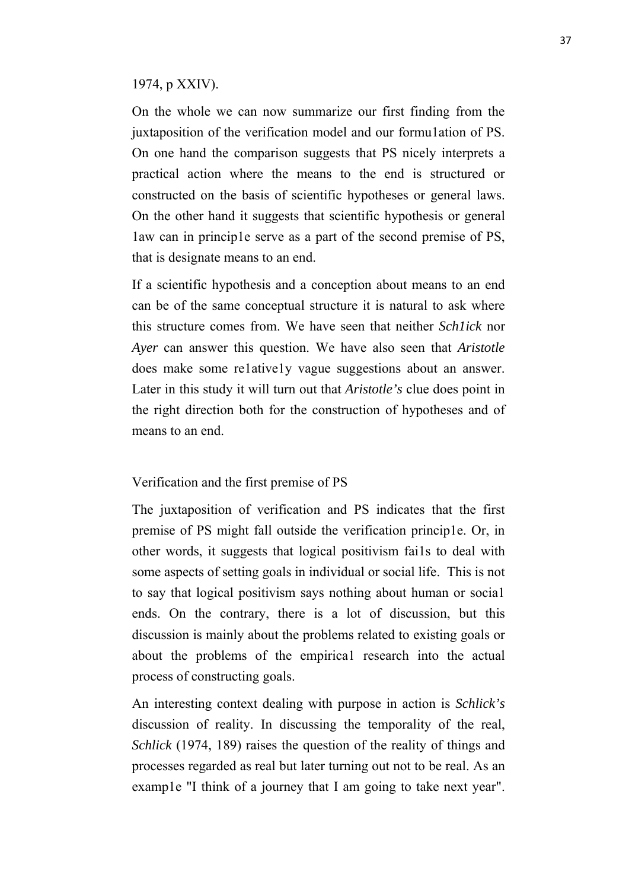### 1974, p XXIV).

On the whole we can now summarize our first finding from the juxtaposition of the verification model and our formu1ation of PS. On one hand the comparison suggests that PS nicely interprets a practical action where the means to the end is structured or constructed on the basis of scientific hypotheses or general laws. On the other hand it suggests that scientific hypothesis or general 1aw can in princip1e serve as a part of the second premise of PS, that is designate means to an end.

If a scientific hypothesis and a conception about means to an end can be of the same conceptual structure it is natural to ask where this structure comes from. We have seen that neither *Sch1ick* nor *Ayer* can answer this question. We have also seen that *Aristotle*  does make some re1ative1y vague suggestions about an answer. Later in this study it will turn out that *Aristotle's* clue does point in the right direction both for the construction of hypotheses and of means to an end.

### Verification and the first premise of PS

The juxtaposition of verification and PS indicates that the first premise of PS might fall outside the verification princip1e. Or, in other words, it suggests that logical positivism fai1s to deal with some aspects of setting goals in individual or social life. This is not to say that logical positivism says nothing about human or socia1 ends. On the contrary, there is a lot of discussion, but this discussion is mainly about the problems related to existing goals or about the problems of the empirica1 research into the actual process of constructing goals.

An interesting context dealing with purpose in action is *Schlick's*  discussion of reality. In discussing the temporality of the real, *Schlick* (1974, 189) raises the question of the reality of things and processes regarded as real but later turning out not to be real. As an examp1e "I think of a journey that I am going to take next year".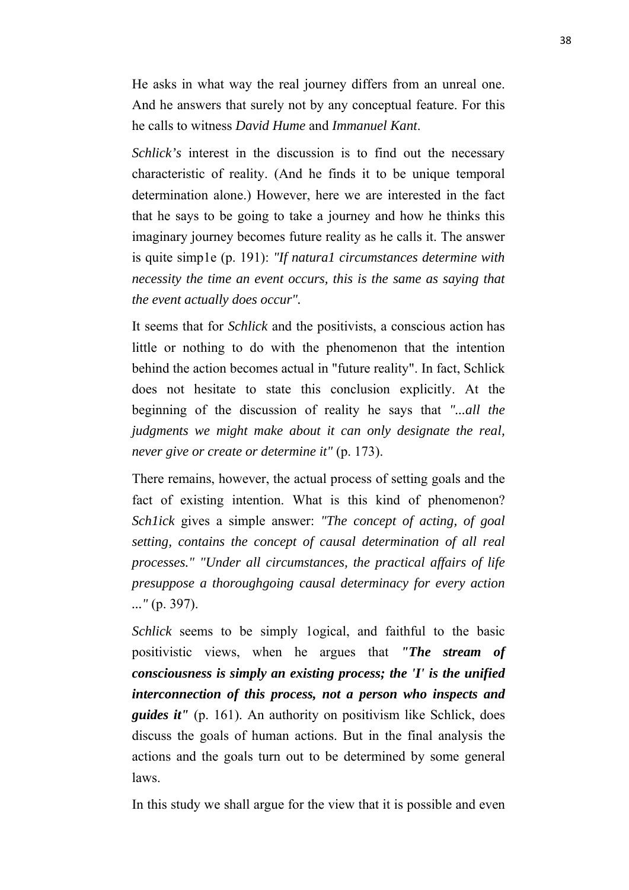He asks in what way the real journey differs from an unreal one. And he answers that surely not by any conceptual feature. For this he calls to witness *David Hume* and *Immanuel Kant*.

*Schlick's* interest in the discussion is to find out the necessary characteristic of reality. (And he finds it to be unique temporal determination alone.) However, here we are interested in the fact that he says to be going to take a journey and how he thinks this imaginary journey becomes future reality as he calls it. The answer is quite simp1e (p. 191): *"If natura1 circumstances determine with necessity the time an event occurs, this is the same as saying that the event actually does occur".*

It seems that for *Schlick* and the positivists, a conscious action has little or nothing to do with the phenomenon that the intention behind the action becomes actual in "future reality". In fact, Schlick does not hesitate to state this conclusion explicitly. At the beginning of the discussion of reality he says that *"...all the judgments we might make about it can only designate the real, never give or create or determine it"* (p. 173).

There remains, however, the actual process of setting goals and the fact of existing intention. What is this kind of phenomenon? *Sch1ick* gives a simple answer: *"The concept of acting, of goal setting, contains the concept of causal determination of all real processes." "Under all circumstances, the practical affairs of life presuppose a thoroughgoing causal determinacy for every action ..."* (p. 397).

*Schlick* seems to be simply 1ogical, and faithful to the basic positivistic views, when he argues that *"The stream of consciousness is simply an existing process; the 'I' is the unified interconnection of this process, not a person who inspects and guides it"* (p. 161). An authority on positivism like Schlick, does discuss the goals of human actions. But in the final analysis the actions and the goals turn out to be determined by some general laws.

In this study we shall argue for the view that it is possible and even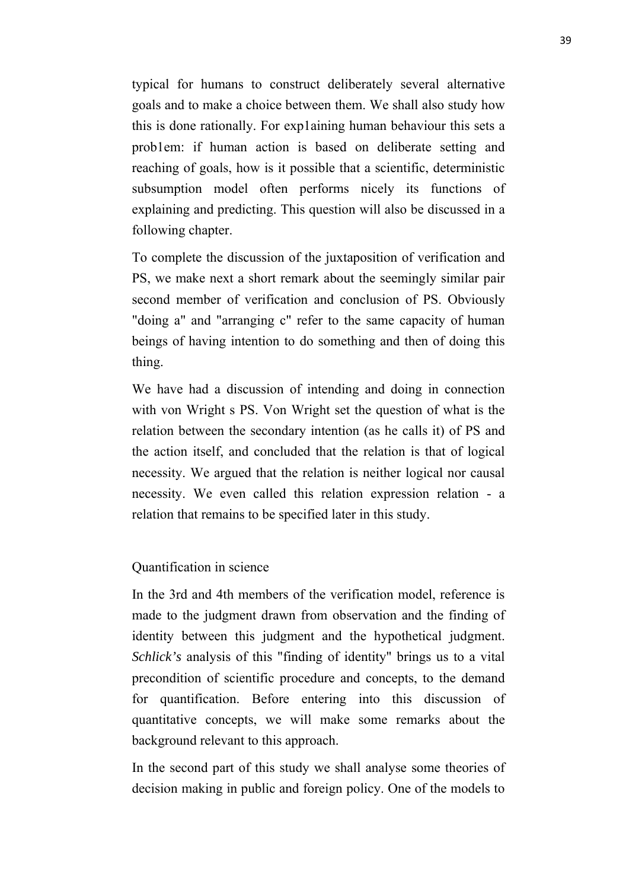typical for humans to construct deliberately several alternative goals and to make a choice between them. We shall also study how this is done rationally. For exp1aining human behaviour this sets a prob1em: if human action is based on deliberate setting and reaching of goals, how is it possible that a scientific, deterministic subsumption model often performs nicely its functions of explaining and predicting. This question will also be discussed in a following chapter.

To complete the discussion of the juxtaposition of verification and PS, we make next a short remark about the seemingly similar pair second member of verification and conclusion of PS. Obviously "doing a" and "arranging c" refer to the same capacity of human beings of having intention to do something and then of doing this thing.

We have had a discussion of intending and doing in connection with von Wright s PS. Von Wright set the question of what is the relation between the secondary intention (as he calls it) of PS and the action itself, and concluded that the relation is that of logical necessity. We argued that the relation is neither logical nor causal necessity. We even called this relation expression relation - a relation that remains to be specified later in this study.

### Quantification in science

In the 3rd and 4th members of the verification model, reference is made to the judgment drawn from observation and the finding of identity between this judgment and the hypothetical judgment. *Schlick's* analysis of this "finding of identity" brings us to a vital precondition of scientific procedure and concepts, to the demand for quantification. Before entering into this discussion of quantitative concepts, we will make some remarks about the background relevant to this approach.

In the second part of this study we shall analyse some theories of decision making in public and foreign policy. One of the models to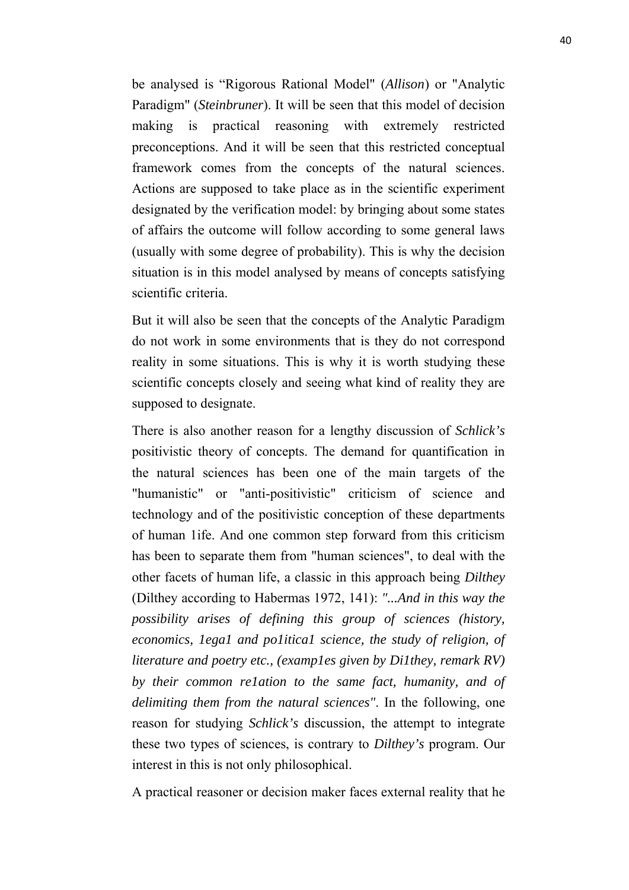be analysed is "Rigorous Rational Model" (*Allison*) or "Analytic Paradigm" (*Steinbruner*). It will be seen that this model of decision making is practical reasoning with extremely restricted preconceptions. And it will be seen that this restricted conceptual framework comes from the concepts of the natural sciences. Actions are supposed to take place as in the scientific experiment designated by the verification model: by bringing about some states of affairs the outcome will follow according to some general laws (usually with some degree of probability). This is why the decision situation is in this model analysed by means of concepts satisfying scientific criteria.

But it will also be seen that the concepts of the Analytic Paradigm do not work in some environments that is they do not correspond reality in some situations. This is why it is worth studying these scientific concepts closely and seeing what kind of reality they are supposed to designate.

There is also another reason for a lengthy discussion of *Schlick's*  positivistic theory of concepts. The demand for quantification in the natural sciences has been one of the main targets of the "humanistic" or "anti-positivistic" criticism of science and technology and of the positivistic conception of these departments of human 1ife. And one common step forward from this criticism has been to separate them from "human sciences", to deal with the other facets of human life, a classic in this approach being *Dilthey* (Dilthey according to Habermas 1972, 141): *"...And in this way the possibility arises of defining this group of sciences (history,* economics, legal and political science, the study of religion, of *literature and poetry etc., (examp1es given by Di1they, remark RV) by their common re1ation to the same fact, humanity, and of delimiting them from the natural sciences"*. In the following, one reason for studying *Schlick's* discussion, the attempt to integrate these two types of sciences, is contrary to *Dilthey's* program. Our interest in this is not only philosophical.

A practical reasoner or decision maker faces external reality that he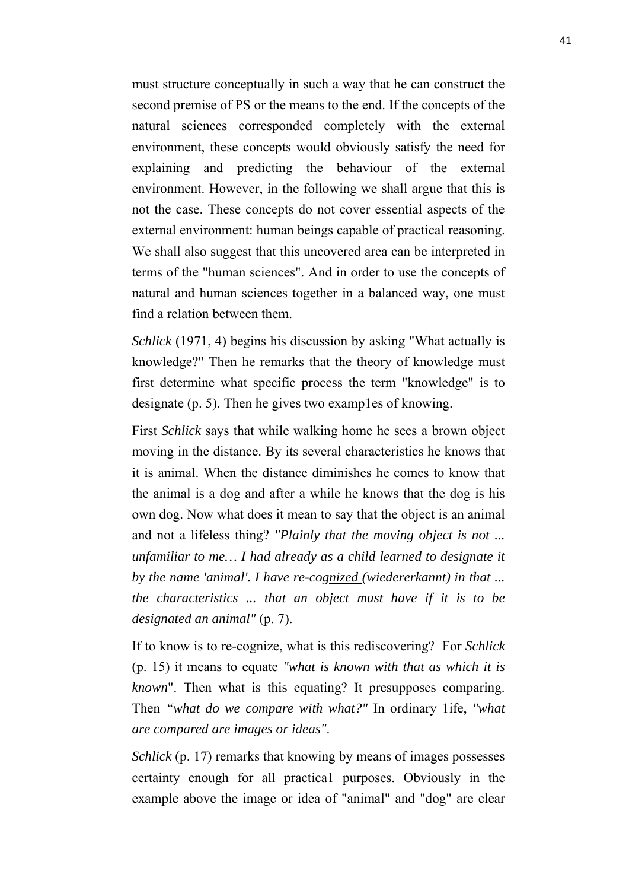must structure conceptually in such a way that he can construct the second premise of PS or the means to the end. If the concepts of the natural sciences corresponded completely with the external environment, these concepts would obviously satisfy the need for explaining and predicting the behaviour of the external environment. However, in the following we shall argue that this is not the case. These concepts do not cover essential aspects of the external environment: human beings capable of practical reasoning. We shall also suggest that this uncovered area can be interpreted in terms of the "human sciences". And in order to use the concepts of natural and human sciences together in a balanced way, one must find a relation between them.

*Schlick* (1971, 4) begins his discussion by asking "What actually is knowledge?" Then he remarks that the theory of knowledge must first determine what specific process the term "knowledge" is to designate (p. 5). Then he gives two examples of knowing.

First *Schlick* says that while walking home he sees a brown object moving in the distance. By its several characteristics he knows that it is animal. When the distance diminishes he comes to know that the animal is a dog and after a while he knows that the dog is his own dog. Now what does it mean to say that the object is an animal and not a lifeless thing? *"Plainly that the moving object is not ... unfamiliar to me… I had already as a child learned to designate it by the name 'animal'. I have re-cognized (wiedererkannt) in that ... the characteristics ... that an object must have if it is to be designated an animal"* (p. 7).

If to know is to re-cognize, what is this rediscovering? For *Schlick* (p. 15) it means to equate *"what is known with that as which it is known*". Then what is this equating? It presupposes comparing. Then *"what do we compare with what?"* In ordinary 1ife, *"what are compared are images or ideas"*.

*Schlick* (p. 17) remarks that knowing by means of images possesses certainty enough for all practica1 purposes. Obviously in the example above the image or idea of "animal" and "dog" are clear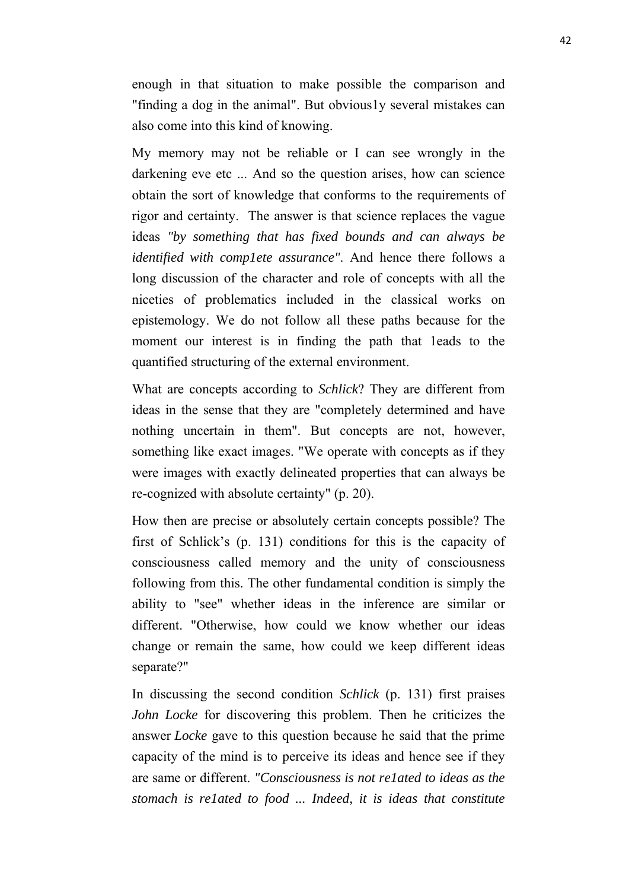enough in that situation to make possible the comparison and "finding a dog in the animal". But obvious1y several mistakes can also come into this kind of knowing.

My memory may not be reliable or I can see wrongly in the darkening eve etc ... And so the question arises, how can science obtain the sort of knowledge that conforms to the requirements of rigor and certainty. The answer is that science replaces the vague ideas *"by something that has fixed bounds and can always be identified with comp1ete assurance"*. And hence there follows a long discussion of the character and role of concepts with all the niceties of problematics included in the classical works on epistemology. We do not follow all these paths because for the moment our interest is in finding the path that 1eads to the quantified structuring of the external environment.

What are concepts according to *Schlick*? They are different from ideas in the sense that they are "completely determined and have nothing uncertain in them". But concepts are not, however, something like exact images. "We operate with concepts as if they were images with exactly delineated properties that can always be re-cognized with absolute certainty" (p. 20).

How then are precise or absolutely certain concepts possible? The first of Schlick's (p. 131) conditions for this is the capacity of consciousness called memory and the unity of consciousness following from this. The other fundamental condition is simply the ability to "see" whether ideas in the inference are similar or different. "Otherwise, how could we know whether our ideas change or remain the same, how could we keep different ideas separate?"

In discussing the second condition *Schlick* (p. 131) first praises *John Locke* for discovering this problem. Then he criticizes the answer *Locke* gave to this question because he said that the prime capacity of the mind is to perceive its ideas and hence see if they are same or different. *"Consciousness is not re1ated to ideas as the stomach is re1ated to food ... Indeed, it is ideas that constitute*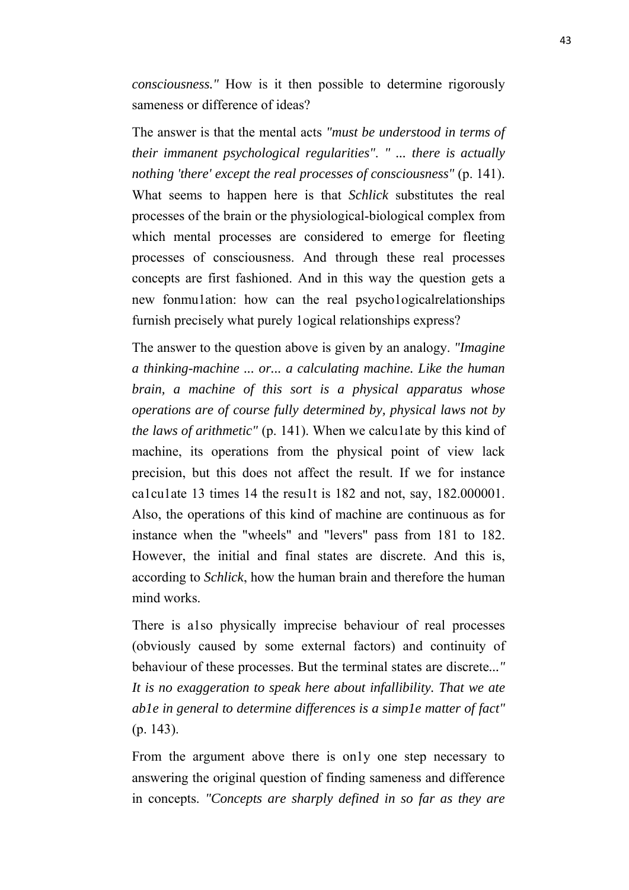*consciousness."* How is it then possible to determine rigorously sameness or difference of ideas?

The answer is that the mental acts *"must be understood in terms of their immanent psychological regularities"*. *" ... there is actually nothing 'there' except the real processes of consciousness"* (p. 141). What seems to happen here is that *Schlick* substitutes the real processes of the brain or the physiological-biological complex from which mental processes are considered to emerge for fleeting processes of consciousness. And through these real processes concepts are first fashioned. And in this way the question gets a new fonmu1ation: how can the real psycho1ogicalrelationships furnish precisely what purely 1ogical relationships express?

The answer to the question above is given by an analogy. *"Imagine a thinking-machine ... or... a calculating machine. Like the human brain, a machine of this sort is a physical apparatus whose operations are of course fully determined by, physical laws not by the laws of arithmetic"* (p. 141). When we calcu1ate by this kind of machine, its operations from the physical point of view lack precision, but this does not affect the result. If we for instance ca1cu1ate 13 times 14 the resu1t is 182 and not, say, 182.000001. Also, the operations of this kind of machine are continuous as for instance when the "wheels" and "levers" pass from 181 to 182. However, the initial and final states are discrete. And this is, according to *Schlick*, how the human brain and therefore the human mind works.

There is a1so physically imprecise behaviour of real processes (obviously caused by some external factors) and continuity of behaviour of these processes. But the terminal states are discrete*..." It is no exaggeration to speak here about infallibility. That we ate ab1e in general to determine differences is a simp1e matter of fact"* (p. 143).

From the argument above there is only one step necessary to answering the original question of finding sameness and difference in concepts. *"Concepts are sharply defined in so far as they are*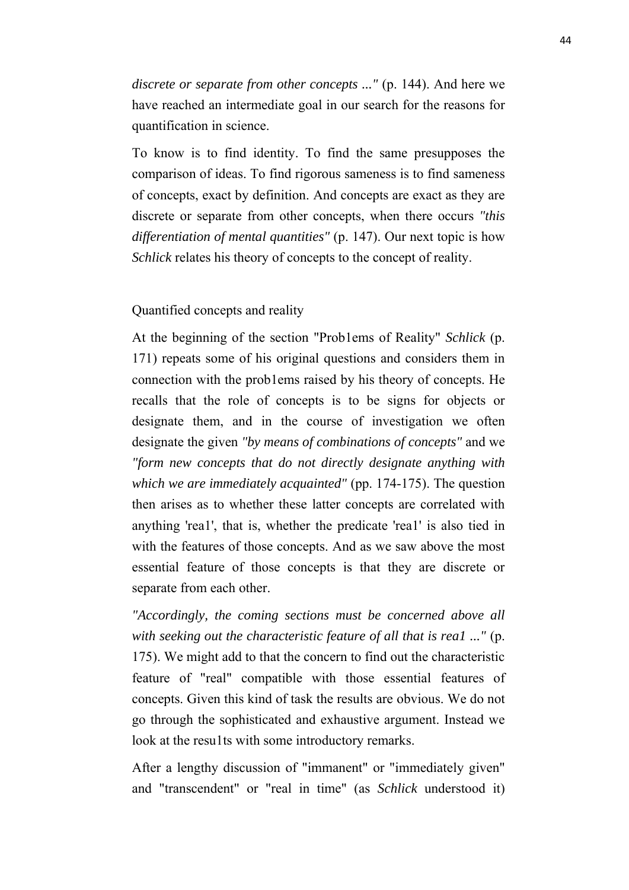*discrete or separate from other concepts ..."* (p. 144). And here we have reached an intermediate goal in our search for the reasons for quantification in science.

To know is to find identity. To find the same presupposes the comparison of ideas. To find rigorous sameness is to find sameness of concepts, exact by definition. And concepts are exact as they are discrete or separate from other concepts, when there occurs *"this differentiation of mental quantities"* (p. 147). Our next topic is how *Schlick* relates his theory of concepts to the concept of reality.

### Quantified concepts and reality

At the beginning of the section "Prob1ems of Reality" *Schlick* (p. 171) repeats some of his original questions and considers them in connection with the prob1ems raised by his theory of concepts. He recalls that the role of concepts is to be signs for objects or designate them, and in the course of investigation we often designate the given *"by means of combinations of concepts"* and we *"form new concepts that do not directly designate anything with which we are immediately acquainted"* (pp. 174-175). The question then arises as to whether these latter concepts are correlated with anything 'rea1', that is, whether the predicate 'rea1' is also tied in with the features of those concepts. And as we saw above the most essential feature of those concepts is that they are discrete or separate from each other.

*"Accordingly, the coming sections must be concerned above all with seeking out the characteristic feature of all that is rea1 ..."* (p. 175). We might add to that the concern to find out the characteristic feature of "real" compatible with those essential features of concepts. Given this kind of task the results are obvious. We do not go through the sophisticated and exhaustive argument. Instead we look at the results with some introductory remarks.

After a lengthy discussion of "immanent" or "immediately given" and "transcendent" or "real in time" (as *Schlick* understood it)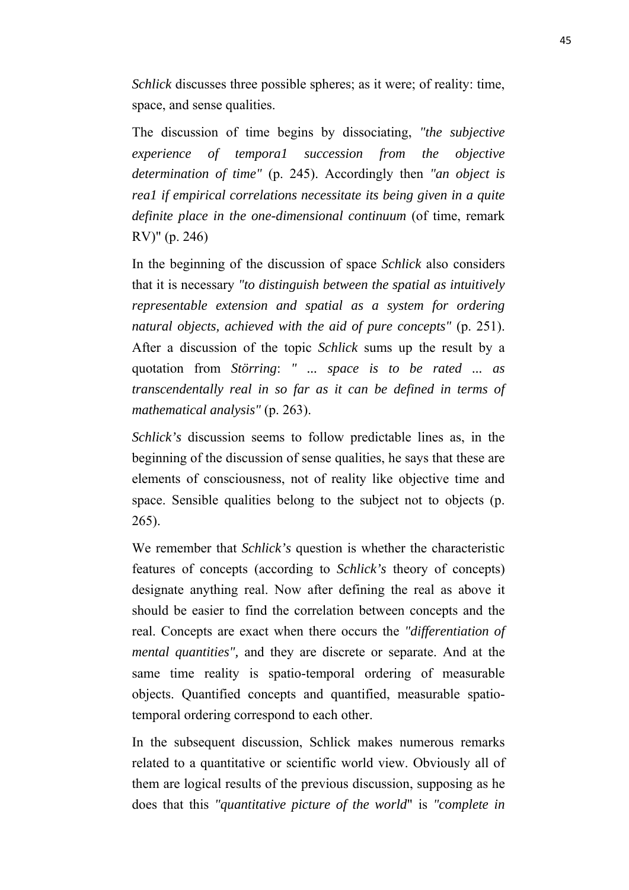*Schlick* discusses three possible spheres; as it were; of reality: time, space, and sense qualities.

The discussion of time begins by dissociating, *"the subjective experience of tempora1 succession from the objective determination of time"* (p. 245). Accordingly then *"an object is rea1 if empirical correlations necessitate its being given in a quite definite place in the one-dimensional continuum* (of time, remark RV)" (p. 246)

In the beginning of the discussion of space *Schlick* also considers that it is necessary *"to distinguish between the spatial as intuitively representable extension and spatial as a system for ordering natural objects, achieved with the aid of pure concepts"* (p. 251). After a discussion of the topic *Schlick* sums up the result by a quotation from *Störring*: *" ... space is to be rated ... as transcendentally real in so far as it can be defined in terms of mathematical analysis"* (p. 263).

*Schlick's* discussion seems to follow predictable lines as, in the beginning of the discussion of sense qualities, he says that these are elements of consciousness, not of reality like objective time and space. Sensible qualities belong to the subject not to objects (p. 265).

We remember that *Schlick's* question is whether the characteristic features of concepts (according to *Schlick's* theory of concepts) designate anything real. Now after defining the real as above it should be easier to find the correlation between concepts and the real. Concepts are exact when there occurs the *"differentiation of mental quantities",* and they are discrete or separate. And at the same time reality is spatio-temporal ordering of measurable objects. Quantified concepts and quantified, measurable spatiotemporal ordering correspond to each other.

In the subsequent discussion, Schlick makes numerous remarks related to a quantitative or scientific world view. Obviously all of them are logical results of the previous discussion, supposing as he does that this *"quantitative picture of the world*" is *"complete in*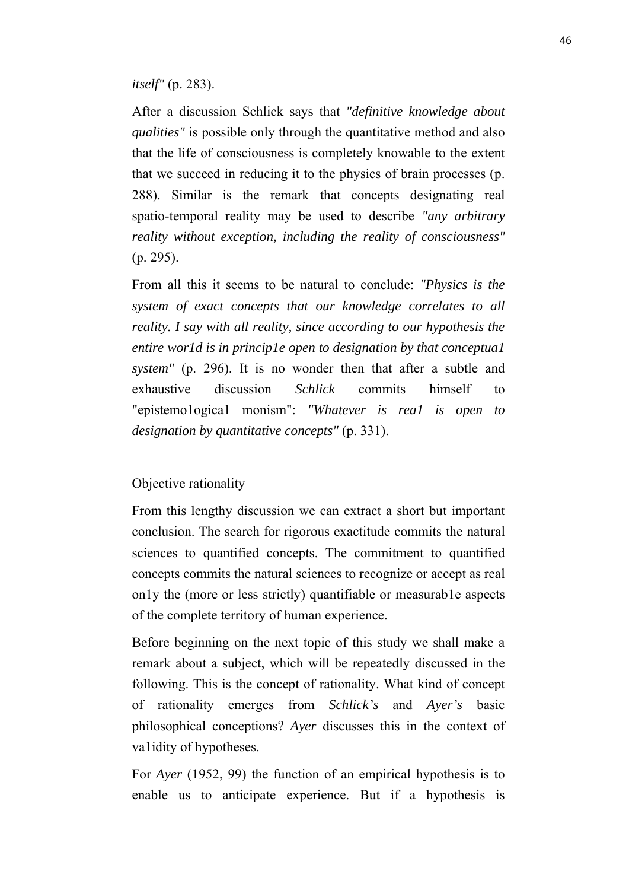*itself"* (p. 283).

After a discussion Schlick says that *"definitive knowledge about qualities"* is possible only through the quantitative method and also that the life of consciousness is completely knowable to the extent that we succeed in reducing it to the physics of brain processes (p. 288). Similar is the remark that concepts designating real spatio-temporal reality may be used to describe *"any arbitrary reality without exception, including the reality of consciousness"* (p. 295).

From all this it seems to be natural to conclude: *"Physics is the system of exact concepts that our knowledge correlates to all reality. I say with all reality, since according to our hypothesis the entire wor1d is in princip1e open to designation by that conceptua1 system"* (p. 296). It is no wonder then that after a subtle and exhaustive discussion *Schlick* commits himself to "epistemo1ogica1 monism": *"Whatever is rea1 is open to designation by quantitative concepts"* (p. 331).

# Objective rationality

From this lengthy discussion we can extract a short but important conclusion. The search for rigorous exactitude commits the natural sciences to quantified concepts. The commitment to quantified concepts commits the natural sciences to recognize or accept as real on1y the (more or less strictly) quantifiable or measurab1e aspects of the complete territory of human experience.

Before beginning on the next topic of this study we shall make a remark about a subject, which will be repeatedly discussed in the following. This is the concept of rationality. What kind of concept of rationality emerges from *Schlick's* and *Ayer's* basic philosophical conceptions? *Ayer* discusses this in the context of va1idity of hypotheses.

For *Ayer* (1952, 99) the function of an empirical hypothesis is to enable us to anticipate experience. But if a hypothesis is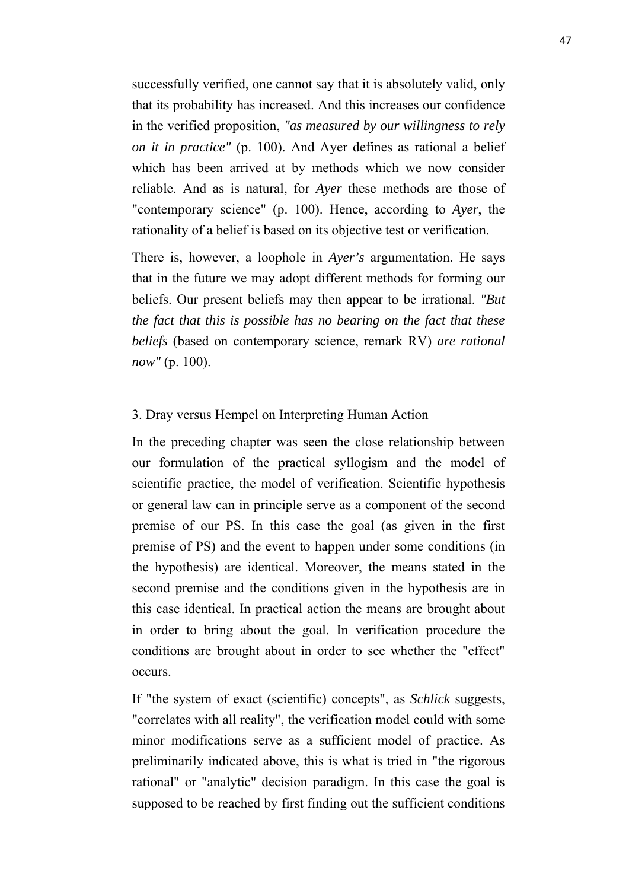successfully verified, one cannot say that it is absolutely valid, only that its probability has increased. And this increases our confidence in the verified proposition, *"as measured by our willingness to rely on it in practice"* (p. 100). And Ayer defines as rational a belief which has been arrived at by methods which we now consider reliable. And as is natural, for *Ayer* these methods are those of "contemporary science" (p. 100). Hence, according to *Ayer*, the rationality of a belief is based on its objective test or verification.

There is, however, a loophole in *Ayer's* argumentation. He says that in the future we may adopt different methods for forming our beliefs. Our present beliefs may then appear to be irrational. *"But the fact that this is possible has no bearing on the fact that these beliefs* (based on contemporary science, remark RV) *are rational now"* (p. 100).

# 3. Dray versus Hempel on Interpreting Human Action

In the preceding chapter was seen the close relationship between our formulation of the practical syllogism and the model of scientific practice, the model of verification. Scientific hypothesis or general law can in principle serve as a component of the second premise of our PS. In this case the goal (as given in the first premise of PS) and the event to happen under some conditions (in the hypothesis) are identical. Moreover, the means stated in the second premise and the conditions given in the hypothesis are in this case identical. In practical action the means are brought about in order to bring about the goal. In verification procedure the conditions are brought about in order to see whether the "effect" occurs.

If "the system of exact (scientific) concepts", as *Schlick* suggests, "correlates with all reality", the verification model could with some minor modifications serve as a sufficient model of practice. As preliminarily indicated above, this is what is tried in "the rigorous rational" or "analytic" decision paradigm. In this case the goal is supposed to be reached by first finding out the sufficient conditions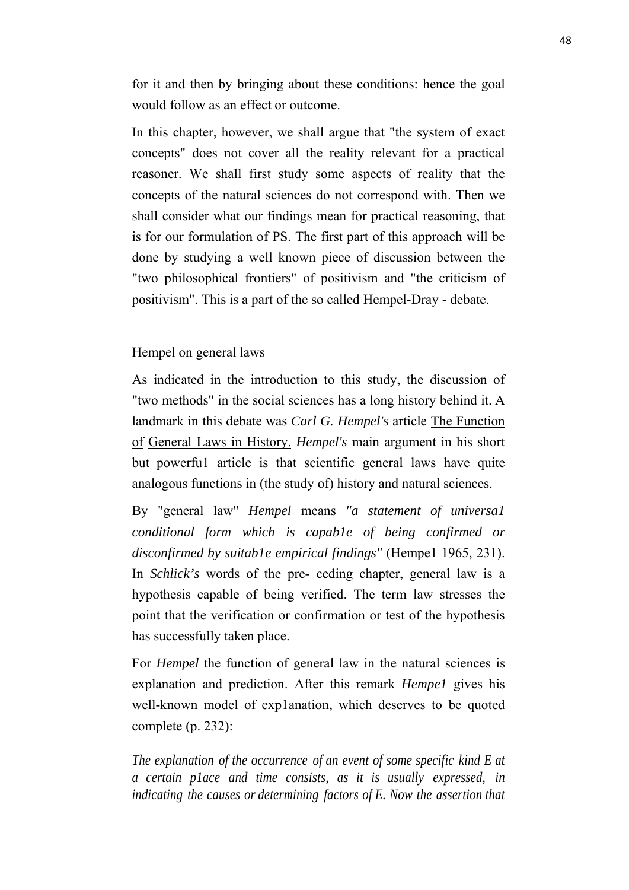for it and then by bringing about these conditions: hence the goal would follow as an effect or outcome.

In this chapter, however, we shall argue that "the system of exact concepts" does not cover all the reality relevant for a practical reasoner. We shall first study some aspects of reality that the concepts of the natural sciences do not correspond with. Then we shall consider what our findings mean for practical reasoning, that is for our formulation of PS. The first part of this approach will be done by studying a well known piece of discussion between the "two philosophical frontiers" of positivism and "the criticism of positivism". This is a part of the so called Hempel-Dray - debate.

# Hempel on general laws

As indicated in the introduction to this study, the discussion of "two methods" in the social sciences has a long history behind it. A landmark in this debate was *Carl G. Hempel's* article The Function of General Laws in History. *Hempel's* main argument in his short but powerfu1 article is that scientific general laws have quite analogous functions in (the study of) history and natural sciences.

By "general law" *Hempel* means *"a statement of universa1 conditional form which is capab1e of being confirmed or disconfirmed by suitab1e empirical findings"* (Hempe1 1965, 231). In *Schlick's* words of the pre ceding chapter, general law is a hypothesis capable of being verified. The term law stresses the point that the verification or confirmation or test of the hypothesis has successfully taken place.

For *Hempel* the function of general law in the natural sciences is explanation and prediction. After this remark *Hempe1* gives his well-known model of exp1anation, which deserves to be quoted complete (p. 232):

*The explanation of the occurrence of an event of some specific kind E at a certain p1ace and time consists, as it is usually expressed, in indicating the causes or determining factors of E. Now the assertion that*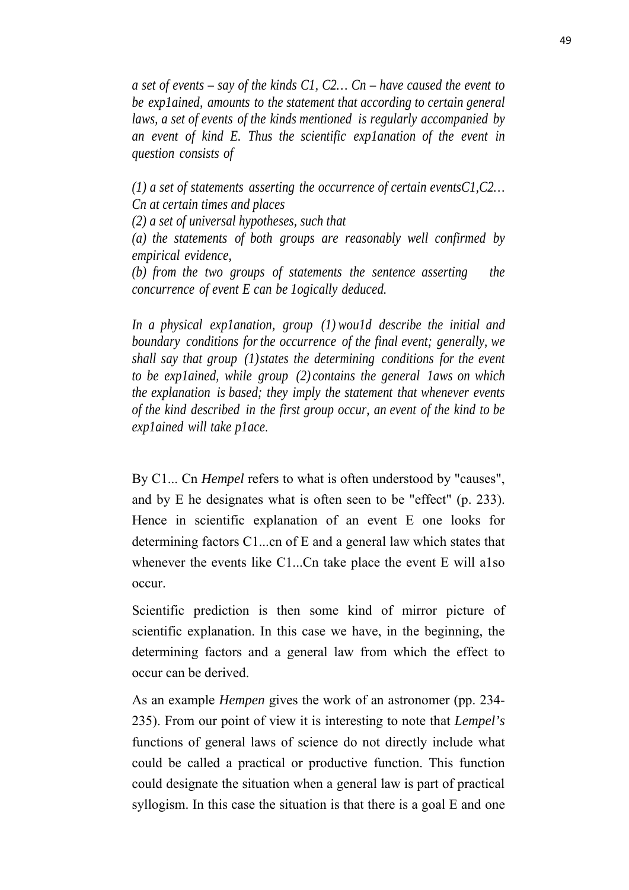*a set of events – say of the kinds C1, C2… Cn – have caused the event to be exp1ained, amounts to the statement that according to certain general laws, a set of events of the kinds mentioned is regularly accompanied by an event of kind E. Thus the scientific exp1anation of the event in question consists of*

*(1) a set of statements asserting the occurrence of certain eventsC1,C2… Cn at certain times and places*

*(2) a set of universal hypotheses, such that*

*(a) the statements of both groups are reasonably well confirmed by empirical evidence,*

*(b) from the two groups of statements the sentence asserting the concurrence of event E can be 1ogically deduced.*

*In a physical exp1anation, group (1) wou1d describe the initial and boundary conditions for the occurrence of the final event; generally, we shall say that group (1)states the determining conditions for the event to be exp1ained, while group (2) contains the general 1aws on which the explanation is based; they imply the statement that whenever events of the kind described in the first group occur, an event of the kind to be exp1ained will take p1ace*.

By C1... Cn *Hempel* refers to what is often understood by "causes", and by E he designates what is often seen to be "effect" (p. 233). Hence in scientific explanation of an event E one looks for determining factors C1...cn of E and a general law which states that whenever the events like C1...Cn take place the event E will a1so occur.

Scientific prediction is then some kind of mirror picture of scientific explanation. In this case we have, in the beginning, the determining factors and a general law from which the effect to occur can be derived.

As an example *Hempen* gives the work of an astronomer (pp. 234- 235). From our point of view it is interesting to note that *Lempel's* functions of general laws of science do not directly include what could be called a practical or productive function. This function could designate the situation when a general law is part of practical syllogism. In this case the situation is that there is a goal E and one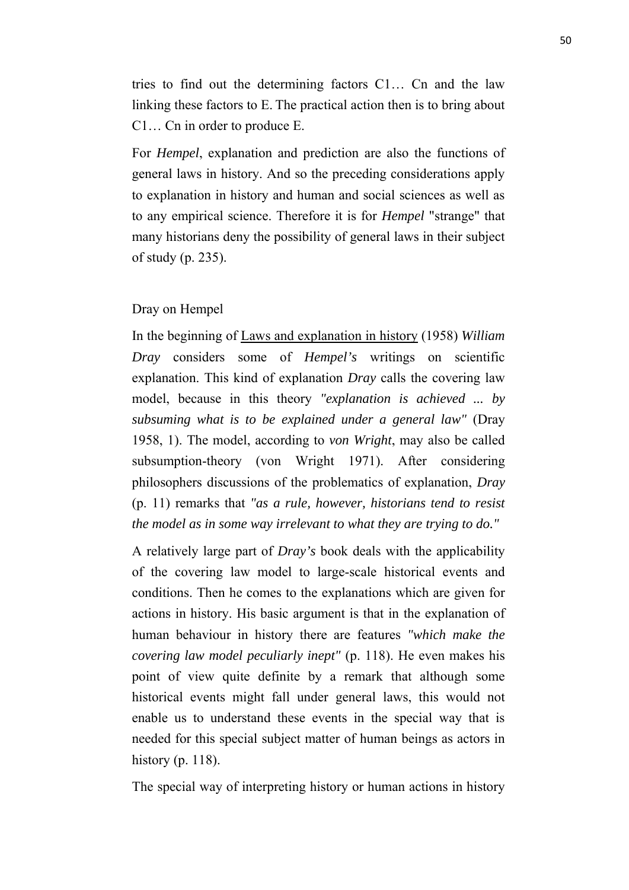tries to find out the determining factors C1… Cn and the law linking these factors to E. The practical action then is to bring about C1… Cn in order to produce E.

For *Hempel*, explanation and prediction are also the functions of general laws in history. And so the preceding considerations apply to explanation in history and human and social sciences as well as to any empirical science. Therefore it is for *Hempel* "strange" that many historians deny the possibility of general laws in their subject of study (p. 235).

### Dray on Hempel

In the beginning of Laws and explanation in history (1958) *William Dray* considers some of *Hempel's* writings on scientific explanation. This kind of explanation *Dray* calls the covering law model, because in this theory *"explanation is achieved ... by subsuming what is to be explained under a general law"* (Dray 1958, 1). The model, according to *von Wright*, may also be called subsumption-theory (von Wright 1971). After considering philosophers discussions of the problematics of explanation, *Dray* (p. 11) remarks that *"as a rule, however, historians tend to resist the model as in some way irrelevant to what they are trying to do."* 

A relatively large part of *Dray's* book deals with the applicability of the covering law model to large-scale historical events and conditions. Then he comes to the explanations which are given for actions in history. His basic argument is that in the explanation of human behaviour in history there are features *"which make the covering law model peculiarly inept"* (p. 118). He even makes his point of view quite definite by a remark that although some historical events might fall under general laws, this would not enable us to understand these events in the special way that is needed for this special subject matter of human beings as actors in history (p. 118).

The special way of interpreting history or human actions in history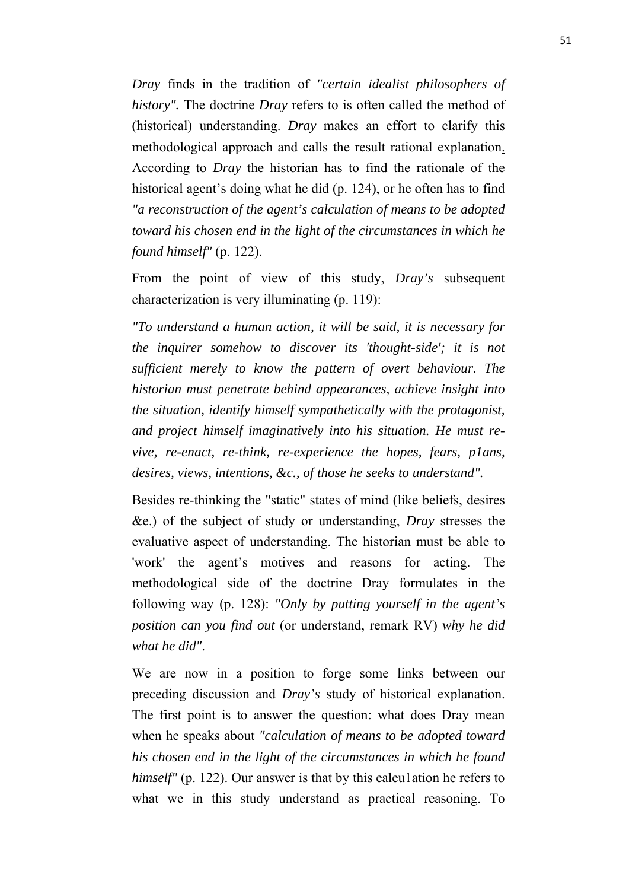*Dray* finds in the tradition of *"certain idealist philosophers of history".* The doctrine *Dray* refers to is often called the method of (historical) understanding. *Dray* makes an effort to clarify this methodological approach and calls the result rational explanation. According to *Dray* the historian has to find the rationale of the historical agent's doing what he did (p. 124), or he often has to find *"a reconstruction of the agent's calculation of means to be adopted toward his chosen end in the light of the circumstances in which he found himself"* (p. 122).

From the point of view of this study, *Dray's* subsequent characterization is very illuminating (p. 119):

*"To understand a human action, it will be said, it is necessary for the inquirer somehow to discover its 'thought-side'; it is not sufficient merely to know the pattern of overt behaviour. The historian must penetrate behind appearances, achieve insight into the situation, identify himself sympathetically with the protagonist, and project himself imaginatively into his situation. He must revive, re-enact, re-think, re-experience the hopes, fears, p1ans, desires, views, intentions, &c., of those he seeks to understand".*

Besides re-thinking the "static" states of mind (like beliefs, desires &e.) of the subject of study or understanding, *Dray* stresses the evaluative aspect of understanding. The historian must be able to 'work' the agent's motives and reasons for acting. The methodological side of the doctrine Dray formulates in the following way (p. 128): *"Only by putting yourself in the agent's position can you find out* (or understand, remark RV) *why he did what he did"*.

We are now in a position to forge some links between our preceding discussion and *Dray's* study of historical explanation. The first point is to answer the question: what does Dray mean when he speaks about *"calculation of means to be adopted toward his chosen end in the light of the circumstances in which he found himself"* (p. 122). Our answer is that by this ealeulation he refers to what we in this study understand as practical reasoning. To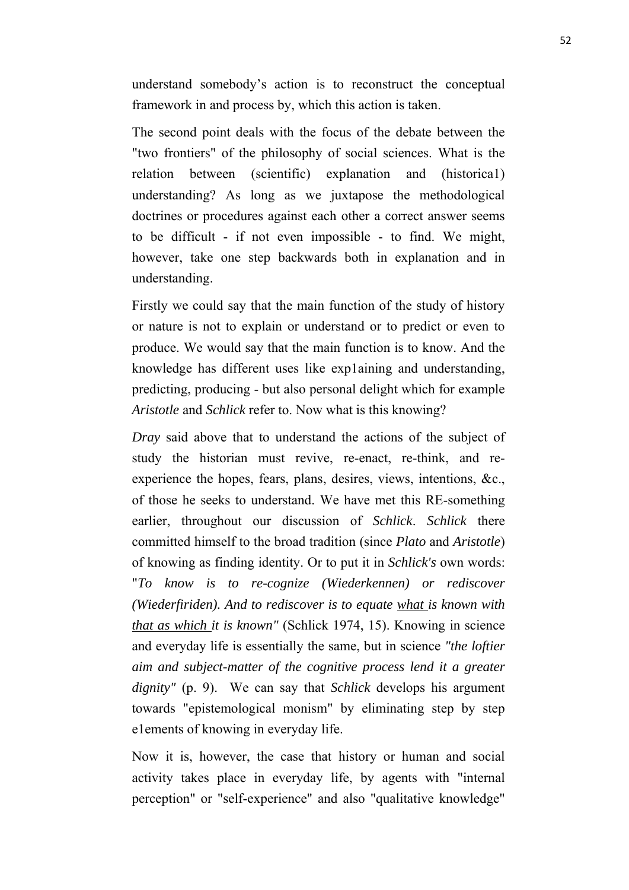understand somebody's action is to reconstruct the conceptual framework in and process by, which this action is taken.

The second point deals with the focus of the debate between the "two frontiers" of the philosophy of social sciences. What is the relation between (scientific) explanation and (historica1) understanding? As long as we juxtapose the methodological doctrines or procedures against each other a correct answer seems to be difficult - if not even impossible - to find. We might, however, take one step backwards both in explanation and in understanding.

Firstly we could say that the main function of the study of history or nature is not to explain or understand or to predict or even to produce. We would say that the main function is to know. And the knowledge has different uses like exp1aining and understanding, predicting, producing - but also personal delight which for example *Aristotle* and *Schlick* refer to. Now what is this knowing?

*Dray* said above that to understand the actions of the subject of study the historian must revive, re-enact, re-think, and reexperience the hopes, fears, plans, desires, views, intentions, &c., of those he seeks to understand. We have met this RE-something earlier, throughout our discussion of *Schlick*. *Schlick* there committed himself to the broad tradition (since *Plato* and *Aristotle*) of knowing as finding identity. Or to put it in *Schlick's* own words: "*To know is to re-cognize (Wiederkennen) or rediscover (Wiederfiriden). And to rediscover is to equate what is known with that as which it is known"* (Schlick 1974, 15). Knowing in science and everyday life is essentially the same, but in science *"the loftier aim and subject-matter of the cognitive process lend it a greater dignity"* (p. 9). We can say that *Schlick* develops his argument towards "epistemological monism" by eliminating step by step e1ements of knowing in everyday life.

Now it is, however, the case that history or human and social activity takes place in everyday life, by agents with "internal perception" or "self-experience" and also "qualitative knowledge"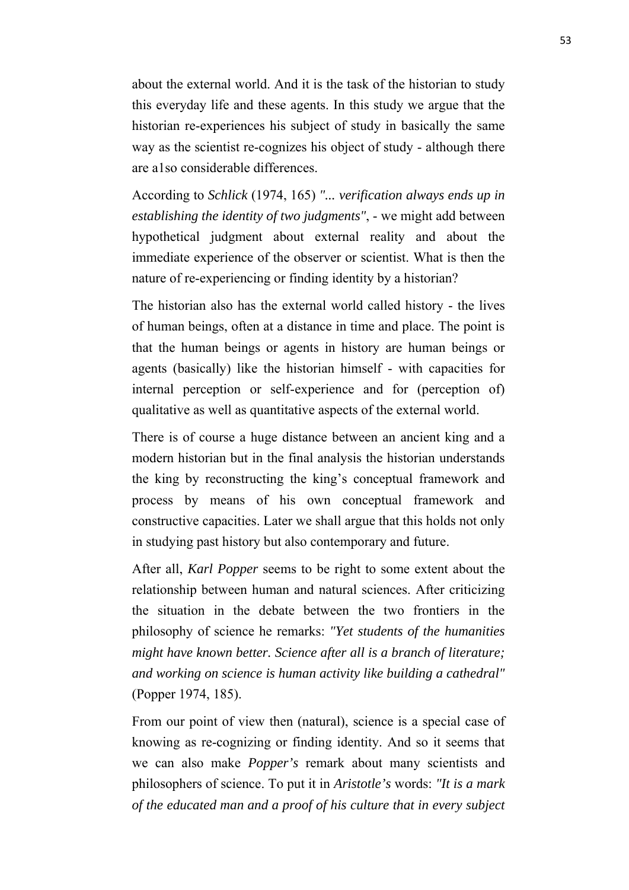about the external world. And it is the task of the historian to study this everyday life and these agents. In this study we argue that the historian re-experiences his subject of study in basically the same way as the scientist re-cognizes his object of study - although there are a1so considerable differences.

According to *Schlick* (1974, 165) *"... verification always ends up in establishing the identity of two judgments"*, - we might add between hypothetical judgment about external reality and about the immediate experience of the observer or scientist. What is then the nature of re-experiencing or finding identity by a historian?

The historian also has the external world called history - the lives of human beings, often at a distance in time and place. The point is that the human beings or agents in history are human beings or agents (basically) like the historian himself - with capacities for internal perception or self-experience and for (perception of) qualitative as well as quantitative aspects of the external world.

There is of course a huge distance between an ancient king and a modern historian but in the final analysis the historian understands the king by reconstructing the king's conceptual framework and process by means of his own conceptual framework and constructive capacities. Later we shall argue that this holds not only in studying past history but also contemporary and future.

After all, *Karl Popper* seems to be right to some extent about the relationship between human and natural sciences. After criticizing the situation in the debate between the two frontiers in the philosophy of science he remarks: *"Yet students of the humanities might have known better. Science after all is a branch of literature; and working on science is human activity like building a cathedral"* (Popper 1974, 185).

From our point of view then (natural), science is a special case of knowing as recognizing or finding identity. And so it seems that we can also make *Popper's* remark about many scientists and philosophers of science. To put it in *Aristotle's* words: *"It is a mark of the educated man and a proof of his culture that in every subject*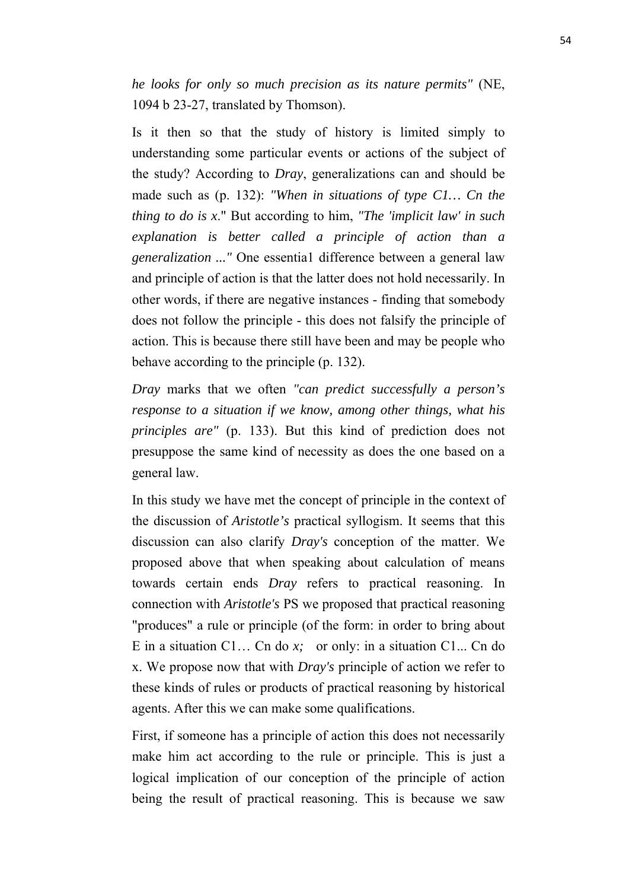*he looks for only so much precision as its nature permits"* (NE, 1094 b 23-27, translated by Thomson).

Is it then so that the study of history is limited simply to understanding some particular events or actions of the subject of the study? According to *Dray*, generalizations can and should be made such as (p. 132): *"When in situations of type C1… Cn the thing to do is x*." But according to him, *"The 'implicit law' in such explanation is better called a principle of action than a generalization ..."* One essentia1 difference between a general law and principle of action is that the latter does not hold necessarily. In other words, if there are negative instances - finding that somebody does not follow the principle - this does not falsify the principle of action. This is because there still have been and may be people who behave according to the principle (p. 132).

*Dray* marks that we often *"can predict successfully a person's response to a situation if we know, among other things, what his principles are"* (p. 133). But this kind of prediction does not presuppose the same kind of necessity as does the one based on a general law.

In this study we have met the concept of principle in the context of the discussion of *Aristotle's* practical syllogism. It seems that this discussion can also clarify *Dray's* conception of the matter. We proposed above that when speaking about calculation of means towards certain ends *Dray* refers to practical reasoning. In connection with *Aristotle's* PS we proposed that practical reasoning "produces" a rule or principle (of the form: in order to bring about E in a situation C1... Cn do  $x$ ; or only: in a situation C1... Cn do x. We propose now that with *Dray's* principle of action we refer to these kinds of rules or products of practical reasoning by historical agents. After this we can make some qualifications.

First, if someone has a principle of action this does not necessarily make him act according to the rule or principle. This is just a logical implication of our conception of the principle of action being the result of practical reasoning. This is because we saw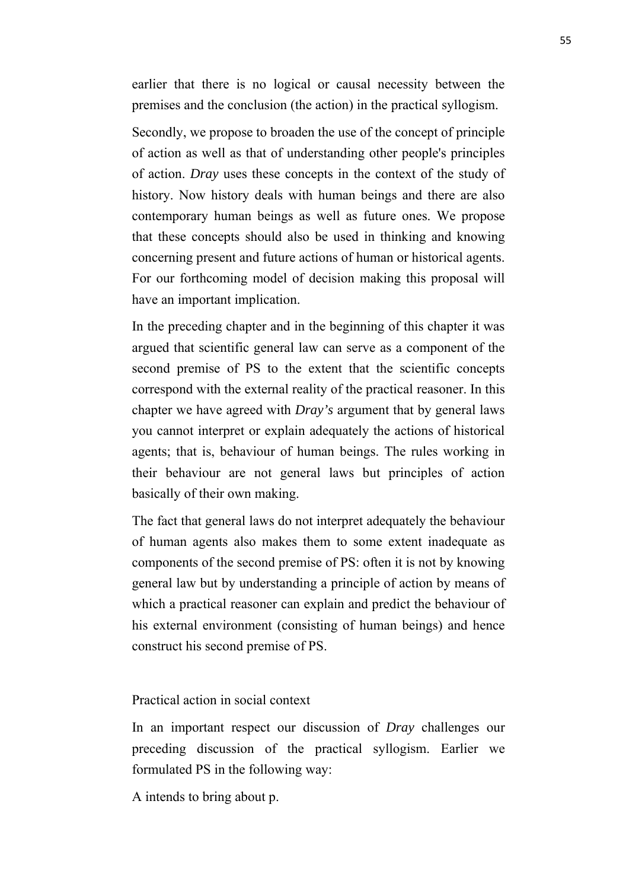earlier that there is no logical or causal necessity between the premises and the conclusion (the action) in the practical syllogism.

Secondly, we propose to broaden the use of the concept of principle of action as well as that of understanding other people's principles of action. *Dray* uses these concepts in the context of the study of history. Now history deals with human beings and there are also contemporary human beings as well as future ones. We propose that these concepts should also be used in thinking and knowing concerning present and future actions of human or historical agents. For our forthcoming model of decision making this proposal will have an important implication.

In the preceding chapter and in the beginning of this chapter it was argued that scientific general law can serve as a component of the second premise of PS to the extent that the scientific concepts correspond with the external reality of the practical reasoner. In this chapter we have agreed with *Dray's* argument that by general laws you cannot interpret or explain adequately the actions of historical agents; that is, behaviour of human beings. The rules working in their behaviour are not general laws but principles of action basically of their own making.

The fact that general laws do not interpret adequately the behaviour of human agents also makes them to some extent inadequate as components of the second premise of PS: often it is not by knowing general law but by understanding a principle of action by means of which a practical reasoner can explain and predict the behaviour of his external environment (consisting of human beings) and hence construct his second premise of PS.

Practical action in social context

In an important respect our discussion of *Dray* challenges our preceding discussion of the practical syllogism. Earlier we formulated PS in the following way:

A intends to bring about p.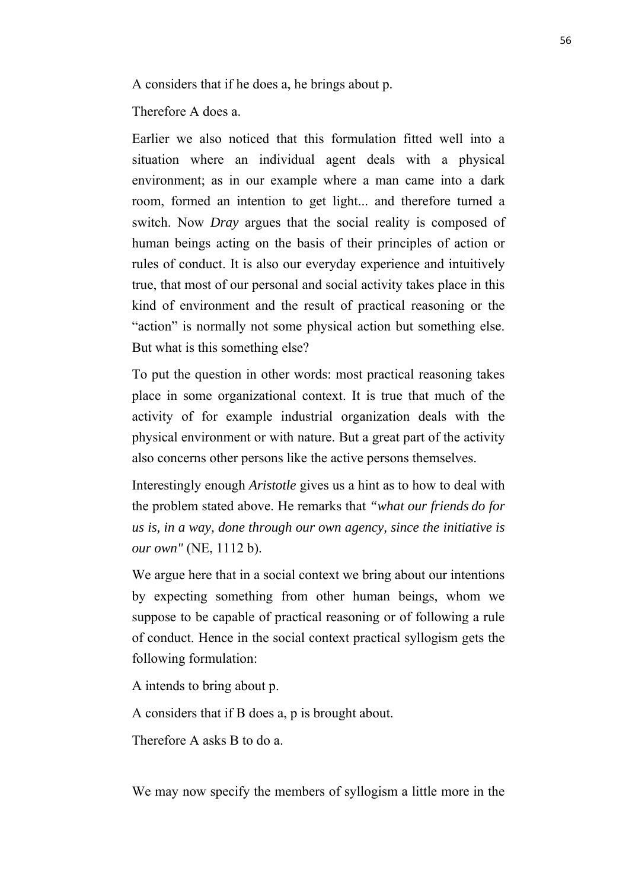A considers that if he does a, he brings about p.

Therefore A does a.

Earlier we also noticed that this formulation fitted well into a situation where an individual agent deals with a physical environment; as in our example where a man came into a dark room, formed an intention to get light... and therefore turned a switch. Now *Dray* argues that the social reality is composed of human beings acting on the basis of their principles of action or rules of conduct. It is also our everyday experience and intuitively true, that most of our personal and social activity takes place in this kind of environment and the result of practical reasoning or the "action" is normally not some physical action but something else. But what is this something else?

To put the question in other words: most practical reasoning takes place in some organizational context. It is true that much of the activity of for example industrial organization deals with the physical environment or with nature. But a great part of the activity also concerns other persons like the active persons themselves.

Interestingly enough *Aristotle* gives us a hint as to how to deal with the problem stated above. He remarks that *"what our friends do for us is, in a way, done through our own agency, since the initiative is our own"* (NE, 1112 b).

We argue here that in a social context we bring about our intentions by expecting something from other human beings, whom we suppose to be capable of practical reasoning or of following a rule of conduct. Hence in the social context practical syllogism gets the following formulation:

A intends to bring about p.

A considers that if B does a, p is brought about.

Therefore A asks B to do a.

We may now specify the members of syllogism a little more in the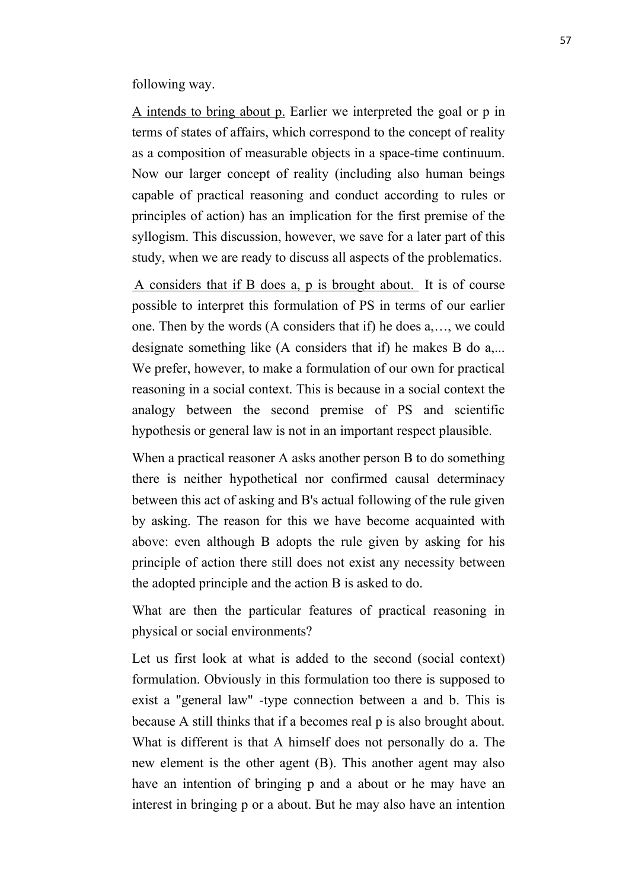following way.

A intends to bring about p. Earlier we interpreted the goal or p in terms of states of affairs, which correspond to the concept of reality as a composition of measurable objects in a space-time continuum. Now our larger concept of reality (including also human beings capable of practical reasoning and conduct according to rules or principles of action) has an implication for the first premise of the syllogism. This discussion, however, we save for a later part of this study, when we are ready to discuss all aspects of the problematics.

A considers that if B does a, p is brought about. It is of course possible to interpret this formulation of PS in terms of our earlier one. Then by the words (A considers that if) he does a,…, we could designate something like (A considers that if) he makes B do a,... We prefer, however, to make a formulation of our own for practical reasoning in a social context. This is because in a social context the analogy between the second premise of PS and scientific hypothesis or general law is not in an important respect plausible.

When a practical reasoner A asks another person B to do something there is neither hypothetical nor confirmed causal determinacy between this act of asking and B's actual following of the rule given by asking. The reason for this we have become acquainted with above: even although B adopts the rule given by asking for his principle of action there still does not exist any necessity between the adopted principle and the action B is asked to do.

What are then the particular features of practical reasoning in physical or social environments?

Let us first look at what is added to the second (social context) formulation. Obviously in this formulation too there is supposed to exist a "general law" -type connection between a and b. This is because A still thinks that if a becomes real p is also brought about. What is different is that A himself does not personally do a. The new element is the other agent (B). This another agent may also have an intention of bringing p and a about or he may have an interest in bringing p or a about. But he may also have an intention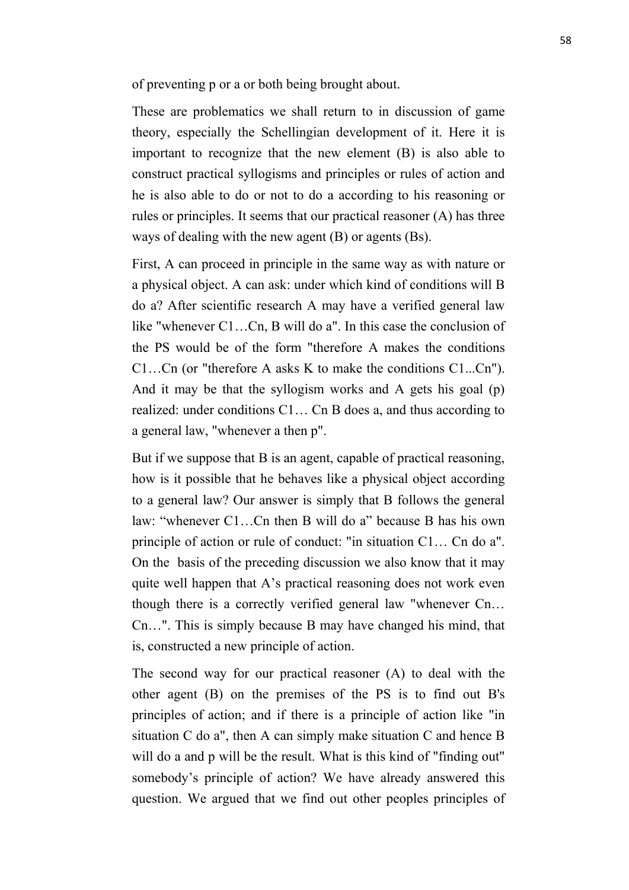of preventing p or a or both being brought about.

These are problematics we shall return to in discussion of game theory, especially the Schellingian development of it. Here it is important to recognize that the new element (B) is also able to construct practical syllogisms and principles or rules of action and he is also able to do or not to do a according to his reasoning or rules or principles. It seems that our practical reasoner (A) has three ways of dealing with the new agent (B) or agents (Bs).

First, A can proceed in principle in the same way as with nature or a physical object. A can ask: under which kind of conditions will B do a? After scientific research A may have a verified general law like "whenever C1…Cn, B will do a". In this case the conclusion of the PS would be of the form "therefore A makes the conditions C1…Cn (or "therefore A asks K to make the conditions C1...Cn"). And it may be that the syllogism works and A gets his goal (p) realized: under conditions C1… Cn B does a, and thus according to a general law, "whenever a then p".

But if we suppose that B is an agent, capable of practical reasoning, how is it possible that he behaves like a physical object according to a general law? Our answer is simply that B follows the general law: "whenever C1...Cn then B will do a" because B has his own principle of action or rule of conduct: "in situation C1… Cn do a". On the basis of the preceding discussion we also know that it may quite well happen that A's practical reasoning does not work even though there is a correctly verified general law "whenever Cn… Cn…". This is simply because B may have changed his mind, that is, constructed a new principle of action.

The second way for our practical reasoner (A) to deal with the other agent (B) on the premises of the PS is to find out B's principles of action; and if there is a principle of action like "in situation C do a", then A can simply make situation C and hence B will do a and p will be the result. What is this kind of "finding out" somebody's principle of action? We have already answered this question. We argued that we find out other peoples principles of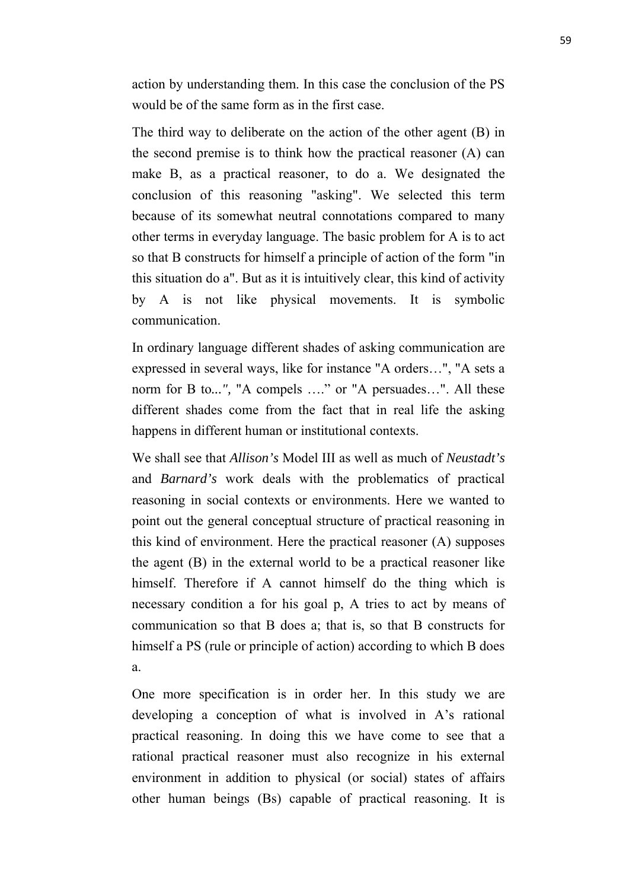action by understanding them. In this case the conclusion of the PS would be of the same form as in the first case.

The third way to deliberate on the action of the other agent (B) in the second premise is to think how the practical reasoner (A) can make B, as a practical reasoner, to do a. We designated the conclusion of this reasoning "asking". We selected this term because of its somewhat neutral connotations compared to many other terms in everyday language. The basic problem for A is to act so that B constructs for himself a principle of action of the form "in this situation do a". But as it is intuitively clear, this kind of activity by A is not like physical movements. It is symbolic communication.

In ordinary language different shades of asking communication are expressed in several ways, like for instance "A orders…", "A sets a norm for B to*...",* "A compels …." or "A persuades…". All these different shades come from the fact that in real life the asking happens in different human or institutional contexts.

We shall see that *Allison's* Model III as well as much of *Neustadt's* and *Barnard's* work deals with the problematics of practical reasoning in social contexts or environments. Here we wanted to point out the general conceptual structure of practical reasoning in this kind of environment. Here the practical reasoner (A) supposes the agent (B) in the external world to be a practical reasoner like himself. Therefore if A cannot himself do the thing which is necessary condition a for his goal p, A tries to act by means of communication so that B does a; that is, so that B constructs for himself a PS (rule or principle of action) according to which B does a.

One more specification is in order her. In this study we are developing a conception of what is involved in A's rational practical reasoning. In doing this we have come to see that a rational practical reasoner must also recognize in his external environment in addition to physical (or social) states of affairs other human beings (Bs) capable of practical reasoning. It is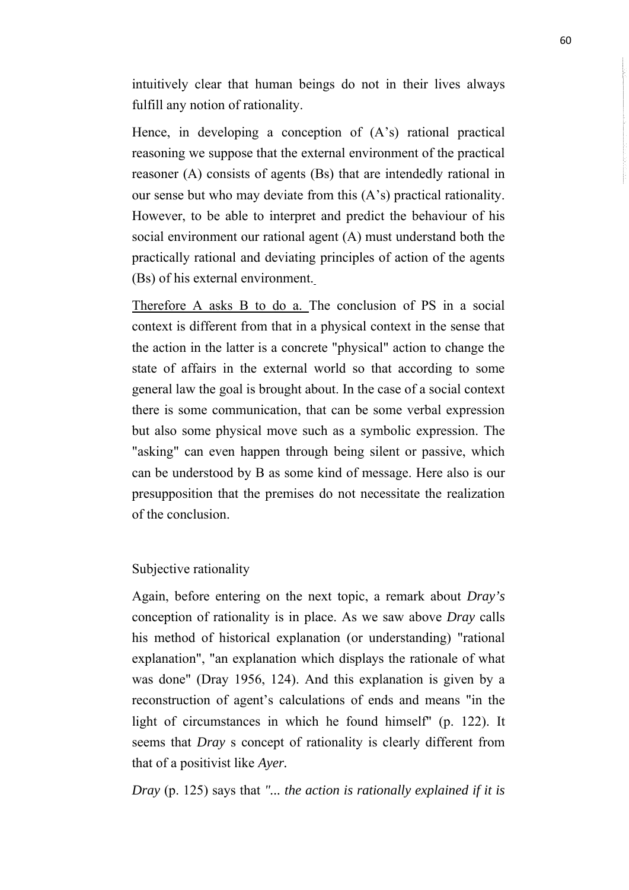intuitively clear that human beings do not in their lives always fulfill any notion of rationality.

Hence, in developing a conception of (A's) rational practical reasoning we suppose that the external environment of the practical reasoner (A) consists of agents (Bs) that are intendedly rational in our sense but who may deviate from this (A's) practical rationality. However, to be able to interpret and predict the behaviour of his social environment our rational agent (A) must understand both the practically rational and deviating principles of action of the agents (Bs) of his external environment.

Therefore A asks B to do a. The conclusion of PS in a social context is different from that in a physical context in the sense that the action in the latter is a concrete "physical" action to change the state of affairs in the external world so that according to some general law the goal is brought about. In the case of a social context there is some communication, that can be some verbal expression but also some physical move such as a symbolic expression. The "asking" can even happen through being silent or passive, which can be understood by B as some kind of message. Here also is our presupposition that the premises do not necessitate the realization of the conclusion.

Subjective rationality

Again, before entering on the next topic, a remark about *Dray's* conception of rationality is in place. As we saw above *Dray* calls his method of historical explanation (or understanding) "rational explanation", "an explanation which displays the rationale of what was done" (Dray 1956, 124). And this explanation is given by a reconstruction of agent's calculations of ends and means "in the light of circumstances in which he found himself" (p. 122). It seems that *Dray* s concept of rationality is clearly different from that of a positivist like *Ayer.*

*Dray* (p. 125) says that *"... the action is rationally explained if it is*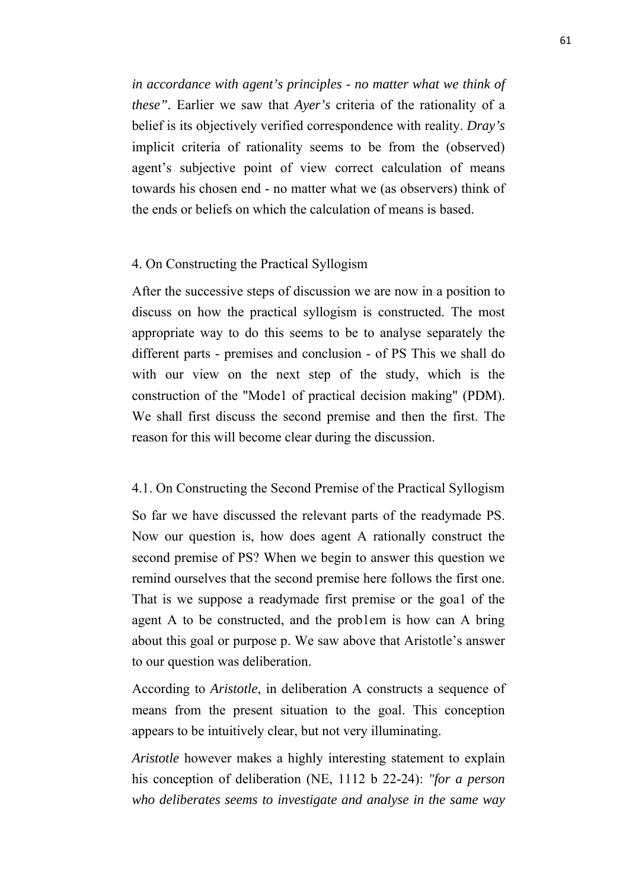*in accordance with agent's principles - no matter what we think of these".* Earlier we saw that *Ayer's* criteria of the rationality of a belief is its objectively verified correspondence with reality. *Dray's*  implicit criteria of rationality seems to be from the (observed) agent's subjective point of view correct calculation of means towards his chosen end - no matter what we (as observers) think of the ends or beliefs on which the calculation of means is based.

# 4. On Constructing the Practical Syllogism

After the successive steps of discussion we are now in a position to discuss on how the practical syllogism is constructed. The most appropriate way to do this seems to be to analyse separately the different parts - premises and conclusion - of PS This we shall do with our view on the next step of the study, which is the construction of the "Mode1 of practical decision making" (PDM). We shall first discuss the second premise and then the first. The reason for this will become clear during the discussion.

### 4.1. On Constructing the Second Premise of the Practical Syllogism

So far we have discussed the relevant parts of the readymade PS. Now our question is, how does agent A rationally construct the second premise of PS? When we begin to answer this question we remind ourselves that the second premise here follows the first one. That is we suppose a readymade first premise or the goa1 of the agent A to be constructed, and the prob1em is how can A bring about this goal or purpose p. We saw above that Aristotle's answer to our question was deliberation.

According to *Aristotle*, in deliberation A constructs a sequence of means from the present situation to the goal. This conception appears to be intuitively clear, but not very illuminating.

*Aristotle* however makes a highly interesting statement to explain his conception of deliberation (NE, 1112 b 22-24): *"for a person who deliberates seems to investigate and analyse in the same way*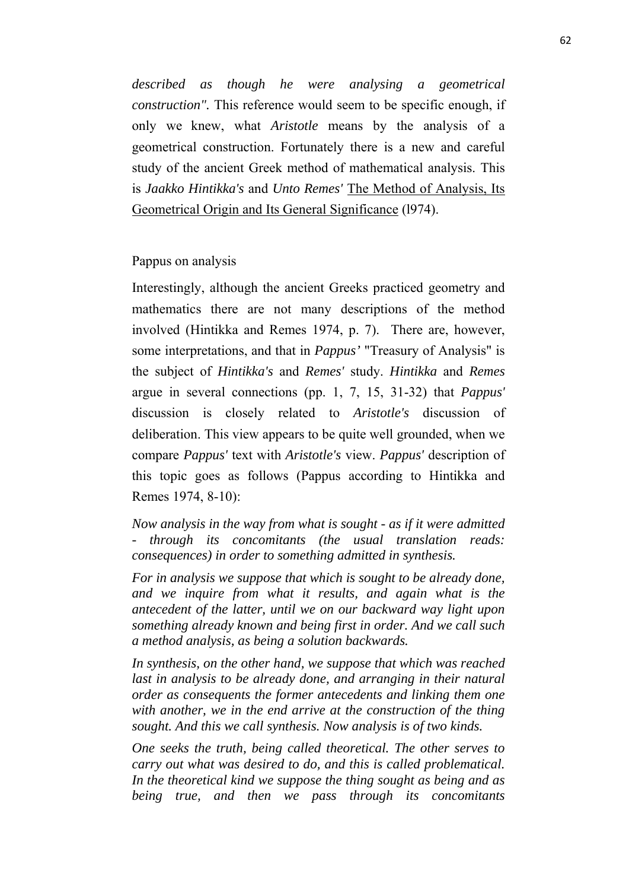*described as though he were analysing a geometrical construction".* This reference would seem to be specific enough, if only we knew, what *Aristotle* means by the analysis of a geometrical construction. Fortunately there is a new and careful study of the ancient Greek method of mathematical analysis. This is *Jaakko Hintikka's* and *Unto Remes'* The Method of Analysis, Its Geometrical Origin and Its General Significance (l974).

Pappus on analysis

Interestingly, although the ancient Greeks practiced geometry and mathematics there are not many descriptions of the method involved (Hintikka and Remes 1974, p. 7). There are, however, some interpretations, and that in *Pappus'* "Treasury of Analysis" is the subject of *Hintikka's* and *Remes'* study. *Hintikka* and *Remes* argue in several connections (pp. 1, 7, 15, 31-32) that *Pappus'* discussion is closely related to *Aristotle's* discussion of deliberation. This view appears to be quite well grounded, when we compare *Pappus'* text with *Aristotle's* view. *Pappus'* description of this topic goes as follows (Pappus according to Hintikka and Remes 1974, 8-10):

*Now analysis in the way from what is sought - as if it were admitted - through its concomitants (the usual translation reads: consequences) in order to something admitted in synthesis.* 

*For in analysis we suppose that which is sought to be already done, and we inquire from what it results, and again what is the antecedent of the latter, until we on our backward way light upon something already known and being first in order. And we call such a method analysis, as being a solution backwards.* 

*In synthesis, on the other hand, we suppose that which was reached*  last in analysis to be already done, and arranging in their natural *order as consequents the former antecedents and linking them one with another, we in the end arrive at the construction of the thing sought. And this we call synthesis. Now analysis is of two kinds.* 

*One seeks the truth, being called theoretical. The other serves to carry out what was desired to do, and this is called problematical. In the theoretical kind we suppose the thing sought as being and as being true, and then we pass through its concomitants*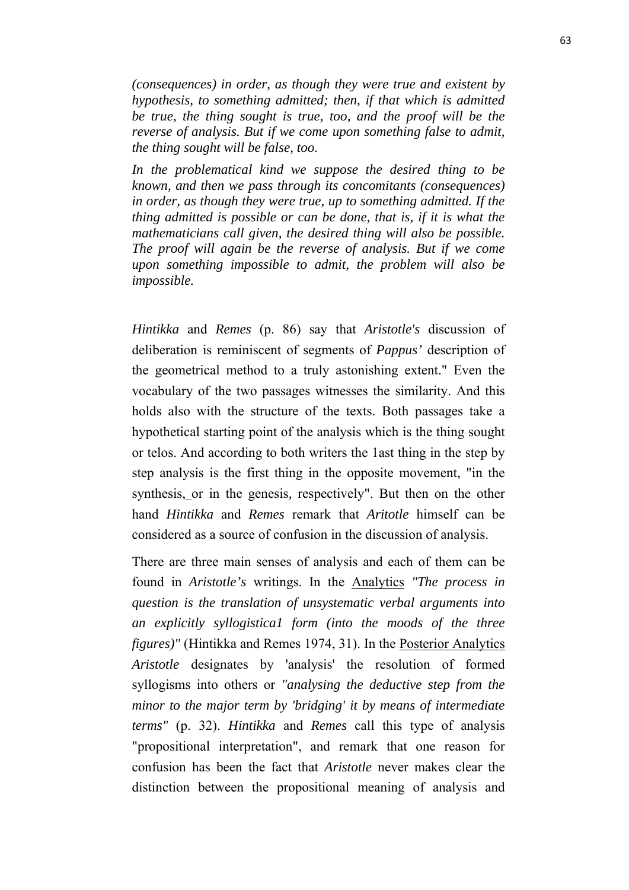*(consequences) in order, as though they were true and existent by hypothesis, to something admitted; then, if that which is admitted be true, the thing sought is true, too, and the proof will be the reverse of analysis. But if we come upon something false to admit, the thing sought will be false, too.* 

*In the problematical kind we suppose the desired thing to be known, and then we pass through its concomitants (consequences) in order, as though they were true, up to something admitted. If the thing admitted is possible or can be done, that is, if it is what the mathematicians call given, the desired thing will also be possible. The proof will again be the reverse of analysis. But if we come upon something impossible to admit, the problem will also be impossible.*

*Hintikka* and *Remes* (p. 86) say that *Aristotle's* discussion of deliberation is reminiscent of segments of *Pappus'* description of the geometrical method to a truly astonishing extent." Even the vocabulary of the two passages witnesses the similarity. And this holds also with the structure of the texts. Both passages take a hypothetical starting point of the analysis which is the thing sought or telos. And according to both writers the 1ast thing in the step by step analysis is the first thing in the opposite movement, "in the synthesis, or in the genesis*,* respectively". But then on the other hand *Hintikka* and *Remes* remark that *Aritotle* himself can be considered as a source of confusion in the discussion of analysis.

There are three main senses of analysis and each of them can be found in *Aristotle's* writings. In the Analytics *"The process in question is the translation of unsystematic verbal arguments into an explicitly syllogistica1 form (into the moods of the three figures)"* (Hintikka and Remes 1974, 31). In the Posterior Analytics *Aristotle* designates by 'analysis' the resolution of formed syllogisms into others or *"analysing the deductive step from the minor to the major term by 'bridging' it by means of intermediate terms"* (p. 32). *Hintikka* and *Remes* call this type of analysis "propositional interpretation", and remark that one reason for confusion has been the fact that *Aristotle* never makes clear the distinction between the propositional meaning of analysis and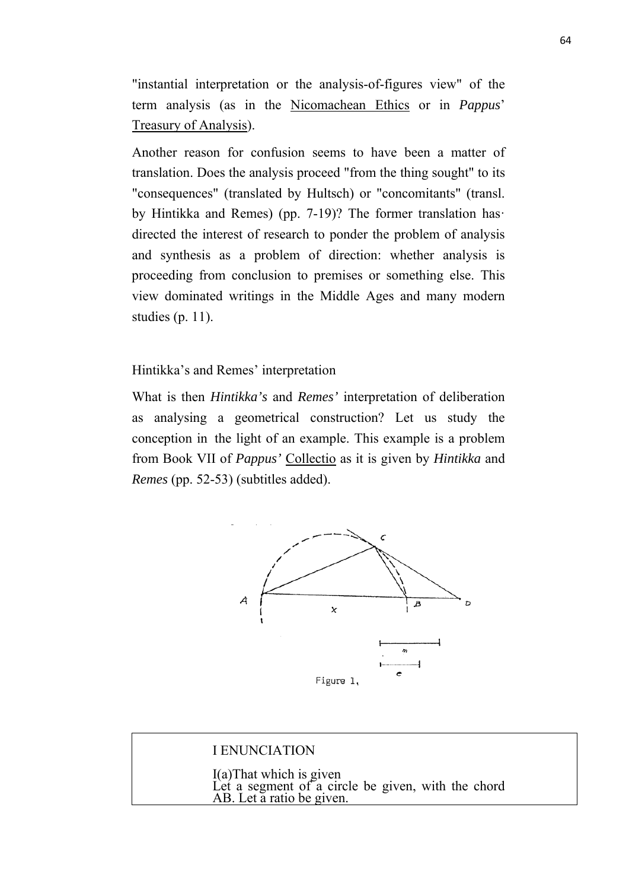"instantial interpretation or the analysis-of-figures view" of the term analysis (as in the Nicomachean Ethics or in *Pappus*' Treasury of Analysis).

Another reason for confusion seems to have been a matter of translation. Does the analysis proceed "from the thing sought" to its "consequences" (translated by Hultsch) or "concomitants" (transl. by Hintikka and Remes) (pp. 7-19)? The former translation has· directed the interest of research to ponder the problem of analysis and synthesis as a problem of direction: whether analysis is proceeding from conclusion to premises or something else. This view dominated writings in the Middle Ages and many modern studies (p. 11).

Hintikka's and Remes' interpretation

What is then *Hintikka's* and *Remes'* interpretation of deliberation as analysing a geometrical construction? Let us study the conception in the light of an example. This example is a problem from Book VII of *Pappus'* Collectio as it is given by *Hintikka* and *Remes* (pp. 52-53) (subtitles added).



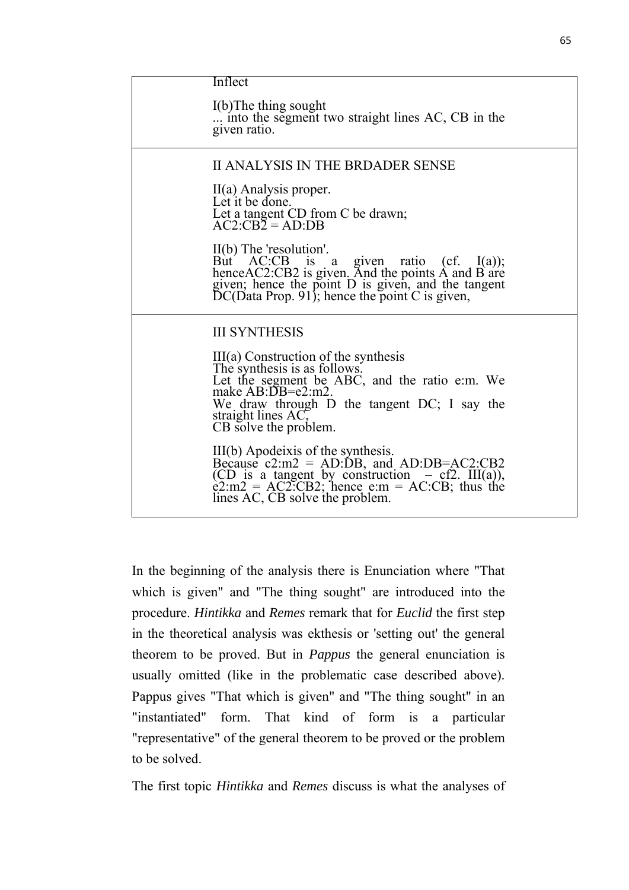| Inflect                                                                                                                                                                                                                                    |
|--------------------------------------------------------------------------------------------------------------------------------------------------------------------------------------------------------------------------------------------|
|                                                                                                                                                                                                                                            |
| $I(b)$ The thing sought<br>into the segment two straight lines AC, CB in the<br>given ratio.                                                                                                                                               |
| II ANALYSIS IN THE BRDADER SENSE                                                                                                                                                                                                           |
| II(a) Analysis proper.<br>Let it be done.<br>Let a tangent CD from C be drawn;<br>$AC2:CB2 = AD:DB$                                                                                                                                        |
| $II(b)$ The 'resolution'.<br>But AC:CB is a given ratio (cf. I(a));<br>henceAC2:CB2 is given. And the points A and B are<br>given; hence the point D is given, and the tangent<br>DC(Data Prop. 91); hence the point C is given,           |
| <b>III SYNTHESIS</b>                                                                                                                                                                                                                       |
| $III(a)$ Construction of the synthesis<br>The synthesis is as follows.<br>Let the segment be ABC, and the ratio e:m. We<br>make AB:DB=e2:m2.<br>We draw through D the tangent DC; I say the<br>straight lines AC,<br>CB solve the problem. |
| III(b) Apodeixis of the synthesis.<br>Because $c2 \cdot m2 = AD \cdot DB$ , and AD:DB=AC2:CB2<br>(CD is a tangent by construction $- c f2$ . III(a)),<br>e2:m2 = AC2:CB2; hence e:m = AC:CB; thus the<br>lines AC, CB solve the problem.   |

In the beginning of the analysis there is Enunciation where "That which is given" and "The thing sought" are introduced into the procedure. *Hintikka* and *Remes* remark that for *Euclid* the first step in the theoretical analysis was ekthesis or 'setting out' the general theorem to be proved. But in *Pappus* the general enunciation is usually omitted (like in the problematic case described above). Pappus gives "That which is given" and "The thing sought" in an "instantiated" form. That kind of form is a particular "representative" of the general theorem to be proved or the problem to be solved.

The first topic *Hintikka* and *Remes* discuss is what the analyses of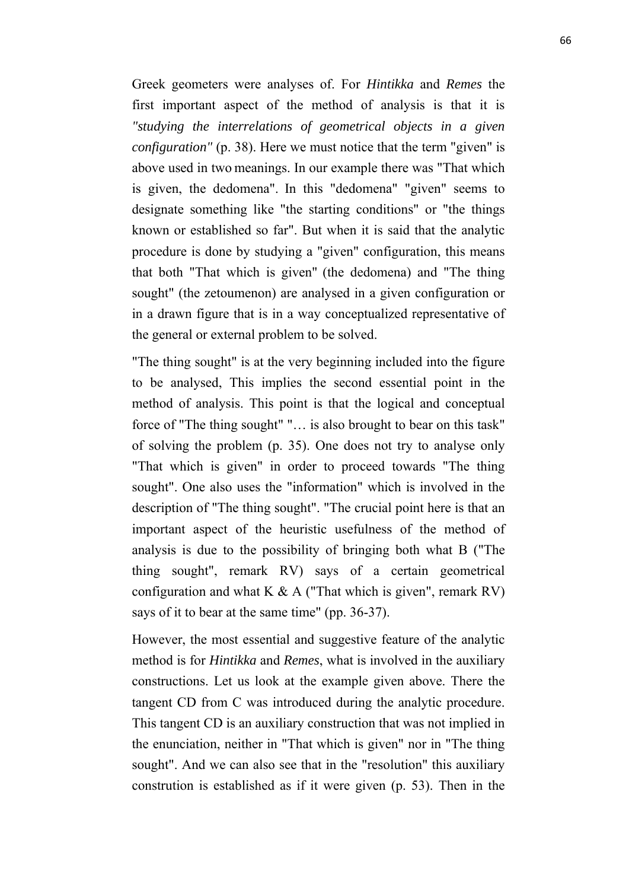Greek geometers were analyses of. For *Hintikka* and *Remes* the first important aspect of the method of analysis is that it is *"studying the interrelations of geometrical objects in a given configuration"* (p. 38). Here we must notice that the term "given" is above used in two meanings. In our example there was "That which is given, the dedomena". In this "dedomena" "given" seems to designate something like "the starting conditions" or "the things known or established so far". But when it is said that the analytic procedure is done by studying a "given" configuration, this means that both "That which is given" (the dedomena) and "The thing sought" (the zetoumenon) are analysed in a given configuration or in a drawn figure that is in a way conceptualized representative of the general or external problem to be solved.

"The thing sought" is at the very beginning included into the figure to be analysed, This implies the second essential point in the method of analysis. This point is that the logical and conceptual force of "The thing sought" "… is also brought to bear on this task" of solving the problem (p. 35). One does not try to analyse only "That which is given" in order to proceed towards "The thing sought". One also uses the "information" which is involved in the description of "The thing sought". "The crucial point here is that an important aspect of the heuristic usefulness of the method of analysis is due to the possibility of bringing both what B ("The thing sought", remark RV) says of a certain geometrical configuration and what K  $\& A$  ("That which is given", remark RV) says of it to bear at the same time" (pp. 36-37).

However, the most essential and suggestive feature of the analytic method is for *Hintikka* and *Remes*, what is involved in the auxiliary constructions. Let us look at the example given above. There the tangent CD from C was introduced during the analytic procedure. This tangent CD is an auxiliary construction that was not implied in the enunciation, neither in "That which is given" nor in "The thing sought". And we can also see that in the "resolution" this auxiliary constrution is established as if it were given (p. 53). Then in the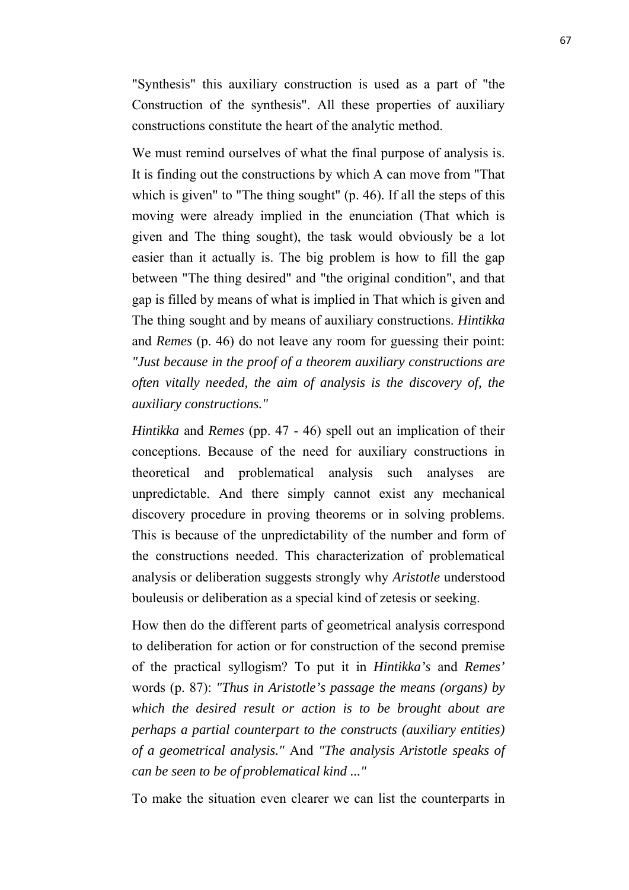"Synthesis" this auxiliary construction is used as a part of "the Construction of the synthesis". All these properties of auxiliary constructions constitute the heart of the analytic method.

We must remind ourselves of what the final purpose of analysis is. It is finding out the constructions by which A can move from "That which is given" to "The thing sought" (p. 46). If all the steps of this moving were already implied in the enunciation (That which is given and The thing sought), the task would obviously be a lot easier than it actually is. The big problem is how to fill the gap between "The thing desired" and "the original condition", and that gap is filled by means of what is implied in That which is given and The thing sought and by means of auxiliary constructions. *Hintikka* and *Remes* (p. 46) do not leave any room for guessing their point: *"Just because in the proof of a theorem auxiliary constructions are often vitally needed, the aim of analysis is the discovery of, the auxiliary constructions."*

*Hintikka* and *Remes* (pp. 47 - 46) spell out an implication of their conceptions. Because of the need for auxiliary constructions in theoretical and problematical analysis such analyses are unpredictable. And there simply cannot exist any mechanical discovery procedure in proving theorems or in solving problems. This is because of the unpredictability of the number and form of the constructions needed. This characterization of problematical analysis or deliberation suggests strongly why *Aristotle* understood bouleusis or deliberation as a special kind of zetesis or seeking.

How then do the different parts of geometrical analysis correspond to deliberation for action or for construction of the second premise of the practical syllogism? To put it in *Hintikka's* and *Remes'* words (p. 87): *"Thus in Aristotle's passage the means (organs) by which the desired result or action is to be brought about are perhaps a partial counterpart to the constructs (auxiliary entities) of a geometrical analysis."* And *"The analysis Aristotle speaks of can be seen to be of problematical kind ..."*

To make the situation even clearer we can list the counterparts in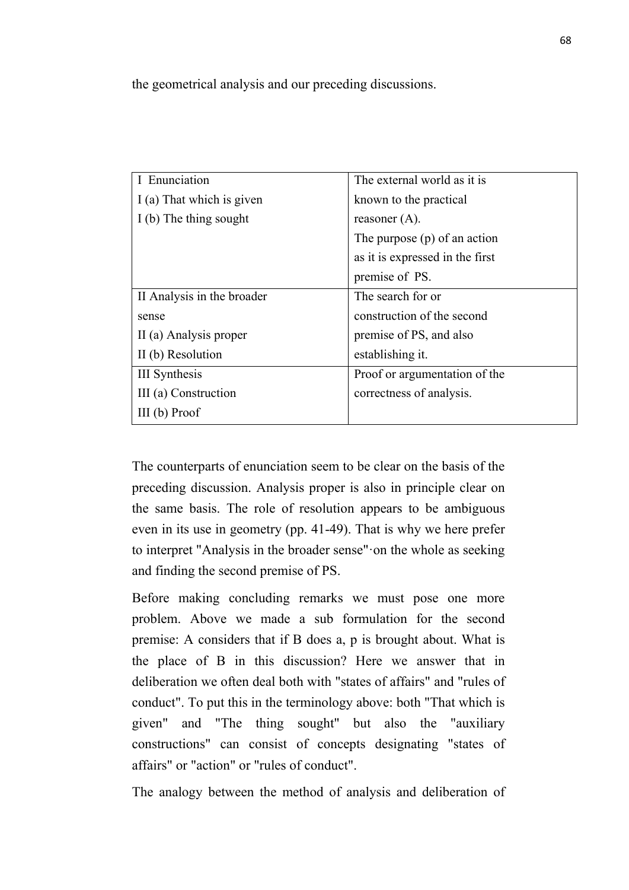the geometrical analysis and our preceding discussions.

| I Enunciation              | The external world as it is     |
|----------------------------|---------------------------------|
| I (a) That which is given  | known to the practical          |
| I (b) The thing sought     | reasoner $(A)$ .                |
|                            | The purpose $(p)$ of an action  |
|                            | as it is expressed in the first |
|                            | premise of PS.                  |
| II Analysis in the broader | The search for or               |
| sense                      | construction of the second      |
| II (a) Analysis proper     | premise of PS, and also         |
| II (b) Resolution          | establishing it.                |
| III Synthesis              | Proof or argumentation of the   |
| III (a) Construction       | correctness of analysis.        |
| $III$ (b) Proof            |                                 |

The counterparts of enunciation seem to be clear on the basis of the preceding discussion. Analysis proper is also in principle clear on the same basis. The role of resolution appears to be ambiguous even in its use in geometry (pp. 41-49). That is why we here prefer to interpret "Analysis in the broader sense"·on the whole as seeking and finding the second premise of PS.

Before making concluding remarks we must pose one more problem. Above we made a sub formulation for the second premise: A considers that if B does a, p is brought about. What is the place of B in this discussion? Here we answer that in deliberation we often deal both with "states of affairs" and "rules of conduct". To put this in the terminology above: both "That which is given" and "The thing sought" but also the "auxiliary constructions" can consist of concepts designating "states of affairs" or "action" or "rules of conduct".

The analogy between the method of analysis and deliberation of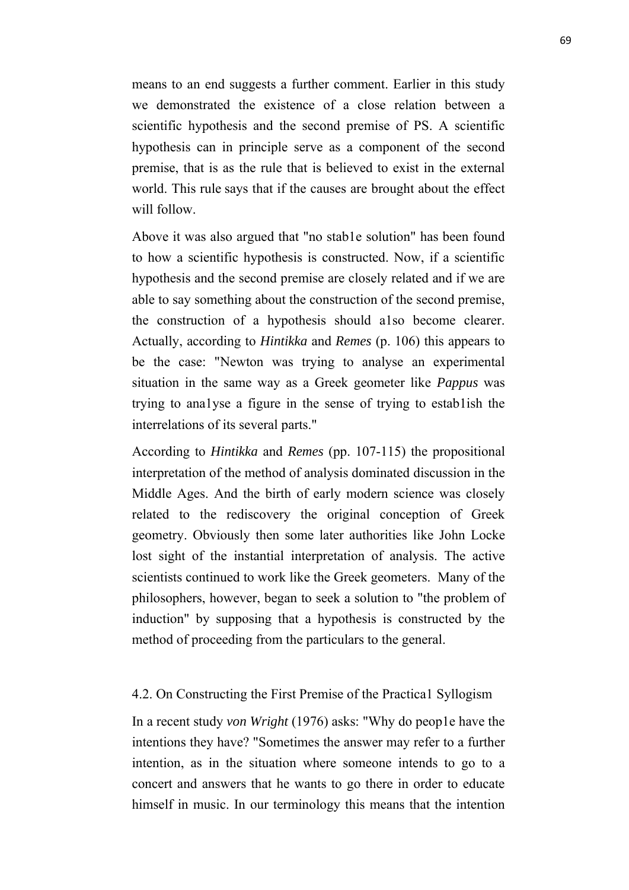means to an end suggests a further comment. Earlier in this study we demonstrated the existence of a close relation between a scientific hypothesis and the second premise of PS. A scientific hypothesis can in principle serve as a component of the second premise, that is as the rule that is believed to exist in the external world. This rule says that if the causes are brought about the effect will follow.

Above it was also argued that "no stab1e solution" has been found to how a scientific hypothesis is constructed. Now, if a scientific hypothesis and the second premise are closely related and if we are able to say something about the construction of the second premise, the construction of a hypothesis should a1so become clearer. Actually, according to *Hintikka* and *Remes* (p. 106) this appears to be the case: "Newton was trying to analyse an experimental situation in the same way as a Greek geometer like *Pappus* was trying to ana1yse a figure in the sense of trying to estab1ish the interrelations of its several parts."

According to *Hintikka* and *Remes* (pp. 107-115) the propositional interpretation of the method of analysis dominated discussion in the Middle Ages. And the birth of early modern science was closely related to the rediscovery the original conception of Greek geometry. Obviously then some later authorities like John Locke lost sight of the instantial interpretation of analysis. The active scientists continued to work like the Greek geometers. Many of the philosophers, however, began to seek a solution to "the problem of induction" by supposing that a hypothesis is constructed by the method of proceeding from the particulars to the general.

### 4.2. On Constructing the First Premise of the Practica1 Syllogism

In a recent study *von Wright* (1976) asks: "Why do peop1e have the intentions they have? "Sometimes the answer may refer to a further intention, as in the situation where someone intends to go to a concert and answers that he wants to go there in order to educate himself in music. In our terminology this means that the intention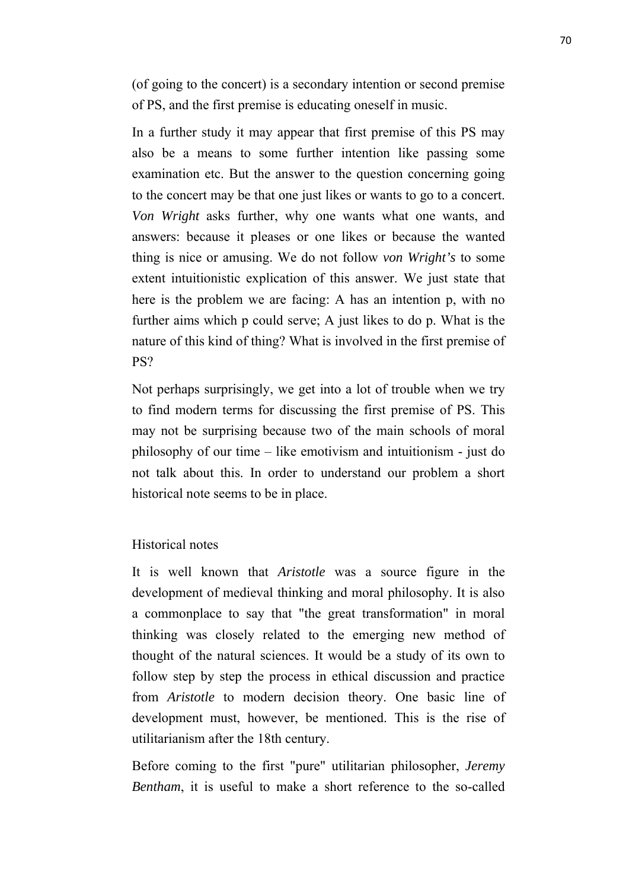(of going to the concert) is a secondary intention or second premise of PS, and the first premise is educating oneself in music.

In a further study it may appear that first premise of this PS may also be a means to some further intention like passing some examination etc. But the answer to the question concerning going to the concert may be that one just likes or wants to go to a concert. *Von Wright* asks further, why one wants what one wants, and answers: because it pleases or one likes or because the wanted thing is nice or amusing. We do not follow *von Wright's* to some extent intuitionistic explication of this answer. We just state that here is the problem we are facing: A has an intention p, with no further aims which p could serve; A just likes to do p. What is the nature of this kind of thing? What is involved in the first premise of PS?

Not perhaps surprisingly, we get into a lot of trouble when we try to find modern terms for discussing the first premise of PS. This may not be surprising because two of the main schools of moral philosophy of our time – like emotivism and intuitionism - just do not talk about this. In order to understand our problem a short historical note seems to be in place.

## Historical notes

It is well known that *Aristotle* was a source figure in the development of medieval thinking and moral philosophy. It is also a commonplace to say that "the great transformation" in moral thinking was closely related to the emerging new method of thought of the natural sciences. It would be a study of its own to follow step by step the process in ethical discussion and practice from *Aristotle* to modern decision theory. One basic line of development must, however, be mentioned. This is the rise of utilitarianism after the 18th century.

Before coming to the first "pure" utilitarian philosopher, *Jeremy Bentham*, it is useful to make a short reference to the so-called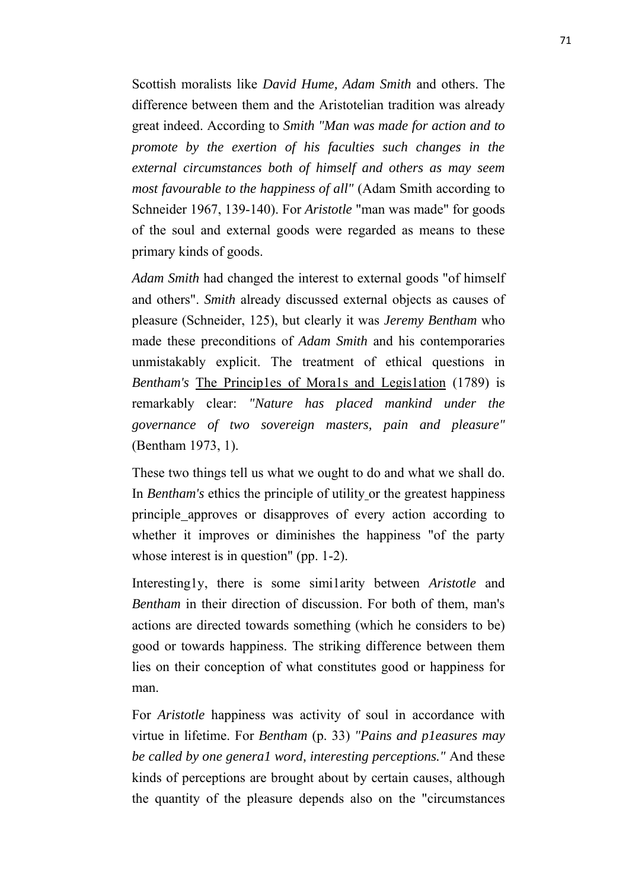Scottish moralists like *David Hume, Adam Smith* and others. The difference between them and the Aristotelian tradition was already great indeed. According to *Smith "Man was made for action and to promote by the exertion of his faculties such changes in the external circumstances both of himself and others as may seem most favourable to the happiness of all"* (Adam Smith according to Schneider 1967, 139-140). For *Aristotle* "man was made" for goods of the soul and external goods were regarded as means to these primary kinds of goods.

*Adam Smith* had changed the interest to external goods "of himself and others". *Smith* already discussed external objects as causes of pleasure (Schneider, 125), but clearly it was *Jeremy Bentham* who made these preconditions of *Adam Smith* and his contemporaries unmistakably explicit. The treatment of ethical questions in *Bentham's* The Princip1es of Mora1s and Legis1ation (1789) is remarkably clear: *"Nature has placed mankind under the governance of two sovereign masters, pain and pleasure"* (Bentham 1973, 1).

These two things tell us what we ought to do and what we shall do. In *Bentham's* ethics the principle of utility or the greatest happiness principle approves or disapproves of every action according to whether it improves or diminishes the happiness "of the party whose interest is in question" (pp. 1-2).

Interesting1y, there is some simi1arity between *Aristotle* and *Bentham* in their direction of discussion. For both of them, man's actions are directed towards something (which he considers to be) good or towards happiness. The striking difference between them lies on their conception of what constitutes good or happiness for man.

For *Aristotle* happiness was activity of soul in accordance with virtue in lifetime. For *Bentham* (p. 33) *"Pains and p1easures may be called by one genera1 word, interesting perceptions."* And these kinds of perceptions are brought about by certain causes, although the quantity of the pleasure depends also on the "circumstances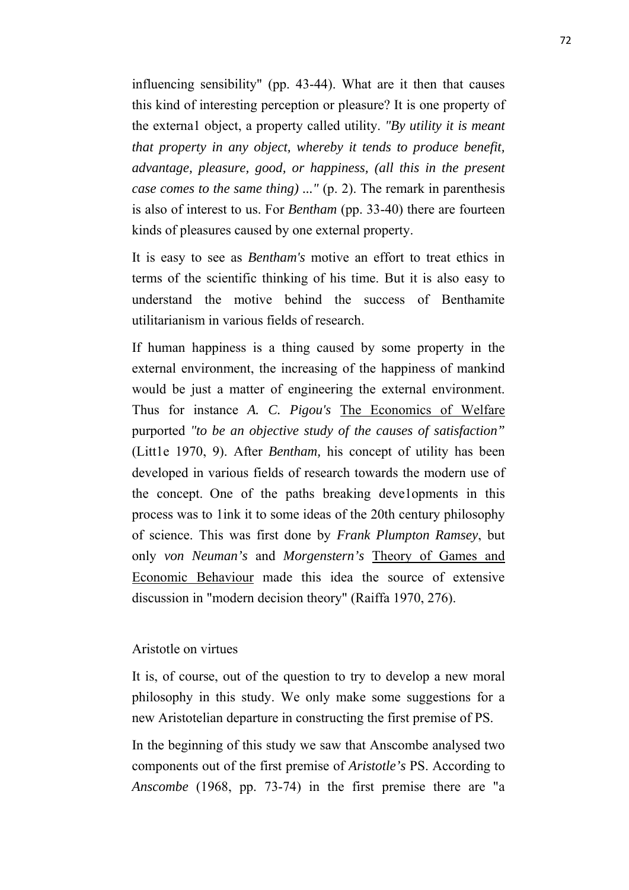influencing sensibility" (pp. 43-44). What are it then that causes this kind of interesting perception or pleasure? It is one property of the externa1 object, a property called utility. *"By utility it is meant that property in any object, whereby it tends to produce benefit, advantage, pleasure, good, or happiness, (all this in the present case comes to the same thing) ..."* (p. 2). The remark in parenthesis is also of interest to us. For *Bentham* (pp. 33-40) there are fourteen kinds of pleasures caused by one external property.

It is easy to see as *Bentham's* motive an effort to treat ethics in terms of the scientific thinking of his time. But it is also easy to understand the motive behind the success of Benthamite utilitarianism in various fields of research.

If human happiness is a thing caused by some property in the external environment, the increasing of the happiness of mankind would be just a matter of engineering the external environment. Thus for instance *A. C. Pigou's* The Economics of Welfare purported *"to be an objective study of the causes of satisfaction"* (Litt1e 1970, 9). After *Bentham,* his concept of utility has been developed in various fields of research towards the modern use of the concept. One of the paths breaking deve1opments in this process was to 1ink it to some ideas of the 20th century philosophy of science. This was first done by *Frank Plumpton Ramsey*, but only *von Neuman's* and *Morgenstern's* Theory of Games and Economic Behaviour made this idea the source of extensive discussion in "modern decision theory" (Raiffa 1970, 276).

## Aristotle on virtues

It is, of course, out of the question to try to develop a new moral philosophy in this study. We only make some suggestions for a new Aristotelian departure in constructing the first premise of PS.

In the beginning of this study we saw that Anscombe analysed two components out of the first premise of *Aristotle's* PS. According to *Anscombe* (1968, pp. 73-74) in the first premise there are "a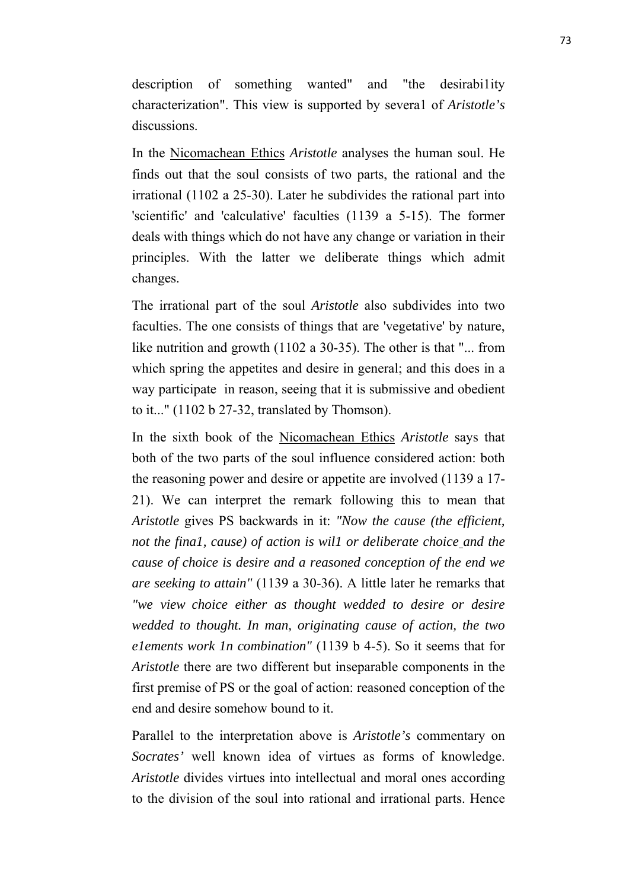description of something wanted" and "the desirabi1ity characterization". This view is supported by severa1 of *Aristotle's* discussions.

In the Nicomachean Ethics *Aristotle* analyses the human soul. He finds out that the soul consists of two parts, the rational and the irrational (1102 a 25-30). Later he subdivides the rational part into 'scientific' and 'calculative' faculties (1139 a 5-15). The former deals with things which do not have any change or variation in their principles. With the latter we deliberate things which admit changes.

The irrational part of the soul *Aristotle* also subdivides into two faculties. The one consists of things that are 'vegetative' by nature, like nutrition and growth (1102 a 30-35). The other is that "... from which spring the appetites and desire in general; and this does in a way participate in reason, seeing that it is submissive and obedient to it..." (1102 b 27-32, translated by Thomson).

In the sixth book of the Nicomachean Ethics *Aristotle* says that both of the two parts of the soul influence considered action: both the reasoning power and desire or appetite are involved (1139 a 17- 21). We can interpret the remark following this to mean that *Aristotle* gives PS backwards in it: *"Now the cause (the efficient, not the fina1, cause) of action is wil1 or deliberate choice and the cause of choice is desire and a reasoned conception of the end we are seeking to attain"* (1139 a 30-36). A little later he remarks that *"we view choice either as thought wedded to desire or desire wedded to thought. In man, originating cause of action, the two e1ements work 1n combination"* (1139 b 4-5). So it seems that for *Aristotle* there are two different but inseparable components in the first premise of PS or the goal of action: reasoned conception of the end and desire somehow bound to it.

Parallel to the interpretation above is *Aristotle's* commentary on *Socrates'* well known idea of virtues as forms of knowledge. *Aristotle* divides virtues into intellectual and moral ones according to the division of the soul into rational and irrational parts. Hence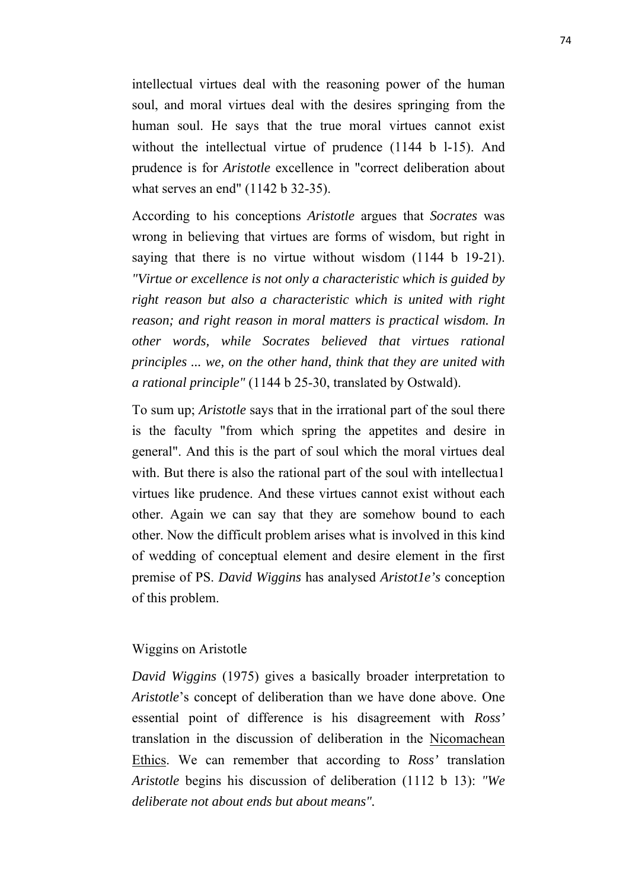intellectual virtues deal with the reasoning power of the human soul, and moral virtues deal with the desires springing from the human soul. He says that the true moral virtues cannot exist without the intellectual virtue of prudence (1144 b 1-15). And prudence is for *Aristotle* excellence in "correct deliberation about what serves an end" (1142 b 32-35).

According to his conceptions *Aristotle* argues that *Socrates* was wrong in believing that virtues are forms of wisdom, but right in saying that there is no virtue without wisdom (1144 b 19-21). *"Virtue or excellence is not only a characteristic which is guided by right reason but also a characteristic which is united with right reason; and right reason in moral matters is practical wisdom. In other words, while Socrates believed that virtues rational principles ... we, on the other hand, think that they are united with a rational principle"* (1144 b 25-30, translated by Ostwald).

To sum up; *Aristotle* says that in the irrational part of the soul there is the faculty "from which spring the appetites and desire in general". And this is the part of soul which the moral virtues deal with. But there is also the rational part of the soul with intellectual virtues like prudence. And these virtues cannot exist without each other. Again we can say that they are somehow bound to each other. Now the difficult problem arises what is involved in this kind of wedding of conceptual element and desire element in the first premise of PS. *David Wiggins* has analysed *Aristot1e's* conception of this problem.

# Wiggins on Aristotle

*David Wiggins* (1975) gives a basically broader interpretation to *Aristotle*'s concept of deliberation than we have done above. One essential point of difference is his disagreement with *Ross'* translation in the discussion of deliberation in the Nicomachean Ethics. We can remember that according to *Ross'* translation *Aristotle* begins his discussion of deliberation (1112 b 13): *"We deliberate not about ends but about means".*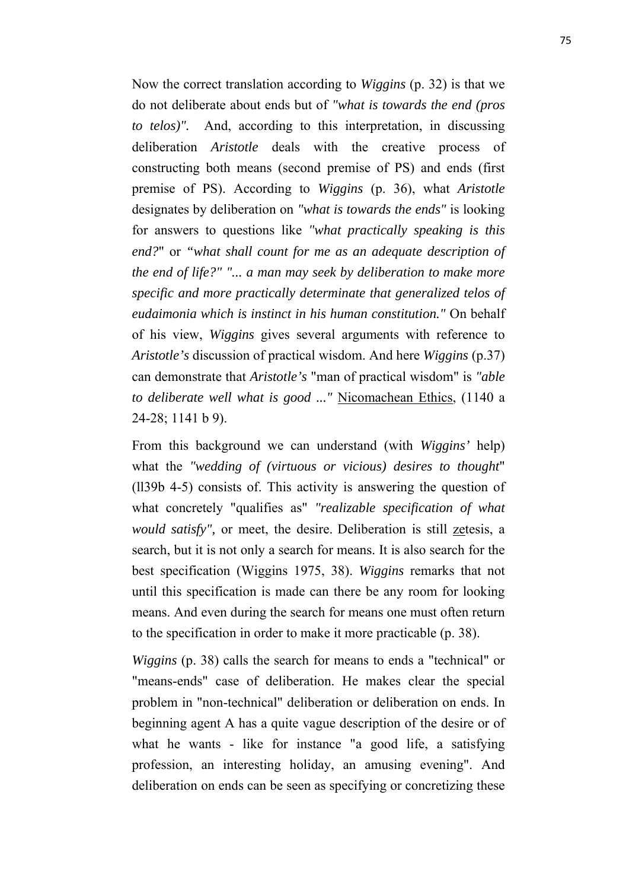Now the correct translation according to *Wiggins* (p. 32) is that we do not deliberate about ends but of *"what is towards the end (pros to telos)".* And, according to this interpretation, in discussing deliberation *Aristotle* deals with the creative process of constructing both means (second premise of PS) and ends (first premise of PS). According to *Wiggins* (p. 36), what *Aristotle* designates by deliberation on *"what is towards the ends"* is looking for answers to questions like *"what practically speaking is this end?*" or *"what shall count for me as an adequate description of the end of life?" "... a man may seek by deliberation to make more specific and more practically determinate that generalized telos of eudaimonia which is instinct in his human constitution."* On behalf of his view, *Wiggins* gives several arguments with reference to *Aristotle's* discussion of practical wisdom. And here *Wiggins* (p.37) can demonstrate that *Aristotle's* "man of practical wisdom" is *"able to deliberate well what is good ..."* Nicomachean Ethics, (1140 a 24-28; 1141 b 9).

From this background we can understand (with *Wiggins'* help) what the *"wedding of (virtuous or vicious) desires to thought*" (ll39b 4-5) consists of. This activity is answering the question of what concretely "qualifies as" *"realizable specification of what would satisfy",* or meet, the desire. Deliberation is still zetesis, a search, but it is not only a search for means. It is also search for the best specification (Wiggins 1975, 38). *Wiggins* remarks that not until this specification is made can there be any room for looking means. And even during the search for means one must often return to the specification in order to make it more practicable (p. 38).

*Wiggins* (p. 38) calls the search for means to ends a "technical" or "means-ends" case of deliberation. He makes clear the special problem in "non-technical" deliberation or deliberation on ends. In beginning agent A has a quite vague description of the desire or of what he wants - like for instance "a good life, a satisfying profession, an interesting holiday, an amusing evening". And deliberation on ends can be seen as specifying or concretizing these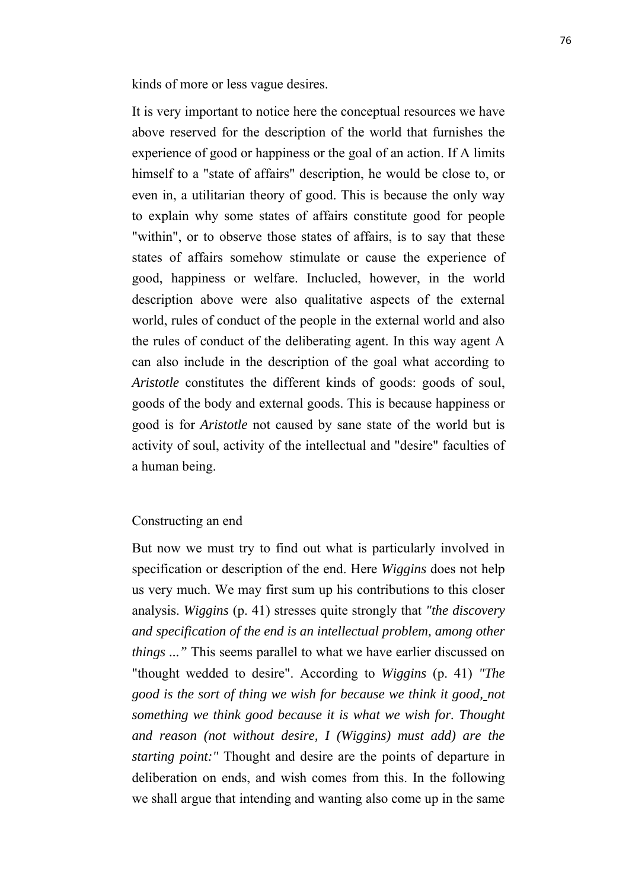kinds of more or less vague desires.

It is very important to notice here the conceptual resources we have above reserved for the description of the world that furnishes the experience of good or happiness or the goal of an action. If A limits himself to a "state of affairs" description, he would be close to, or even in, a utilitarian theory of good. This is because the only way to explain why some states of affairs constitute good for people "within", or to observe those states of affairs, is to say that these states of affairs somehow stimulate or cause the experience of good, happiness or welfare. Inclucled, however, in the world description above were also qualitative aspects of the external world, rules of conduct of the people in the external world and also the rules of conduct of the deliberating agent. In this way agent A can also include in the description of the goal what according to *Aristotle* constitutes the different kinds of goods: goods of soul, goods of the body and external goods. This is because happiness or good is for *Aristotle* not caused by sane state of the world but is activity of soul, activity of the intellectual and "desire" faculties of a human being.

# Constructing an end

But now we must try to find out what is particularly involved in specification or description of the end. Here *Wiggins* does not help us very much. We may first sum up his contributions to this closer analysis. *Wiggins* (p. 41) stresses quite strongly that *"the discovery and specification of the end is an intellectual problem, among other things ..."* This seems parallel to what we have earlier discussed on "thought wedded to desire". According to *Wiggins* (p. 41) *"The good is the sort of thing we wish for because we think it good, not something we think good because it is what we wish for. Thought and reason (not without desire, I (Wiggins) must add) are the starting point:"* Thought and desire are the points of departure in deliberation on ends, and wish comes from this. In the following we shall argue that intending and wanting also come up in the same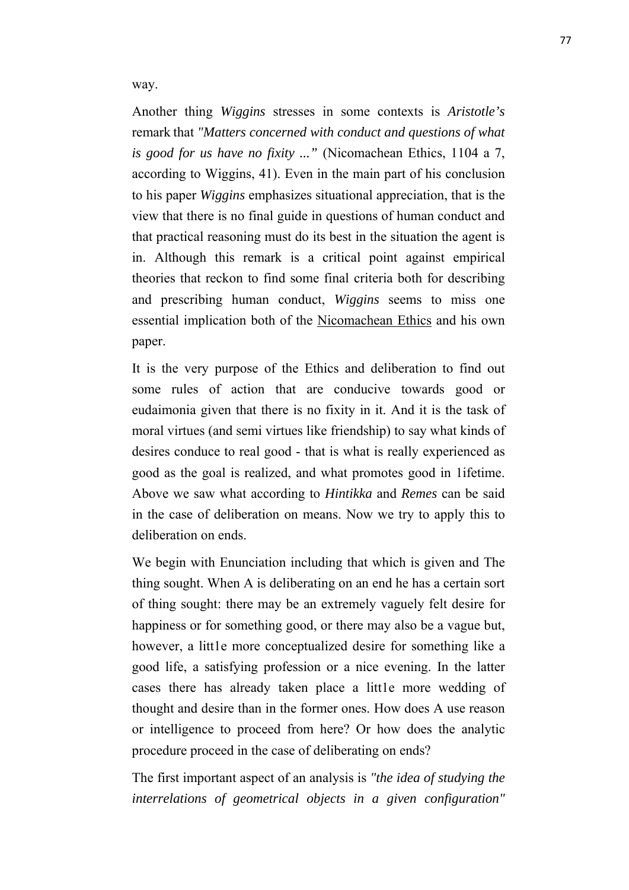way.

Another thing *Wiggins* stresses in some contexts is *Aristotle's* remark that *"Matters concerned with conduct and questions of what is good for us have no fixity ..."* (Nicomachean Ethics, 1104 a 7, according to Wiggins, 41). Even in the main part of his conclusion to his paper *Wiggins* emphasizes situational appreciation, that is the view that there is no final guide in questions of human conduct and that practical reasoning must do its best in the situation the agent is in. Although this remark is a critical point against empirical theories that reckon to find some final criteria both for describing and prescribing human conduct, *Wiggins* seems to miss one essential implication both of the Nicomachean Ethics and his own paper.

It is the very purpose of the Ethics and deliberation to find out some rules of action that are conducive towards good or eudaimonia given that there is no fixity in it. And it is the task of moral virtues (and semi virtues like friendship) to say what kinds of desires conduce to real good - that is what is really experienced as good as the goal is realized, and what promotes good in 1ifetime. Above we saw what according to *Hintikka* and *Remes* can be said in the case of deliberation on means. Now we try to apply this to deliberation on ends.

We begin with Enunciation including that which is given and The thing sought. When A is deliberating on an end he has a certain sort of thing sought: there may be an extremely vaguely felt desire for happiness or for something good, or there may also be a vague but, however, a little more conceptualized desire for something like a good life, a satisfying profession or a nice evening. In the latter cases there has already taken place a litt1e more wedding of thought and desire than in the former ones. How does A use reason or intelligence to proceed from here? Or how does the analytic procedure proceed in the case of deliberating on ends?

The first important aspect of an analysis is *"the idea of studying the interrelations of geometrical objects in a given configuration"*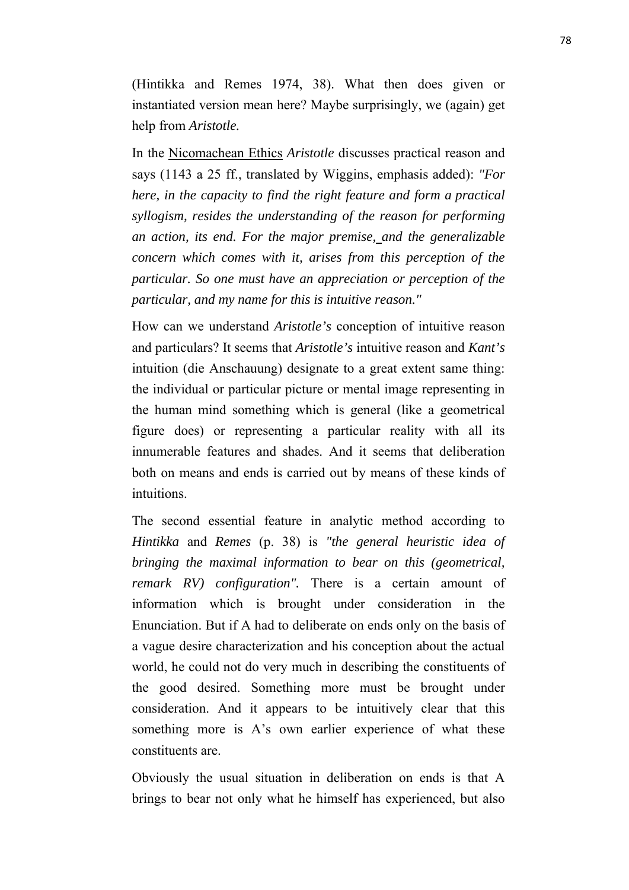(Hintikka and Remes 1974, 38). What then does given or instantiated version mean here? Maybe surprisingly, we (again) get help from *Aristotle.*

In the Nicomachean Ethics *Aristotle* discusses practical reason and says (1143 a 25 ff., translated by Wiggins, emphasis added): *"For here, in the capacity to find the right feature and form a practical syllogism, resides the understanding of the reason for performing an action, its end. For the major premise, and the generalizable concern which comes with it, arises from this perception of the particular. So one must have an appreciation or perception of the particular, and my name for this is intuitive reason."*

How can we understand *Aristotle's* conception of intuitive reason and particulars? It seems that *Aristotle's* intuitive reason and *Kant's* intuition (die Anschauung) designate to a great extent same thing: the individual or particular picture or mental image representing in the human mind something which is general (like a geometrical figure does) or representing a particular reality with all its innumerable features and shades. And it seems that deliberation both on means and ends is carried out by means of these kinds of intuitions.

The second essential feature in analytic method according to *Hintikka* and *Remes* (p. 38) is *"the general heuristic idea of bringing the maximal information to bear on this (geometrical, remark RV) configuration".* There is a certain amount of information which is brought under consideration in the Enunciation. But if A had to deliberate on ends only on the basis of a vague desire characterization and his conception about the actual world, he could not do very much in describing the constituents of the good desired. Something more must be brought under consideration. And it appears to be intuitively clear that this something more is A's own earlier experience of what these constituents are.

Obviously the usual situation in deliberation on ends is that A brings to bear not only what he himself has experienced, but also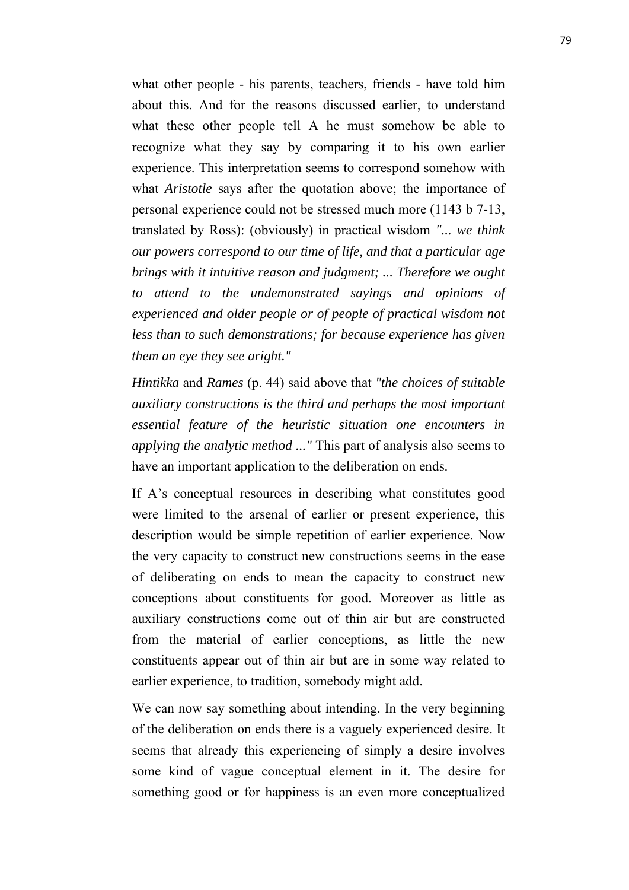what other people - his parents, teachers, friends - have told him about this. And for the reasons discussed earlier, to understand what these other people tell A he must somehow be able to recognize what they say by comparing it to his own earlier experience. This interpretation seems to correspond somehow with what *Aristotle* says after the quotation above; the importance of personal experience could not be stressed much more (1143 b 7-13, translated by Ross): (obviously) in practical wisdom *"... we think our powers correspond to our time of life, and that a particular age brings with it intuitive reason and judgment; ... Therefore we ought to attend to the undemonstrated sayings and opinions of experienced and older people or of people of practical wisdom not less than to such demonstrations; for because experience has given them an eye they see aright."*

*Hintikka* and *Rames* (p. 44) said above that *"the choices of suitable auxiliary constructions is the third and perhaps the most important essential feature of the heuristic situation one encounters in applying the analytic method ..."* This part of analysis also seems to have an important application to the deliberation on ends.

If A's conceptual resources in describing what constitutes good were limited to the arsenal of earlier or present experience, this description would be simple repetition of earlier experience. Now the very capacity to construct new constructions seems in the ease of deliberating on ends to mean the capacity to construct new conceptions about constituents for good. Moreover as little as auxiliary constructions come out of thin air but are constructed from the material of earlier conceptions, as little the new constituents appear out of thin air but are in some way related to earlier experience, to tradition, somebody might add.

We can now say something about intending. In the very beginning of the deliberation on ends there is a vaguely experienced desire. It seems that already this experiencing of simply a desire involves some kind of vague conceptual element in it. The desire for something good or for happiness is an even more conceptualized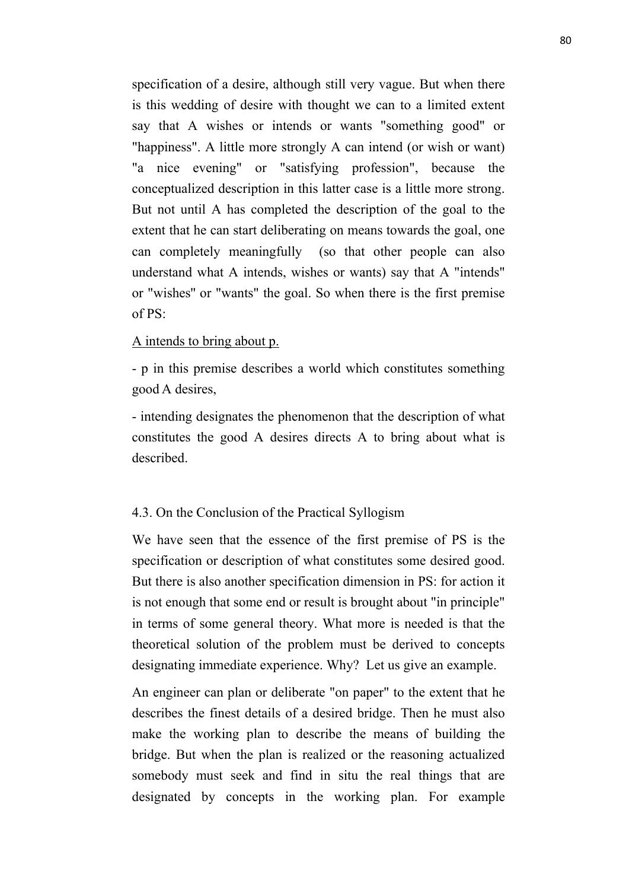specification of a desire, although still very vague. But when there is this wedding of desire with thought we can to a limited extent say that A wishes or intends or wants "something good" or "happiness". A little more strongly A can intend (or wish or want) "a nice evening" or "satisfying profession", because the conceptualized description in this latter case is a little more strong. But not until A has completed the description of the goal to the extent that he can start deliberating on means towards the goal, one can completely meaningfully (so that other people can also understand what A intends, wishes or wants) say that A "intends" or "wishes'' or "wants" the goal. So when there is the first premise of PS:

# A intends to bring about p.

- p in this premise describes a world which constitutes something good A desires,

- intending designates the phenomenon that the description of what constitutes the good A desires directs A to bring about what is described.

#### 4.3. On the Conclusion of the Practical Syllogism

We have seen that the essence of the first premise of PS is the specification or description of what constitutes some desired good. But there is also another specification dimension in PS: for action it is not enough that some end or result is brought about "in principle" in terms of some general theory. What more is needed is that the theoretical solution of the problem must be derived to concepts designating immediate experience. Why? Let us give an example.

An engineer can plan or deliberate "on paper" to the extent that he describes the finest details of a desired bridge. Then he must also make the working plan to describe the means of building the bridge. But when the plan is realized or the reasoning actualized somebody must seek and find in situ the real things that are designated by concepts in the working plan. For example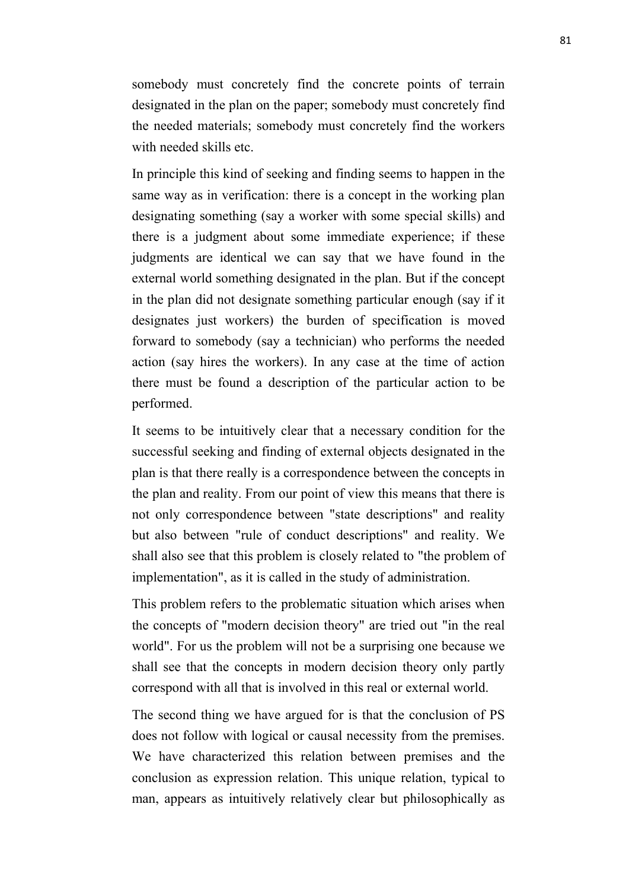somebody must concretely find the concrete points of terrain designated in the plan on the paper; somebody must concretely find the needed materials; somebody must concretely find the workers with needed skills etc.

In principle this kind of seeking and finding seems to happen in the same way as in verification: there is a concept in the working plan designating something (say a worker with some special skills) and there is a judgment about some immediate experience; if these judgments are identical we can say that we have found in the external world something designated in the plan. But if the concept in the plan did not designate something particular enough (say if it designates just workers) the burden of specification is moved forward to somebody (say a technician) who performs the needed action (say hires the workers). In any case at the time of action there must be found a description of the particular action to be performed.

It seems to be intuitively clear that a necessary condition for the successful seeking and finding of external objects designated in the plan is that there really is a correspondence between the concepts in the plan and reality. From our point of view this means that there is not only correspondence between "state descriptions" and reality but also between "rule of conduct descriptions" and reality. We shall also see that this problem is closely related to "the problem of implementation", as it is called in the study of administration.

This problem refers to the problematic situation which arises when the concepts of "modern decision theory" are tried out "in the real world". For us the problem will not be a surprising one because we shall see that the concepts in modern decision theory only partly correspond with all that is involved in this real or external world.

The second thing we have argued for is that the conclusion of PS does not follow with logical or causal necessity from the premises. We have characterized this relation between premises and the conclusion as expression relation. This unique relation, typical to man, appears as intuitively relatively clear but philosophically as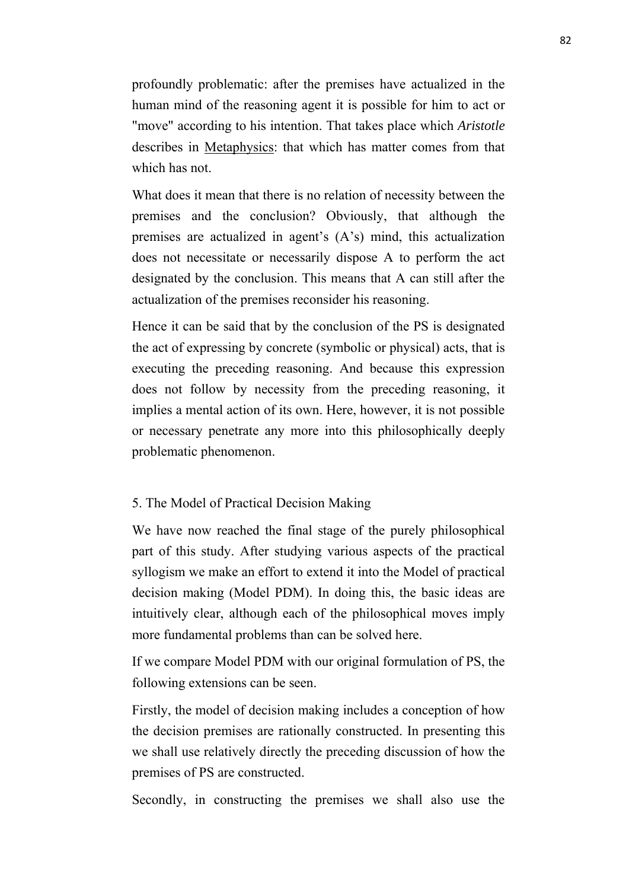profoundly problematic: after the premises have actualized in the human mind of the reasoning agent it is possible for him to act or "move" according to his intention. That takes place which *Aristotle* describes in Metaphysics: that which has matter comes from that which has not.

What does it mean that there is no relation of necessity between the premises and the conclusion? Obviously, that although the premises are actualized in agent's (A's) mind, this actualization does not necessitate or necessarily dispose A to perform the act designated by the conclusion. This means that A can still after the actualization of the premises reconsider his reasoning.

Hence it can be said that by the conclusion of the PS is designated the act of expressing by concrete (symbolic or physical) acts, that is executing the preceding reasoning. And because this expression does not follow by necessity from the preceding reasoning, it implies a mental action of its own. Here, however, it is not possible or necessary penetrate any more into this philosophically deeply problematic phenomenon.

# 5. The Model of Practical Decision Making

We have now reached the final stage of the purely philosophical part of this study. After studying various aspects of the practical syllogism we make an effort to extend it into the Model of practical decision making (Model PDM). In doing this, the basic ideas are intuitively clear, although each of the philosophical moves imply more fundamental problems than can be solved here.

If we compare Model PDM with our original formulation of PS, the following extensions can be seen.

Firstly, the model of decision making includes a conception of how the decision premises are rationally constructed. In presenting this we shall use relatively directly the preceding discussion of how the premises of PS are constructed.

Secondly, in constructing the premises we shall also use the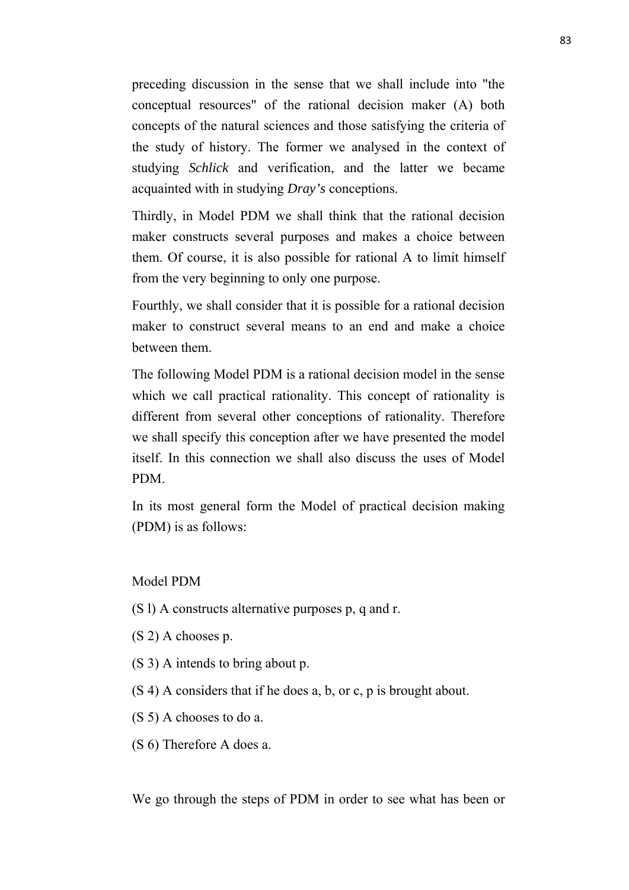preceding discussion in the sense that we shall include into "the conceptual resources" of the rational decision maker (A) both concepts of the natural sciences and those satisfying the criteria of the study of history. The former we analysed in the context of studying *Schlick* and verification, and the latter we became acquainted with in studying *Dray's* conceptions.

Thirdly, in Model PDM we shall think that the rational decision maker constructs several purposes and makes a choice between them. Of course, it is also possible for rational A to limit himself from the very beginning to only one purpose.

Fourthly, we shall consider that it is possible for a rational decision maker to construct several means to an end and make a choice between them.

The following Model PDM is a rational decision model in the sense which we call practical rationality. This concept of rationality is different from several other conceptions of rationality. Therefore we shall specify this conception after we have presented the model itself. In this connection we shall also discuss the uses of Model PDM.

In its most general form the Model of practical decision making (PDM) is as follows:

Model PDM

- (S l) A constructs alternative purposes p, q and r.
- (S 2) A chooses p.
- (S 3) A intends to bring about p.
- (S 4) A considers that if he does a, b, or c, p is brought about.
- (S 5) A chooses to do a.
- (S 6) Therefore A does a.

We go through the steps of PDM in order to see what has been or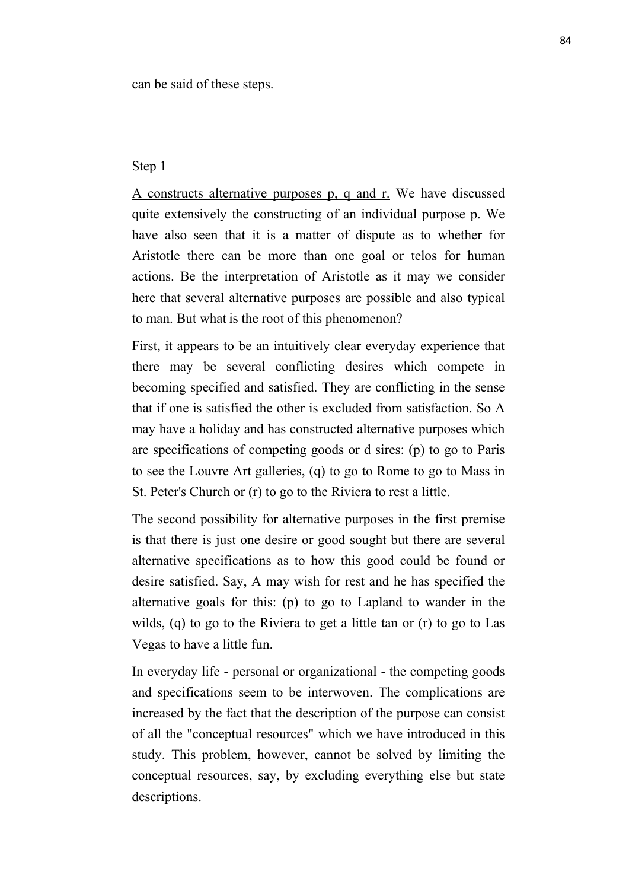can be said of these steps.

# Step 1

A constructs alternative purposes p, q and r. We have discussed quite extensively the constructing of an individual purpose p. We have also seen that it is a matter of dispute as to whether for Aristotle there can be more than one goal or telos for human actions. Be the interpretation of Aristotle as it may we consider here that several alternative purposes are possible and also typical to man. But what is the root of this phenomenon?

First, it appears to be an intuitively clear everyday experience that there may be several conflicting desires which compete in becoming specified and satisfied. They are conflicting in the sense that if one is satisfied the other is excluded from satisfaction. So A may have a holiday and has constructed alternative purposes which are specifications of competing goods or d sires: (p) to go to Paris to see the Louvre Art galleries, (q) to go to Rome to go to Mass in St. Peter's Church or (r) to go to the Riviera to rest a little.

The second possibility for alternative purposes in the first premise is that there is just one desire or good sought but there are several alternative specifications as to how this good could be found or desire satisfied. Say, A may wish for rest and he has specified the alternative goals for this: (p) to go to Lapland to wander in the wilds, (q) to go to the Riviera to get a little tan or (r) to go to Las Vegas to have a little fun.

In everyday life - personal or organizational - the competing goods and specifications seem to be interwoven. The complications are increased by the fact that the description of the purpose can consist of all the "conceptual resources" which we have introduced in this study. This problem, however, cannot be solved by limiting the conceptual resources, say, by excluding everything else but state descriptions.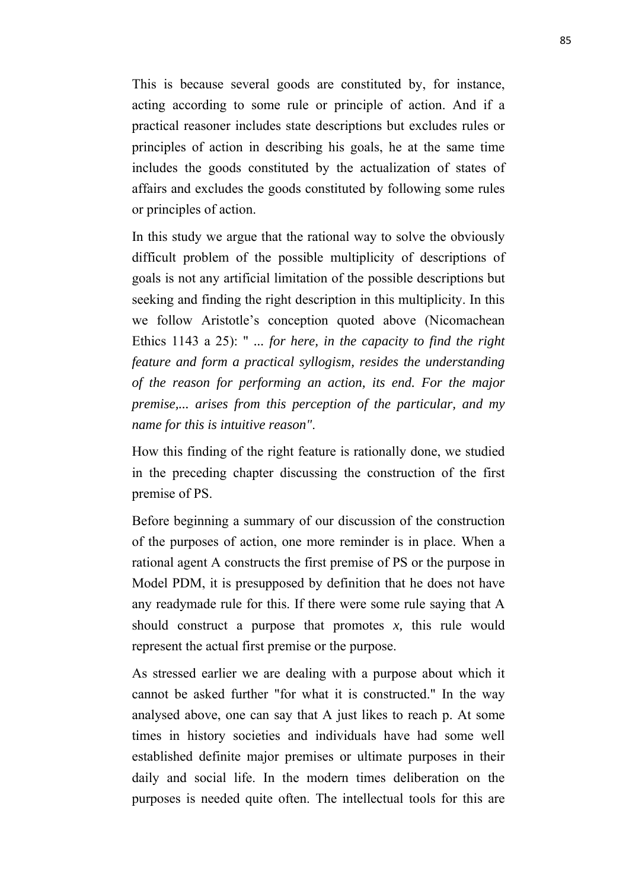This is because several goods are constituted by, for instance, acting according to some rule or principle of action. And if a practical reasoner includes state descriptions but excludes rules or principles of action in describing his goals, he at the same time includes the goods constituted by the actualization of states of affairs and excludes the goods constituted by following some rules or principles of action.

In this study we argue that the rational way to solve the obviously difficult problem of the possible multiplicity of descriptions of goals is not any artificial limitation of the possible descriptions but seeking and finding the right description in this multiplicity. In this we follow Aristotle's conception quoted above (Nicomachean Ethics 1143 a 25): " *... for here, in the capacity to find the right feature and form a practical syllogism, resides the understanding of the reason for performing an action, its end. For the major premise,... arises from this perception of the particular, and my name for this is intuitive reason"*.

How this finding of the right feature is rationally done, we studied in the preceding chapter discussing the construction of the first premise of PS.

Before beginning a summary of our discussion of the construction of the purposes of action, one more reminder is in place. When a rational agent A constructs the first premise of PS or the purpose in Model PDM, it is presupposed by definition that he does not have any readymade rule for this. If there were some rule saying that A should construct a purpose that promotes *x,* this rule would represent the actual first premise or the purpose.

As stressed earlier we are dealing with a purpose about which it cannot be asked further "for what it is constructed." In the way analysed above, one can say that A just likes to reach p. At some times in history societies and individuals have had some well established definite major premises or ultimate purposes in their daily and social life. In the modern times deliberation on the purposes is needed quite often. The intellectual tools for this are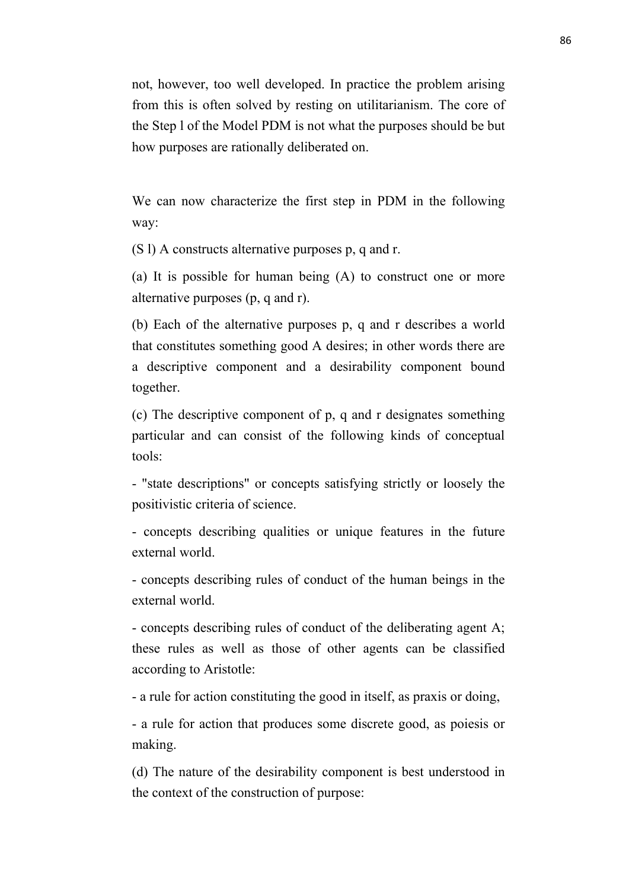not, however, too well developed. In practice the problem arising from this is often solved by resting on utilitarianism. The core of the Step l of the Model PDM is not what the purposes should be but how purposes are rationally deliberated on.

We can now characterize the first step in PDM in the following way:

(S l) A constructs alternative purposes p, q and r.

(a) It is possible for human being (A) to construct one or more alternative purposes (p, q and r).

(b) Each of the alternative purposes p, q and r describes a world that constitutes something good A desires; in other words there are a descriptive component and a desirability component bound together.

(c) The descriptive component of p, q and r designates something particular and can consist of the following kinds of conceptual tools:

- "state descriptions" or concepts satisfying strictly or loosely the positivistic criteria of science.

- concepts describing qualities or unique features in the future external world.

- concepts describing rules of conduct of the human beings in the external world.

- concepts describing rules of conduct of the deliberating agent A; these rules as well as those of other agents can be classified according to Aristotle:

- a rule for action constituting the good in itself, as praxis or doing,

- a rule for action that produces some discrete good, as poiesis or making.

(d) The nature of the desirability component is best understood in the context of the construction of purpose: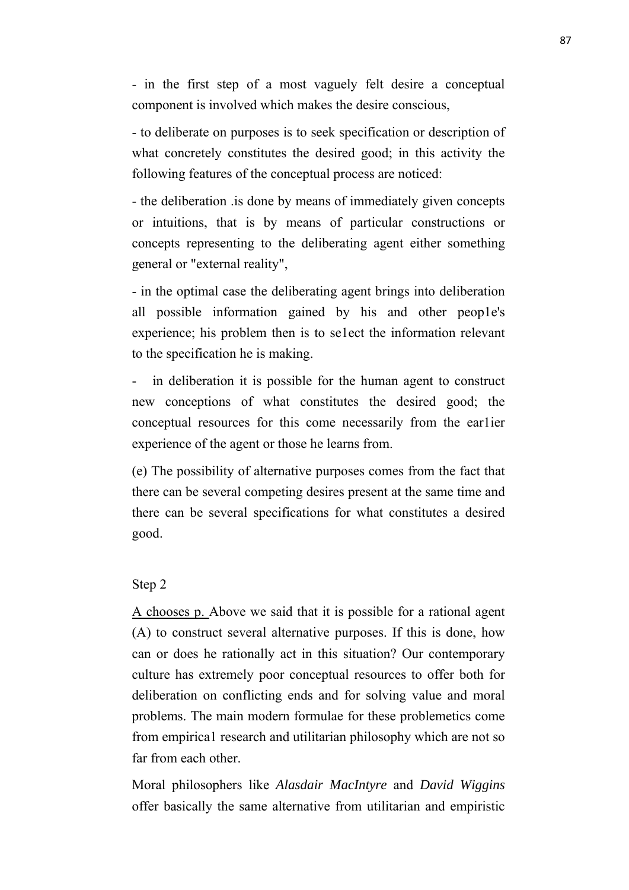- in the first step of a most vaguely felt desire a conceptual component is involved which makes the desire conscious,

- to deliberate on purposes is to seek specification or description of what concretely constitutes the desired good; in this activity the following features of the conceptual process are noticed:

- the deliberation .is done by means of immediately given concepts or intuitions, that is by means of particular constructions or concepts representing to the deliberating agent either something general or "external reality",

- in the optimal case the deliberating agent brings into deliberation all possible information gained by his and other peop1e's experience; his problem then is to se1ect the information relevant to the specification he is making.

in deliberation it is possible for the human agent to construct new conceptions of what constitutes the desired good; the conceptual resources for this come necessarily from the ear1ier experience of the agent or those he learns from.

(e) The possibility of alternative purposes comes from the fact that there can be several competing desires present at the same time and there can be several specifications for what constitutes a desired good.

# Step 2

A chooses p. Above we said that it is possible for a rational agent (A) to construct several alternative purposes. If this is done, how can or does he rationally act in this situation? Our contemporary culture has extremely poor conceptual resources to offer both for deliberation on conflicting ends and for solving value and moral problems. The main modern formulae for these problemetics come from empirica1 research and utilitarian philosophy which are not so far from each other.

Moral philosophers like *Alasdair MacIntyre* and *David Wiggins* offer basically the same alternative from utilitarian and empiristic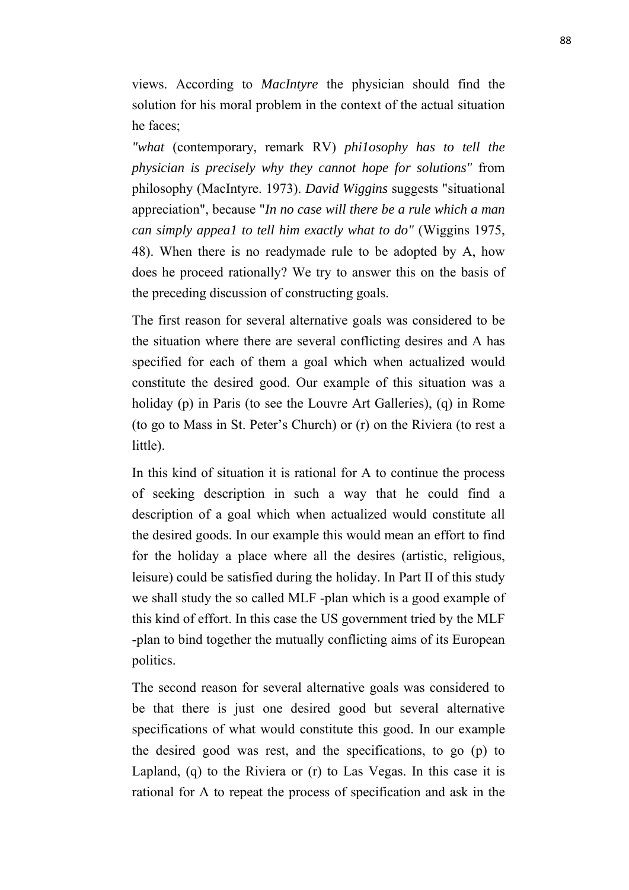views. According to *MacIntyre* the physician should find the solution for his moral problem in the context of the actual situation he faces;

*"what* (contemporary, remark RV) *phi1osophy has to tell the physician is precisely why they cannot hope for solutions"* from philosophy (MacIntyre. 1973). *David Wiggins* suggests "situational appreciation", because "*In no case will there be a rule which a man can simply appea1 to tell him exactly what to do"* (Wiggins 1975, 48). When there is no readymade rule to be adopted by A, how does he proceed rationally? We try to answer this on the basis of the preceding discussion of constructing goals.

The first reason for several alternative goals was considered to be the situation where there are several conflicting desires and A has specified for each of them a goal which when actualized would constitute the desired good. Our example of this situation was a holiday (p) in Paris (to see the Louvre Art Galleries), (q) in Rome (to go to Mass in St. Peter's Church) or (r) on the Riviera (to rest a little).

In this kind of situation it is rational for A to continue the process of seeking description in such a way that he could find a description of a goal which when actualized would constitute all the desired goods. In our example this would mean an effort to find for the holiday a place where all the desires (artistic, religious, leisure) could be satisfied during the holiday. In Part II of this study we shall study the so called MLF -plan which is a good example of this kind of effort. In this case the US government tried by the MLF -plan to bind together the mutually conflicting aims of its European politics.

The second reason for several alternative goals was considered to be that there is just one desired good but several alternative specifications of what would constitute this good. In our example the desired good was rest, and the specifications, to go (p) to Lapland, (q) to the Riviera or (r) to Las Vegas. In this case it is rational for A to repeat the process of specification and ask in the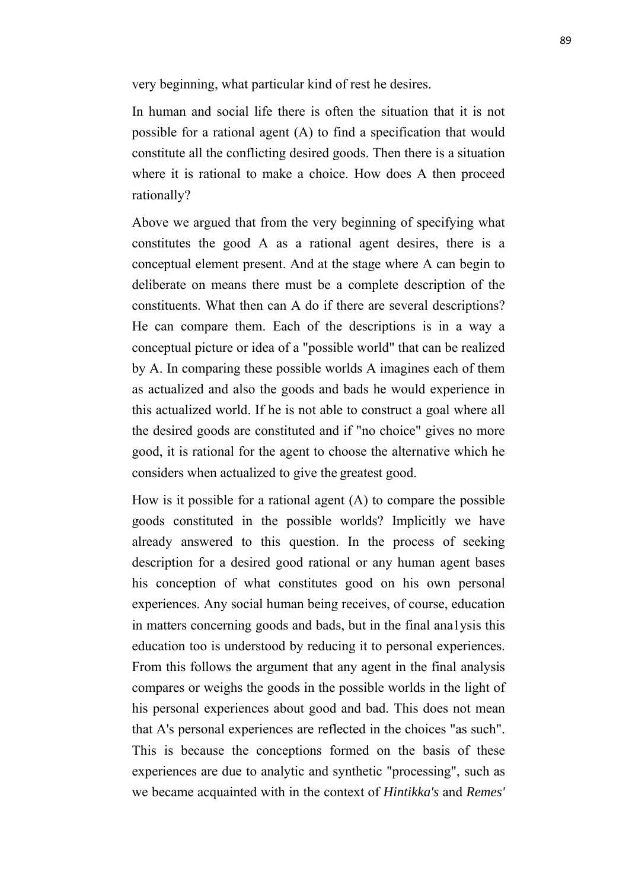very beginning, what particular kind of rest he desires.

In human and social life there is often the situation that it is not possible for a rational agent (A) to find a specification that would constitute all the conflicting desired goods. Then there is a situation where it is rational to make a choice. How does A then proceed rationally?

Above we argued that from the very beginning of specifying what constitutes the good A as a rational agent desires, there is a conceptual element present. And at the stage where A can begin to deliberate on means there must be a complete description of the constituents. What then can A do if there are several descriptions? He can compare them. Each of the descriptions is in a way a conceptual picture or idea of a "possible world" that can be realized by A. In comparing these possible worlds A imagines each of them as actualized and also the goods and bads he would experience in this actualized world. If he is not able to construct a goal where all the desired goods are constituted and if "no choice" gives no more good, it is rational for the agent to choose the alternative which he considers when actualized to give the greatest good.

How is it possible for a rational agent (A) to compare the possible goods constituted in the possible worlds? Implicitly we have already answered to this question. In the process of seeking description for a desired good rational or any human agent bases his conception of what constitutes good on his own personal experiences. Any social human being receives, of course, education in matters concerning goods and bads, but in the final ana1ysis this education too is understood by reducing it to personal experiences. From this follows the argument that any agent in the final analysis compares or weighs the goods in the possible worlds in the light of his personal experiences about good and bad. This does not mean that A's personal experiences are reflected in the choices "as such". This is because the conceptions formed on the basis of these experiences are due to analytic and synthetic "processing", such as we became acquainted with in the context of *Hintikka's* and *Remes'*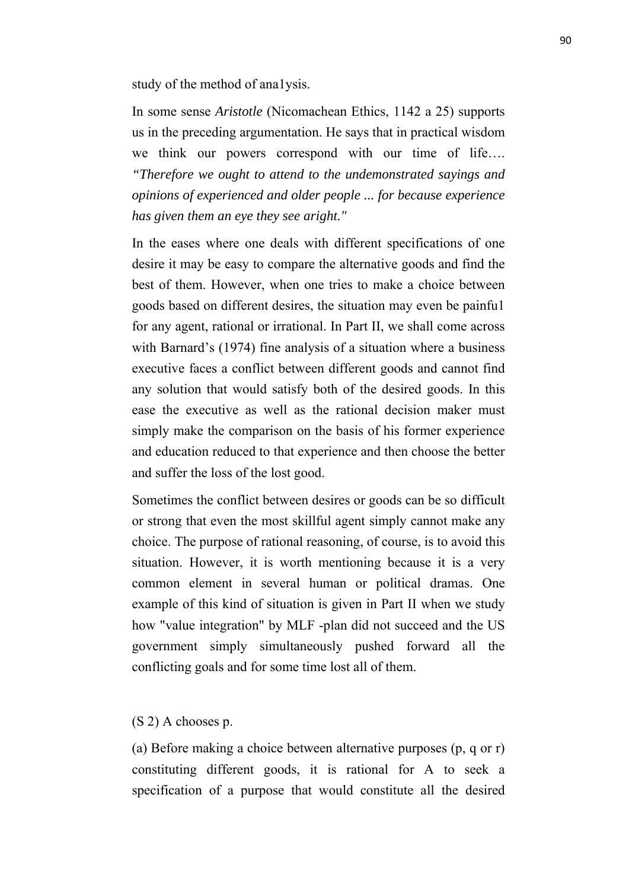study of the method of ana1ysis.

In some sense *Aristotle* (Nicomachean Ethics, 1142 a 25) supports us in the preceding argumentation. He says that in practical wisdom we think our powers correspond with our time of life…. *"Therefore we ought to attend to the undemonstrated sayings and opinions of experienced and older people ... for because experience has given them an eye they see aright."*

In the eases where one deals with different specifications of one desire it may be easy to compare the alternative goods and find the best of them. However, when one tries to make a choice between goods based on different desires, the situation may even be painfu1 for any agent, rational or irrational. In Part II, we shall come across with Barnard's (1974) fine analysis of a situation where a business executive faces a conflict between different goods and cannot find any solution that would satisfy both of the desired goods. In this ease the executive as well as the rational decision maker must simply make the comparison on the basis of his former experience and education reduced to that experience and then choose the better and suffer the loss of the lost good.

Sometimes the conflict between desires or goods can be so difficult or strong that even the most skillful agent simply cannot make any choice. The purpose of rational reasoning, of course, is to avoid this situation. However, it is worth mentioning because it is a very common element in several human or political dramas. One example of this kind of situation is given in Part II when we study how "value integration" by MLF -plan did not succeed and the US government simply simultaneously pushed forward all the conflicting goals and for some time lost all of them.

# (S 2) A chooses p.

(a) Before making a choice between alternative purposes (p, q or r) constituting different goods, it is rational for A to seek a specification of a purpose that would constitute all the desired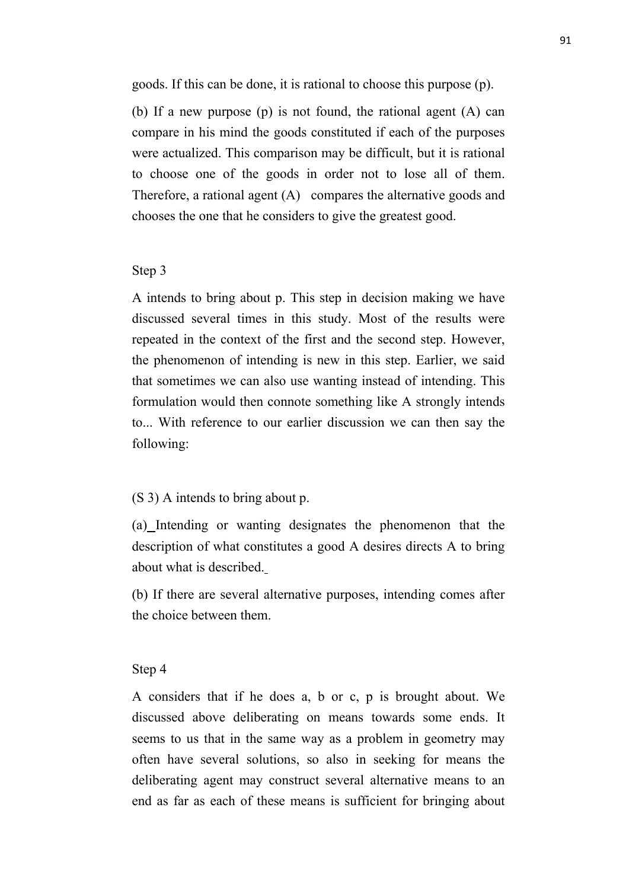goods. If this can be done, it is rational to choose this purpose (p).

(b) If a new purpose (p) is not found, the rational agent (A) can compare in his mind the goods constituted if each of the purposes were actualized. This comparison may be difficult, but it is rational to choose one of the goods in order not to lose all of them. Therefore, a rational agent (A) compares the alternative goods and chooses the one that he considers to give the greatest good.

# Step 3

A intends to bring about p. This step in decision making we have discussed several times in this study. Most of the results were repeated in the context of the first and the second step. However, the phenomenon of intending is new in this step. Earlier, we said that sometimes we can also use wanting instead of intending. This formulation would then connote something like A strongly intends to... With reference to our earlier discussion we can then say the following:

# (S 3) A intends to bring about p.

(a) Intending or wanting designates the phenomenon that the description of what constitutes a good A desires directs A to bring about what is described.

(b) If there are several alternative purposes, intending comes after the choice between them.

#### Step 4

A considers that if he does a, b or c, p is brought about. We discussed above deliberating on means towards some ends. It seems to us that in the same way as a problem in geometry may often have several solutions, so also in seeking for means the deliberating agent may construct several alternative means to an end as far as each of these means is sufficient for bringing about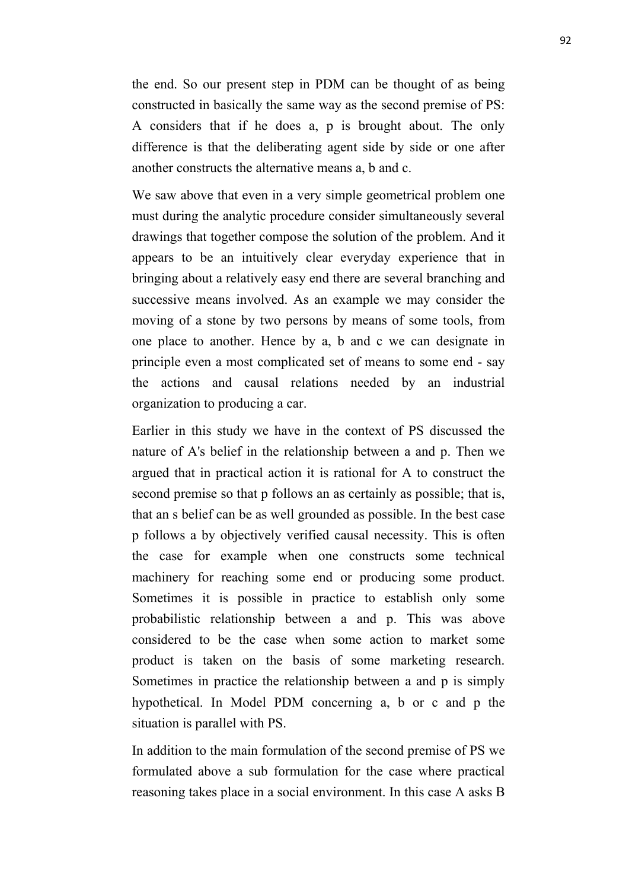the end. So our present step in PDM can be thought of as being constructed in basically the same way as the second premise of PS: A considers that if he does a, p is brought about. The only difference is that the deliberating agent side by side or one after another constructs the alternative means a, b and c.

We saw above that even in a very simple geometrical problem one must during the analytic procedure consider simultaneously several drawings that together compose the solution of the problem. And it appears to be an intuitively clear everyday experience that in bringing about a relatively easy end there are several branching and successive means involved. As an example we may consider the moving of a stone by two persons by means of some tools, from one place to another. Hence by a, b and c we can designate in principle even a most complicated set of means to some end - say the actions and causal relations needed by an industrial organization to producing a car.

Earlier in this study we have in the context of PS discussed the nature of A's belief in the relationship between a and p. Then we argued that in practical action it is rational for A to construct the second premise so that p follows an as certainly as possible; that is, that an s belief can be as well grounded as possible. In the best case p follows a by objectively verified causal necessity. This is often the case for example when one constructs some technical machinery for reaching some end or producing some product. Sometimes it is possible in practice to establish only some probabilistic relationship between a and p. This was above considered to be the case when some action to market some product is taken on the basis of some marketing research. Sometimes in practice the relationship between a and p is simply hypothetical. In Model PDM concerning a, b or c and p the situation is parallel with PS.

In addition to the main formulation of the second premise of PS we formulated above a sub formulation for the case where practical reasoning takes place in a social environment. In this case A asks B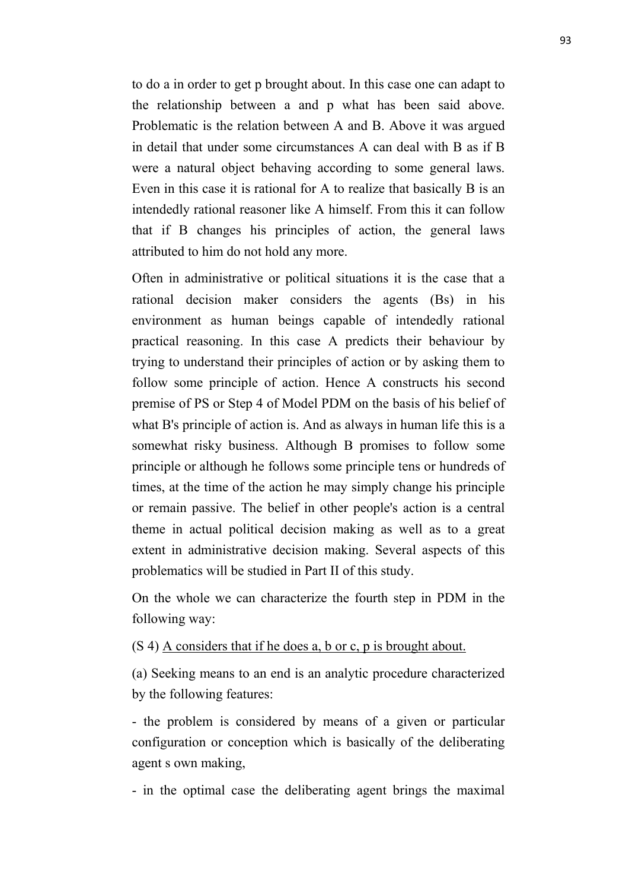to do a in order to get p brought about. In this case one can adapt to the relationship between a and p what has been said above. Problematic is the relation between A and B. Above it was argued in detail that under some circumstances A can deal with B as if B were a natural object behaving according to some general laws. Even in this case it is rational for A to realize that basically B is an intendedly rational reasoner like A himself. From this it can follow that if B changes his principles of action, the general laws attributed to him do not hold any more.

Often in administrative or political situations it is the case that a rational decision maker considers the agents (Bs) in his environment as human beings capable of intendedly rational practical reasoning. In this case A predicts their behaviour by trying to understand their principles of action or by asking them to follow some principle of action. Hence A constructs his second premise of PS or Step 4 of Model PDM on the basis of his belief of what B's principle of action is. And as always in human life this is a somewhat risky business. Although B promises to follow some principle or although he follows some principle tens or hundreds of times, at the time of the action he may simply change his principle or remain passive. The belief in other people's action is a central theme in actual political decision making as well as to a great extent in administrative decision making. Several aspects of this problematics will be studied in Part II of this study.

On the whole we can characterize the fourth step in PDM in the following way:

# (S 4) A considers that if he does a, b or c, p is brought about.

(a) Seeking means to an end is an analytic procedure characterized by the following features:

- the problem is considered by means of a given or particular configuration or conception which is basically of the deliberating agent s own making,

- in the optimal case the deliberating agent brings the maximal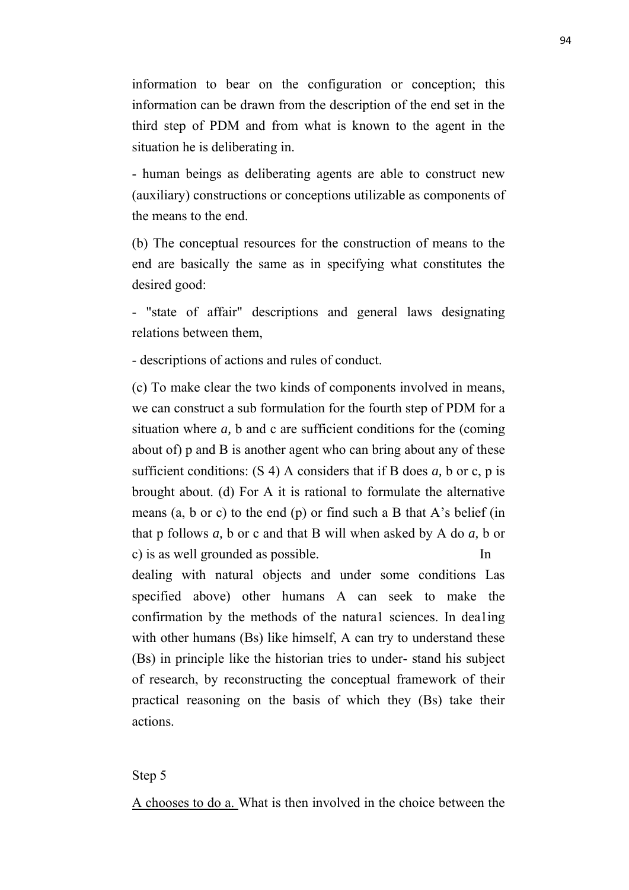information to bear on the configuration or conception; this information can be drawn from the description of the end set in the third step of PDM and from what is known to the agent in the situation he is deliberating in.

- human beings as deliberating agents are able to construct new (auxiliary) constructions or conceptions utilizable as components of the means to the end.

(b) The conceptual resources for the construction of means to the end are basically the same as in specifying what constitutes the desired good:

- "state of affair" descriptions and general laws designating relations between them,

- descriptions of actions and rules of conduct.

(c) To make clear the two kinds of components involved in means, we can construct a sub formulation for the fourth step of PDM for a situation where *a,* b and c are sufficient conditions for the (coming about of) p and B is another agent who can bring about any of these sufficient conditions: (S 4) A considers that if B does *a,* b or c, p is brought about. (d) For A it is rational to formulate the alternative means  $(a, b \text{ or } c)$  to the end  $(p)$  or find such a B that A's belief (in that p follows *a,* b or c and that B will when asked by A do *a,* b or c) is as well grounded as possible. In

dealing with natural objects and under some conditions Las specified above) other humans A can seek to make the confirmation by the methods of the natura1 sciences. In dea1ing with other humans (Bs) like himself, A can try to understand these (Bs) in principle like the historian tries to under stand his subject of research, by reconstructing the conceptual framework of their practical reasoning on the basis of which they (Bs) take their actions.

# Step 5

A chooses to do a. What is then involved in the choice between the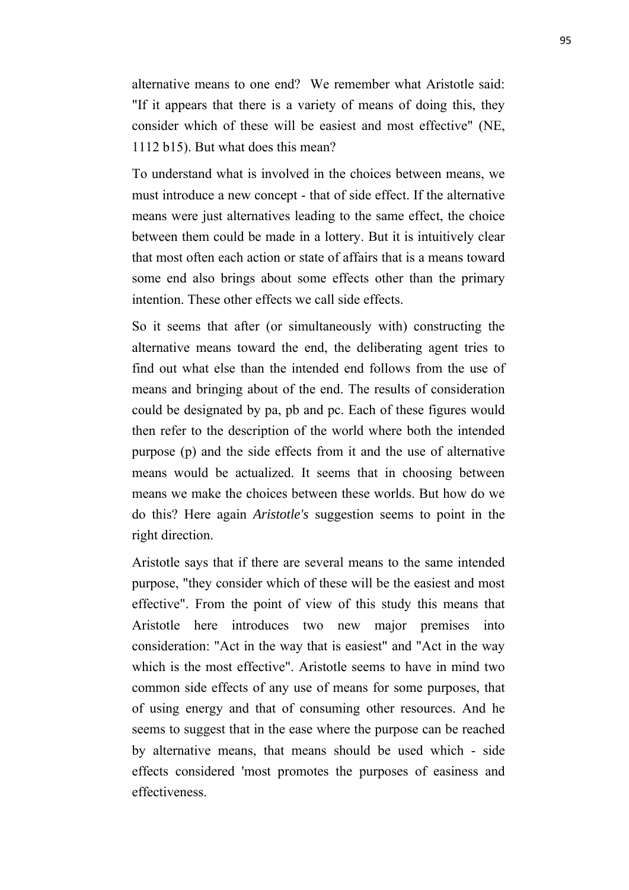alternative means to one end? We remember what Aristotle said: "If it appears that there is a variety of means of doing this, they consider which of these will be easiest and most effective" (NE, 1112 b15). But what does this mean?

To understand what is involved in the choices between means, we must introduce a new concept - that of side effect. If the alternative means were just alternatives leading to the same effect, the choice between them could be made in a lottery. But it is intuitively clear that most often each action or state of affairs that is a means toward some end also brings about some effects other than the primary intention. These other effects we call side effects.

So it seems that after (or simultaneously with) constructing the alternative means toward the end, the deliberating agent tries to find out what else than the intended end follows from the use of means and bringing about of the end. The results of consideration could be designated by pa, pb and pc. Each of these figures would then refer to the description of the world where both the intended purpose (p) and the side effects from it and the use of alternative means would be actualized. It seems that in choosing between means we make the choices between these worlds. But how do we do this? Here again *Aristotle's* suggestion seems to point in the right direction.

Aristotle says that if there are several means to the same intended purpose, "they consider which of these will be the easiest and most effective". From the point of view of this study this means that Aristotle here introduces two new major premises into consideration: "Act in the way that is easiest" and "Act in the way which is the most effective". Aristotle seems to have in mind two common side effects of any use of means for some purposes, that of using energy and that of consuming other resources. And he seems to suggest that in the ease where the purpose can be reached by alternative means, that means should be used which - side effects considered 'most promotes the purposes of easiness and effectiveness.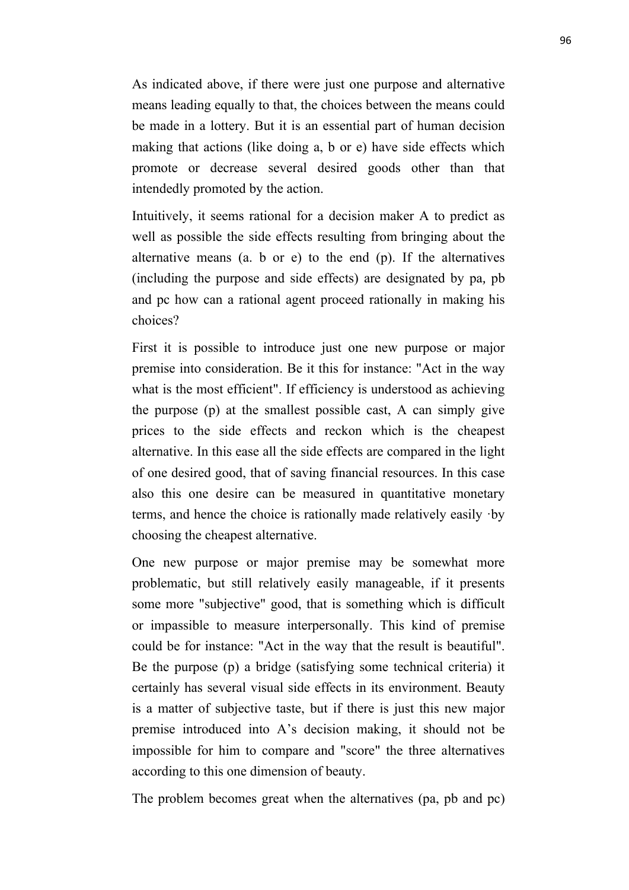As indicated above, if there were just one purpose and alternative means leading equally to that, the choices between the means could be made in a lottery. But it is an essential part of human decision making that actions (like doing a, b or e) have side effects which promote or decrease several desired goods other than that intendedly promoted by the action.

Intuitively, it seems rational for a decision maker A to predict as well as possible the side effects resulting from bringing about the alternative means (a. b or e) to the end (p). If the alternatives (including the purpose and side effects) are designated by pa*,* pb and pc how can a rational agent proceed rationally in making his choices?

First it is possible to introduce just one new purpose or major premise into consideration. Be it this for instance: "Act in the way what is the most efficient". If efficiency is understood as achieving the purpose (p) at the smallest possible cast, A can simply give prices to the side effects and reckon which is the cheapest alternative. In this ease all the side effects are compared in the light of one desired good, that of saving financial resources. In this case also this one desire can be measured in quantitative monetary terms, and hence the choice is rationally made relatively easily ·by choosing the cheapest alternative.

One new purpose or major premise may be somewhat more problematic, but still relatively easily manageable, if it presents some more "subjective" good, that is something which is difficult or impassible to measure interpersonally. This kind of premise could be for instance: "Act in the way that the result is beautiful". Be the purpose (p) a bridge (satisfying some technical criteria) it certainly has several visual side effects in its environment. Beauty is a matter of subjective taste, but if there is just this new major premise introduced into A's decision making, it should not be impossible for him to compare and "score" the three alternatives according to this one dimension of beauty.

The problem becomes great when the alternatives (pa, pb and pc)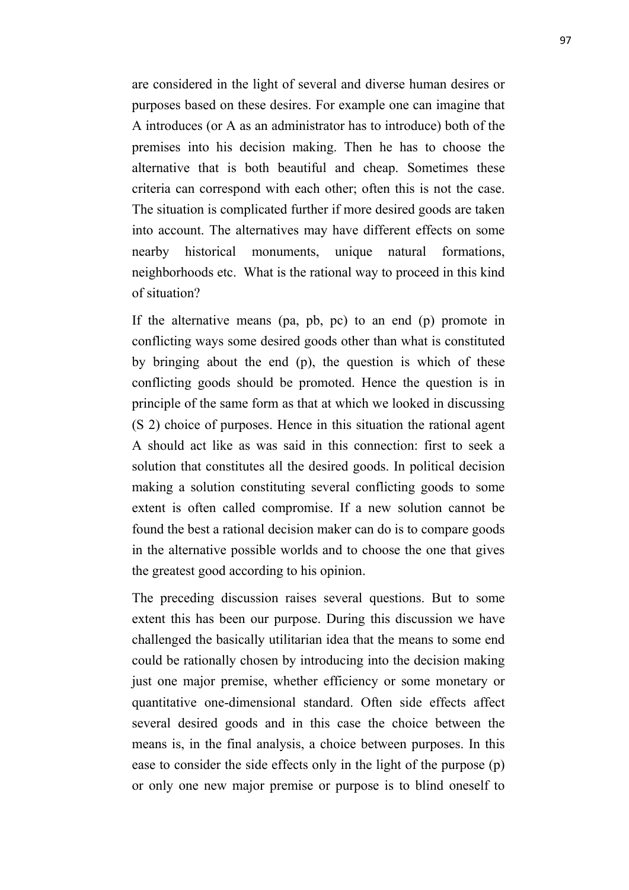are considered in the light of several and diverse human desires or purposes based on these desires. For example one can imagine that A introduces (or A as an administrator has to introduce) both of the premises into his decision making. Then he has to choose the alternative that is both beautiful and cheap. Sometimes these criteria can correspond with each other; often this is not the case. The situation is complicated further if more desired goods are taken into account. The alternatives may have different effects on some nearby historical monuments, unique natural formations, neighborhoods etc. What is the rational way to proceed in this kind of situation?

If the alternative means (pa, pb, pc) to an end (p) promote in conflicting ways some desired goods other than what is constituted by bringing about the end (p), the question is which of these conflicting goods should be promoted. Hence the question is in principle of the same form as that at which we looked in discussing (S 2) choice of purposes. Hence in this situation the rational agent A should act like as was said in this connection: first to seek a solution that constitutes all the desired goods. In political decision making a solution constituting several conflicting goods to some extent is often called compromise. If a new solution cannot be found the best a rational decision maker can do is to compare goods in the alternative possible worlds and to choose the one that gives the greatest good according to his opinion.

The preceding discussion raises several questions. But to some extent this has been our purpose. During this discussion we have challenged the basically utilitarian idea that the means to some end could be rationally chosen by introducing into the decision making just one major premise, whether efficiency or some monetary or quantitative one-dimensional standard. Often side effects affect several desired goods and in this case the choice between the means is, in the final analysis, a choice between purposes. In this ease to consider the side effects only in the light of the purpose (p) or only one new major premise or purpose is to blind oneself to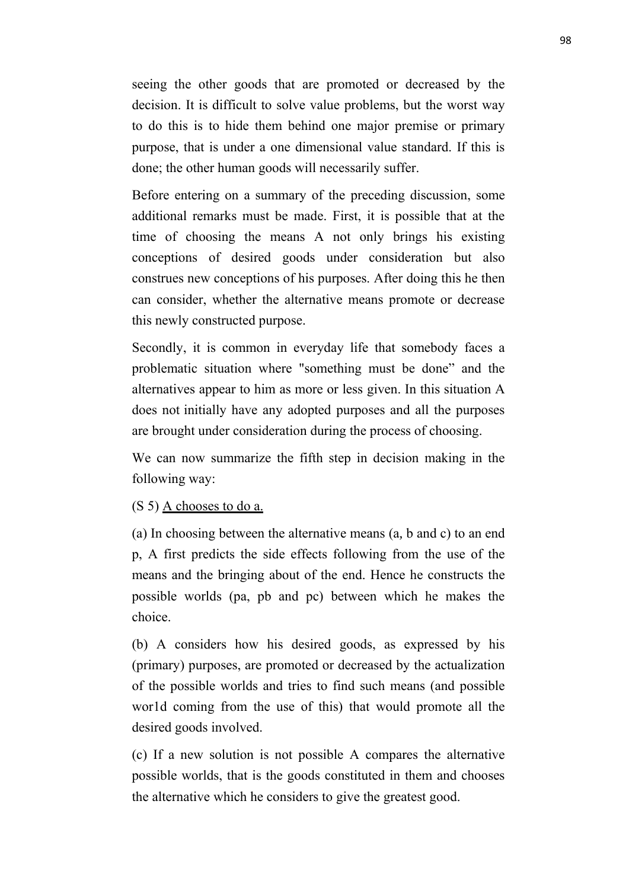seeing the other goods that are promoted or decreased by the decision. It is difficult to solve value problems, but the worst way to do this is to hide them behind one major premise or primary purpose, that is under a one dimensional value standard. If this is done; the other human goods will necessarily suffer.

Before entering on a summary of the preceding discussion, some additional remarks must be made. First, it is possible that at the time of choosing the means A not only brings his existing conceptions of desired goods under consideration but also construes new conceptions of his purposes. After doing this he then can consider, whether the alternative means promote or decrease this newly constructed purpose.

Secondly, it is common in everyday life that somebody faces a problematic situation where "something must be done" and the alternatives appear to him as more or less given. In this situation A does not initially have any adopted purposes and all the purposes are brought under consideration during the process of choosing.

We can now summarize the fifth step in decision making in the following way:

# (S 5) A chooses to do a.

(a) In choosing between the alternative means (a*,* b and c) to an end p, A first predicts the side effects following from the use of the means and the bringing about of the end. Hence he constructs the possible worlds (pa, pb and pc) between which he makes the choice.

(b) A considers how his desired goods, as expressed by his (primary) purposes, are promoted or decreased by the actualization of the possible worlds and tries to find such means (and possible wor1d coming from the use of this) that would promote all the desired goods involved.

(c) If a new solution is not possible A compares the alternative possible worlds, that is the goods constituted in them and chooses the alternative which he considers to give the greatest good.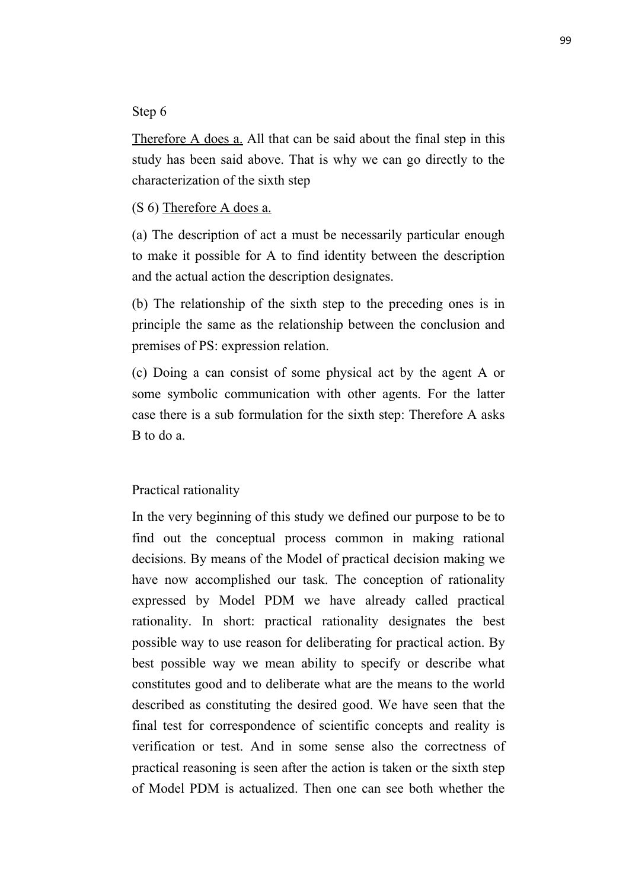# Step 6

Therefore A does a. All that can be said about the final step in this study has been said above. That is why we can go directly to the characterization of the sixth step

(S 6) Therefore A does a.

(a) The description of act a must be necessarily particular enough to make it possible for A to find identity between the description and the actual action the description designates.

(b) The relationship of the sixth step to the preceding ones is in principle the same as the relationship between the conclusion and premises of PS: expression relation.

(c) Doing a can consist of some physical act by the agent A or some symbolic communication with other agents. For the latter case there is a sub formulation for the sixth step: Therefore A asks B to do a.

# Practical rationality

In the very beginning of this study we defined our purpose to be to find out the conceptual process common in making rational decisions. By means of the Model of practical decision making we have now accomplished our task. The conception of rationality expressed by Model PDM we have already called practical rationality. In short: practical rationality designates the best possible way to use reason for deliberating for practical action. By best possible way we mean ability to specify or describe what constitutes good and to deliberate what are the means to the world described as constituting the desired good. We have seen that the final test for correspondence of scientific concepts and reality is verification or test. And in some sense also the correctness of practical reasoning is seen after the action is taken or the sixth step of Model PDM is actualized. Then one can see both whether the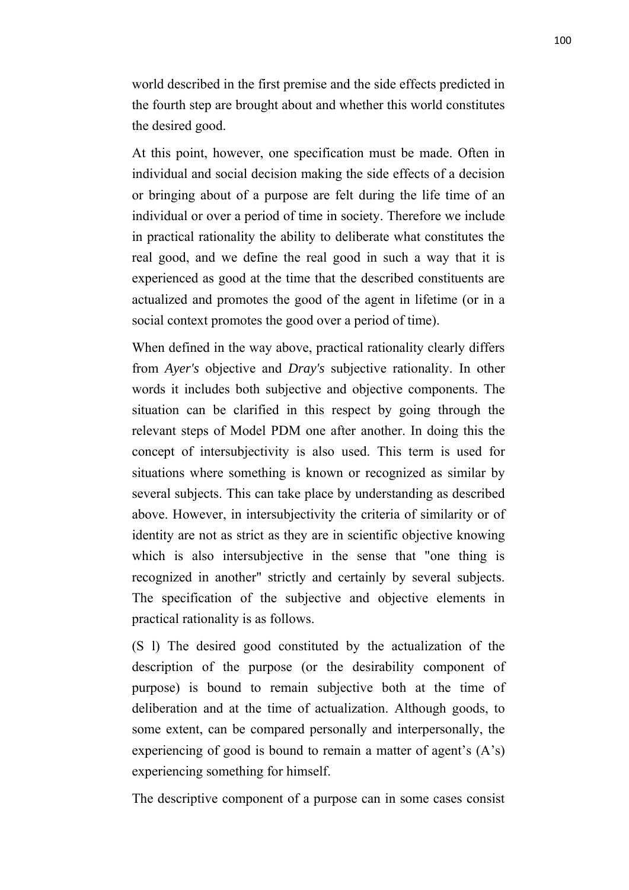world described in the first premise and the side effects predicted in the fourth step are brought about and whether this world constitutes the desired good.

At this point, however, one specification must be made. Often in individual and social decision making the side effects of a decision or bringing about of a purpose are felt during the life time of an individual or over a period of time in society. Therefore we include in practical rationality the ability to deliberate what constitutes the real good, and we define the real good in such a way that it is experienced as good at the time that the described constituents are actualized and promotes the good of the agent in lifetime (or in a social context promotes the good over a period of time).

When defined in the way above, practical rationality clearly differs from *Ayer's* objective and *Dray's* subjective rationality. In other words it includes both subjective and objective components. The situation can be clarified in this respect by going through the relevant steps of Model PDM one after another. In doing this the concept of intersubjectivity is also used. This term is used for situations where something is known or recognized as similar by several subjects. This can take place by understanding as described above. However, in intersubjectivity the criteria of similarity or of identity are not as strict as they are in scientific objective knowing which is also intersubjective in the sense that "one thing is recognized in another" strictly and certainly by several subjects. The specification of the subjective and objective elements in practical rationality is as follows.

(S l) The desired good constituted by the actualization of the description of the purpose (or the desirability component of purpose) is bound to remain subjective both at the time of deliberation and at the time of actualization. Although goods, to some extent, can be compared personally and interpersonally, the experiencing of good is bound to remain a matter of agent's (A's) experiencing something for himself.

The descriptive component of a purpose can in some cases consist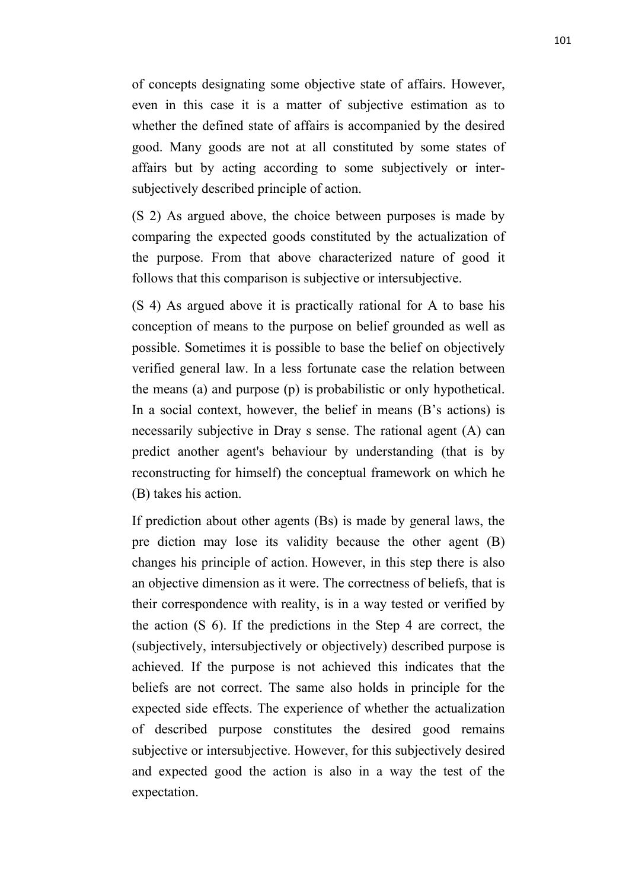of concepts designating some objective state of affairs. However, even in this case it is a matter of subjective estimation as to whether the defined state of affairs is accompanied by the desired good. Many goods are not at all constituted by some states of affairs but by acting according to some subjectively or intersubjectively described principle of action.

(S 2) As argued above, the choice between purposes is made by comparing the expected goods constituted by the actualization of the purpose. From that above characterized nature of good it follows that this comparison is subjective or intersubjective.

(S 4) As argued above it is practically rational for A to base his conception of means to the purpose on belief grounded as well as possible. Sometimes it is possible to base the belief on objectively verified general law. In a less fortunate case the relation between the means (a) and purpose (p) is probabilistic or only hypothetical. In a social context, however, the belief in means (B's actions) is necessarily subjective in Dray s sense. The rational agent (A) can predict another agent's behaviour by understanding (that is by reconstructing for himself) the conceptual framework on which he (B) takes his action.

If prediction about other agents (Bs) is made by general laws, the pre diction may lose its validity because the other agent (B) changes his principle of action. However, in this step there is also an objective dimension as it were. The correctness of beliefs, that is their correspondence with reality, is in a way tested or verified by the action (S 6). If the predictions in the Step 4 are correct, the (subjectively, intersubjectively or objectively) described purpose is achieved. If the purpose is not achieved this indicates that the beliefs are not correct. The same also holds in principle for the expected side effects. The experience of whether the actualization of described purpose constitutes the desired good remains subjective or intersubjective. However, for this subjectively desired and expected good the action is also in a way the test of the expectation.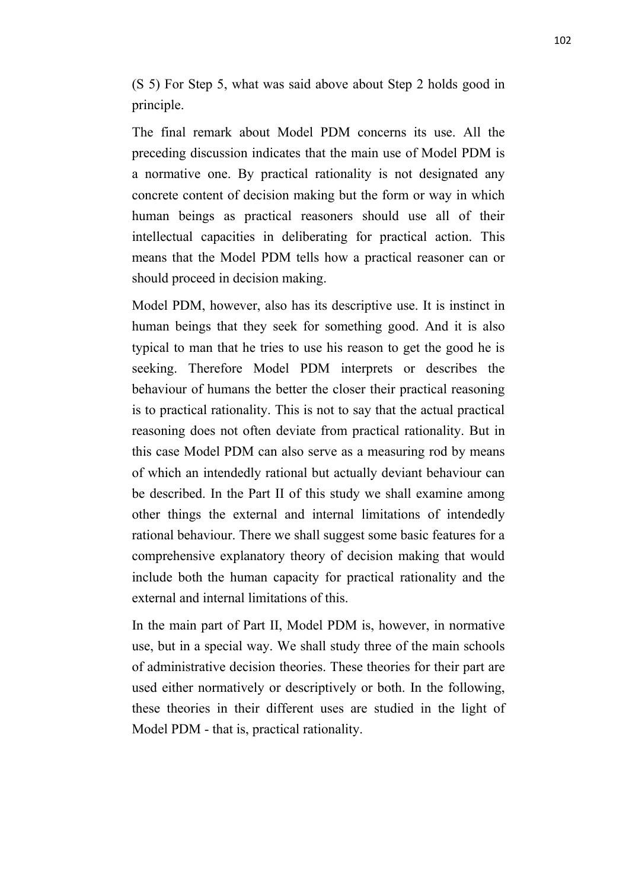(S 5) For Step 5, what was said above about Step 2 holds good in principle.

The final remark about Model PDM concerns its use. All the preceding discussion indicates that the main use of Model PDM is a normative one. By practical rationality is not designated any concrete content of decision making but the form or way in which human beings as practical reasoners should use all of their intellectual capacities in deliberating for practical action. This means that the Model PDM tells how a practical reasoner can or should proceed in decision making.

Model PDM, however, also has its descriptive use. It is instinct in human beings that they seek for something good. And it is also typical to man that he tries to use his reason to get the good he is seeking. Therefore Model PDM interprets or describes the behaviour of humans the better the closer their practical reasoning is to practical rationality. This is not to say that the actual practical reasoning does not often deviate from practical rationality. But in this case Model PDM can also serve as a measuring rod by means of which an intendedly rational but actually deviant behaviour can be described. In the Part II of this study we shall examine among other things the external and internal limitations of intendedly rational behaviour. There we shall suggest some basic features for a comprehensive explanatory theory of decision making that would include both the human capacity for practical rationality and the external and internal limitations of this.

In the main part of Part II, Model PDM is, however, in normative use, but in a special way. We shall study three of the main schools of administrative decision theories. These theories for their part are used either normatively or descriptively or both. In the following, these theories in their different uses are studied in the light of Model PDM - that is, practical rationality.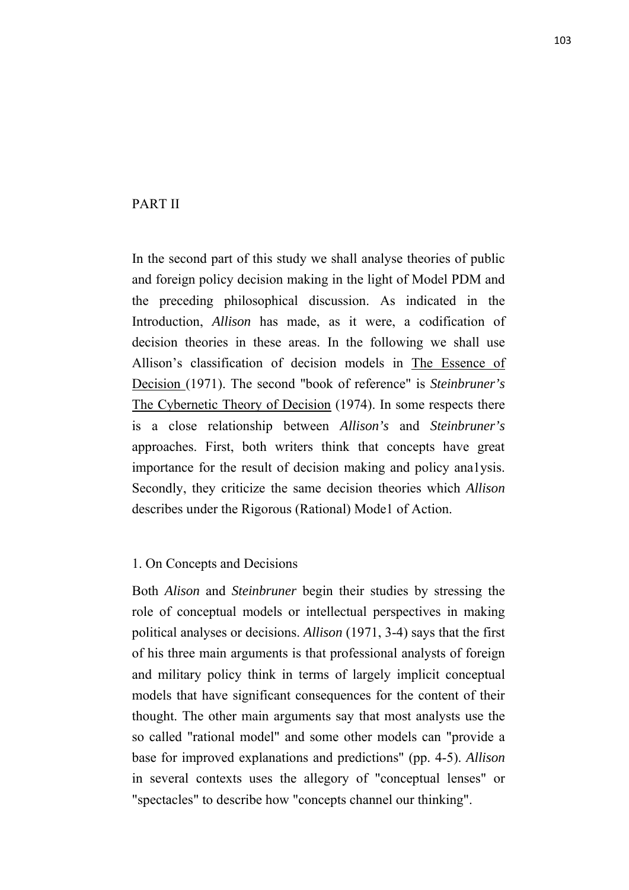# PART II

In the second part of this study we shall analyse theories of public and foreign policy decision making in the light of Model PDM and the preceding philosophical discussion. As indicated in the Introduction, *Allison* has made, as it were, a codification of decision theories in these areas. In the following we shall use Allison's classification of decision models in The Essence of Decision (1971). The second "book of reference" is *Steinbruner's* The Cybernetic Theory of Decision (1974). In some respects there is a close relationship between *Allison's* and *Steinbruner's* approaches. First, both writers think that concepts have great importance for the result of decision making and policy ana1ysis. Secondly, they criticize the same decision theories which *Allison* describes under the Rigorous (Rational) Mode1 of Action.

# 1. On Concepts and Decisions

Both *Alison* and *Steinbruner* begin their studies by stressing the role of conceptual models or intellectual perspectives in making political analyses or decisions. *Allison* (1971, 3-4) says that the first of his three main arguments is that professional analysts of foreign and military policy think in terms of largely implicit conceptual models that have significant consequences for the content of their thought. The other main arguments say that most analysts use the so called "rational model" and some other models can "provide a base for improved explanations and predictions" (pp. 4-5). *Allison* in several contexts uses the allegory of "conceptual lenses" or "spectacles" to describe how "concepts channel our thinking".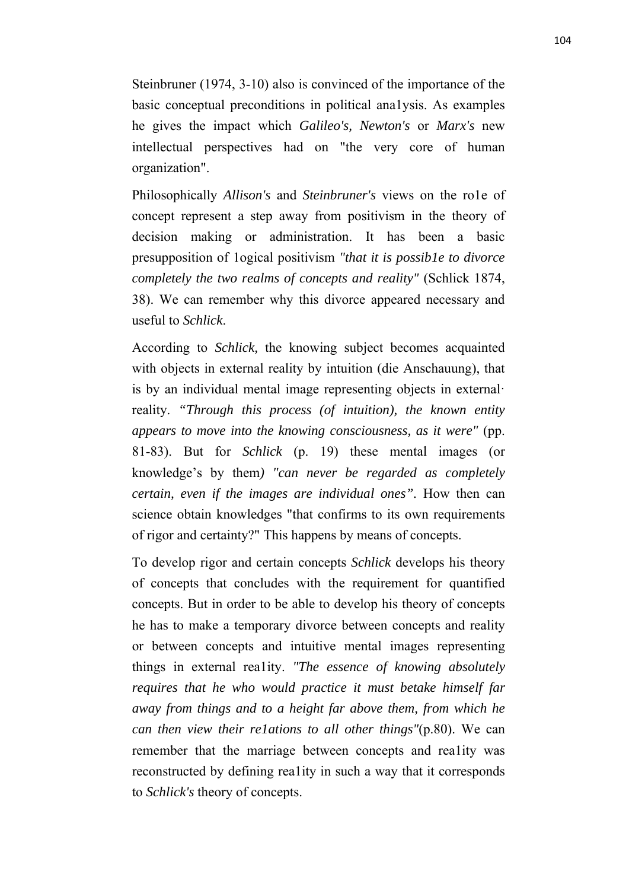Steinbruner (1974, 3-10) also is convinced of the importance of the basic conceptual preconditions in political ana1ysis. As examples he gives the impact which *Galileo's, Newton's* or *Marx's* new intellectual perspectives had on "the very core of human organization".

Philosophically *Allison's* and *Steinbruner's* views on the ro1e of concept represent a step away from positivism in the theory of decision making or administration. It has been a basic presupposition of 1ogical positivism *"that it is possib1e to divorce completely the two realms of concepts and reality"* (Schlick 1874, 38). We can remember why this divorce appeared necessary and useful to *Schlick*.

According to *Schlick,* the knowing subject becomes acquainted with objects in external reality by intuition (die Anschauung), that is by an individual mental image representing objects in external· reality. *"Through this process (of intuition), the known entity appears to move into the knowing consciousness, as it were"* (pp. 81-83). But for *Schlick* (p. 19) these mental images (or knowledge's by them*) "can never be regarded as completely certain, even if the images are individual ones".* How then can science obtain knowledges "that confirms to its own requirements of rigor and certainty?" This happens by means of concepts.

To develop rigor and certain concepts *Schlick* develops his theory of concepts that concludes with the requirement for quantified concepts. But in order to be able to develop his theory of concepts he has to make a temporary divorce between concepts and reality or between concepts and intuitive mental images representing things in external rea1ity. *"The essence of knowing absolutely requires that he who would practice it must betake himself far away from things and to a height far above them, from which he can then view their re1ations to all other things"*(p.80). We can remember that the marriage between concepts and rea1ity was reconstructed by defining rea1ity in such a way that it corresponds to *Schlick's* theory of concepts.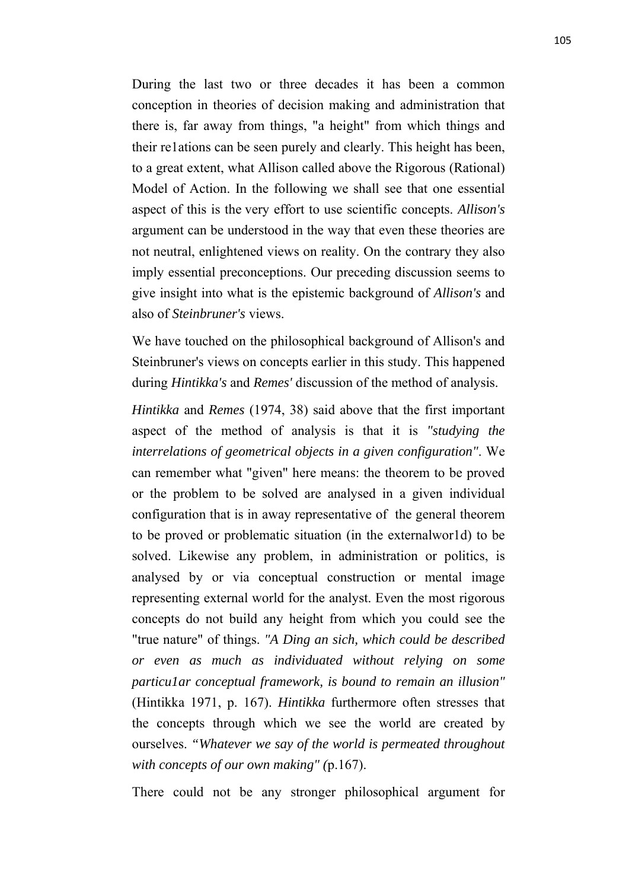During the last two or three decades it has been a common conception in theories of decision making and administration that there is, far away from things, "a height" from which things and their re1ations can be seen purely and clearly. This height has been, to a great extent, what Allison called above the Rigorous (Rational) Model of Action. In the following we shall see that one essential aspect of this is the very effort to use scientific concepts. *Allison's*  argument can be understood in the way that even these theories are not neutral, enlightened views on reality. On the contrary they also imply essential preconceptions. Our preceding discussion seems to give insight into what is the epistemic background of *Allison's* and also of *Steinbruner's* views.

We have touched on the philosophical background of Allison's and Steinbruner's views on concepts earlier in this study. This happened during *Hintikka's* and *Remes'* discussion of the method of analysis.

*Hintikka* and *Remes* (1974, 38) said above that the first important aspect of the method of analysis is that it is *"studying the interrelations of geometrical objects in a given configuration"*. We can remember what "given" here means: the theorem to be proved or the problem to be solved are analysed in a given individual configuration that is in away representative of the general theorem to be proved or problematic situation (in the externalwor1d) to be solved. Likewise any problem, in administration or politics, is analysed by or via conceptual construction or mental image representing external world for the analyst. Even the most rigorous concepts do not build any height from which you could see the "true nature" of things. *"A Ding an sich, which could be described or even as much as individuated without relying on some particu1ar conceptual framework, is bound to remain an illusion"* (Hintikka 1971, p. 167). *Hintikka* furthermore often stresses that the concepts through which we see the world are created by ourselves. *"Whatever we say of the world is permeated throughout with concepts of our own making" (*p.167).

There could not be any stronger philosophical argument for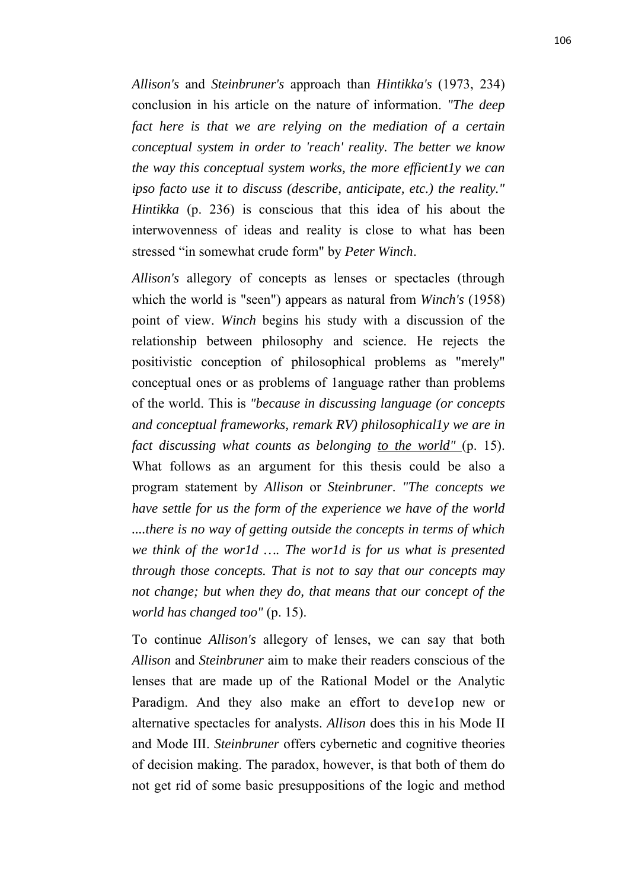*Allison's* and *Steinbruner's* approach than *Hintikka's* (1973, 234) conclusion in his article on the nature of information. *"The deep fact here is that we are relying on the mediation of a certain conceptual system in order to 'reach' reality. The better we know the way this conceptual system works, the more efficient1y we can ipso facto use it to discuss (describe, anticipate, etc.) the reality." Hintikka* (p. 236) is conscious that this idea of his about the interwovenness of ideas and reality is close to what has been stressed "in somewhat crude form" by *Peter Winch*.

*Allison's* allegory of concepts as lenses or spectacles (through which the world is "seen") appears as natural from *Winch's* (1958) point of view. *Winch* begins his study with a discussion of the relationship between philosophy and science. He rejects the positivistic conception of philosophical problems as "merely" conceptual ones or as problems of 1anguage rather than problems of the world. This is *"because in discussing language (or concepts and conceptual frameworks, remark RV) philosophical1y we are in fact discussing what counts as belonging to the world"* (p. 15). What follows as an argument for this thesis could be also a program statement by *Allison* or *Steinbruner*. *"The concepts we have settle for us the form of the experience we have of the world ....there is no way of getting outside the concepts in terms of which we think of the wor1d …. The wor1d is for us what is presented through those concepts. That is not to say that our concepts may not change; but when they do, that means that our concept of the world has changed too"* (p. 15).

To continue *Allison's* allegory of lenses, we can say that both *Allison* and *Steinbruner* aim to make their readers conscious of the lenses that are made up of the Rational Model or the Analytic Paradigm. And they also make an effort to develop new or alternative spectacles for analysts. *Allison* does this in his Mode II and Mode III. *Steinbruner* offers cybernetic and cognitive theories of decision making. The paradox, however, is that both of them do not get rid of some basic presuppositions of the logic and method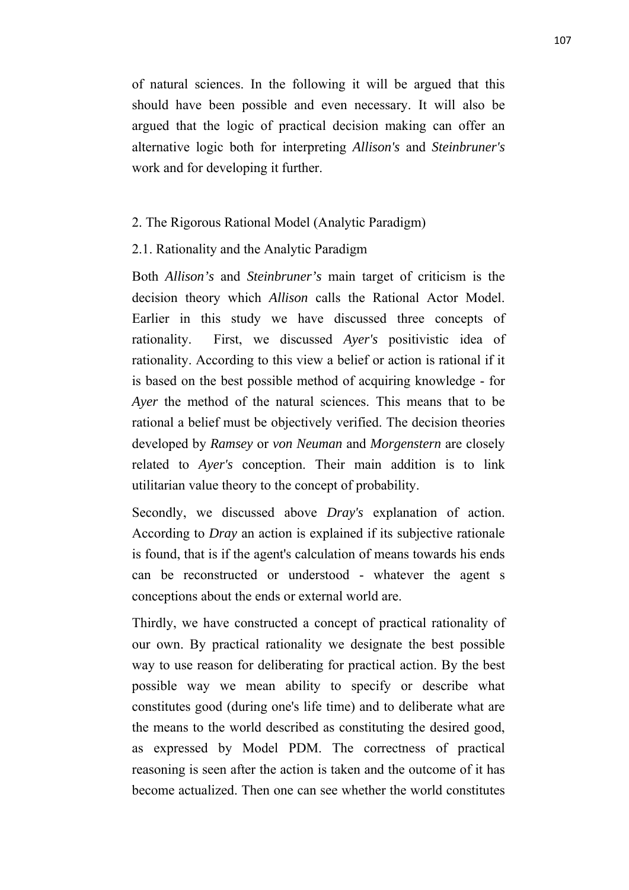of natural sciences. In the following it will be argued that this should have been possible and even necessary. It will also be argued that the logic of practical decision making can offer an alternative logic both for interpreting *Allison's* and *Steinbruner's* work and for developing it further.

# 2. The Rigorous Rational Model (Analytic Paradigm)

2.1. Rationality and the Analytic Paradigm

Both *Allison's* and *Steinbruner's* main target of criticism is the decision theory which *Allison* calls the Rational Actor Model. Earlier in this study we have discussed three concepts of rationality. First, we discussed *Ayer's* positivistic idea of rationality. According to this view a belief or action is rational if it is based on the best possible method of acquiring knowledge - for *Ayer* the method of the natural sciences. This means that to be rational a belief must be objectively verified. The decision theories developed by *Ramsey* or *von Neuman* and *Morgenstern* are closely related to *Ayer's* conception. Their main addition is to link utilitarian value theory to the concept of probability.

Secondly, we discussed above *Dray's* explanation of action. According to *Dray* an action is explained if its subjective rationale is found, that is if the agent's calculation of means towards his ends can be reconstructed or understood - whatever the agent s conceptions about the ends or external world are.

Thirdly, we have constructed a concept of practical rationality of our own. By practical rationality we designate the best possible way to use reason for deliberating for practical action. By the best possible way we mean ability to specify or describe what constitutes good (during one's life time) and to deliberate what are the means to the world described as constituting the desired good, as expressed by Model PDM. The correctness of practical reasoning is seen after the action is taken and the outcome of it has become actualized. Then one can see whether the world constitutes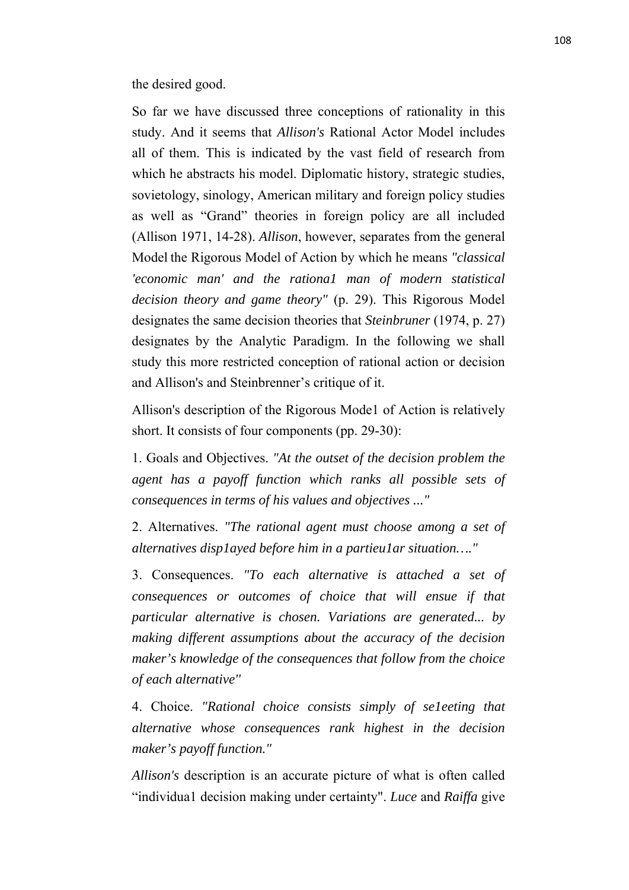the desired good.

So far we have discussed three conceptions of rationality in this study. And it seems that *Allison's* Rational Actor Model includes all of them. This is indicated by the vast field of research from which he abstracts his model. Diplomatic history, strategic studies, sovietology, sinology, American military and foreign policy studies as well as "Grand" theories in foreign policy are all included (Allison 1971, 14-28). *Allison*, however, separates from the general Model the Rigorous Model of Action by which he means *"classical 'economic man' and the rationa1 man of modern statistical decision theory and game theory"* (p. 29). This Rigorous Model designates the same decision theories that *Steinbruner* (1974, p. 27) designates by the Analytic Paradigm. In the following we shall study this more restricted conception of rational action or decision and Allison's and Steinbrenner's critique of it.

Allison's description of the Rigorous Mode1 of Action is relatively short. It consists of four components (pp. 29-30):

1. Goals and Objectives. *"At the outset of the decision problem the agent has a payoff function which ranks all possible sets of consequences in terms of his values and objectives ..."*

2. Alternatives. *"The rational agent must choose among a set of alternatives disp1ayed before him in a partieu1ar situation…."*

3. Consequences. *"To each alternative is attached a set of consequences or outcomes of choice that will ensue if that particular alternative is chosen. Variations are generated... by making different assumptions about the accuracy of the decision maker's knowledge of the consequences that follow from the choice of each alternative''*

4. Choice. *"Rational choice consists simply of se1eeting that alternative whose consequences rank highest in the decision maker's payoff function."*

*Allison's* description is an accurate picture of what is often called "individua1 decision making under certainty". *Luce* and *Raiffa* give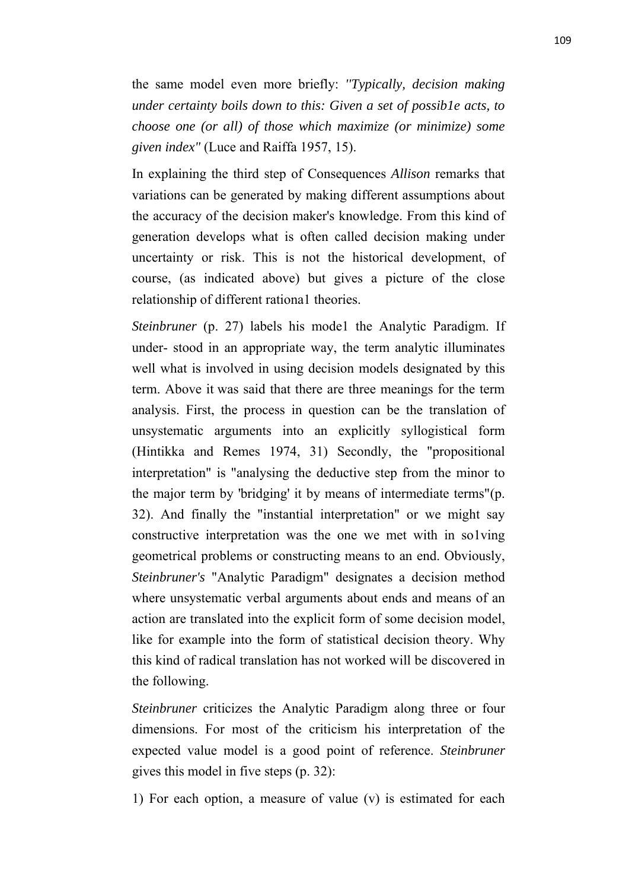the same model even more briefly: *''Typically, decision making under certainty boils down to this: Given a set of possib1e acts, to choose one (or all) of those which maximize (or minimize) some given index"* (Luce and Raiffa 1957, 15).

In explaining the third step of Consequences *Allison* remarks that variations can be generated by making different assumptions about the accuracy of the decision maker's knowledge. From this kind of generation develops what is often called decision making under uncertainty or risk. This is not the historical development, of course, (as indicated above) but gives a picture of the close relationship of different rationa1 theories.

*Steinbruner* (p. 27) labels his mode1 the Analytic Paradigm. If under-stood in an appropriate way, the term analytic illuminates well what is involved in using decision models designated by this term. Above it was said that there are three meanings for the term analysis. First, the process in question can be the translation of unsystematic arguments into an explicitly syllogistical form (Hintikka and Remes 1974, 31) Secondly, the "propositional interpretation" is "analysing the deductive step from the minor to the major term by 'bridging' it by means of intermediate terms"(p. 32). And finally the "instantial interpretation" or we might say constructive interpretation was the one we met with in so1ving geometrical problems or constructing means to an end. Obviously, *Steinbruner's* "Analytic Paradigm" designates a decision method where unsystematic verbal arguments about ends and means of an action are translated into the explicit form of some decision model, like for example into the form of statistical decision theory. Why this kind of radical translation has not worked will be discovered in the following.

*Steinbruner* criticizes the Analytic Paradigm along three or four dimensions. For most of the criticism his interpretation of the expected value model is a good point of reference. *Steinbruner* gives this model in five steps (p. 32):

1) For each option, a measure of value (v) is estimated for each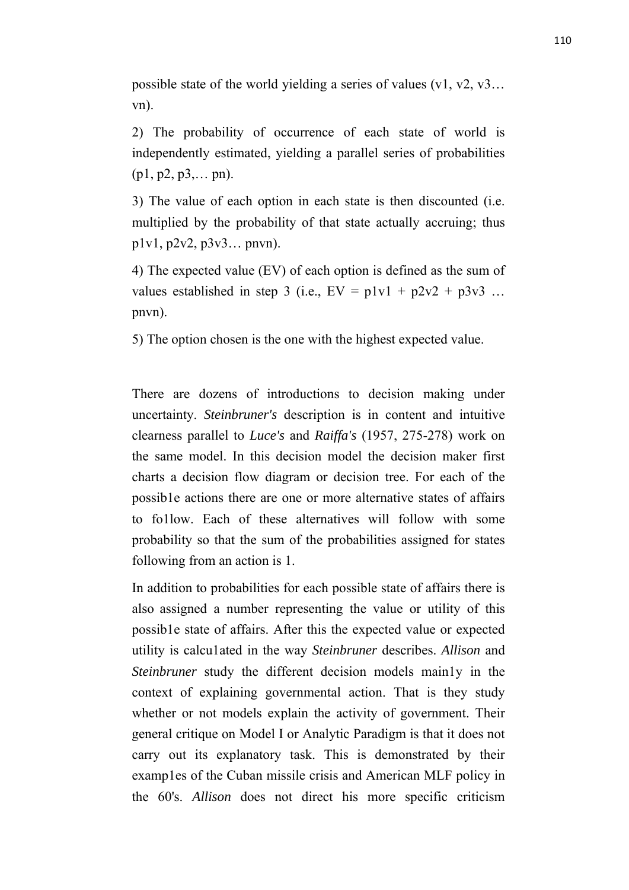possible state of the world yielding a series of values (v1, v2, v3… vn).

2) The probability of occurrence of each state of world is independently estimated, yielding a parallel series of probabilities  $(p1, p2, p3,... pn)$ .

3) The value of each option in each state is then discounted (i.e. multiplied by the probability of that state actually accruing; thus p1v1, p2v2, p3v3… pnvn).

4) The expected value (EV) of each option is defined as the sum of values established in step 3 (i.e.,  $EV = p1v1 + p2v2 + p3v3$  ... pnvn).

5) The option chosen is the one with the highest expected value.

There are dozens of introductions to decision making under uncertainty. *Steinbruner's* description is in content and intuitive clearness parallel to *Luce's* and *Raiffa's* (1957, 275-278) work on the same model. In this decision model the decision maker first charts a decision flow diagram or decision tree. For each of the possib1e actions there are one or more alternative states of affairs to fo1low. Each of these alternatives will follow with some probability so that the sum of the probabilities assigned for states following from an action is 1.

In addition to probabilities for each possible state of affairs there is also assigned a number representing the value or utility of this possib1e state of affairs. After this the expected value or expected utility is calcu1ated in the way *Steinbruner* describes. *Allison* and *Steinbruner* study the different decision models main1y in the context of explaining governmental action. That is they study whether or not models explain the activity of government. Their general critique on Model I or Analytic Paradigm is that it does not carry out its explanatory task. This is demonstrated by their examp1es of the Cuban missile crisis and American MLF policy in the 60's. *Allison* does not direct his more specific criticism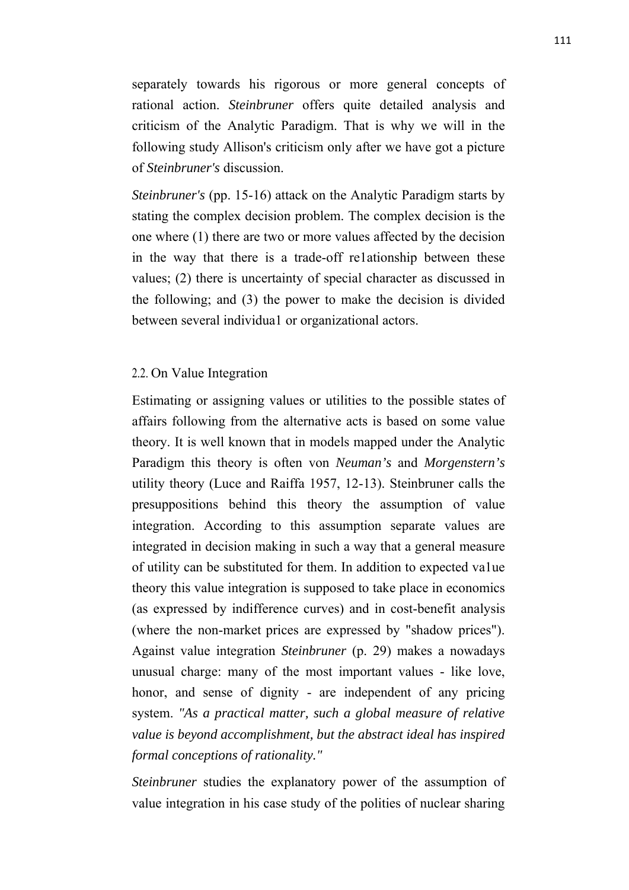separately towards his rigorous or more general concepts of rational action. *Steinbruner* offers quite detailed analysis and criticism of the Analytic Paradigm. That is why we will in the following study Allison's criticism only after we have got a picture of *Steinbruner's* discussion.

*Steinbruner's* (pp. 15-16) attack on the Analytic Paradigm starts by stating the complex decision problem. The complex decision is the one where (1) there are two or more values affected by the decision in the way that there is a trade-off re1ationship between these values; (2) there is uncertainty of special character as discussed in the following; and (3) the power to make the decision is divided between several individua1 or organizational actors.

# 2.2. On Value Integration

Estimating or assigning values or utilities to the possible states of affairs following from the alternative acts is based on some value theory. It is well known that in models mapped under the Analytic Paradigm this theory is often von *Neuman's* and *Morgenstern's* utility theory (Luce and Raiffa 1957, 12-13). Steinbruner calls the presuppositions behind this theory the assumption of value integration. According to this assumption separate values are integrated in decision making in such a way that a general measure of utility can be substituted for them. In addition to expected va1ue theory this value integration is supposed to take place in economics (as expressed by indifference curves) and in cost-benefit analysis (where the non-market prices are expressed by "shadow prices"). Against value integration *Steinbruner* (p. 29) makes a nowadays unusual charge: many of the most important values - like love, honor, and sense of dignity - are independent of any pricing system. *"As a practical matter, such a global measure of relative value is beyond accomplishment, but the abstract ideal has inspired formal conceptions of rationality."*

*Steinbruner* studies the explanatory power of the assumption of value integration in his case study of the polities of nuclear sharing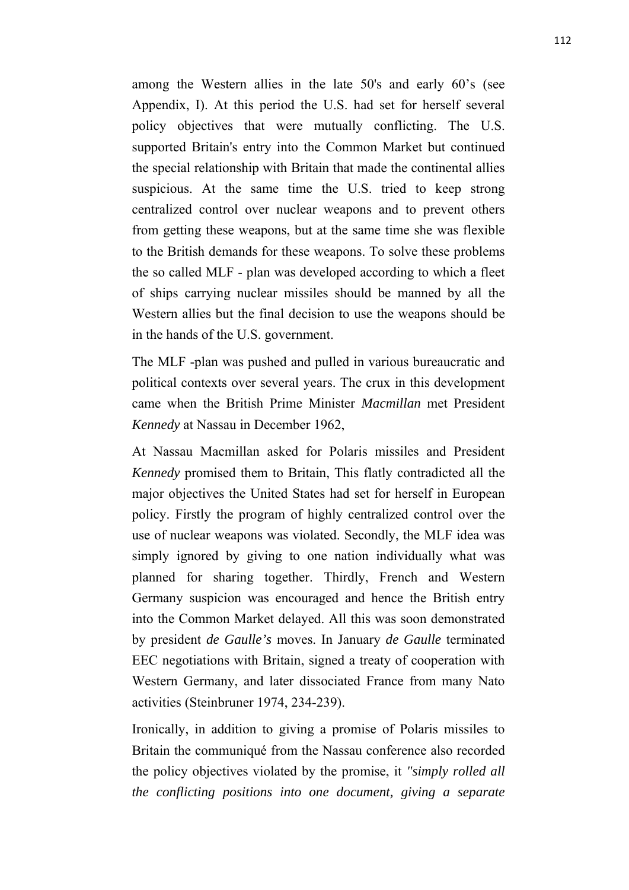among the Western allies in the late 50's and early 60's (see Appendix, I). At this period the U.S. had set for herself several policy objectives that were mutually conflicting. The U.S. supported Britain's entry into the Common Market but continued the special relationship with Britain that made the continental allies suspicious. At the same time the U.S. tried to keep strong centralized control over nuclear weapons and to prevent others from getting these weapons, but at the same time she was flexible to the British demands for these weapons. To solve these problems the so called MLF - plan was developed according to which a fleet of ships carrying nuclear missiles should be manned by all the Western allies but the final decision to use the weapons should be in the hands of the U.S. government.

The MLF -plan was pushed and pulled in various bureaucratic and political contexts over several years. The crux in this development came when the British Prime Minister *Macmillan* met President *Kennedy* at Nassau in December 1962,

At Nassau Macmillan asked for Polaris missiles and President *Kennedy* promised them to Britain, This flatly contradicted all the major objectives the United States had set for herself in European policy. Firstly the program of highly centralized control over the use of nuclear weapons was violated. Secondly, the MLF idea was simply ignored by giving to one nation individually what was planned for sharing together. Thirdly, French and Western Germany suspicion was encouraged and hence the British entry into the Common Market delayed. All this was soon demonstrated by president *de Gaulle's* moves. In January *de Gaulle* terminated EEC negotiations with Britain, signed a treaty of cooperation with Western Germany, and later dissociated France from many Nato activities (Steinbruner 1974, 234-239).

Ironically, in addition to giving a promise of Polaris missiles to Britain the communiqué from the Nassau conference also recorded the policy objectives violated by the promise, it *"simply rolled all the conflicting positions into one document, giving a separate*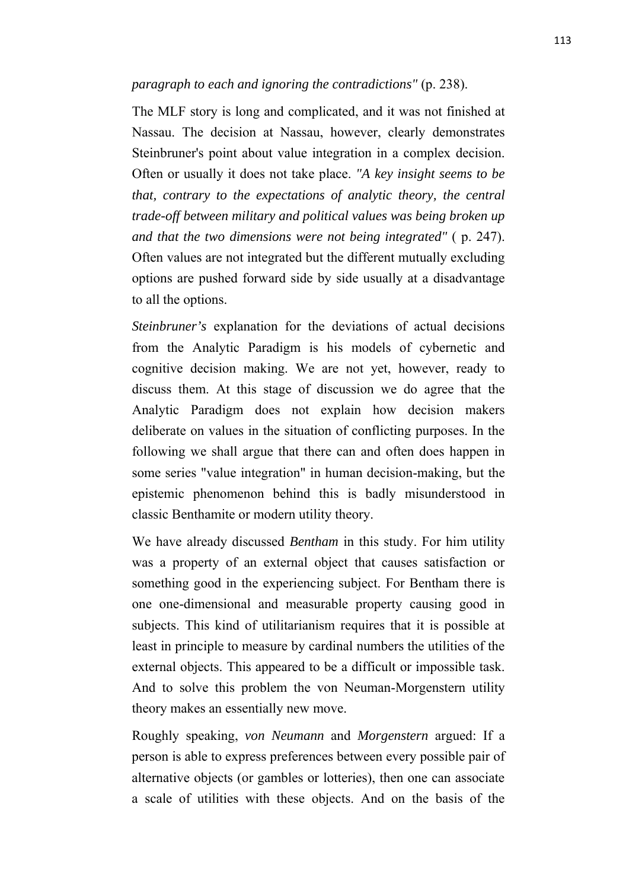#### *paragraph to each and ignoring the contradictions"* (p. 238).

The MLF story is long and complicated, and it was not finished at Nassau. The decision at Nassau, however, clearly demonstrates Steinbruner's point about value integration in a complex decision. Often or usually it does not take place. *"A key insight seems to be that, contrary to the expectations of analytic theory, the central trade-off between military and political values was being broken up and that the two dimensions were not being integrated"* ( p. 247). Often values are not integrated but the different mutually excluding options are pushed forward side by side usually at a disadvantage to all the options.

*Steinbruner's* explanation for the deviations of actual decisions from the Analytic Paradigm is his models of cybernetic and cognitive decision making. We are not yet, however, ready to discuss them. At this stage of discussion we do agree that the Analytic Paradigm does not explain how decision makers deliberate on values in the situation of conflicting purposes. In the following we shall argue that there can and often does happen in some series "value integration" in human decision-making, but the epistemic phenomenon behind this is badly misunderstood in classic Benthamite or modern utility theory.

We have already discussed *Bentham* in this study. For him utility was a property of an external object that causes satisfaction or something good in the experiencing subject. For Bentham there is one one-dimensional and measurable property causing good in subjects. This kind of utilitarianism requires that it is possible at least in principle to measure by cardinal numbers the utilities of the external objects. This appeared to be a difficult or impossible task. And to solve this problem the von Neuman-Morgenstern utility theory makes an essentially new move.

Roughly speaking, *von Neumann* and *Morgenstern* argued: If a person is able to express preferences between every possible pair of alternative objects (or gambles or lotteries), then one can associate a scale of utilities with these objects. And on the basis of the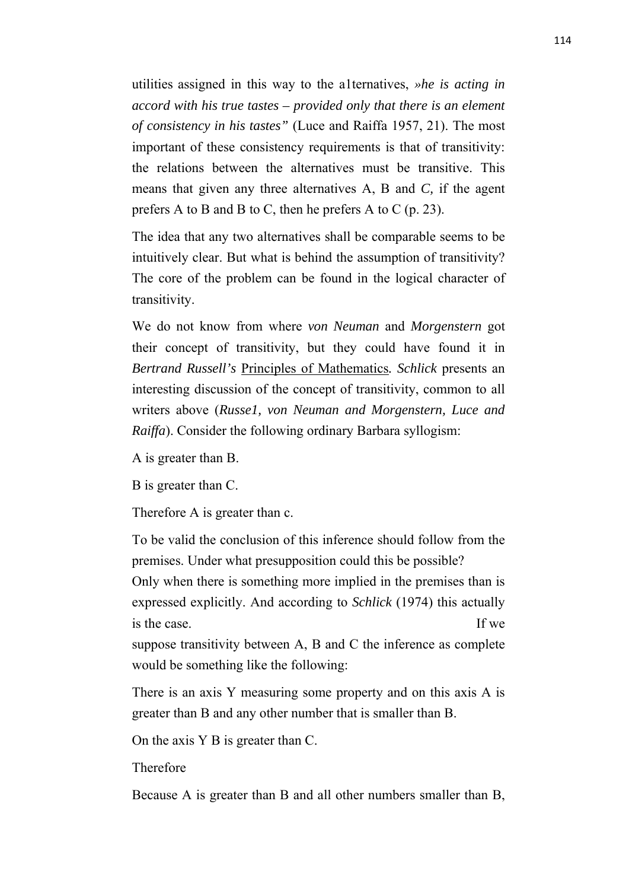utilities assigned in this way to the a1ternatives, *»he is acting in accord with his true tastes – provided only that there is an element of consistency in his tastes"* (Luce and Raiffa 1957, 21). The most important of these consistency requirements is that of transitivity: the relations between the alternatives must be transitive. This means that given any three alternatives A, B and *C,* if the agent prefers A to B and B to C, then he prefers A to C (p. 23).

The idea that any two alternatives shall be comparable seems to be intuitively clear. But what is behind the assumption of transitivity? The core of the problem can be found in the logical character of transitivity.

We do not know from where *von Neuman* and *Morgenstern* got their concept of transitivity, but they could have found it in *Bertrand Russell's* Principles of Mathematics*. Schlick* presents an interesting discussion of the concept of transitivity, common to all writers above (*Russe1, von Neuman and Morgenstern, Luce and Raiffa*). Consider the following ordinary Barbara syllogism:

A is greater than B.

B is greater than C.

Therefore A is greater than c.

To be valid the conclusion of this inference should follow from the premises. Under what presupposition could this be possible? Only when there is something more implied in the premises than is expressed explicitly. And according to *Schlick* (1974) this actually is the case. If we suppose transitivity between A, B and C the inference as complete

would be something like the following:

There is an axis Y measuring some property and on this axis A is greater than B and any other number that is smaller than B.

On the axis Y B is greater than C.

Therefore

Because A is greater than B and all other numbers smaller than B,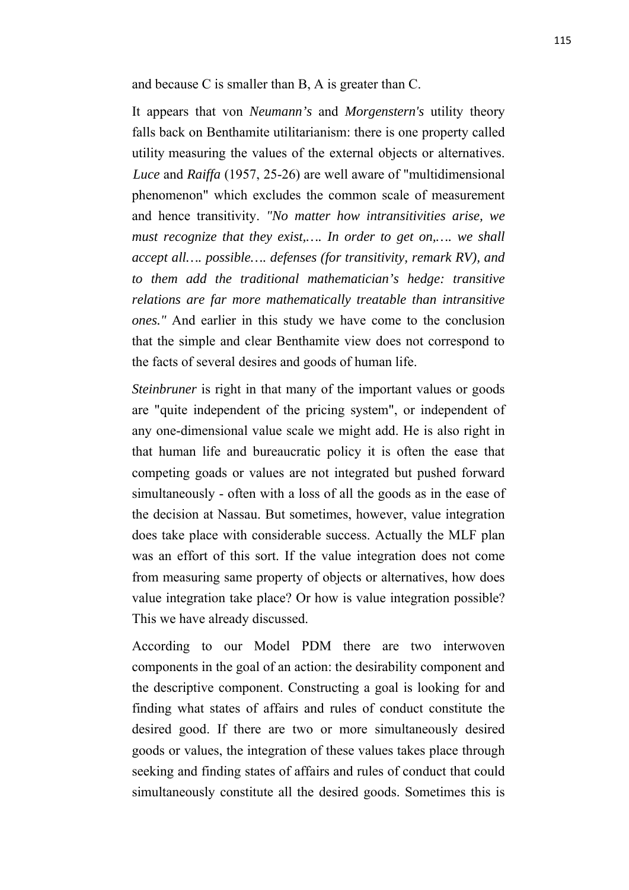and because C is smaller than B, A is greater than C.

It appears that von *Neumann's* and *Morgenstern's* utility theory falls back on Benthamite utilitarianism: there is one property called utility measuring the values of the external objects or alternatives. *Luce* and *Raiffa* (1957, 25-26) are well aware of "multidimensional phenomenon" which excludes the common scale of measurement and hence transitivity. *"No matter how intransitivities arise, we must recognize that they exist,…. In order to get on,…. we shall accept all…. possible…. defenses (for transitivity, remark RV), and to them add the traditional mathematician's hedge: transitive relations are far more mathematically treatable than intransitive ones."* And earlier in this study we have come to the conclusion that the simple and clear Benthamite view does not correspond to the facts of several desires and goods of human life.

*Steinbruner* is right in that many of the important values or goods are "quite independent of the pricing system", or independent of any one-dimensional value scale we might add. He is also right in that human life and bureaucratic policy it is often the ease that competing goads or values are not integrated but pushed forward simultaneously - often with a loss of all the goods as in the ease of the decision at Nassau. But sometimes, however, value integration does take place with considerable success. Actually the MLF plan was an effort of this sort. If the value integration does not come from measuring same property of objects or alternatives, how does value integration take place? Or how is value integration possible? This we have already discussed.

According to our Model PDM there are two interwoven components in the goal of an action: the desirability component and the descriptive component. Constructing a goal is looking for and finding what states of affairs and rules of conduct constitute the desired good. If there are two or more simultaneously desired goods or values, the integration of these values takes place through seeking and finding states of affairs and rules of conduct that could simultaneously constitute all the desired goods. Sometimes this is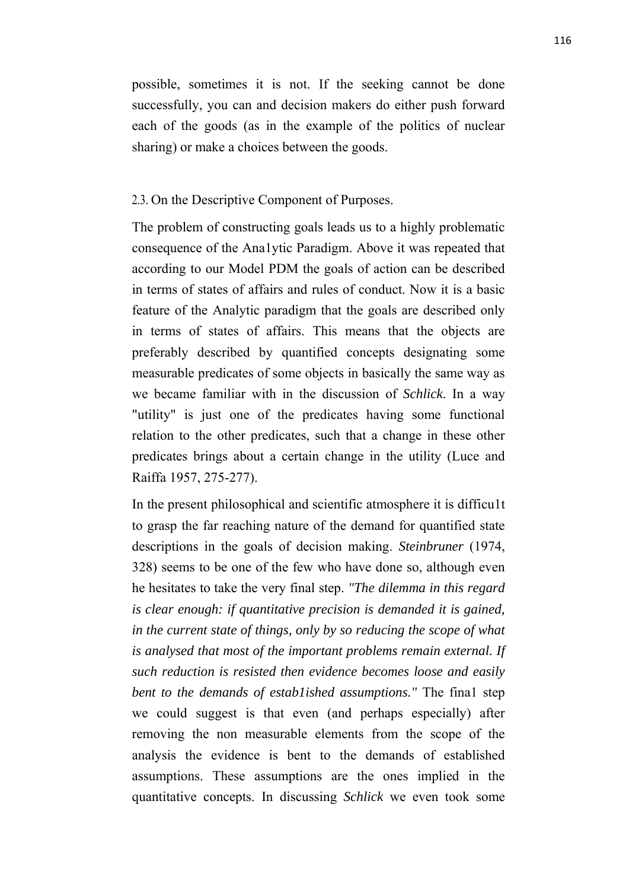possible, sometimes it is not. If the seeking cannot be done successfully, you can and decision makers do either push forward each of the goods (as in the example of the politics of nuclear sharing) or make a choices between the goods.

#### 2.3. On the Descriptive Component of Purposes.

The problem of constructing goals leads us to a highly problematic consequence of the Ana1ytic Paradigm. Above it was repeated that according to our Model PDM the goals of action can be described in terms of states of affairs and rules of conduct. Now it is a basic feature of the Analytic paradigm that the goals are described only in terms of states of affairs. This means that the objects are preferably described by quantified concepts designating some measurable predicates of some objects in basically the same way as we became familiar with in the discussion of *Schlick*. In a way "utility" is just one of the predicates having some functional relation to the other predicates, such that a change in these other predicates brings about a certain change in the utility (Luce and Raiffa 1957, 275-277).

In the present philosophical and scientific atmosphere it is difficu1t to grasp the far reaching nature of the demand for quantified state descriptions in the goals of decision making. *Steinbruner* (1974, 328) seems to be one of the few who have done so, although even he hesitates to take the very final step. *"The dilemma in this regard is clear enough: if quantitative precision is demanded it is gained, in the current state of things, only by so reducing the scope of what is analysed that most of the important problems remain external. If such reduction is resisted then evidence becomes loose and easily bent to the demands of estab1ished assumptions."* The fina1 step we could suggest is that even (and perhaps especially) after removing the non measurable elements from the scope of the analysis the evidence is bent to the demands of established assumptions. These assumptions are the ones implied in the quantitative concepts. In discussing *Schlick* we even took some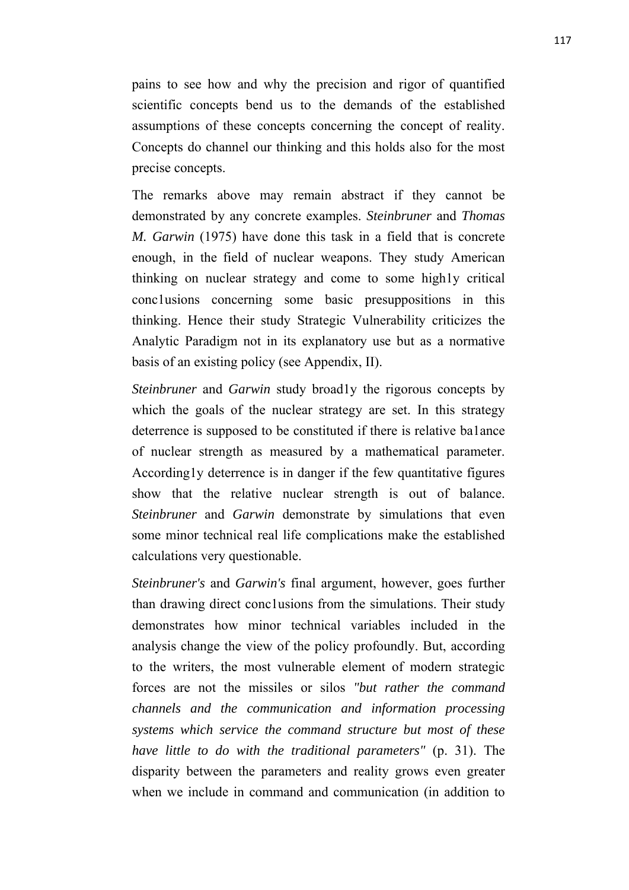pains to see how and why the precision and rigor of quantified scientific concepts bend us to the demands of the established assumptions of these concepts concerning the concept of reality. Concepts do channel our thinking and this holds also for the most precise concepts.

The remarks above may remain abstract if they cannot be demonstrated by any concrete examples. *Steinbruner* and *Thomas M. Garwin* (1975) have done this task in a field that is concrete enough, in the field of nuclear weapons. They study American thinking on nuclear strategy and come to some high1y critical conc1usions concerning some basic presuppositions in this thinking. Hence their study Strategic Vulnerability criticizes the Analytic Paradigm not in its explanatory use but as a normative basis of an existing policy (see Appendix, II).

*Steinbruner* and *Garwin* study broad1y the rigorous concepts by which the goals of the nuclear strategy are set. In this strategy deterrence is supposed to be constituted if there is relative ba1ance of nuclear strength as measured by a mathematical parameter. According1y deterrence is in danger if the few quantitative figures show that the relative nuclear strength is out of balance. *Steinbruner* and *Garwin* demonstrate by simulations that even some minor technical real life complications make the established calculations very questionable.

*Steinbruner's* and *Garwin's* final argument, however, goes further than drawing direct conc1usions from the simulations. Their study demonstrates how minor technical variables included in the analysis change the view of the policy profoundly. But, according to the writers, the most vulnerable element of modern strategic forces are not the missiles or silos *"but rather the command channels and the communication and information processing systems which service the command structure but most of these have little to do with the traditional parameters"* (p. 31). The disparity between the parameters and reality grows even greater when we include in command and communication (in addition to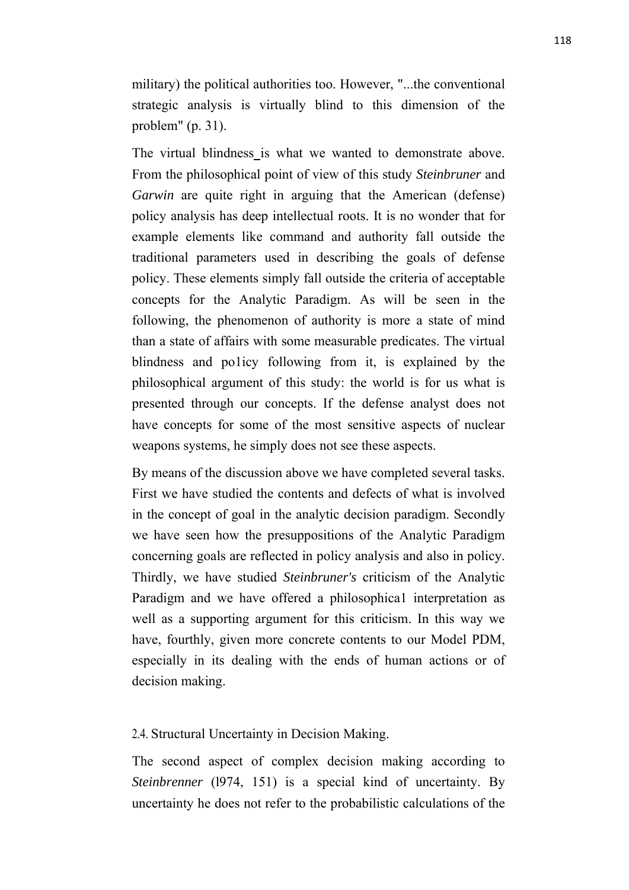military) the political authorities too. However, "...the conventional strategic analysis is virtually blind to this dimension of the problem" (p. 31).

The virtual blindness is what we wanted to demonstrate above. From the philosophical point of view of this study *Steinbruner* and *Garwin* are quite right in arguing that the American (defense) policy analysis has deep intellectual roots. It is no wonder that for example elements like command and authority fall outside the traditional parameters used in describing the goals of defense policy. These elements simply fall outside the criteria of acceptable concepts for the Analytic Paradigm. As will be seen in the following, the phenomenon of authority is more a state of mind than a state of affairs with some measurable predicates. The virtual blindness and po1icy following from it, is explained by the philosophical argument of this study: the world is for us what is presented through our concepts. If the defense analyst does not have concepts for some of the most sensitive aspects of nuclear weapons systems, he simply does not see these aspects.

By means of the discussion above we have completed several tasks. First we have studied the contents and defects of what is involved in the concept of goal in the analytic decision paradigm. Secondly we have seen how the presuppositions of the Analytic Paradigm concerning goals are reflected in policy analysis and also in policy. Thirdly, we have studied *Steinbruner's* criticism of the Analytic Paradigm and we have offered a philosophica1 interpretation as well as a supporting argument for this criticism. In this way we have, fourthly, given more concrete contents to our Model PDM, especially in its dealing with the ends of human actions or of decision making.

# 2.4. Structural Uncertainty in Decision Making.

The second aspect of complex decision making according to *Steinbrenner* (l974, 151) is a special kind of uncertainty. By uncertainty he does not refer to the probabilistic calculations of the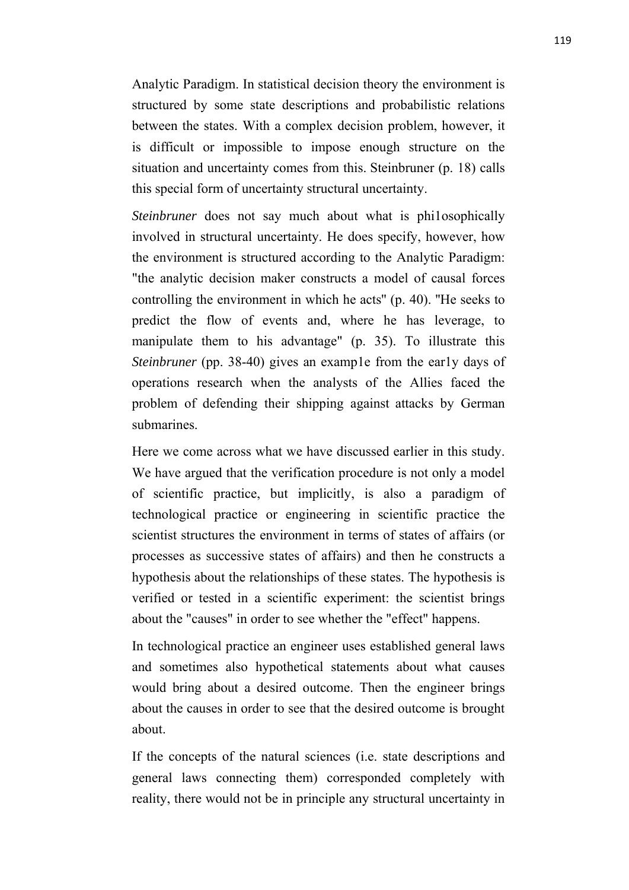Analytic Paradigm. In statistical decision theory the environment is structured by some state descriptions and probabilistic relations between the states. With a complex decision problem, however, it is difficult or impossible to impose enough structure on the situation and uncertainty comes from this. Steinbruner (p. 18) calls this special form of uncertainty structural uncertainty.

*Steinbruner* does not say much about what is philosophically involved in structural uncertainty. He does specify, however, how the environment is structured according to the Analytic Paradigm: "the analytic decision maker constructs a model of causal forces controlling the environment in which he acts'' (p. 40). ''He seeks to predict the flow of events and, where he has leverage, to manipulate them to his advantage" (p. 35). To illustrate this *Steinbruner* (pp. 38-40) gives an example from the early days of operations research when the analysts of the Allies faced the problem of defending their shipping against attacks by German submarines.

Here we come across what we have discussed earlier in this study. We have argued that the verification procedure is not only a model of scientific practice, but implicitly, is also a paradigm of technological practice or engineering in scientific practice the scientist structures the environment in terms of states of affairs (or processes as successive states of affairs) and then he constructs a hypothesis about the relationships of these states. The hypothesis is verified or tested in a scientific experiment: the scientist brings about the "causes" in order to see whether the "effect" happens.

In technological practice an engineer uses established general laws and sometimes also hypothetical statements about what causes would bring about a desired outcome. Then the engineer brings about the causes in order to see that the desired outcome is brought about.

If the concepts of the natural sciences (i.e. state descriptions and general laws connecting them) corresponded completely with reality, there would not be in principle any structural uncertainty in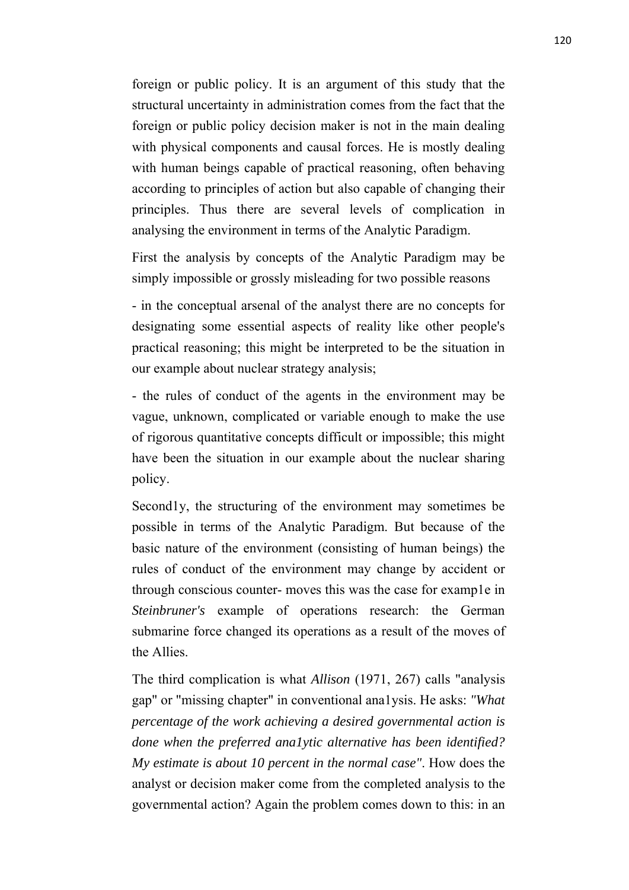foreign or public policy. It is an argument of this study that the structural uncertainty in administration comes from the fact that the foreign or public policy decision maker is not in the main dealing with physical components and causal forces. He is mostly dealing with human beings capable of practical reasoning, often behaving according to principles of action but also capable of changing their principles. Thus there are several levels of complication in analysing the environment in terms of the Analytic Paradigm.

First the analysis by concepts of the Analytic Paradigm may be simply impossible or grossly misleading for two possible reasons

- in the conceptual arsenal of the analyst there are no concepts for designating some essential aspects of reality like other people's practical reasoning; this might be interpreted to be the situation in our example about nuclear strategy analysis;

- the rules of conduct of the agents in the environment may be vague, unknown, complicated or variable enough to make the use of rigorous quantitative concepts difficult or impossible; this might have been the situation in our example about the nuclear sharing policy.

Second<sub>ly</sub>, the structuring of the environment may sometimes be possible in terms of the Analytic Paradigm. But because of the basic nature of the environment (consisting of human beings) the rules of conduct of the environment may change by accident or through conscious counter- moves this was the case for example in *Steinbruner's* example of operations research: the German submarine force changed its operations as a result of the moves of the Allies.

The third complication is what *Allison* (1971, 267) calls "analysis gap" or "missing chapter" in conventional ana1ysis. He asks: *"What percentage of the work achieving a desired governmental action is done when the preferred ana1ytic alternative has been identified? My estimate is about 10 percent in the normal case"*. How does the analyst or decision maker come from the completed analysis to the governmental action? Again the problem comes down to this: in an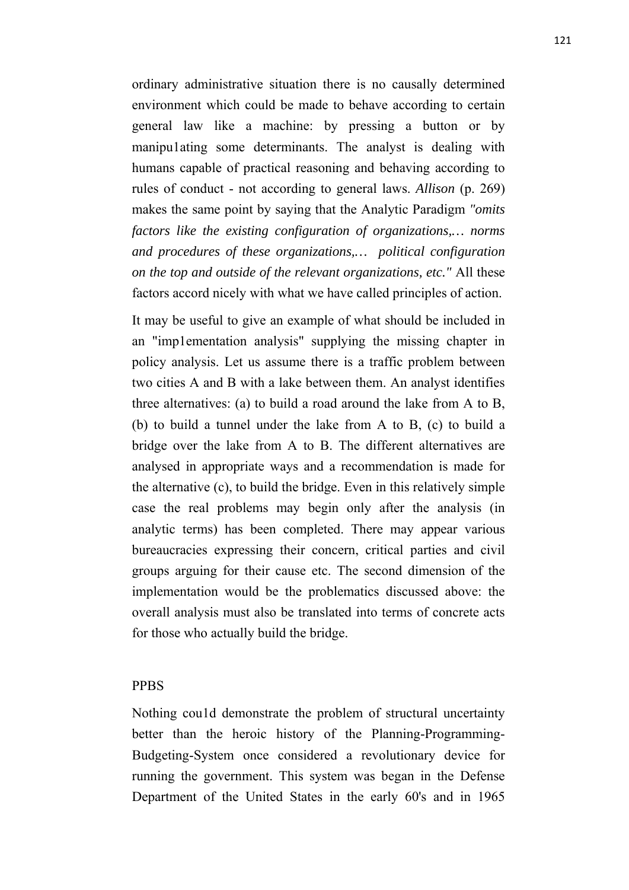ordinary administrative situation there is no causally determined environment which could be made to behave according to certain general law like a machine: by pressing a button or by manipu1ating some determinants. The analyst is dealing with humans capable of practical reasoning and behaving according to rules of conduct - not according to general laws. *Allison* (p. 269) makes the same point by saying that the Analytic Paradigm *"omits factors like the existing configuration of organizations,… norms and procedures of these organizations,… political configuration on the top and outside of the relevant organizations, etc."* All these factors accord nicely with what we have called principles of action.

It may be useful to give an example of what should be included in an "imp1ementation analysis" supplying the missing chapter in policy analysis. Let us assume there is a traffic problem between two cities A and B with a lake between them. An analyst identifies three alternatives: (a) to build a road around the lake from A to B, (b) to build a tunnel under the lake from A to B, (c) to build a bridge over the lake from A to B. The different alternatives are analysed in appropriate ways and a recommendation is made for the alternative (c), to build the bridge. Even in this relatively simple case the real problems may begin only after the analysis (in analytic terms) has been completed. There may appear various bureaucracies expressing their concern, critical parties and civil groups arguing for their cause etc. The second dimension of the implementation would be the problematics discussed above: the overall analysis must also be translated into terms of concrete acts for those who actually build the bridge.

#### PPBS

Nothing cou1d demonstrate the problem of structural uncertainty better than the heroic history of the Planning-Programming-Budgeting-System once considered a revolutionary device for running the government. This system was began in the Defense Department of the United States in the early 60's and in 1965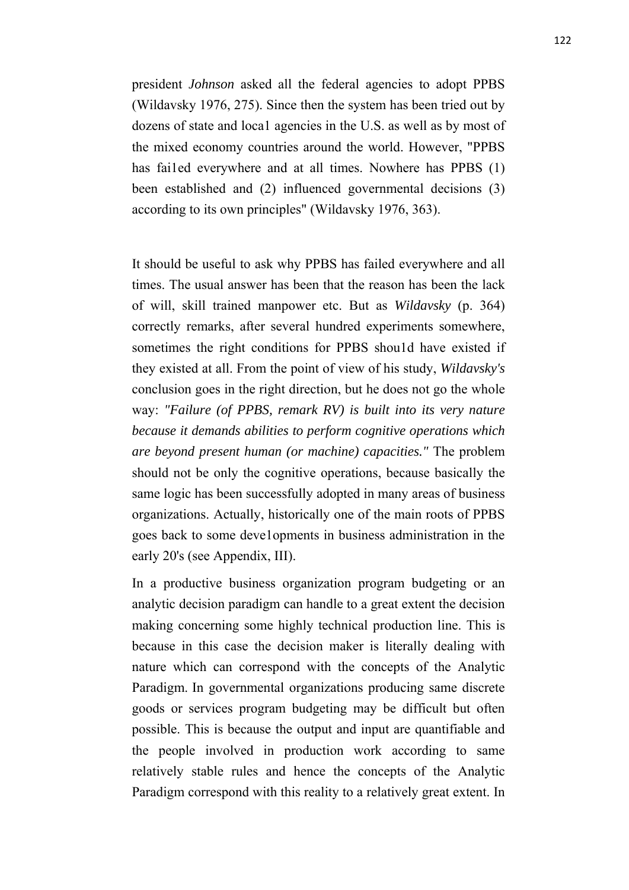president *Johnson* asked all the federal agencies to adopt PPBS (Wildavsky 1976, 275). Since then the system has been tried out by dozens of state and loca1 agencies in the U.S. as well as by most of the mixed economy countries around the world. However, "PPBS has fai1ed everywhere and at all times. Nowhere has PPBS (1) been established and (2) influenced governmental decisions (3) according to its own principles" (Wildavsky 1976, 363).

It should be useful to ask why PPBS has failed everywhere and all times. The usual answer has been that the reason has been the lack of will, skill trained manpower etc. But as *Wildavsky* (p. 364) correctly remarks, after several hundred experiments somewhere, sometimes the right conditions for PPBS shou1d have existed if they existed at all. From the point of view of his study, *Wildavsky's* conclusion goes in the right direction, but he does not go the whole way: *"Failure (of PPBS, remark RV) is built into its very nature because it demands abilities to perform cognitive operations which are beyond present human (or machine) capacities."* The problem should not be only the cognitive operations, because basically the same logic has been successfully adopted in many areas of business organizations. Actually, historically one of the main roots of PPBS goes back to some deve1opments in business administration in the early 20's (see Appendix, III).

In a productive business organization program budgeting or an analytic decision paradigm can handle to a great extent the decision making concerning some highly technical production line. This is because in this case the decision maker is literally dealing with nature which can correspond with the concepts of the Analytic Paradigm. In governmental organizations producing same discrete goods or services program budgeting may be difficult but often possible. This is because the output and input are quantifiable and the people involved in production work according to same relatively stable rules and hence the concepts of the Analytic Paradigm correspond with this reality to a relatively great extent. In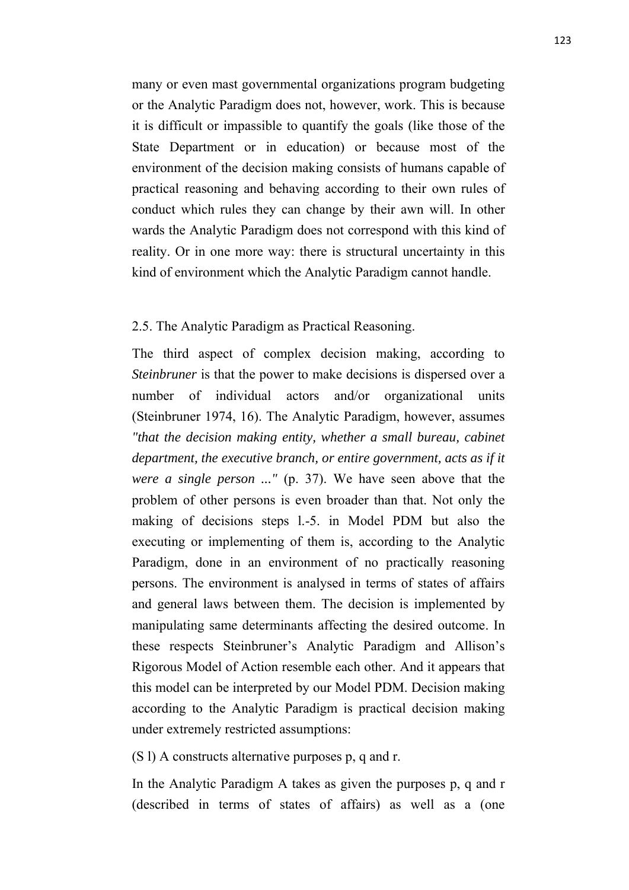many or even mast governmental organizations program budgeting or the Analytic Paradigm does not, however, work. This is because it is difficult or impassible to quantify the goals (like those of the State Department or in education) or because most of the environment of the decision making consists of humans capable of practical reasoning and behaving according to their own rules of conduct which rules they can change by their awn will. In other wards the Analytic Paradigm does not correspond with this kind of reality. Or in one more way: there is structural uncertainty in this kind of environment which the Analytic Paradigm cannot handle.

## 2.5. The Analytic Paradigm as Practical Reasoning.

The third aspect of complex decision making, according to *Steinbruner* is that the power to make decisions is dispersed over a number of individual actors and/or organizational units (Steinbruner 1974, 16). The Analytic Paradigm, however, assumes *"that the decision making entity, whether a small bureau, cabinet department, the executive branch, or entire government, acts as if it were a single person ..."* (p. 37). We have seen above that the problem of other persons is even broader than that. Not only the making of decisions steps l.-5. in Model PDM but also the executing or implementing of them is, according to the Analytic Paradigm, done in an environment of no practically reasoning persons. The environment is analysed in terms of states of affairs and general laws between them. The decision is implemented by manipulating same determinants affecting the desired outcome. In these respects Steinbruner's Analytic Paradigm and Allison's Rigorous Model of Action resemble each other. And it appears that this model can be interpreted by our Model PDM. Decision making according to the Analytic Paradigm is practical decision making under extremely restricted assumptions:

(S l) A constructs alternative purposes p, q and r.

In the Analytic Paradigm A takes as given the purposes p, q and r (described in terms of states of affairs) as well as a (one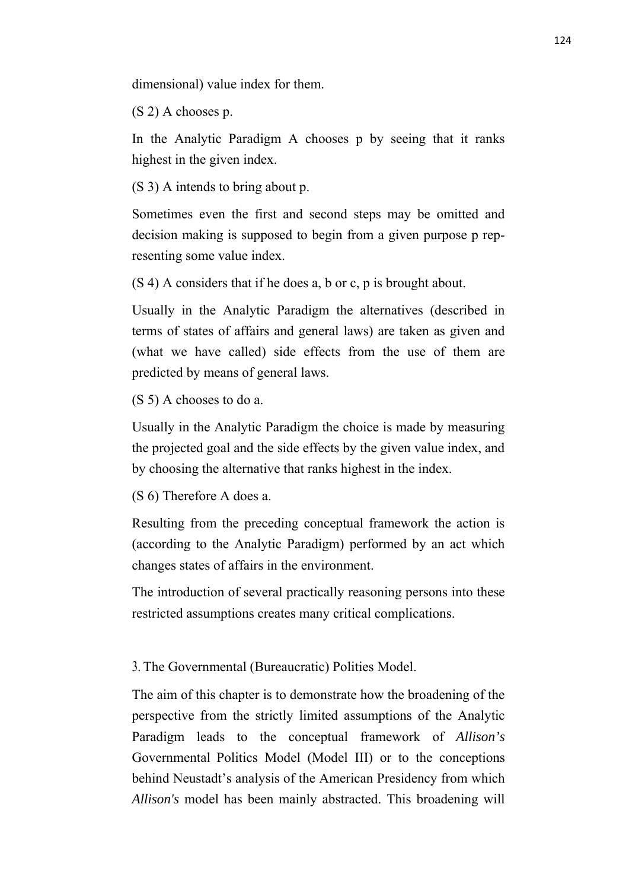dimensional) value index for them.

(S 2) A chooses p.

In the Analytic Paradigm A chooses p by seeing that it ranks highest in the given index.

(S 3) A intends to bring about p.

Sometimes even the first and second steps may be omitted and decision making is supposed to begin from a given purpose p representing some value index.

(S 4) A considers that if he does a, b or c, p is brought about.

Usually in the Analytic Paradigm the alternatives (described in terms of states of affairs and general laws) are taken as given and (what we have called) side effects from the use of them are predicted by means of general laws.

(S 5) A chooses to do a.

Usually in the Analytic Paradigm the choice is made by measuring the projected goal and the side effects by the given value index, and by choosing the alternative that ranks highest in the index.

(S 6) Therefore A does a.

Resulting from the preceding conceptual framework the action is (according to the Analytic Paradigm) performed by an act which changes states of affairs in the environment.

The introduction of several practically reasoning persons into these restricted assumptions creates many critical complications.

3. The Governmental (Bureaucratic) Polities Model.

The aim of this chapter is to demonstrate how the broadening of the perspective from the strictly limited assumptions of the Analytic Paradigm leads to the conceptual framework of *Allison's* Governmental Politics Model (Model III) or to the conceptions behind Neustadt's analysis of the American Presidency from which *Allison's* model has been mainly abstracted. This broadening will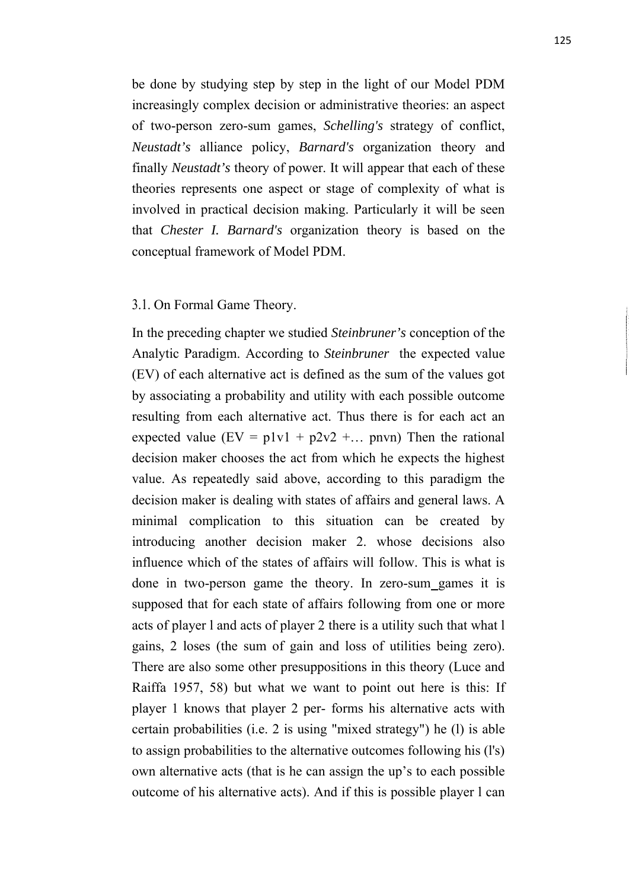be done by studying step by step in the light of our Model PDM increasingly complex decision or administrative theories: an aspect of two-person zero-sum games, *Schelling's* strategy of conflict, *Neustadt's* alliance policy, *Barnard's* organization theory and finally *Neustadt's* theory of power. It will appear that each of these theories represents one aspect or stage of complexity of what is involved in practical decision making. Particularly it will be seen that *Chester I. Barnard's* organization theory is based on the conceptual framework of Model PDM.

#### 3.1. On Formal Game Theory.

In the preceding chapter we studied *Steinbruner's* conception of the Analytic Paradigm. According to *Steinbruner* the expected value (EV) of each alternative act is defined as the sum of the values got by associating a probability and utility with each possible outcome resulting from each alternative act. Thus there is for each act an expected value  $(EV = p1v1 + p2v2 + ...$  pnvn) Then the rational decision maker chooses the act from which he expects the highest value. As repeatedly said above, according to this paradigm the decision maker is dealing with states of affairs and general laws. A minimal complication to this situation can be created by introducing another decision maker 2. whose decisions also influence which of the states of affairs will follow. This is what is done in two-person game the theory. In zero-sum games it is supposed that for each state of affairs following from one or more acts of player l and acts of player 2 there is a utility such that what l gains, 2 loses (the sum of gain and loss of utilities being zero). There are also some other presuppositions in this theory (Luce and Raiffa 1957, 58) but what we want to point out here is this: If player 1 knows that player 2 per- forms his alternative acts with certain probabilities (i.e. 2 is using "mixed strategy") he (l) is able to assign probabilities to the alternative outcomes following his (l's) own alternative acts (that is he can assign the up's to each possible outcome of his alternative acts). And if this is possible player l can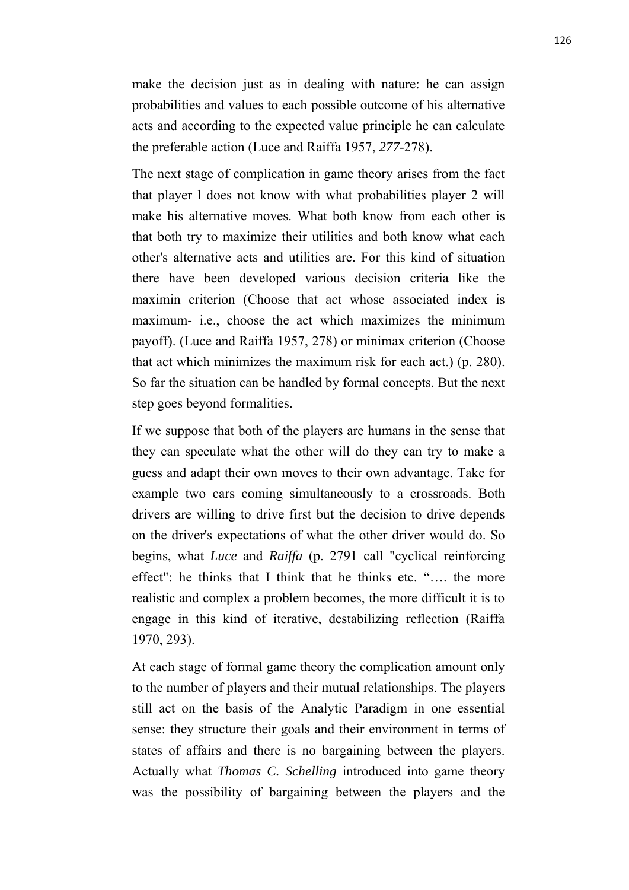make the decision just as in dealing with nature: he can assign probabilities and values to each possible outcome of his alternative acts and according to the expected value principle he can calculate the preferable action (Luce and Raiffa 1957, *277*-278).

The next stage of complication in game theory arises from the fact that player l does not know with what probabilities player 2 will make his alternative moves. What both know from each other is that both try to maximize their utilities and both know what each other's alternative acts and utilities are. For this kind of situation there have been developed various decision criteria like the maximin criterion (Choose that act whose associated index is maximum- i.e., choose the act which maximizes the minimum payoff). (Luce and Raiffa 1957, 278) or minimax criterion (Choose that act which minimizes the maximum risk for each act.) (p. 280). So far the situation can be handled by formal concepts. But the next step goes beyond formalities.

If we suppose that both of the players are humans in the sense that they can speculate what the other will do they can try to make a guess and adapt their own moves to their own advantage. Take for example two cars coming simultaneously to a crossroads. Both drivers are willing to drive first but the decision to drive depends on the driver's expectations of what the other driver would do. So begins, what *Luce* and *Raiffa* (p. 2791 call "cyclical reinforcing effect": he thinks that I think that he thinks etc. "…. the more realistic and complex a problem becomes, the more difficult it is to engage in this kind of iterative, destabilizing reflection (Raiffa 1970, 293).

At each stage of formal game theory the complication amount only to the number of players and their mutual relationships. The players still act on the basis of the Analytic Paradigm in one essential sense: they structure their goals and their environment in terms of states of affairs and there is no bargaining between the players. Actually what *Thomas C. Schelling* introduced into game theory was the possibility of bargaining between the players and the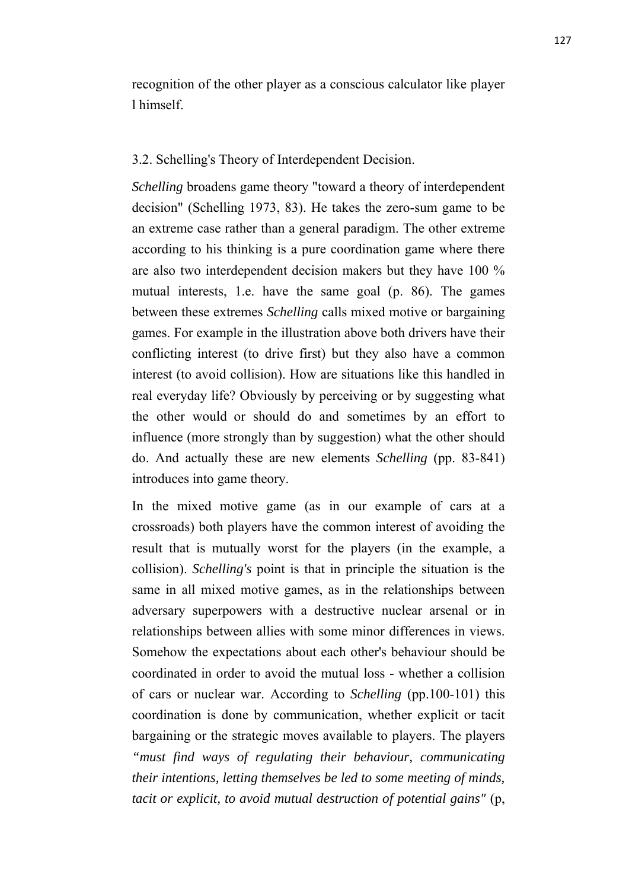recognition of the other player as a conscious calculator like player l himself.

## 3.2. Schelling's Theory of Interdependent Decision.

*Schelling* broadens game theory "toward a theory of interdependent decision" (Schelling 1973, 83). He takes the zero-sum game to be an extreme case rather than a general paradigm. The other extreme according to his thinking is a pure coordination game where there are also two interdependent decision makers but they have 100 % mutual interests, 1.e. have the same goal (p. 86). The games between these extremes *Schelling* calls mixed motive or bargaining games. For example in the illustration above both drivers have their conflicting interest (to drive first) but they also have a common interest (to avoid collision). How are situations like this handled in real everyday life? Obviously by perceiving or by suggesting what the other would or should do and sometimes by an effort to influence (more strongly than by suggestion) what the other should do. And actually these are new elements *Schelling* (pp. 83-841) introduces into game theory.

In the mixed motive game (as in our example of cars at a crossroads) both players have the common interest of avoiding the result that is mutually worst for the players (in the example, a collision). *Schelling's* point is that in principle the situation is the same in all mixed motive games, as in the relationships between adversary superpowers with a destructive nuclear arsenal or in relationships between allies with some minor differences in views. Somehow the expectations about each other's behaviour should be coordinated in order to avoid the mutual loss - whether a collision of cars or nuclear war. According to *Schelling* (pp.100-101) this coordination is done by communication, whether explicit or tacit bargaining or the strategic moves available to players. The players *"must find ways of regulating their behaviour, communicating their intentions, letting themselves be led to some meeting of minds, tacit or explicit, to avoid mutual destruction of potential gains"* (p,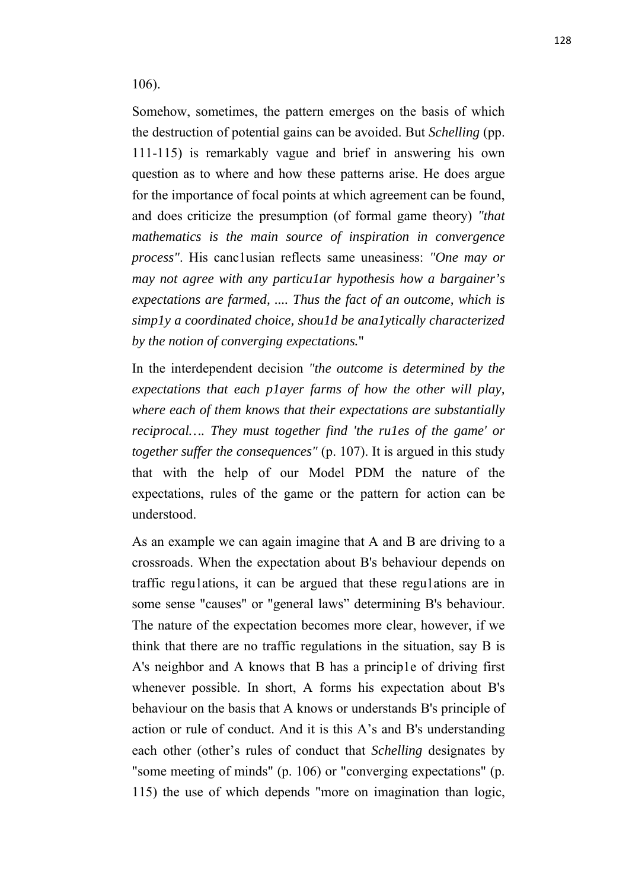106).

Somehow, sometimes, the pattern emerges on the basis of which the destruction of potential gains can be avoided. But *Schelling* (pp. 111-115) is remarkably vague and brief in answering his own question as to where and how these patterns arise. He does argue for the importance of focal points at which agreement can be found, and does criticize the presumption (of formal game theory) *"that mathematics is the main source of inspiration in convergence process"*. His canc1usian reflects same uneasiness: *"One may or may not agree with any particu1ar hypothesis how a bargainer's expectations are farmed, .... Thus the fact of an outcome, which is simp1y a coordinated choice, shou1d be ana1ytically characterized by the notion of converging expectations.*"

In the interdependent decision *"the outcome is determined by the expectations that each p1ayer farms of how the other will play, where each of them knows that their expectations are substantially reciprocal…. They must together find 'the ru1es of the game' or together suffer the consequences"* (p. 107). It is argued in this study that with the help of our Model PDM the nature of the expectations, rules of the game or the pattern for action can be understood.

As an example we can again imagine that A and B are driving to a crossroads. When the expectation about B's behaviour depends on traffic regu1ations, it can be argued that these regu1ations are in some sense "causes" or "general laws" determining B's behaviour. The nature of the expectation becomes more clear, however, if we think that there are no traffic regulations in the situation, say B is A's neighbor and A knows that B has a princip1e of driving first whenever possible. In short, A forms his expectation about B's behaviour on the basis that A knows or understands B's principle of action or rule of conduct. And it is this A's and B's understanding each other (other's rules of conduct that *Schelling* designates by "some meeting of minds" (p. 106) or "converging expectations" (p. 115) the use of which depends "more on imagination than logic,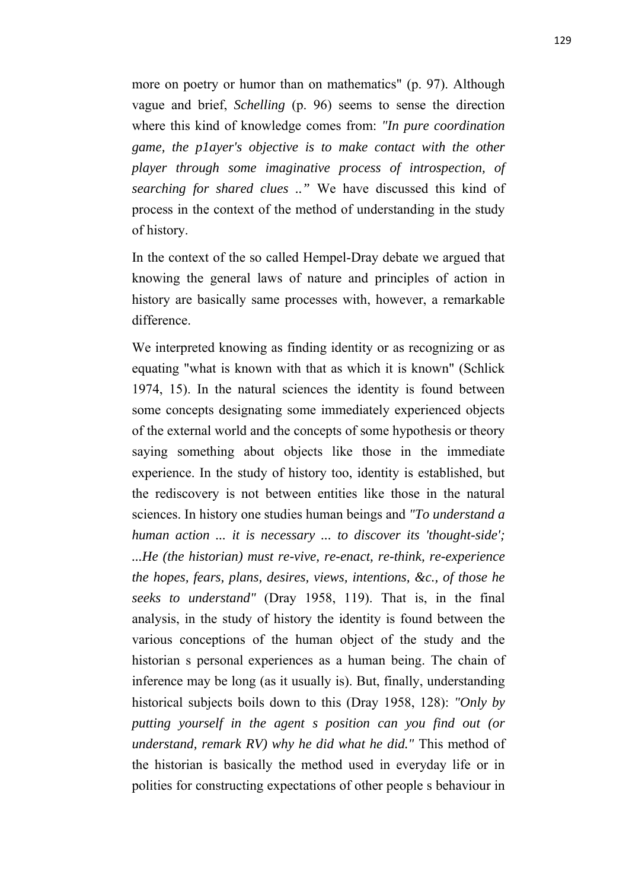more on poetry or humor than on mathematics" (p. 97). Although vague and brief, *Schelling* (p. 96) seems to sense the direction where this kind of knowledge comes from: *"In pure coordination game, the p1ayer's objective is to make contact with the other player through some imaginative process of introspection, of searching for shared clues .."* We have discussed this kind of process in the context of the method of understanding in the study of history.

In the context of the so called Hempel-Dray debate we argued that knowing the general laws of nature and principles of action in history are basically same processes with, however, a remarkable difference.

We interpreted knowing as finding identity or as recognizing or as equating "what is known with that as which it is known" (Schlick 1974, 15). In the natural sciences the identity is found between some concepts designating some immediately experienced objects of the external world and the concepts of some hypothesis or theory saying something about objects like those in the immediate experience. In the study of history too, identity is established, but the rediscovery is not between entities like those in the natural sciences. In history one studies human beings and *"To understand a human action ... it is necessary ... to discover its 'thought-side'; ...He (the historian) must re-vive, re-enact, re-think, re-experience the hopes, fears, plans, desires, views, intentions, &c., of those he seeks to understand"* (Dray 1958, 119). That is, in the final analysis, in the study of history the identity is found between the various conceptions of the human object of the study and the historian s personal experiences as a human being. The chain of inference may be long (as it usually is). But, finally, understanding historical subjects boils down to this (Dray 1958, 128): *"Only by putting yourself in the agent s position can you find out (or understand, remark RV) why he did what he did."* This method of the historian is basically the method used in everyday life or in polities for constructing expectations of other people s behaviour in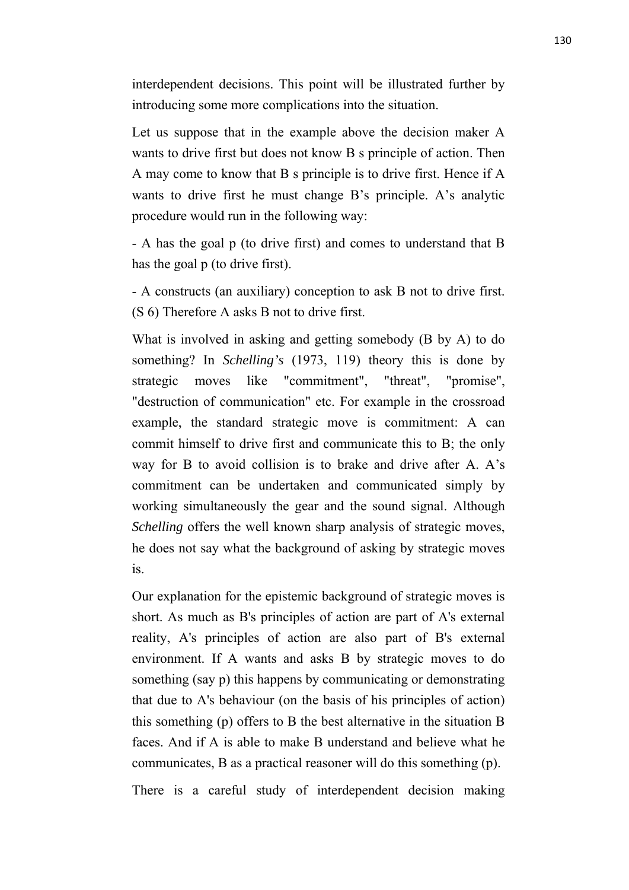interdependent decisions. This point will be illustrated further by introducing some more complications into the situation.

Let us suppose that in the example above the decision maker A wants to drive first but does not know B s principle of action. Then A may come to know that B s principle is to drive first. Hence if A wants to drive first he must change B's principle. A's analytic procedure would run in the following way:

- A has the goal p (to drive first) and comes to understand that B has the goal p (to drive first).

- A constructs (an auxiliary) conception to ask B not to drive first. (S 6) Therefore A asks B not to drive first.

What is involved in asking and getting somebody (B by A) to do something? In *Schelling's* (1973, 119) theory this is done by strategic moves like "commitment", "threat", "promise", "destruction of communication" etc. For example in the crossroad example, the standard strategic move is commitment: A can commit himself to drive first and communicate this to B; the only way for B to avoid collision is to brake and drive after A. A's commitment can be undertaken and communicated simply by working simultaneously the gear and the sound signal. Although *Schelling* offers the well known sharp analysis of strategic moves, he does not say what the background of asking by strategic moves is.

Our explanation for the epistemic background of strategic moves is short. As much as B's principles of action are part of A's external reality, A's principles of action are also part of B's external environment. If A wants and asks B by strategic moves to do something (say p) this happens by communicating or demonstrating that due to A's behaviour (on the basis of his principles of action) this something (p) offers to B the best alternative in the situation B faces. And if A is able to make B understand and believe what he communicates, B as a practical reasoner will do this something (p).

There is a careful study of interdependent decision making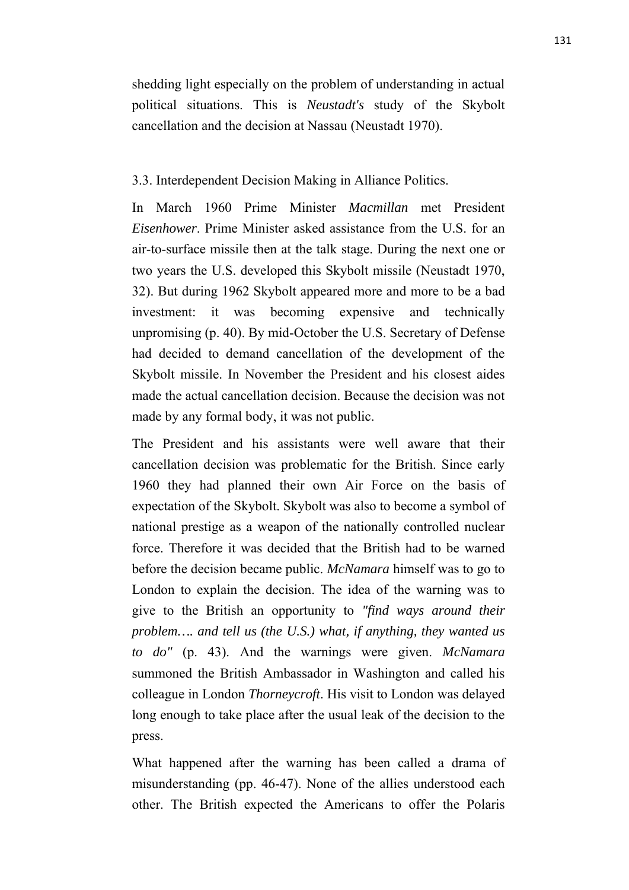shedding light especially on the problem of understanding in actual political situations. This is *Neustadt's* study of the Skybolt cancellation and the decision at Nassau (Neustadt 1970).

## 3.3. Interdependent Decision Making in Alliance Politics.

In March 1960 Prime Minister *Macmillan* met President *Eisenhower*. Prime Minister asked assistance from the U.S. for an air-to-surface missile then at the talk stage. During the next one or two years the U.S. developed this Skybolt missile (Neustadt 1970, 32). But during 1962 Skybolt appeared more and more to be a bad investment: it was becoming expensive and technically unpromising (p. 40). By mid-October the U.S. Secretary of Defense had decided to demand cancellation of the development of the Skybolt missile. In November the President and his closest aides made the actual cancellation decision. Because the decision was not made by any formal body, it was not public.

The President and his assistants were well aware that their cancellation decision was problematic for the British. Since early 1960 they had planned their own Air Force on the basis of expectation of the Skybolt. Skybolt was also to become a symbol of national prestige as a weapon of the nationally controlled nuclear force. Therefore it was decided that the British had to be warned before the decision became public. *McNamara* himself was to go to London to explain the decision. The idea of the warning was to give to the British an opportunity to *"find ways around their problem…. and tell us (the U.S.) what, if anything, they wanted us to do"* (p. 43). And the warnings were given. *McNamara* summoned the British Ambassador in Washington and called his colleague in London *Thorneycroft*. His visit to London was delayed long enough to take place after the usual leak of the decision to the press.

What happened after the warning has been called a drama of misunderstanding (pp. 46-47). None of the allies understood each other. The British expected the Americans to offer the Polaris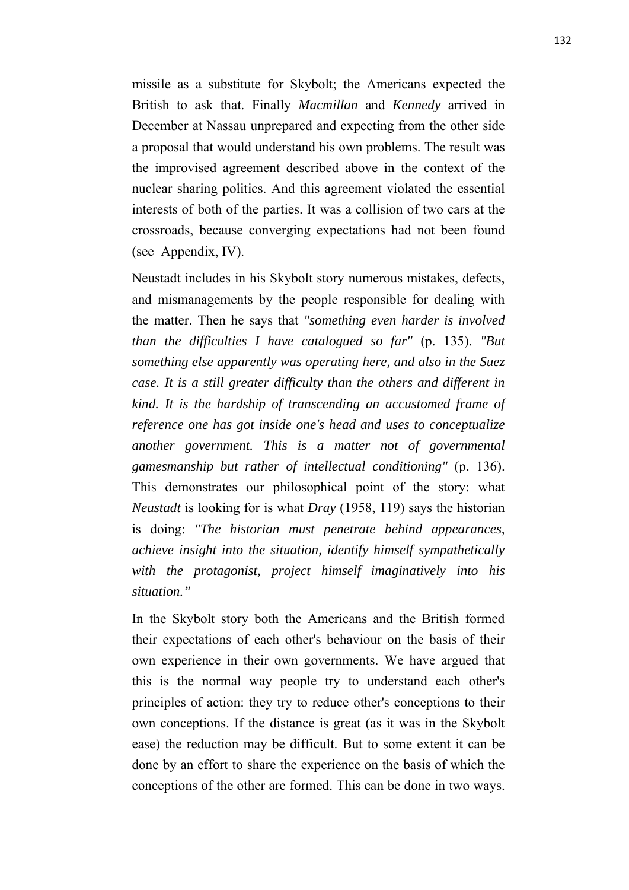missile as a substitute for Skybolt; the Americans expected the British to ask that. Finally *Macmillan* and *Kennedy* arrived in December at Nassau unprepared and expecting from the other side a proposal that would understand his own problems. The result was the improvised agreement described above in the context of the nuclear sharing politics. And this agreement violated the essential interests of both of the parties. It was a collision of two cars at the crossroads, because converging expectations had not been found (see Appendix, IV).

Neustadt includes in his Skybolt story numerous mistakes, defects, and mismanagements by the people responsible for dealing with the matter. Then he says that *"something even harder is involved than the difficulties I have catalogued so far"* (p. 135). *"But something else apparently was operating here, and also in the Suez case. It is a still greater difficulty than the others and different in kind. It is the hardship of transcending an accustomed frame of reference one has got inside one's head and uses to conceptualize another government. This is a matter not of governmental gamesmanship but rather of intellectual conditioning"* (p. 136). This demonstrates our philosophical point of the story: what *Neustadt* is looking for is what *Dray* (1958, 119) says the historian is doing: *"The historian must penetrate behind appearances, achieve insight into the situation, identify himself sympathetically with the protagonist, project himself imaginatively into his situation."*

In the Skybolt story both the Americans and the British formed their expectations of each other's behaviour on the basis of their own experience in their own governments. We have argued that this is the normal way people try to understand each other's principles of action: they try to reduce other's conceptions to their own conceptions. If the distance is great (as it was in the Skybolt ease) the reduction may be difficult. But to some extent it can be done by an effort to share the experience on the basis of which the conceptions of the other are formed. This can be done in two ways.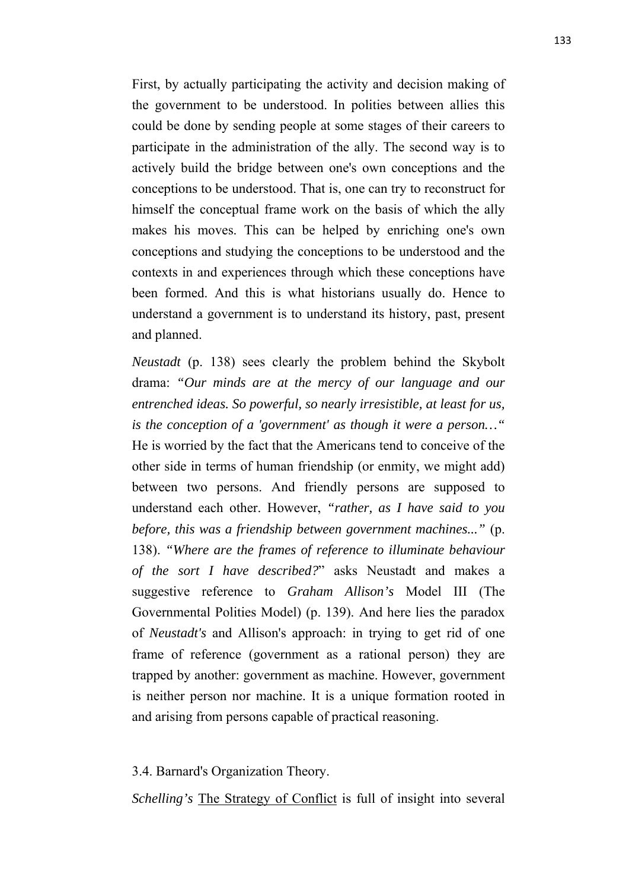First, by actually participating the activity and decision making of the government to be understood. In polities between allies this could be done by sending people at some stages of their careers to participate in the administration of the ally. The second way is to actively build the bridge between one's own conceptions and the conceptions to be understood. That is, one can try to reconstruct for himself the conceptual frame work on the basis of which the ally makes his moves. This can be helped by enriching one's own conceptions and studying the conceptions to be understood and the contexts in and experiences through which these conceptions have been formed. And this is what historians usually do. Hence to understand a government is to understand its history, past, present and planned.

*Neustadt* (p. 138) sees clearly the problem behind the Skybolt drama: *"Our minds are at the mercy of our language and our entrenched ideas. So powerful, so nearly irresistible, at least for us, is the conception of a 'government' as though it were a person…"* He is worried by the fact that the Americans tend to conceive of the other side in terms of human friendship (or enmity, we might add) between two persons. And friendly persons are supposed to understand each other. However, *"rather, as I have said to you before, this was a friendship between government machines..."* (p. 138). *"Where are the frames of reference to illuminate behaviour of the sort I have described?*" asks Neustadt and makes a suggestive reference to *Graham Allison's* Model III (The Governmental Polities Model) (p. 139). And here lies the paradox of *Neustadt's* and Allison's approach: in trying to get rid of one frame of reference (government as a rational person) they are trapped by another: government as machine. However, government is neither person nor machine. It is a unique formation rooted in and arising from persons capable of practical reasoning.

3.4. Barnard's Organization Theory.

*Schelling's* The Strategy of Conflict is full of insight into several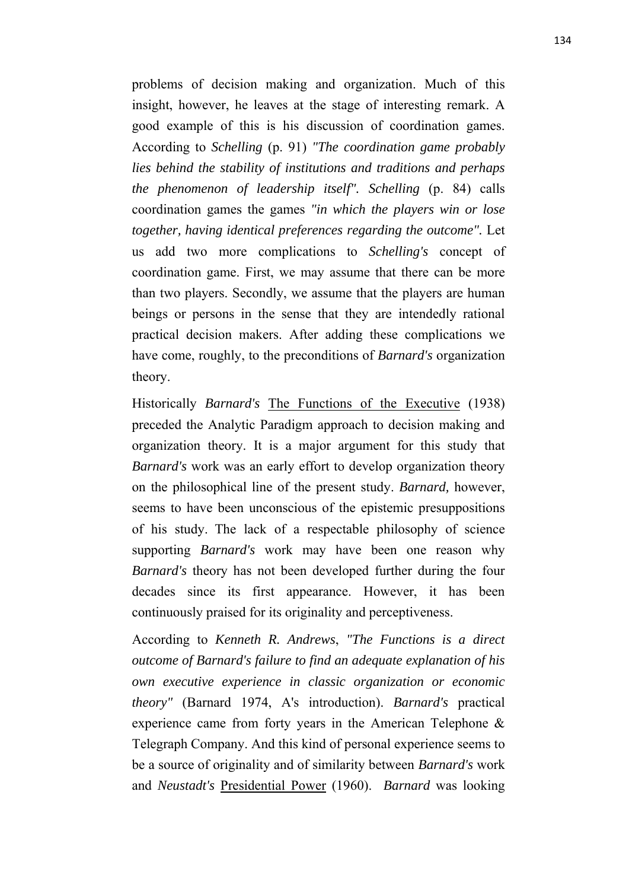problems of decision making and organization. Much of this insight, however, he leaves at the stage of interesting remark. A good example of this is his discussion of coordination games. According to *Schelling* (p. 91) *"The coordination game probably lies behind the stability of institutions and traditions and perhaps the phenomenon of leadership itself". Schelling* (p. 84) calls coordination games the games *"in which the players win or lose together, having identical preferences regarding the outcome".* Let us add two more complications to *Schelling's* concept of coordination game. First, we may assume that there can be more than two players. Secondly, we assume that the players are human beings or persons in the sense that they are intendedly rational practical decision makers. After adding these complications we have come, roughly, to the preconditions of *Barnard's* organization theory.

Historically *Barnard's* The Functions of the Executive (1938) preceded the Analytic Paradigm approach to decision making and organization theory. It is a major argument for this study that *Barnard's* work was an early effort to develop organization theory on the philosophical line of the present study. *Barnard,* however, seems to have been unconscious of the epistemic presuppositions of his study. The lack of a respectable philosophy of science supporting *Barnard's* work may have been one reason why *Barnard's* theory has not been developed further during the four decades since its first appearance. However, it has been continuously praised for its originality and perceptiveness.

According to *Kenneth R. Andrews*, *"The Functions is a direct outcome of Barnard's failure to find an adequate explanation of his own executive experience in classic organization or economic theory"* (Barnard 1974, A's introduction). *Barnard's* practical experience came from forty years in the American Telephone & Telegraph Company. And this kind of personal experience seems to be a source of originality and of similarity between *Barnard's* work and *Neustadt's* Presidential Power (1960). *Barnard* was looking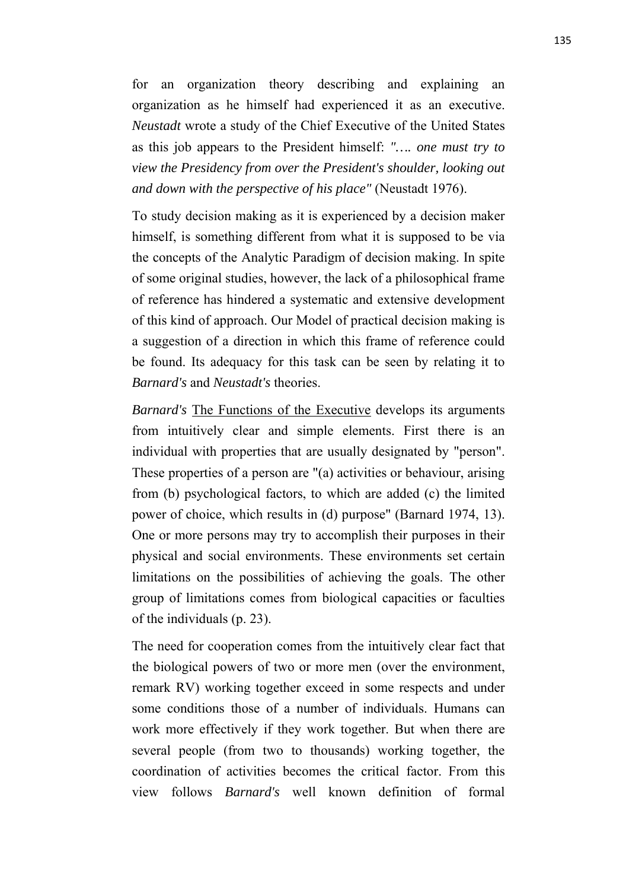for an organization theory describing and explaining an organization as he himself had experienced it as an executive. *Neustadt* wrote a study of the Chief Executive of the United States as this job appears to the President himself: *"…. one must try to view the Presidency from over the President's shoulder, looking out and down with the perspective of his place"* (Neustadt 1976).

To study decision making as it is experienced by a decision maker himself, is something different from what it is supposed to be via the concepts of the Analytic Paradigm of decision making. In spite of some original studies, however, the lack of a philosophical frame of reference has hindered a systematic and extensive development of this kind of approach. Our Model of practical decision making is a suggestion of a direction in which this frame of reference could be found. Its adequacy for this task can be seen by relating it to *Barnard's* and *Neustadt's* theories.

*Barnard's* The Functions of the Executive develops its arguments from intuitively clear and simple elements. First there is an individual with properties that are usually designated by "person". These properties of a person are "(a) activities or behaviour, arising from (b) psychological factors, to which are added (c) the limited power of choice, which results in (d) purpose" (Barnard 1974, 13). One or more persons may try to accomplish their purposes in their physical and social environments. These environments set certain limitations on the possibilities of achieving the goals. The other group of limitations comes from biological capacities or faculties of the individuals (p. 23).

The need for cooperation comes from the intuitively clear fact that the biological powers of two or more men (over the environment, remark RV) working together exceed in some respects and under some conditions those of a number of individuals. Humans can work more effectively if they work together. But when there are several people (from two to thousands) working together, the coordination of activities becomes the critical factor. From this view follows *Barnard's* well known definition of formal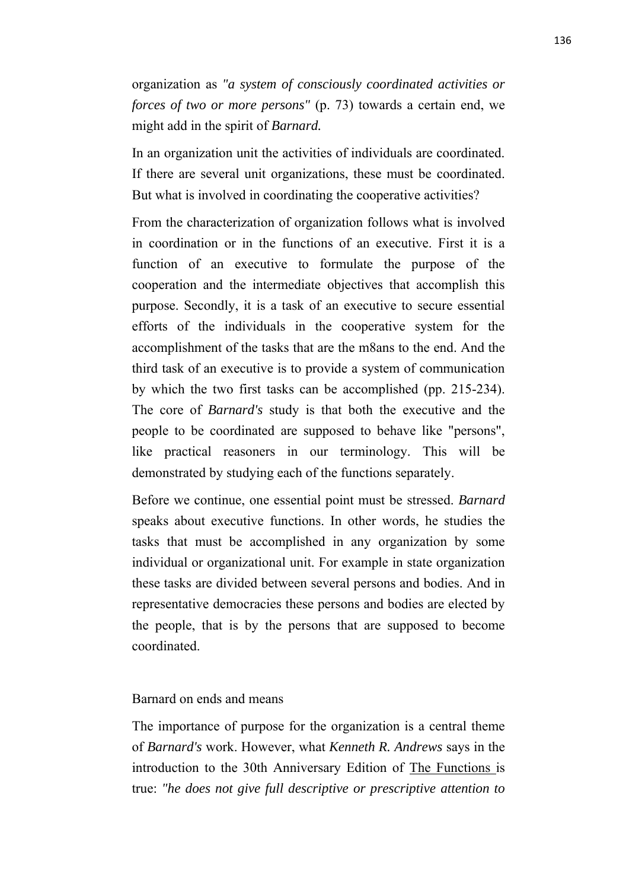organization as *"a system of consciously coordinated activities or forces of two or more persons"* (p. 73) towards a certain end, we might add in the spirit of *Barnard.*

In an organization unit the activities of individuals are coordinated. If there are several unit organizations, these must be coordinated. But what is involved in coordinating the cooperative activities?

From the characterization of organization follows what is involved in coordination or in the functions of an executive. First it is a function of an executive to formulate the purpose of the cooperation and the intermediate objectives that accomplish this purpose. Secondly, it is a task of an executive to secure essential efforts of the individuals in the cooperative system for the accomplishment of the tasks that are the m8ans to the end. And the third task of an executive is to provide a system of communication by which the two first tasks can be accomplished (pp. 215-234). The core of *Barnard's* study is that both the executive and the people to be coordinated are supposed to behave like "persons", like practical reasoners in our terminology. This will be demonstrated by studying each of the functions separately.

Before we continue, one essential point must be stressed. *Barnard* speaks about executive functions. In other words, he studies the tasks that must be accomplished in any organization by some individual or organizational unit. For example in state organization these tasks are divided between several persons and bodies. And in representative democracies these persons and bodies are elected by the people, that is by the persons that are supposed to become coordinated.

# Barnard on ends and means

The importance of purpose for the organization is a central theme of *Barnard's* work. However, what *Kenneth R. Andrews* says in the introduction to the 30th Anniversary Edition of The Functions is true: *"he does not give full descriptive or prescriptive attention to*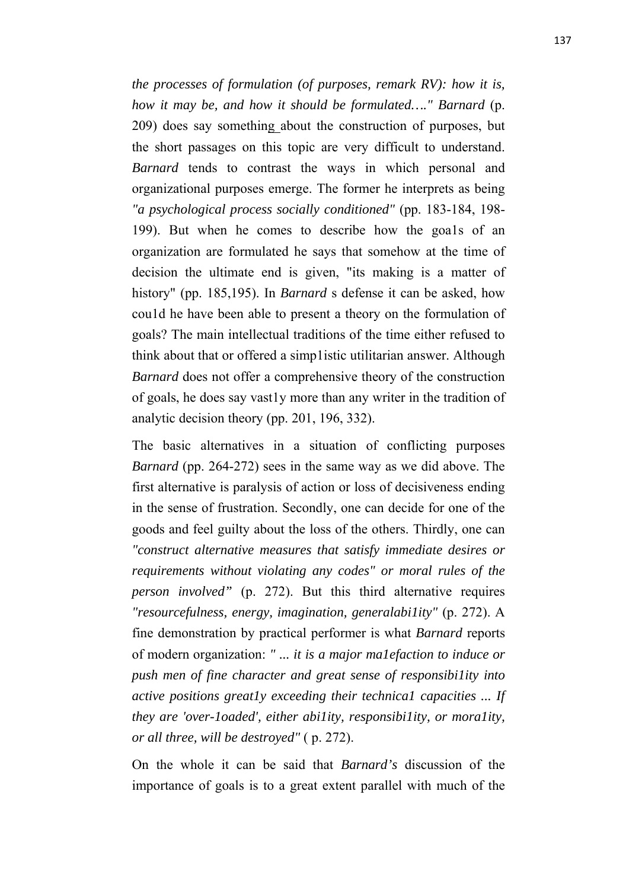*the processes of formulation (of purposes, remark RV): how it is, how it may be, and how it should be formulated…." Barnard* (p. 209) does say something about the construction of purposes, but the short passages on this topic are very difficult to understand. *Barnard* tends to contrast the ways in which personal and organizational purposes emerge. The former he interprets as being *"a psychological process socially conditioned"* (pp. 183-184, 198- 199). But when he comes to describe how the goa1s of an organization are formulated he says that somehow at the time of decision the ultimate end is given, "its making is a matter of history" (pp. 185,195). In *Barnard* s defense it can be asked, how cou1d he have been able to present a theory on the formulation of goals? The main intellectual traditions of the time either refused to think about that or offered a simp1istic utilitarian answer. Although *Barnard* does not offer a comprehensive theory of the construction of goals, he does say vast1y more than any writer in the tradition of analytic decision theory (pp. 201, 196, 332).

The basic alternatives in a situation of conflicting purposes *Barnard* (pp. 264-272) sees in the same way as we did above. The first alternative is paralysis of action or loss of decisiveness ending in the sense of frustration. Secondly, one can decide for one of the goods and feel guilty about the loss of the others. Thirdly, one can *"construct alternative measures that satisfy immediate desires or requirements without violating any codes" or moral rules of the person involved"* (p. 272). But this third alternative requires *"resourcefulness, energy, imagination, generalabi1ity"* (p. 272). A fine demonstration by practical performer is what *Barnard* reports of modern organization: *" ... it is a major ma1efaction to induce or push men of fine character and great sense of responsibi1ity into active positions great1y exceeding their technica1 capacities ... If they are 'over-1oaded', either abi1ity, responsibi1ity, or mora1ity, or all three, will be destroyed"* ( p. 272).

On the whole it can be said that *Barnard's* discussion of the importance of goals is to a great extent parallel with much of the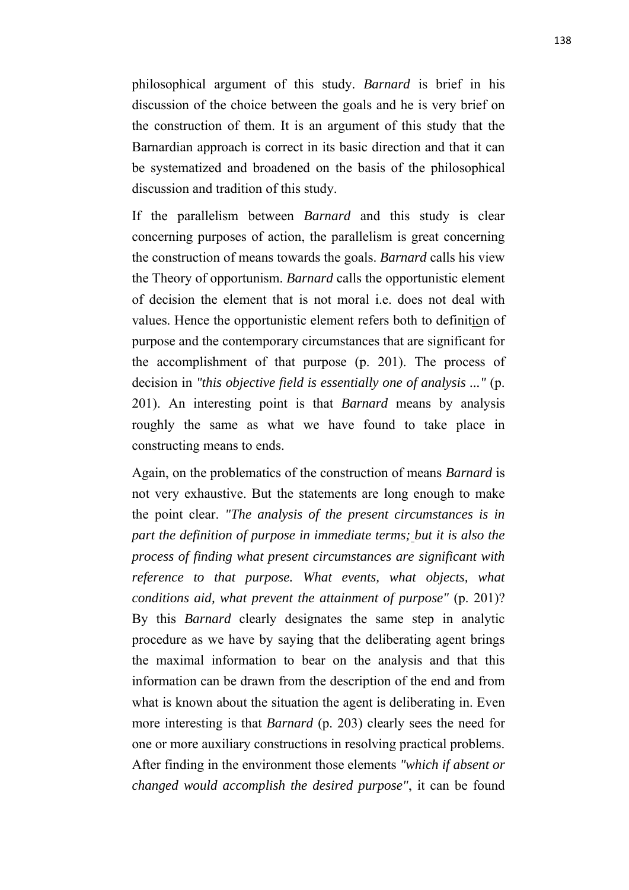philosophical argument of this study. *Barnard* is brief in his discussion of the choice between the goals and he is very brief on the construction of them. It is an argument of this study that the Barnardian approach is correct in its basic direction and that it can be systematized and broadened on the basis of the philosophical discussion and tradition of this study.

If the parallelism between *Barnard* and this study is clear concerning purposes of action, the parallelism is great concerning the construction of means towards the goals. *Barnard* calls his view the Theory of opportunism. *Barnard* calls the opportunistic element of decision the element that is not moral i.e. does not deal with values. Hence the opportunistic element refers both to definition of purpose and the contemporary circumstances that are significant for the accomplishment of that purpose (p. 201). The process of decision in *"this objective field is essentially one of analysis ..."* (p. 201). An interesting point is that *Barnard* means by analysis roughly the same as what we have found to take place in constructing means to ends.

Again, on the problematics of the construction of means *Barnard* is not very exhaustive. But the statements are long enough to make the point clear. *"The analysis of the present circumstances is in part the definition of purpose in immediate terms; but it is also the process of finding what present circumstances are significant with reference to that purpose. What events, what objects, what conditions aid, what prevent the attainment of purpose"* (p. 201)? By this *Barnard* clearly designates the same step in analytic procedure as we have by saying that the deliberating agent brings the maximal information to bear on the analysis and that this information can be drawn from the description of the end and from what is known about the situation the agent is deliberating in. Even more interesting is that *Barnard* (p. 203) clearly sees the need for one or more auxiliary constructions in resolving practical problems. After finding in the environment those elements *"which if absent or changed would accomplish the desired purpose"*, it can be found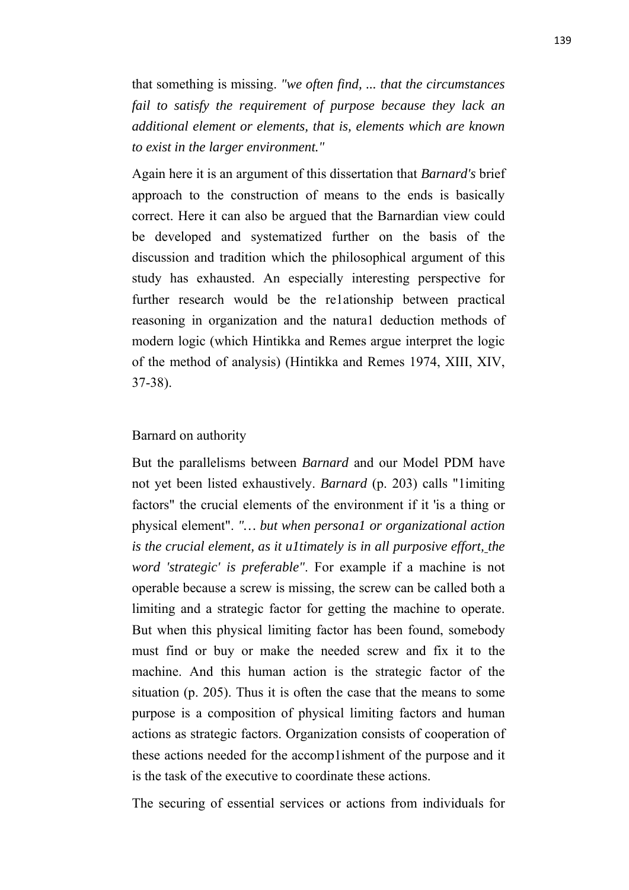that something is missing. *"we often find, ... that the circumstances fail to satisfy the requirement of purpose because they lack an additional element or elements, that is, elements which are known to exist in the larger environment."*

Again here it is an argument of this dissertation that *Barnard's* brief approach to the construction of means to the ends is basically correct. Here it can also be argued that the Barnardian view could be developed and systematized further on the basis of the discussion and tradition which the philosophical argument of this study has exhausted. An especially interesting perspective for further research would be the re1ationship between practical reasoning in organization and the natura1 deduction methods of modern logic (which Hintikka and Remes argue interpret the logic of the method of analysis) (Hintikka and Remes 1974, XIII, XIV, 37-38).

#### Barnard on authority

But the parallelisms between *Barnard* and our Model PDM have not yet been listed exhaustively. *Barnard* (p. 203) calls "1imiting factors" the crucial elements of the environment if it 'is a thing or physical element". *"… but when persona1 or organizational action is the crucial element, as it u1timately is in all purposive effort, the word 'strategic' is preferable"*. For example if a machine is not operable because a screw is missing, the screw can be called both a limiting and a strategic factor for getting the machine to operate. But when this physical limiting factor has been found, somebody must find or buy or make the needed screw and fix it to the machine. And this human action is the strategic factor of the situation (p. 205). Thus it is often the case that the means to some purpose is a composition of physical limiting factors and human actions as strategic factors. Organization consists of cooperation of these actions needed for the accomp1ishment of the purpose and it is the task of the executive to coordinate these actions.

The securing of essential services or actions from individuals for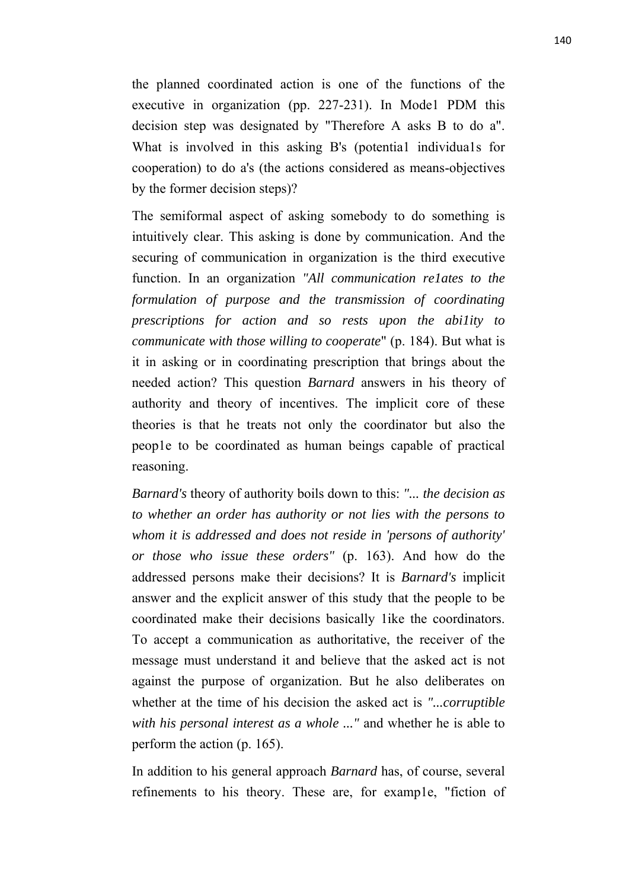the planned coordinated action is one of the functions of the executive in organization (pp. 227-231). In Mode1 PDM this decision step was designated by "Therefore A asks B to do a". What is involved in this asking B's (potential individuals for cooperation) to do a's (the actions considered as means-objectives by the former decision steps)?

The semiformal aspect of asking somebody to do something is intuitively clear. This asking is done by communication. And the securing of communication in organization is the third executive function. In an organization *"All communication re1ates to the formulation of purpose and the transmission of coordinating prescriptions for action and so rests upon the abi1ity to communicate with those willing to cooperate*" (p. 184). But what is it in asking or in coordinating prescription that brings about the needed action? This question *Barnard* answers in his theory of authority and theory of incentives. The implicit core of these theories is that he treats not only the coordinator but also the peop1e to be coordinated as human beings capable of practical reasoning.

*Barnard's* theory of authority boils down to this: *"... the decision as to whether an order has authority or not lies with the persons to whom it is addressed and does not reside in 'persons of authority' or those who issue these orders"* (p. 163). And how do the addressed persons make their decisions? It is *Barnard's* implicit answer and the explicit answer of this study that the people to be coordinated make their decisions basically 1ike the coordinators. To accept a communication as authoritative, the receiver of the message must understand it and believe that the asked act is not against the purpose of organization. But he also deliberates on whether at the time of his decision the asked act is *"...corruptible with his personal interest as a whole ..."* and whether he is able to perform the action (p. 165).

In addition to his general approach *Barnard* has, of course, several refinements to his theory. These are, for examp1e, "fiction of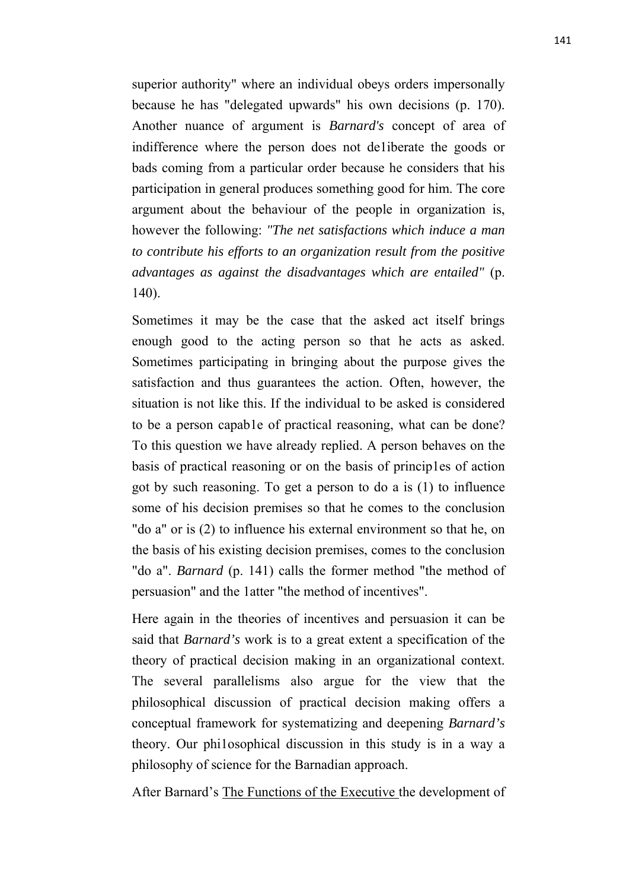superior authority" where an individual obeys orders impersonally because he has "delegated upwards" his own decisions (p. 170). Another nuance of argument is *Barnard's* concept of area of indifference where the person does not de1iberate the goods or bads coming from a particular order because he considers that his participation in general produces something good for him. The core argument about the behaviour of the people in organization is, however the following: *"The net satisfactions which induce a man to contribute his efforts to an organization result from the positive advantages as against the disadvantages which are entailed"* (p. 140).

Sometimes it may be the case that the asked act itself brings enough good to the acting person so that he acts as asked. Sometimes participating in bringing about the purpose gives the satisfaction and thus guarantees the action. Often, however, the situation is not like this. If the individual to be asked is considered to be a person capab1e of practical reasoning, what can be done? To this question we have already replied. A person behaves on the basis of practical reasoning or on the basis of princip1es of action got by such reasoning. To get a person to do a is (1) to influence some of his decision premises so that he comes to the conclusion "do a" or is (2) to influence his external environment so that he, on the basis of his existing decision premises, comes to the conclusion "do a". *Barnard* (p. 141) calls the former method "the method of persuasion" and the 1atter "the method of incentives".

Here again in the theories of incentives and persuasion it can be said that *Barnard's* work is to a great extent a specification of the theory of practical decision making in an organizational context. The several parallelisms also argue for the view that the philosophical discussion of practical decision making offers a conceptual framework for systematizing and deepening *Barnard's* theory. Our phi1osophical discussion in this study is in a way a philosophy of science for the Barnadian approach.

After Barnard's The Functions of the Executive the development of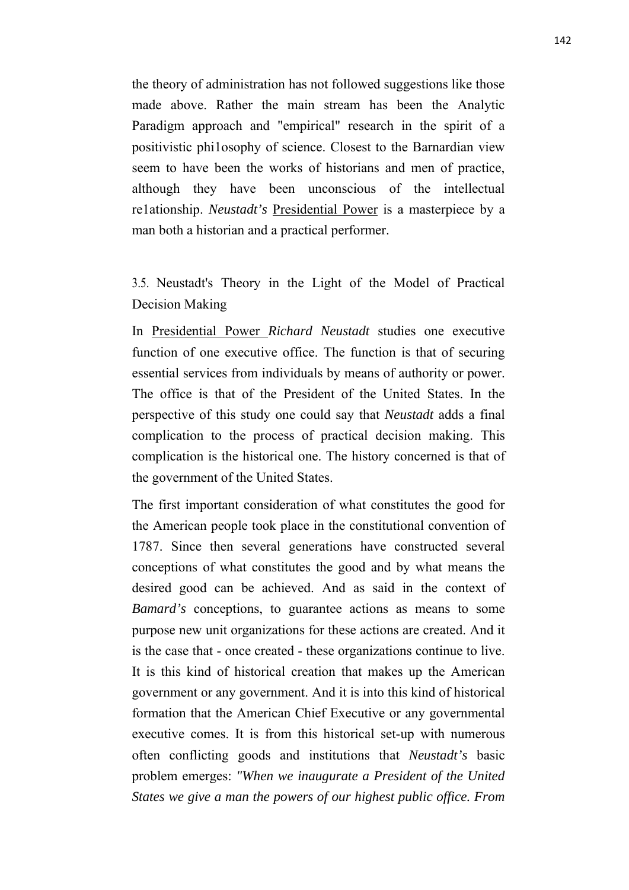the theory of administration has not followed suggestions like those made above. Rather the main stream has been the Analytic Paradigm approach and "empirical" research in the spirit of a positivistic phi1osophy of science. Closest to the Barnardian view seem to have been the works of historians and men of practice, although they have been unconscious of the intellectual re1ationship. *Neustadt's* Presidential Power is a masterpiece by a man both a historian and a practical performer.

3.5. Neustadt's Theory in the Light of the Model of Practical Decision Making

In Presidential Power *Richard Neustadt* studies one executive function of one executive office. The function is that of securing essential services from individuals by means of authority or power. The office is that of the President of the United States. In the perspective of this study one could say that *Neustadt* adds a final complication to the process of practical decision making. This complication is the historical one. The history concerned is that of the government of the United States.

The first important consideration of what constitutes the good for the American people took place in the constitutional convention of 1787. Since then several generations have constructed several conceptions of what constitutes the good and by what means the desired good can be achieved. And as said in the context of *Bamard's* conceptions, to guarantee actions as means to some purpose new unit organizations for these actions are created. And it is the case that - once created - these organizations continue to live. It is this kind of historical creation that makes up the American government or any government. And it is into this kind of historical formation that the American Chief Executive or any governmental executive comes. It is from this historical set-up with numerous often conflicting goods and institutions that *Neustadt's* basic problem emerges: *"When we inaugurate a President of the United States we give a man the powers of our highest public office. From*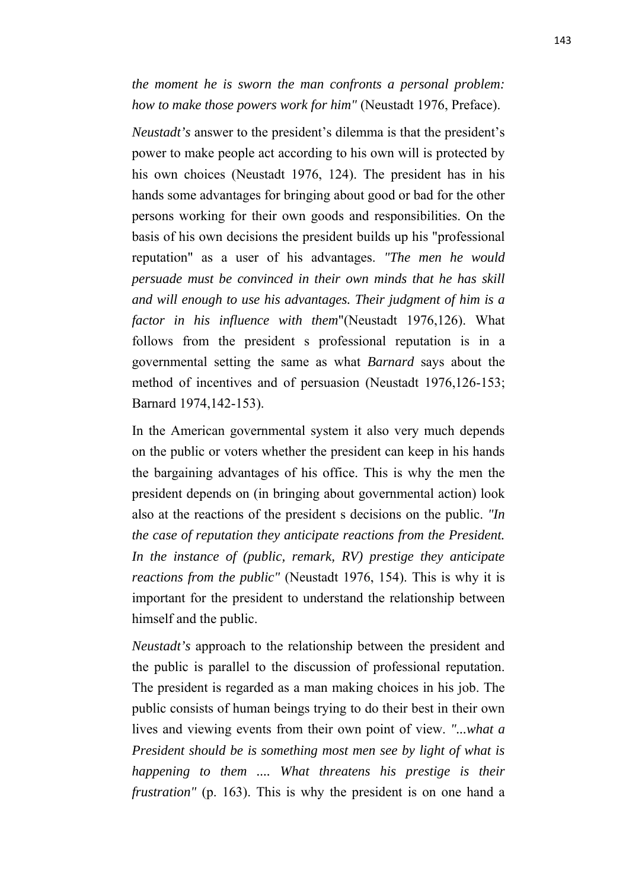*the moment he is sworn the man confronts a personal problem: how to make those powers work for him"* (Neustadt 1976, Preface).

*Neustadt's* answer to the president's dilemma is that the president's power to make people act according to his own will is protected by his own choices (Neustadt 1976, 124). The president has in his hands some advantages for bringing about good or bad for the other persons working for their own goods and responsibilities. On the basis of his own decisions the president builds up his "professional reputation" as a user of his advantages. *"The men he would persuade must be convinced in their own minds that he has skill and will enough to use his advantages. Their judgment of him is a factor in his influence with them*"(Neustadt 1976,126). What follows from the president s professional reputation is in a governmental setting the same as what *Barnard* says about the method of incentives and of persuasion (Neustadt 1976,126-153; Barnard 1974,142-153).

In the American governmental system it also very much depends on the public or voters whether the president can keep in his hands the bargaining advantages of his office. This is why the men the president depends on (in bringing about governmental action) look also at the reactions of the president s decisions on the public. *"In the case of reputation they anticipate reactions from the President. In the instance of (public, remark, RV) prestige they anticipate reactions from the public"* (Neustadt 1976, 154). This is why it is important for the president to understand the relationship between himself and the public.

*Neustadt's* approach to the relationship between the president and the public is parallel to the discussion of professional reputation. The president is regarded as a man making choices in his job. The public consists of human beings trying to do their best in their own lives and viewing events from their own point of view. *"...what a President should be is something most men see by light of what is happening to them .... What threatens his prestige is their frustration"* (p. 163). This is why the president is on one hand a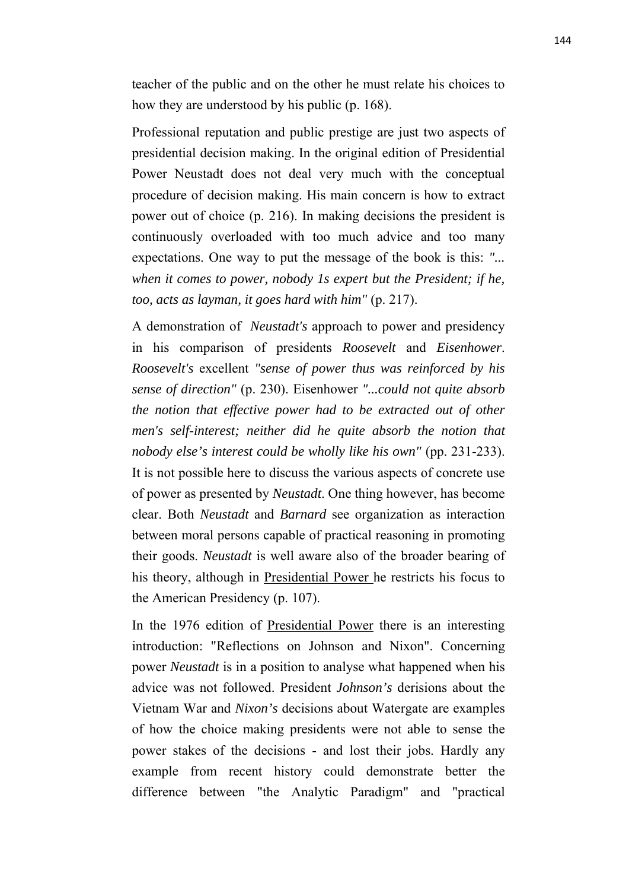teacher of the public and on the other he must relate his choices to how they are understood by his public (p. 168).

Professional reputation and public prestige are just two aspects of presidential decision making. In the original edition of Presidential Power Neustadt does not deal very much with the conceptual procedure of decision making. His main concern is how to extract power out of choice (p. 216). In making decisions the president is continuously overloaded with too much advice and too many expectations. One way to put the message of the book is this: *"... when it comes to power, nobody 1s expert but the President; if he, too, acts as layman, it goes hard with him"* (p. 217).

A demonstration of *Neustadt's* approach to power and presidency in his comparison of presidents *Roosevelt* and *Eisenhower*. *Roosevelt's* excellent *"sense of power thus was reinforced by his sense of direction"* (p. 230). Eisenhower *"...could not quite absorb the notion that effective power had to be extracted out of other men's self-interest; neither did he quite absorb the notion that nobody else's interest could be wholly like his own"* (pp. 231-233). It is not possible here to discuss the various aspects of concrete use of power as presented by *Neustadt*. One thing however, has become clear. Both *Neustadt* and *Barnard* see organization as interaction between moral persons capable of practical reasoning in promoting their goods. *Neustadt* is well aware also of the broader bearing of his theory, although in Presidential Power he restricts his focus to the American Presidency (p. 107).

In the 1976 edition of Presidential Power there is an interesting introduction: "Reflections on Johnson and Nixon". Concerning power *Neustadt* is in a position to analyse what happened when his advice was not followed. President *Johnson's* derisions about the Vietnam War and *Nixon's* decisions about Watergate are examples of how the choice making presidents were not able to sense the power stakes of the decisions - and lost their jobs. Hardly any example from recent history could demonstrate better the difference between "the Analytic Paradigm" and "practical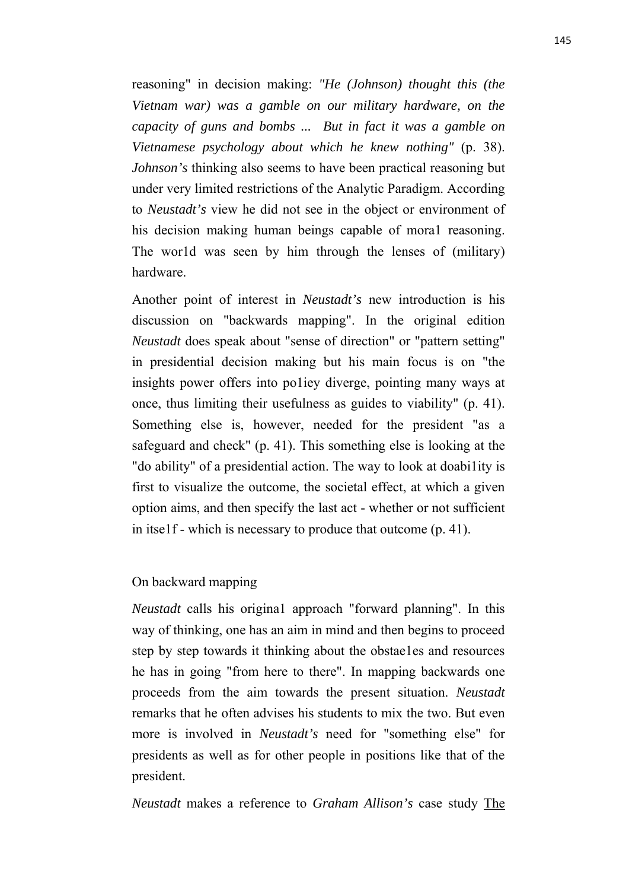reasoning" in decision making: *"He (Johnson) thought this (the Vietnam war) was a gamble on our military hardware, on the capacity of guns and bombs ... But in fact it was a gamble on Vietnamese psychology about which he knew nothing"* (p. 38). *Johnson's* thinking also seems to have been practical reasoning but under very limited restrictions of the Analytic Paradigm. According to *Neustadt's* view he did not see in the object or environment of his decision making human beings capable of moral reasoning. The wor1d was seen by him through the lenses of (military) hardware.

Another point of interest in *Neustadt's* new introduction is his discussion on "backwards mapping". In the original edition *Neustadt* does speak about "sense of direction" or "pattern setting" in presidential decision making but his main focus is on "the insights power offers into po1iey diverge, pointing many ways at once, thus limiting their usefulness as guides to viability" (p. 41). Something else is, however, needed for the president "as a safeguard and check" (p. 41). This something else is looking at the "do ability" of a presidential action. The way to look at doabi1ity is first to visualize the outcome, the societal effect, at which a given option aims, and then specify the last act - whether or not sufficient in itse1f - which is necessary to produce that outcome (p. 41).

#### On backward mapping

*Neustadt* calls his origina1 approach "forward planning". In this way of thinking, one has an aim in mind and then begins to proceed step by step towards it thinking about the obstae1es and resources he has in going "from here to there". In mapping backwards one proceeds from the aim towards the present situation. *Neustadt* remarks that he often advises his students to mix the two. But even more is involved in *Neustadt's* need for "something else" for presidents as well as for other people in positions like that of the president.

*Neustadt* makes a reference to *Graham Allison's* case study The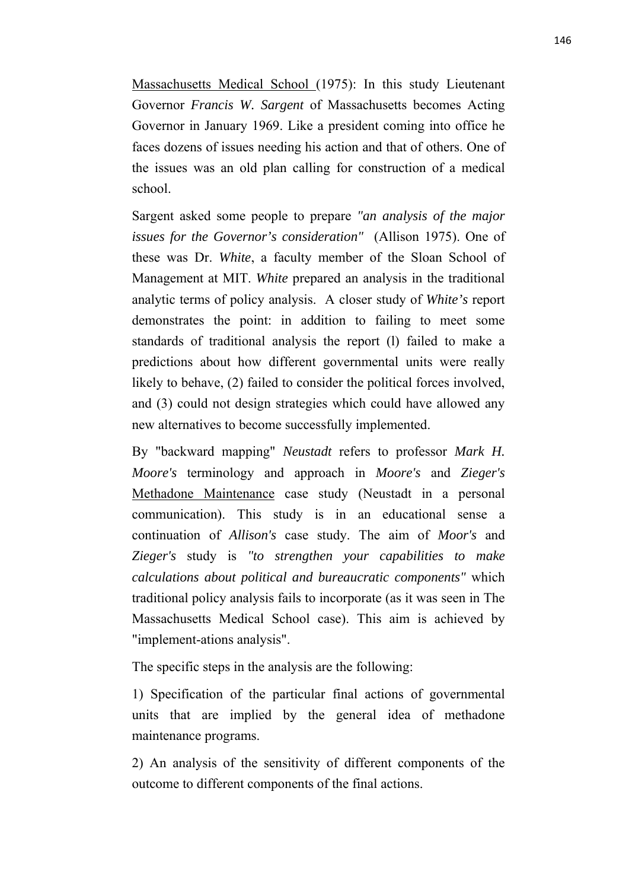Massachusetts Medical School (1975): In this study Lieutenant Governor *Francis W. Sargent* of Massachusetts becomes Acting Governor in January 1969. Like a president coming into office he faces dozens of issues needing his action and that of others. One of the issues was an old plan calling for construction of a medical school.

Sargent asked some people to prepare *"an analysis of the major issues for the Governor's consideration"* (Allison 1975). One of these was Dr. *White*, a faculty member of the Sloan School of Management at MIT. *White* prepared an analysis in the traditional analytic terms of policy analysis. A closer study of *White's* report demonstrates the point: in addition to failing to meet some standards of traditional analysis the report (l) failed to make a predictions about how different governmental units were really likely to behave, (2) failed to consider the political forces involved, and (3) could not design strategies which could have allowed any new alternatives to become successfully implemented.

By "backward mapping" *Neustadt* refers to professor *Mark H. Moore's* terminology and approach in *Moore's* and *Zieger's* Methadone Maintenance case study (Neustadt in a personal communication). This study is in an educational sense a continuation of *Allison's* case study. The aim of *Moor's* and *Zieger's* study is *"to strengthen your capabilities to make calculations about political and bureaucratic components"* which traditional policy analysis fails to incorporate (as it was seen in The Massachusetts Medical School case). This aim is achieved by "implement-ations analysis".

The specific steps in the analysis are the following:

1) Specification of the particular final actions of governmental units that are implied by the general idea of methadone maintenance programs.

2) An analysis of the sensitivity of different components of the outcome to different components of the final actions.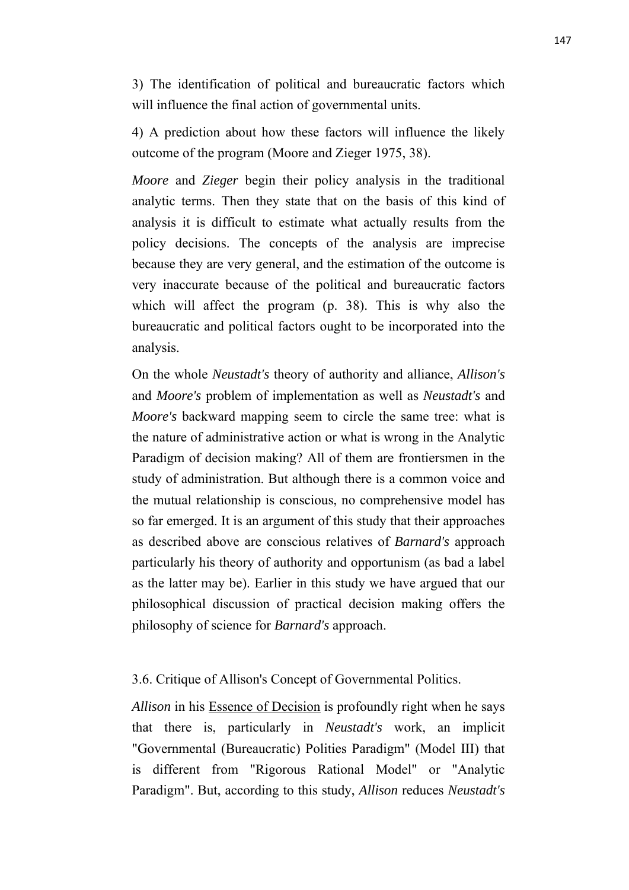3) The identification of political and bureaucratic factors which will influence the final action of governmental units.

4) A prediction about how these factors will influence the likely outcome of the program (Moore and Zieger 1975, 38).

*Moore* and *Zieger* begin their policy analysis in the traditional analytic terms. Then they state that on the basis of this kind of analysis it is difficult to estimate what actually results from the policy decisions. The concepts of the analysis are imprecise because they are very general, and the estimation of the outcome is very inaccurate because of the political and bureaucratic factors which will affect the program (p. 38). This is why also the bureaucratic and political factors ought to be incorporated into the analysis.

On the whole *Neustadt's* theory of authority and alliance, *Allison's* and *Moore's* problem of implementation as well as *Neustadt's* and *Moore's* backward mapping seem to circle the same tree: what is the nature of administrative action or what is wrong in the Analytic Paradigm of decision making? All of them are frontiersmen in the study of administration. But although there is a common voice and the mutual relationship is conscious, no comprehensive model has so far emerged. It is an argument of this study that their approaches as described above are conscious relatives of *Barnard's* approach particularly his theory of authority and opportunism (as bad a label as the latter may be). Earlier in this study we have argued that our philosophical discussion of practical decision making offers the philosophy of science for *Barnard's* approach.

3.6. Critique of Allison's Concept of Governmental Politics.

*Allison* in his Essence of Decision is profoundly right when he says that there is, particularly in *Neustadt's* work, an implicit "Governmental (Bureaucratic) Polities Paradigm" (Model III) that is different from "Rigorous Rational Model" or "Analytic Paradigm". But, according to this study, *Allison* reduces *Neustadt's*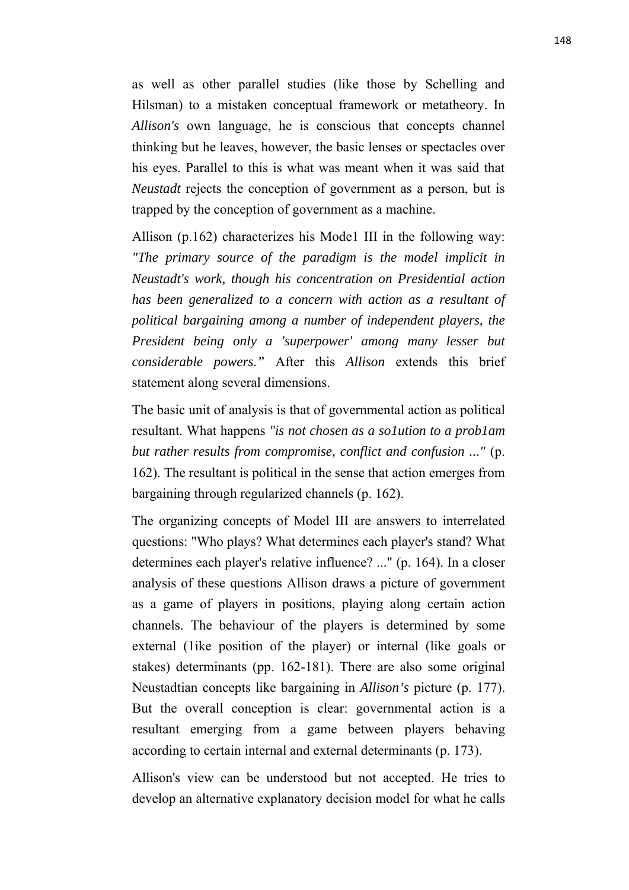as well as other parallel studies (like those by Schelling and Hilsman) to a mistaken conceptual framework or metatheory. In *Allison's* own language, he is conscious that concepts channel thinking but he leaves, however, the basic lenses or spectacles over his eyes. Parallel to this is what was meant when it was said that *Neustadt* rejects the conception of government as a person, but is trapped by the conception of government as a machine.

Allison (p.162) characterizes his Mode1 III in the following way: *"The primary source of the paradigm is the model implicit in Neustadt's work, though his concentration on Presidential action has been generalized to a concern with action as a resultant of political bargaining among a number of independent players, the President being only a 'superpower' among many lesser but considerable powers."* After this *Allison* extends this brief statement along several dimensions.

The basic unit of analysis is that of governmental action as political resultant. What happens *"is not chosen as a so1ution to a prob1am but rather results from compromise, conflict and confusion ..."* (p. 162). The resultant is political in the sense that action emerges from bargaining through regularized channels (p. 162).

The organizing concepts of Model III are answers to interrelated questions: "Who plays? What determines each player's stand? What determines each player's relative influence? ..." (p. 164). In a closer analysis of these questions Allison draws a picture of government as a game of players in positions, playing along certain action channels. The behaviour of the players is determined by some external (1ike position of the player) or internal (like goals or stakes) determinants (pp. 162-181). There are also some original Neustadtian concepts like bargaining in *Allison's* picture (p. 177). But the overall conception is clear: governmental action is a resultant emerging from a game between players behaving according to certain internal and external determinants (p. 173).

Allison's view can be understood but not accepted. He tries to develop an alternative explanatory decision model for what he calls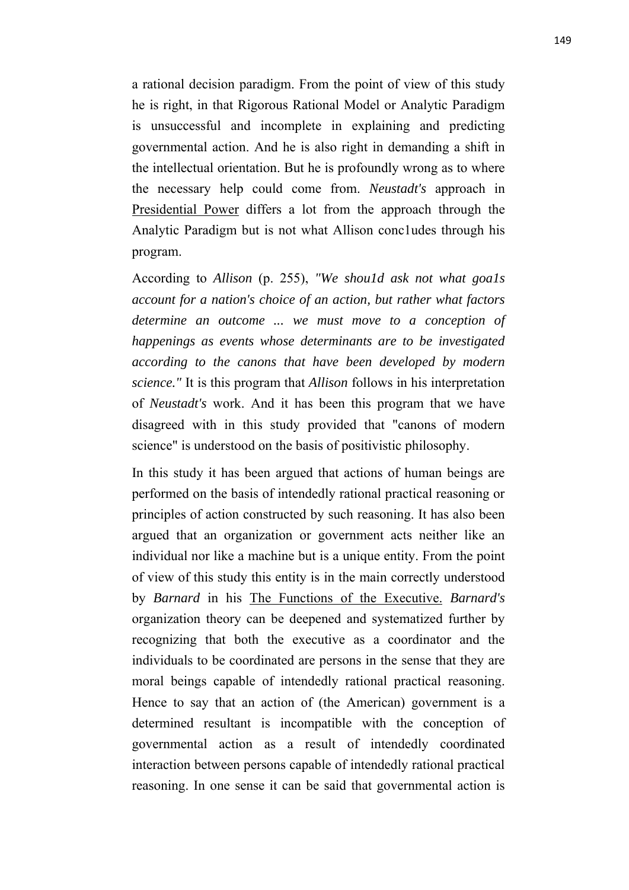a rational decision paradigm. From the point of view of this study he is right, in that Rigorous Rational Model or Analytic Paradigm is unsuccessful and incomplete in explaining and predicting governmental action. And he is also right in demanding a shift in the intellectual orientation. But he is profoundly wrong as to where the necessary help could come from. *Neustadt's* approach in Presidential Power differs a lot from the approach through the Analytic Paradigm but is not what Allison conc1udes through his program.

According to *Allison* (p. 255), *"We shou1d ask not what goa1s account for a nation's choice of an action, but rather what factors determine an outcome ... we must move to a conception of happenings as events whose determinants are to be investigated according to the canons that have been developed by modern science."* It is this program that *Allison* follows in his interpretation of *Neustadt's* work. And it has been this program that we have disagreed with in this study provided that "canons of modern science" is understood on the basis of positivistic philosophy.

In this study it has been argued that actions of human beings are performed on the basis of intendedly rational practical reasoning or principles of action constructed by such reasoning. It has also been argued that an organization or government acts neither like an individual nor like a machine but is a unique entity. From the point of view of this study this entity is in the main correctly understood by *Barnard* in his The Functions of the Executive. *Barnard's* organization theory can be deepened and systematized further by recognizing that both the executive as a coordinator and the individuals to be coordinated are persons in the sense that they are moral beings capable of intendedly rational practical reasoning. Hence to say that an action of (the American) government is a determined resultant is incompatible with the conception of governmental action as a result of intendedly coordinated interaction between persons capable of intendedly rational practical reasoning. In one sense it can be said that governmental action is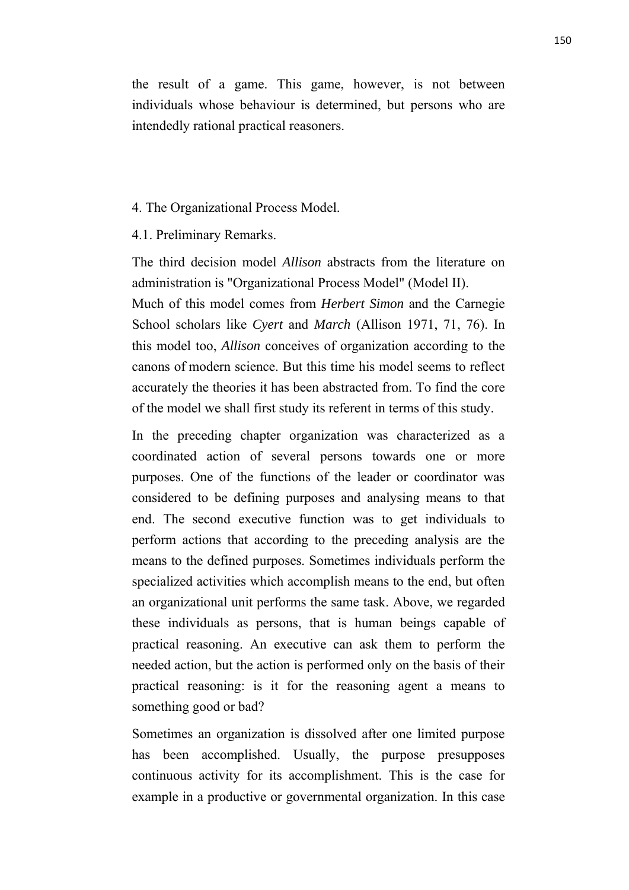the result of a game. This game, however, is not between individuals whose behaviour is determined, but persons who are intendedly rational practical reasoners.

#### 4. The Organizational Process Model.

#### 4.1. Preliminary Remarks.

The third decision model *Allison* abstracts from the literature on administration is "Organizational Process Model" (Model II).

Much of this model comes from *Herbert Simon* and the Carnegie School scholars like *Cyert* and *March* (Allison 1971, 71, 76). In this model too, *Allison* conceives of organization according to the canons of modern science. But this time his model seems to reflect accurately the theories it has been abstracted from. To find the core of the model we shall first study its referent in terms of this study.

In the preceding chapter organization was characterized as a coordinated action of several persons towards one or more purposes. One of the functions of the leader or coordinator was considered to be defining purposes and analysing means to that end. The second executive function was to get individuals to perform actions that according to the preceding analysis are the means to the defined purposes. Sometimes individuals perform the specialized activities which accomplish means to the end, but often an organizational unit performs the same task. Above, we regarded these individuals as persons, that is human beings capable of practical reasoning. An executive can ask them to perform the needed action, but the action is performed only on the basis of their practical reasoning: is it for the reasoning agent a means to something good or bad?

Sometimes an organization is dissolved after one limited purpose has been accomplished. Usually, the purpose presupposes continuous activity for its accomplishment. This is the case for example in a productive or governmental organization. In this case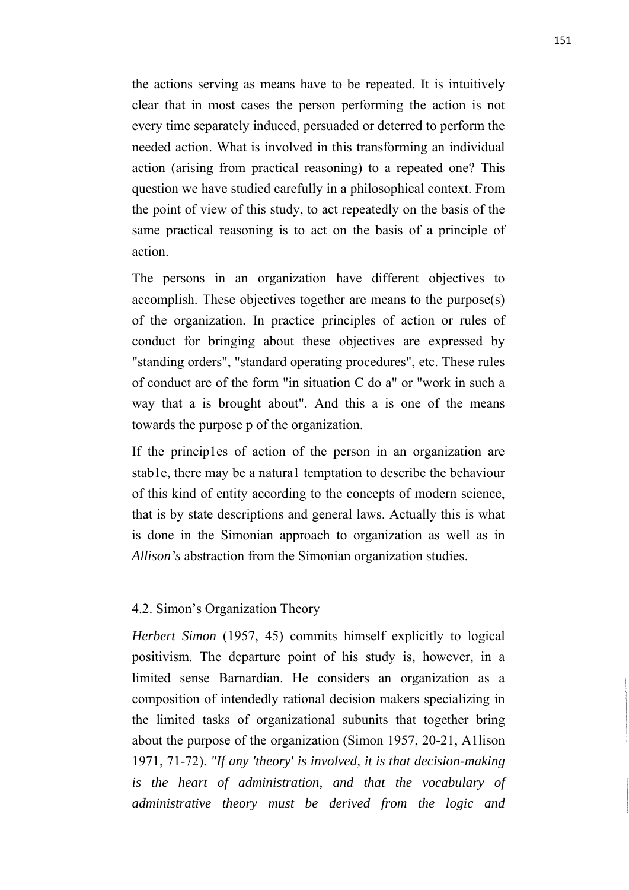the actions serving as means have to be repeated. It is intuitively clear that in most cases the person performing the action is not every time separately induced, persuaded or deterred to perform the needed action. What is involved in this transforming an individual action (arising from practical reasoning) to a repeated one? This question we have studied carefully in a philosophical context. From the point of view of this study, to act repeatedly on the basis of the same practical reasoning is to act on the basis of a principle of action.

The persons in an organization have different objectives to accomplish. These objectives together are means to the purpose(s) of the organization. In practice principles of action or rules of conduct for bringing about these objectives are expressed by "standing orders", "standard operating procedures", etc. These rules of conduct are of the form "in situation C do a" or "work in such a way that a is brought about". And this a is one of the means towards the purpose p of the organization.

If the princip1es of action of the person in an organization are stab1e, there may be a natura1 temptation to describe the behaviour of this kind of entity according to the concepts of modern science, that is by state descriptions and general laws. Actually this is what is done in the Simonian approach to organization as well as in *Allison's* abstraction from the Simonian organization studies.

## 4.2. Simon's Organization Theory

*Herbert Simon* (1957, 45) commits himself explicitly to logical positivism. The departure point of his study is, however, in a limited sense Barnardian. He considers an organization as a composition of intendedly rational decision makers specializing in the limited tasks of organizational subunits that together bring about the purpose of the organization (Simon 1957, 20-21, A1lison 1971, 71-72). *"If any 'theory' is involved, it is that decision-making is the heart of administration, and that the vocabulary of administrative theory must be derived from the logic and*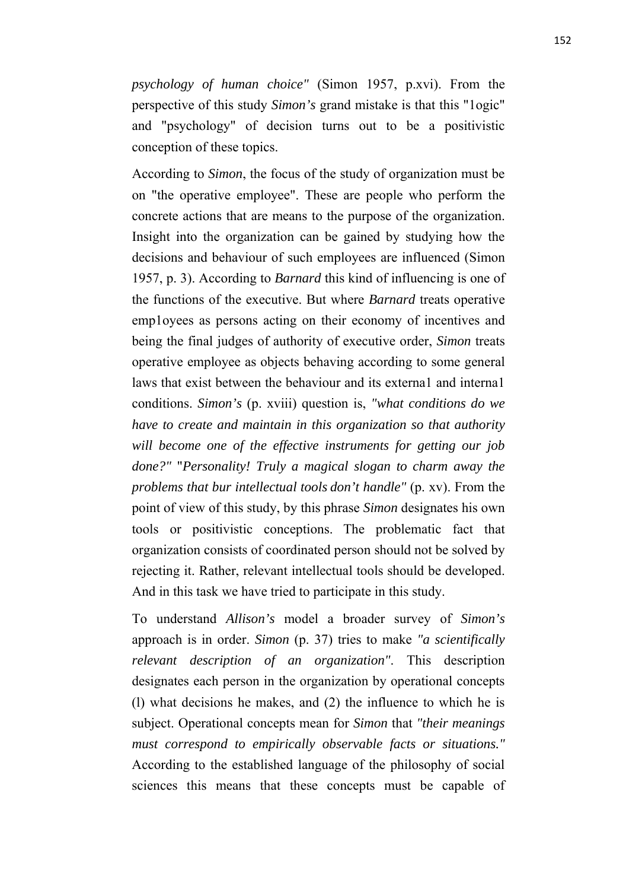*psychology of human choice"* (Simon 1957, p.xvi). From the perspective of this study *Simon's* grand mistake is that this "1ogic" and "psychology" of decision turns out to be a positivistic conception of these topics.

According to *Simon*, the focus of the study of organization must be on "the operative employee". These are people who perform the concrete actions that are means to the purpose of the organization. Insight into the organization can be gained by studying how the decisions and behaviour of such employees are influenced (Simon 1957, p. 3). According to *Barnard* this kind of influencing is one of the functions of the executive. But where *Barnard* treats operative emp1oyees as persons acting on their economy of incentives and being the final judges of authority of executive order, *Simon* treats operative employee as objects behaving according to some general laws that exist between the behaviour and its externa1 and interna1 conditions. *Simon's* (p. xviii) question is, *"what conditions do we have to create and maintain in this organization so that authority will become one of the effective instruments for getting our job done?"* "*Personality! Truly a magical slogan to charm away the problems that bur intellectual tools don't handle"* (p. xv). From the point of view of this study, by this phrase *Simon* designates his own tools or positivistic conceptions. The problematic fact that organization consists of coordinated person should not be solved by rejecting it. Rather, relevant intellectual tools should be developed. And in this task we have tried to participate in this study.

To understand *Allison's* model a broader survey of *Simon's* approach is in order. *Simon* (p. 37) tries to make *"a scientifically relevant description of an organization"*. This description designates each person in the organization by operational concepts (l) what decisions he makes, and (2) the influence to which he is subject. Operational concepts mean for *Simon* that *"their meanings must correspond to empirically observable facts or situations."* According to the established language of the philosophy of social sciences this means that these concepts must be capable of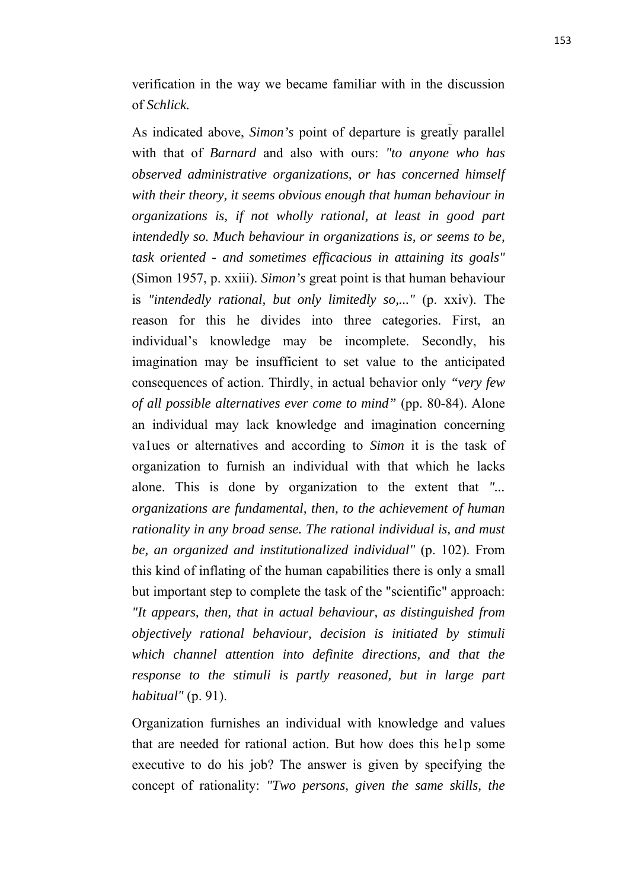verification in the way we became familiar with in the discussion of *Schlick.*

As indicated above, *Simon's* point of departure is greatly parallel with that of *Barnard* and also with ours: *"to anyone who has observed administrative organizations, or has concerned himself with their theory, it seems obvious enough that human behaviour in organizations is, if not wholly rational, at least in good part intendedly so. Much behaviour in organizations is, or seems to be, task oriented - and sometimes efficacious in attaining its goals"* (Simon 1957, p. xxiii). *Simon's* great point is that human behaviour is *"intendedly rational, but only limitedly so,..."* (p. xxiv). The reason for this he divides into three categories. First, an individual's knowledge may be incomplete. Secondly, his imagination may be insufficient to set value to the anticipated consequences of action. Thirdly, in actual behavior only *"very few of all possible alternatives ever come to mind"* (pp. 80-84). Alone an individual may lack knowledge and imagination concerning va1ues or alternatives and according to *Simon* it is the task of organization to furnish an individual with that which he lacks alone. This is done by organization to the extent that *"... organizations are fundamental, then, to the achievement of human rationality in any broad sense. The rational individual is, and must be, an organized and institutionalized individual"* (p. 102). From this kind of inflating of the human capabilities there is only a small but important step to complete the task of the "scientific" approach: *"It appears, then, that in actual behaviour, as distinguished from objectively rational behaviour, decision is initiated by stimuli which channel attention into definite directions, and that the response to the stimuli is partly reasoned, but in large part habitual"* (p. 91).

Organization furnishes an individual with knowledge and values that are needed for rational action. But how does this he1p some executive to do his job? The answer is given by specifying the concept of rationality: *"Two persons, given the same skills, the*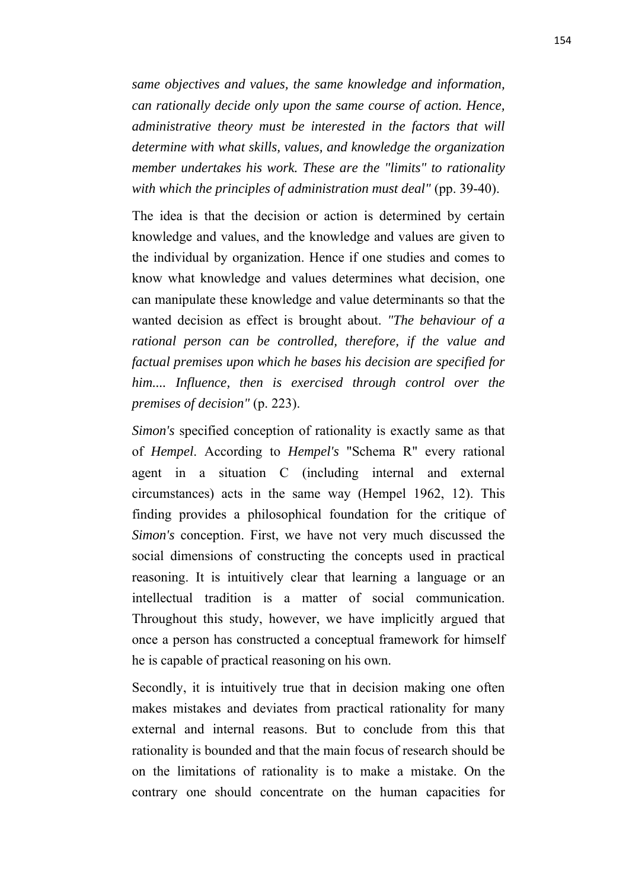*same objectives and values, the same knowledge and information, can rationally decide only upon the same course of action. Hence, administrative theory must be interested in the factors that will determine with what skills, values, and knowledge the organization member undertakes his work. These are the "limits" to rationality with which the principles of administration must deal"* (pp. 39-40).

The idea is that the decision or action is determined by certain knowledge and values, and the knowledge and values are given to the individual by organization. Hence if one studies and comes to know what knowledge and values determines what decision, one can manipulate these knowledge and value determinants so that the wanted decision as effect is brought about. *"The behaviour of a rational person can be controlled, therefore, if the value and factual premises upon which he bases his decision are specified for him.... Influence, then is exercised through control over the premises of decision"* (p. 223).

*Simon's* specified conception of rationality is exactly same as that of *Hempel*. According to *Hempel's* "Schema R" every rational agent in a situation C (including internal and external circumstances) acts in the same way (Hempel 1962, 12). This finding provides a philosophical foundation for the critique of *Simon's* conception. First, we have not very much discussed the social dimensions of constructing the concepts used in practical reasoning. It is intuitively clear that learning a language or an intellectual tradition is a matter of social communication. Throughout this study, however, we have implicitly argued that once a person has constructed a conceptual framework for himself he is capable of practical reasoning on his own.

Secondly, it is intuitively true that in decision making one often makes mistakes and deviates from practical rationality for many external and internal reasons. But to conclude from this that rationality is bounded and that the main focus of research should be on the limitations of rationality is to make a mistake. On the contrary one should concentrate on the human capacities for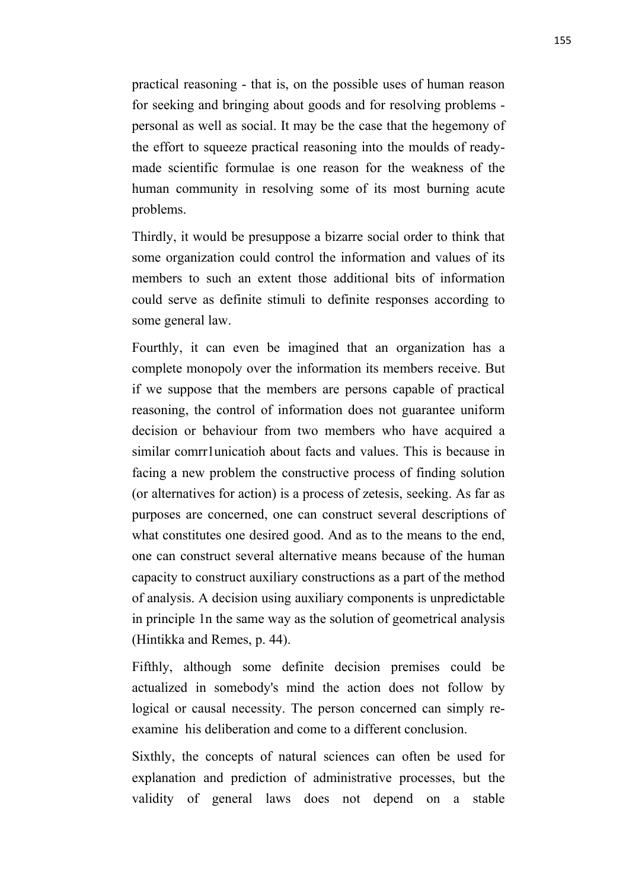practical reasoning - that is, on the possible uses of human reason for seeking and bringing about goods and for resolving problems personal as well as social. It may be the case that the hegemony of the effort to squeeze practical reasoning into the moulds of readymade scientific formulae is one reason for the weakness of the human community in resolving some of its most burning acute problems.

Thirdly, it would be presuppose a bizarre social order to think that some organization could control the information and values of its members to such an extent those additional bits of information could serve as definite stimuli to definite responses according to some general law.

Fourthly, it can even be imagined that an organization has a complete monopoly over the information its members receive. But if we suppose that the members are persons capable of practical reasoning, the control of information does not guarantee uniform decision or behaviour from two members who have acquired a similar comrr1unicatioh about facts and values. This is because in facing a new problem the constructive process of finding solution (or alternatives for action) is a process of zetesis, seeking. As far as purposes are concerned, one can construct several descriptions of what constitutes one desired good. And as to the means to the end, one can construct several alternative means because of the human capacity to construct auxiliary constructions as a part of the method of analysis. A decision using auxiliary components is unpredictable in principle 1n the same way as the solution of geometrical analysis (Hintikka and Remes, p. 44).

Fifthly, although some definite decision premises could be actualized in somebody's mind the action does not follow by logical or causal necessity. The person concerned can simply reexamine his deliberation and come to a different conclusion.

Sixthly, the concepts of natural sciences can often be used for explanation and prediction of administrative processes, but the validity of general laws does not depend on a stable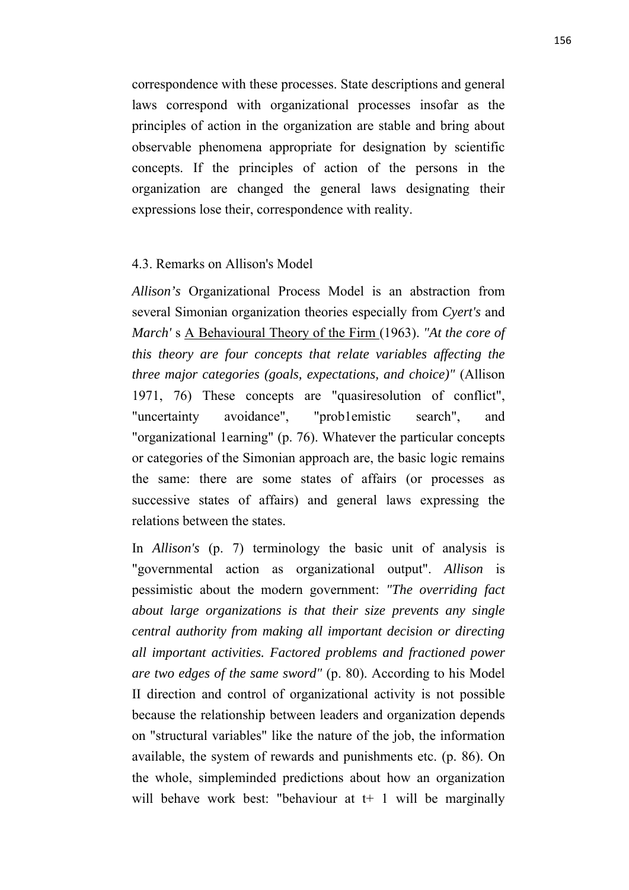correspondence with these processes. State descriptions and general laws correspond with organizational processes insofar as the principles of action in the organization are stable and bring about observable phenomena appropriate for designation by scientific concepts. If the principles of action of the persons in the organization are changed the general laws designating their expressions lose their, correspondence with reality.

#### 4.3. Remarks on Allison's Model

*Allison's* Organizational Process Model is an abstraction from several Simonian organization theories especially from *Cyert's* and *March'* s A Behavioural Theory of the Firm (1963). *"At the core of this theory are four concepts that relate variables affecting the three major categories (goals, expectations, and choice)"* (Allison 1971, 76) These concepts are "quasiresolution of conflict", "uncertainty avoidance", "prob1emistic search", and "organizational 1earning" (p. 76). Whatever the particular concepts or categories of the Simonian approach are, the basic logic remains the same: there are some states of affairs (or processes as successive states of affairs) and general laws expressing the relations between the states.

In *Allison's* (p. 7) terminology the basic unit of analysis is "governmental action as organizational output". *Allison* is pessimistic about the modern government: *"The overriding fact about large organizations is that their size prevents any single central authority from making all important decision or directing all important activities. Factored problems and fractioned power are two edges of the same sword"* (p. 80). According to his Model II direction and control of organizational activity is not possible because the relationship between leaders and organization depends on "structural variables" like the nature of the job, the information available, the system of rewards and punishments etc. (p. 86). On the whole, simpleminded predictions about how an organization will behave work best: "behaviour at  $t+1$  will be marginally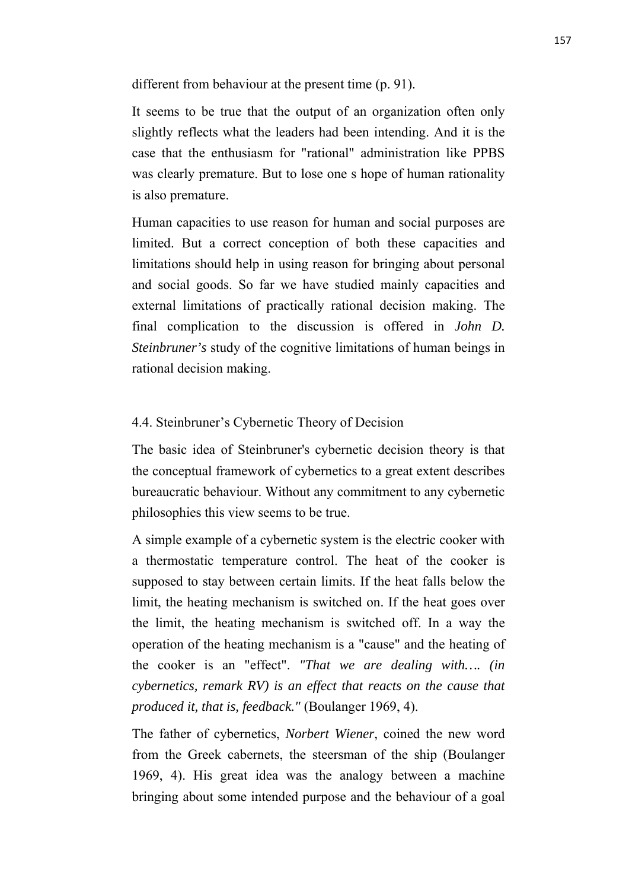different from behaviour at the present time (p. 91).

It seems to be true that the output of an organization often only slightly reflects what the leaders had been intending. And it is the case that the enthusiasm for "rational" administration like PPBS was clearly premature. But to lose one s hope of human rationality is also premature.

Human capacities to use reason for human and social purposes are limited. But a correct conception of both these capacities and limitations should help in using reason for bringing about personal and social goods. So far we have studied mainly capacities and external limitations of practically rational decision making. The final complication to the discussion is offered in *John D. Steinbruner's* study of the cognitive limitations of human beings in rational decision making.

## 4.4. Steinbruner's Cybernetic Theory of Decision

The basic idea of Steinbruner's cybernetic decision theory is that the conceptual framework of cybernetics to a great extent describes bureaucratic behaviour. Without any commitment to any cybernetic philosophies this view seems to be true.

A simple example of a cybernetic system is the electric cooker with a thermostatic temperature control. The heat of the cooker is supposed to stay between certain limits. If the heat falls below the limit, the heating mechanism is switched on. If the heat goes over the limit, the heating mechanism is switched off. In a way the operation of the heating mechanism is a "cause" and the heating of the cooker is an "effect". *"That we are dealing with…. (in cybernetics, remark RV) is an effect that reacts on the cause that produced it, that is, feedback."* (Boulanger 1969, 4).

The father of cybernetics, *Norbert Wiener*, coined the new word from the Greek cabernets, the steersman of the ship (Boulanger 1969, 4). His great idea was the analogy between a machine bringing about some intended purpose and the behaviour of a goal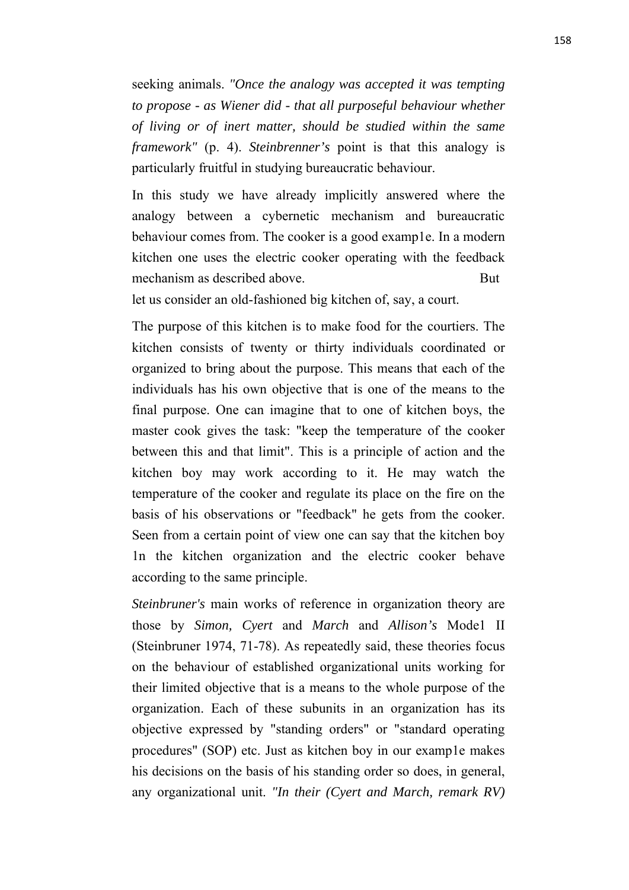seeking animals. *"Once the analogy was accepted it was tempting to propose - as Wiener did - that all purposeful behaviour whether of living or of inert matter, should be studied within the same framework"* (p. 4). *Steinbrenner's* point is that this analogy is particularly fruitful in studying bureaucratic behaviour.

In this study we have already implicitly answered where the analogy between a cybernetic mechanism and bureaucratic behaviour comes from. The cooker is a good examp1e. In a modern kitchen one uses the electric cooker operating with the feedback mechanism as described above. But

let us consider an old-fashioned big kitchen of, say, a court.

The purpose of this kitchen is to make food for the courtiers. The kitchen consists of twenty or thirty individuals coordinated or organized to bring about the purpose. This means that each of the individuals has his own objective that is one of the means to the final purpose. One can imagine that to one of kitchen boys, the master cook gives the task: "keep the temperature of the cooker between this and that limit". This is a principle of action and the kitchen boy may work according to it. He may watch the temperature of the cooker and regulate its place on the fire on the basis of his observations or "feedback" he gets from the cooker. Seen from a certain point of view one can say that the kitchen boy 1n the kitchen organization and the electric cooker behave according to the same principle.

*Steinbruner's* main works of reference in organization theory are those by *Simon, Cyert* and *March* and *Allison's* Mode1 II (Steinbruner 1974, 71-78). As repeatedly said, these theories focus on the behaviour of established organizational units working for their limited objective that is a means to the whole purpose of the organization. Each of these subunits in an organization has its objective expressed by "standing orders" or "standard operating procedures" (SOP) etc. Just as kitchen boy in our examp1e makes his decisions on the basis of his standing order so does, in general, any organizational unit. *"In their (Cyert and March, remark RV)*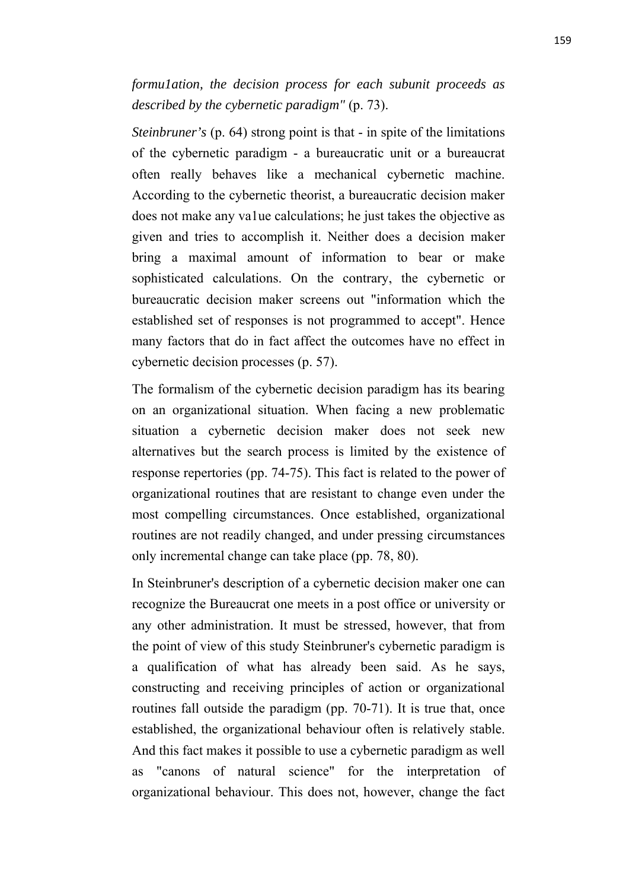*formu1ation, the decision process for each subunit proceeds as described by the cybernetic paradigm"* (p. 73).

*Steinbruner's* (p. 64) strong point is that - in spite of the limitations of the cybernetic paradigm - a bureaucratic unit or a bureaucrat often really behaves like a mechanical cybernetic machine. According to the cybernetic theorist, a bureaucratic decision maker does not make any va1ue calculations; he just takes the objective as given and tries to accomplish it. Neither does a decision maker bring a maximal amount of information to bear or make sophisticated calculations. On the contrary, the cybernetic or bureaucratic decision maker screens out "information which the established set of responses is not programmed to accept". Hence many factors that do in fact affect the outcomes have no effect in cybernetic decision processes (p. 57).

The formalism of the cybernetic decision paradigm has its bearing on an organizational situation. When facing a new problematic situation a cybernetic decision maker does not seek new alternatives but the search process is limited by the existence of response repertories (pp. 74-75). This fact is related to the power of organizational routines that are resistant to change even under the most compelling circumstances. Once established, organizational routines are not readily changed, and under pressing circumstances only incremental change can take place (pp. 78, 80).

In Steinbruner's description of a cybernetic decision maker one can recognize the Bureaucrat one meets in a post office or university or any other administration. It must be stressed, however, that from the point of view of this study Steinbruner's cybernetic paradigm is a qualification of what has already been said. As he says, constructing and receiving principles of action or organizational routines fall outside the paradigm (pp. 70-71). It is true that, once established, the organizational behaviour often is relatively stable. And this fact makes it possible to use a cybernetic paradigm as well as "canons of natural science" for the interpretation of organizational behaviour. This does not, however, change the fact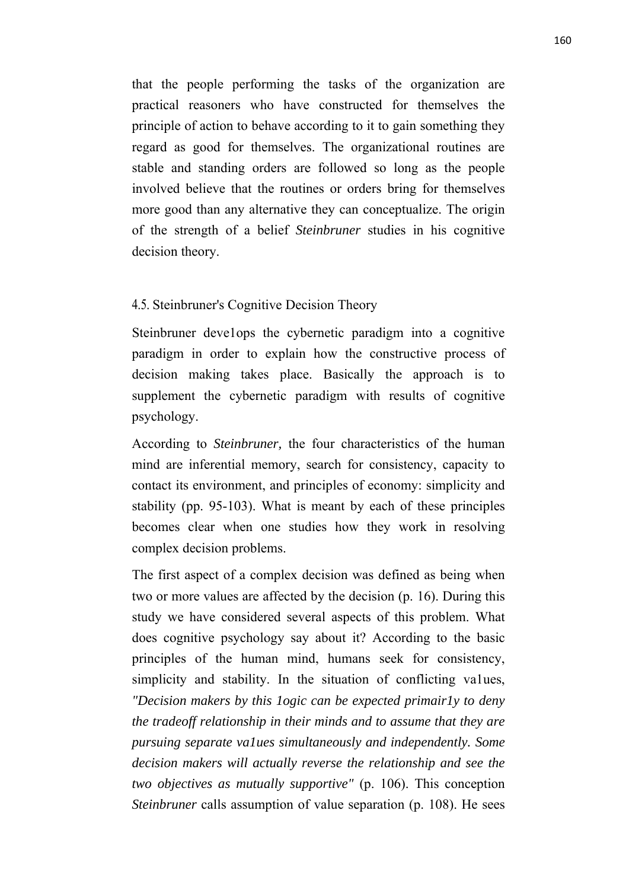that the people performing the tasks of the organization are practical reasoners who have constructed for themselves the principle of action to behave according to it to gain something they regard as good for themselves. The organizational routines are stable and standing orders are followed so long as the people involved believe that the routines or orders bring for themselves more good than any alternative they can conceptualize. The origin of the strength of a belief *Steinbruner* studies in his cognitive decision theory.

## 4.5. Steinbruner's Cognitive Decision Theory

Steinbruner develops the cybernetic paradigm into a cognitive paradigm in order to explain how the constructive process of decision making takes place. Basically the approach is to supplement the cybernetic paradigm with results of cognitive psychology.

According to *Steinbruner,* the four characteristics of the human mind are inferential memory, search for consistency, capacity to contact its environment, and principles of economy: simplicity and stability (pp. 95-103). What is meant by each of these principles becomes clear when one studies how they work in resolving complex decision problems.

The first aspect of a complex decision was defined as being when two or more values are affected by the decision (p. 16). During this study we have considered several aspects of this problem. What does cognitive psychology say about it? According to the basic principles of the human mind, humans seek for consistency, simplicity and stability. In the situation of conflicting va1ues, *"Decision makers by this 1ogic can be expected primair1y to deny the tradeoff relationship in their minds and to assume that they are pursuing separate va1ues simultaneously and independently. Some decision makers will actually reverse the relationship and see the two objectives as mutually supportive"* (p. 106). This conception *Steinbruner* calls assumption of value separation (p. 108). He sees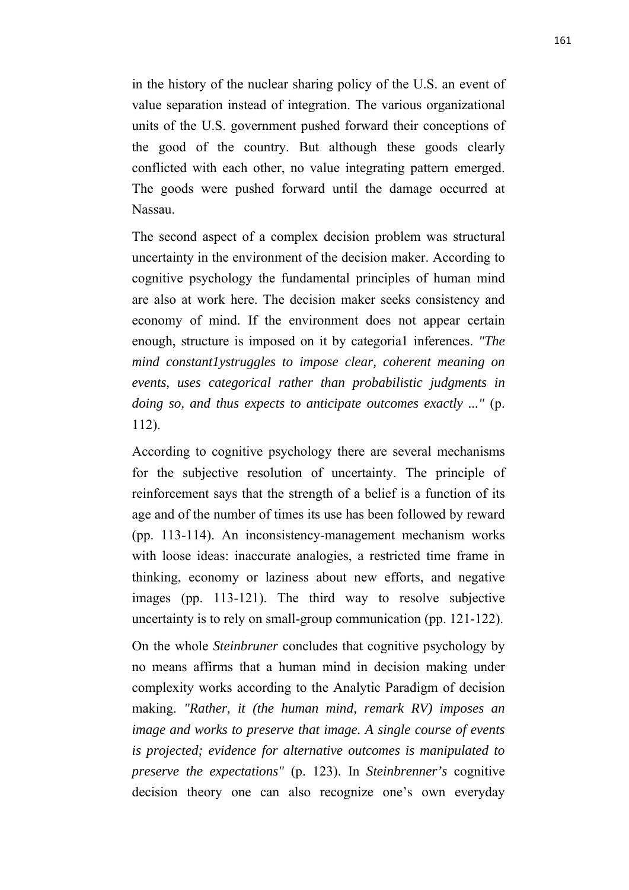in the history of the nuclear sharing policy of the U.S. an event of value separation instead of integration. The various organizational units of the U.S. government pushed forward their conceptions of the good of the country. But although these goods clearly conflicted with each other, no value integrating pattern emerged. The goods were pushed forward until the damage occurred at Nassau.

The second aspect of a complex decision problem was structural uncertainty in the environment of the decision maker. According to cognitive psychology the fundamental principles of human mind are also at work here. The decision maker seeks consistency and economy of mind. If the environment does not appear certain enough, structure is imposed on it by categoria1 inferences. *"The mind constant1ystruggles to impose clear, coherent meaning on events, uses categorical rather than probabilistic judgments in doing so, and thus expects to anticipate outcomes exactly ..."* (p. 112).

According to cognitive psychology there are several mechanisms for the subjective resolution of uncertainty. The principle of reinforcement says that the strength of a belief is a function of its age and of the number of times its use has been followed by reward (pp. 113-114). An inconsistency-management mechanism works with loose ideas: inaccurate analogies, a restricted time frame in thinking, economy or laziness about new efforts, and negative images (pp. 113-121). The third way to resolve subjective uncertainty is to rely on small-group communication (pp. 121-122).

On the whole *Steinbruner* concludes that cognitive psychology by no means affirms that a human mind in decision making under complexity works according to the Analytic Paradigm of decision making. *"Rather, it (the human mind, remark RV) imposes an image and works to preserve that image. A single course of events is projected; evidence for alternative outcomes is manipulated to preserve the expectations"* (p. 123). In *Steinbrenner's* cognitive decision theory one can also recognize one's own everyday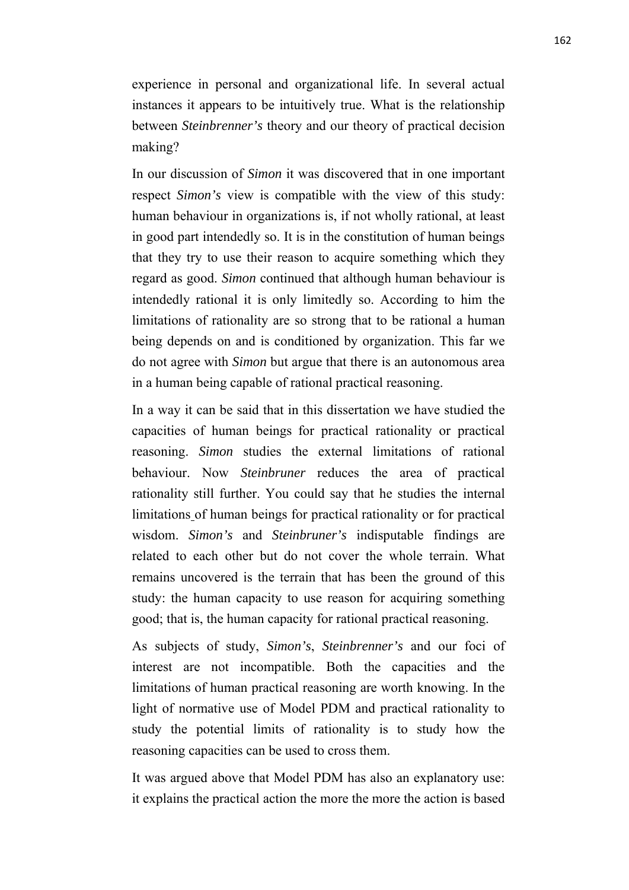experience in personal and organizational life. In several actual instances it appears to be intuitively true. What is the relationship between *Steinbrenner's* theory and our theory of practical decision making?

In our discussion of *Simon* it was discovered that in one important respect *Simon's* view is compatible with the view of this study: human behaviour in organizations is, if not wholly rational, at least in good part intendedly so. It is in the constitution of human beings that they try to use their reason to acquire something which they regard as good. *Simon* continued that although human behaviour is intendedly rational it is only limitedly so. According to him the limitations of rationality are so strong that to be rational a human being depends on and is conditioned by organization. This far we do not agree with *Simon* but argue that there is an autonomous area in a human being capable of rational practical reasoning.

In a way it can be said that in this dissertation we have studied the capacities of human beings for practical rationality or practical reasoning. *Simon* studies the external limitations of rational behaviour. Now *Steinbruner* reduces the area of practical rationality still further. You could say that he studies the internal limitations of human beings for practical rationality or for practical wisdom. *Simon's* and *Steinbruner's* indisputable findings are related to each other but do not cover the whole terrain. What remains uncovered is the terrain that has been the ground of this study: the human capacity to use reason for acquiring something good; that is, the human capacity for rational practical reasoning.

As subjects of study, *Simon's*, *Steinbrenner's* and our foci of interest are not incompatible. Both the capacities and the limitations of human practical reasoning are worth knowing. In the light of normative use of Model PDM and practical rationality to study the potential limits of rationality is to study how the reasoning capacities can be used to cross them.

It was argued above that Model PDM has also an explanatory use: it explains the practical action the more the more the action is based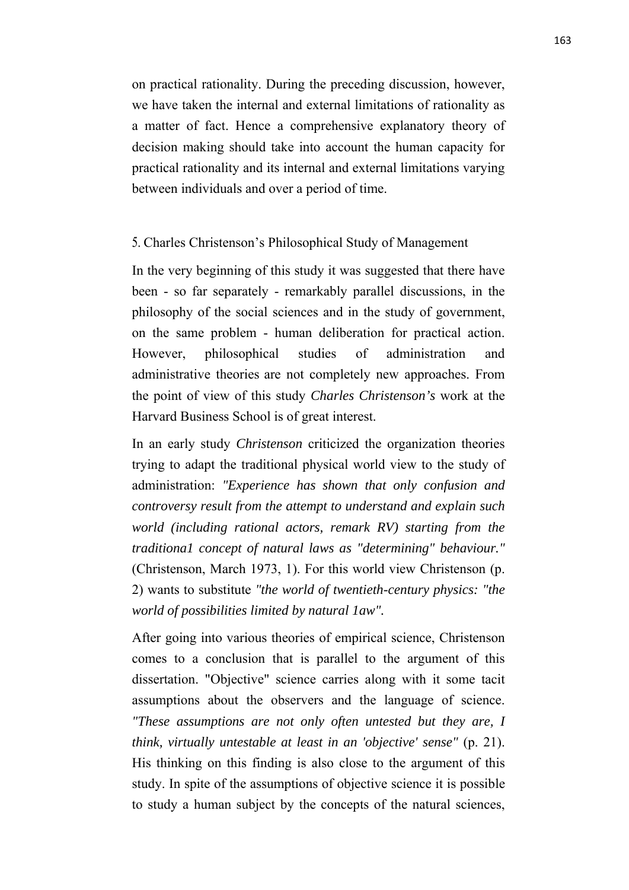on practical rationality. During the preceding discussion, however, we have taken the internal and external limitations of rationality as a matter of fact. Hence a comprehensive explanatory theory of decision making should take into account the human capacity for practical rationality and its internal and external limitations varying between individuals and over a period of time.

## 5. Charles Christenson's Philosophical Study of Management

In the very beginning of this study it was suggested that there have been - so far separately - remarkably parallel discussions, in the philosophy of the social sciences and in the study of government, on the same problem - human deliberation for practical action. However, philosophical studies of administration and administrative theories are not completely new approaches. From the point of view of this study *Charles Christenson's* work at the Harvard Business School is of great interest.

In an early study *Christenson* criticized the organization theories trying to adapt the traditional physical world view to the study of administration: *"Experience has shown that only confusion and controversy result from the attempt to understand and explain such world (including rational actors, remark RV) starting from the traditiona1 concept of natural laws as "determining" behaviour."* (Christenson, March 1973, 1). For this world view Christenson (p. 2) wants to substitute *"the world of twentieth-century physics: "the world of possibilities limited by natural 1aw".*

After going into various theories of empirical science, Christenson comes to a conclusion that is parallel to the argument of this dissertation. "Objective" science carries along with it some tacit assumptions about the observers and the language of science. *"These assumptions are not only often untested but they are, I think, virtually untestable at least in an 'objective' sense"* (p. 21). His thinking on this finding is also close to the argument of this study. In spite of the assumptions of objective science it is possible to study a human subject by the concepts of the natural sciences,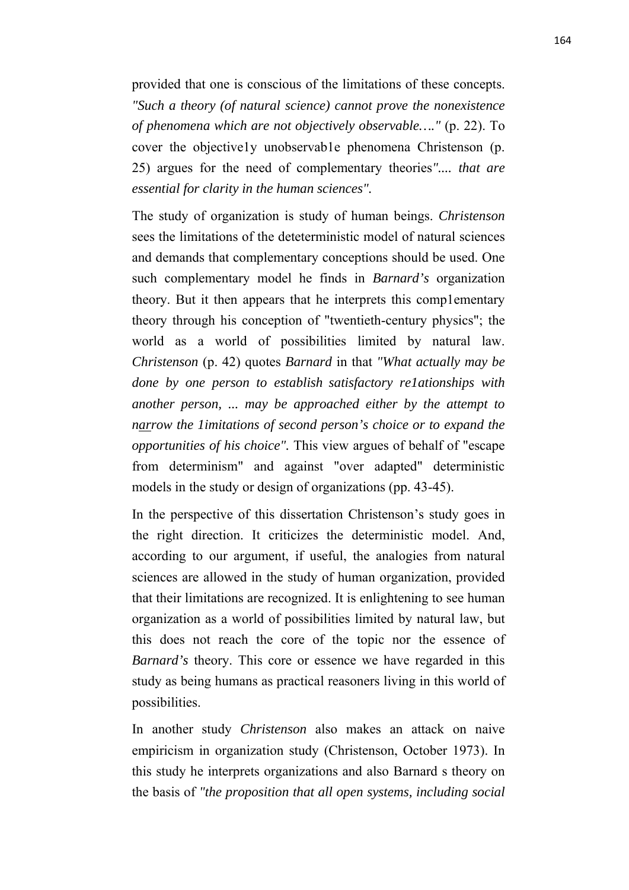provided that one is conscious of the limitations of these concepts. *"Such a theory (of natural science) cannot prove the nonexistence of phenomena which are not objectively observable…."* (p. 22). To cover the objective1y unobservab1e phenomena Christenson (p. 25) argues for the need of complementary theories*".... that are essential for clarity in the human sciences".*

The study of organization is study of human beings. *Christenson* sees the limitations of the deteterministic model of natural sciences and demands that complementary conceptions should be used. One such complementary model he finds in *Barnard's* organization theory. But it then appears that he interprets this comp1ementary theory through his conception of "twentieth-century physics"; the world as a world of possibilities limited by natural law. *Christenson* (p. 42) quotes *Barnard* in that *"What actually may be done by one person to establish satisfactory re1ationships with another person, ... may be approached either by the attempt to narrow the 1imitations of second person's choice or to expand the opportunities of his choice".* This view argues of behalf of "escape from determinism" and against "over adapted" deterministic models in the study or design of organizations (pp. 43-45).

In the perspective of this dissertation Christenson's study goes in the right direction. It criticizes the deterministic model. And, according to our argument, if useful, the analogies from natural sciences are allowed in the study of human organization, provided that their limitations are recognized. It is enlightening to see human organization as a world of possibilities limited by natural law, but this does not reach the core of the topic nor the essence of *Barnard's* theory. This core or essence we have regarded in this study as being humans as practical reasoners living in this world of possibilities.

In another study *Christenson* also makes an attack on naive empiricism in organization study (Christenson, October 1973). In this study he interprets organizations and also Barnard s theory on the basis of *"the proposition that all open systems, including social*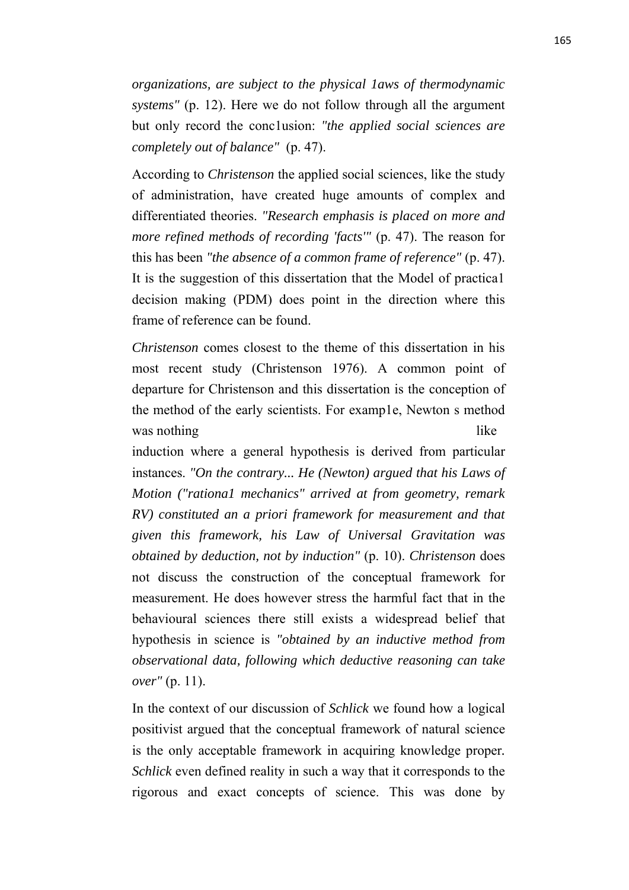*organizations, are subject to the physical 1aws of thermodynamic systems"* (p. 12). Here we do not follow through all the argument but only record the conc1usion: *"the applied social sciences are completely out of balance"* (p. 47).

According to *Christenson* the applied social sciences, like the study of administration, have created huge amounts of complex and differentiated theories. *"Research emphasis is placed on more and more refined methods of recording 'facts'"* (p. 47). The reason for this has been *"the absence of a common frame of reference"* (p. 47). It is the suggestion of this dissertation that the Model of practica1 decision making (PDM) does point in the direction where this frame of reference can be found.

*Christenson* comes closest to the theme of this dissertation in his most recent study (Christenson 1976). A common point of departure for Christenson and this dissertation is the conception of the method of the early scientists. For examp1e, Newton s method was nothing like

induction where a general hypothesis is derived from particular instances. *"On the contrary... He (Newton) argued that his Laws of Motion ("rationa1 mechanics" arrived at from geometry, remark RV) constituted an a priori framework for measurement and that given this framework, his Law of Universal Gravitation was obtained by deduction, not by induction"* (p. 10). *Christenson* does not discuss the construction of the conceptual framework for measurement. He does however stress the harmful fact that in the behavioural sciences there still exists a widespread belief that hypothesis in science is *"obtained by an inductive method from observational data, following which deductive reasoning can take over"* (p. 11).

In the context of our discussion of *Schlick* we found how a logical positivist argued that the conceptual framework of natural science is the only acceptable framework in acquiring knowledge proper*. Schlick* even defined reality in such a way that it corresponds to the rigorous and exact concepts of science. This was done by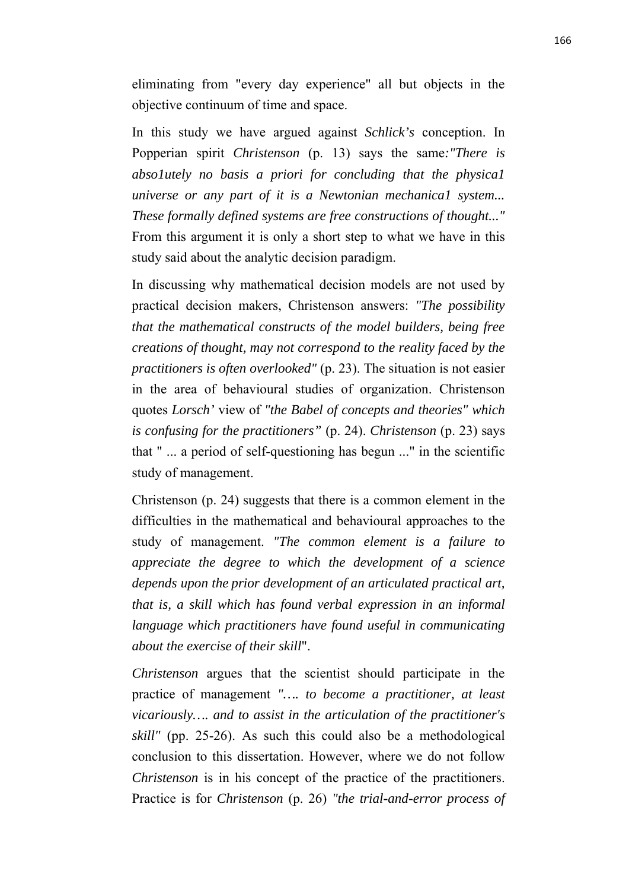eliminating from "every day experience" all but objects in the objective continuum of time and space.

In this study we have argued against *Schlick's* conception. In Popperian spirit *Christenson* (p. 13) says the same*:"There is abso1utely no basis a priori for concluding that the physica1 universe or any part of it is a Newtonian mechanica1 system... These formally defined systems are free constructions of thought..."* From this argument it is only a short step to what we have in this study said about the analytic decision paradigm.

In discussing why mathematical decision models are not used by practical decision makers, Christenson answers: *"The possibility that the mathematical constructs of the model builders, being free creations of thought, may not correspond to the reality faced by the practitioners is often overlooked"* (p. 23). The situation is not easier in the area of behavioural studies of organization. Christenson quotes *Lorsch'* view of *"the Babel of concepts and theories" which is confusing for the practitioners"* (p. 24). *Christenson* (p. 23) says that " ... a period of self-questioning has begun ..." in the scientific study of management.

Christenson (p. 24) suggests that there is a common element in the difficulties in the mathematical and behavioural approaches to the study of management. *"The common element is a failure to appreciate the degree to which the development of a science depends upon the prior development of an articulated practical art, that is, a skill which has found verbal expression in an informal language which practitioners have found useful in communicating about the exercise of their skill*".

*Christenson* argues that the scientist should participate in the practice of management *"…. to become a practitioner, at least vicariously…. and to assist in the articulation of the practitioner's skill"* (pp. 25-26). As such this could also be a methodological conclusion to this dissertation. However, where we do not follow *Christenson* is in his concept of the practice of the practitioners. Practice is for *Christenson* (p. 26) *"the trial-and-error process of*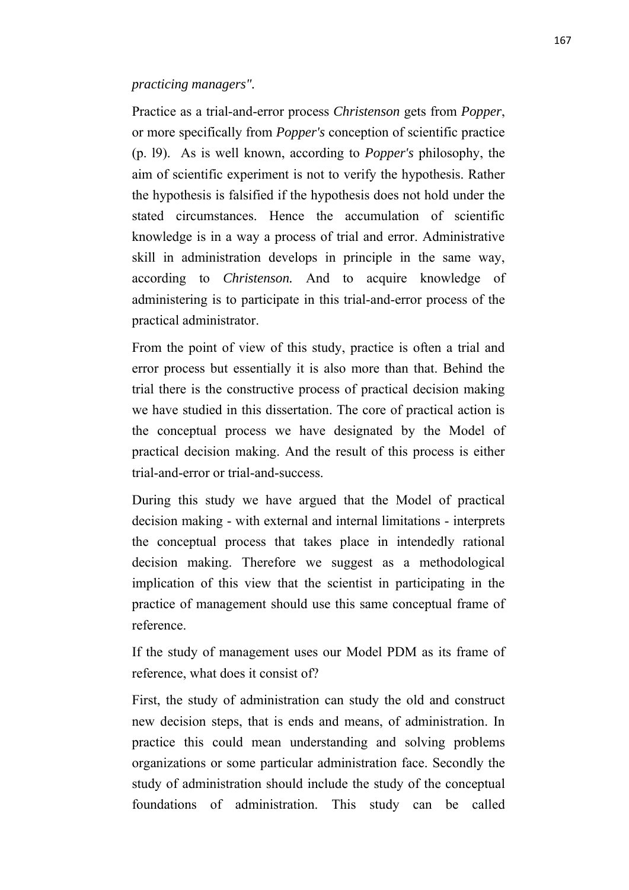## *practicing managers".*

Practice as a trial-and-error process *Christenson* gets from *Popper*, or more specifically from *Popper's* conception of scientific practice (p. l9). As is well known, according to *Popper's* philosophy, the aim of scientific experiment is not to verify the hypothesis. Rather the hypothesis is falsified if the hypothesis does not hold under the stated circumstances. Hence the accumulation of scientific knowledge is in a way a process of trial and error. Administrative skill in administration develops in principle in the same way, according to *Christenson.* And to acquire knowledge of administering is to participate in this trial-and-error process of the practical administrator.

From the point of view of this study, practice is often a trial and error process but essentially it is also more than that. Behind the trial there is the constructive process of practical decision making we have studied in this dissertation. The core of practical action is the conceptual process we have designated by the Model of practical decision making. And the result of this process is either trial-and-error or trial-and-success.

During this study we have argued that the Model of practical decision making - with external and internal limitations - interprets the conceptual process that takes place in intendedly rational decision making. Therefore we suggest as a methodological implication of this view that the scientist in participating in the practice of management should use this same conceptual frame of reference.

If the study of management uses our Model PDM as its frame of reference, what does it consist of?

First, the study of administration can study the old and construct new decision steps, that is ends and means, of administration. In practice this could mean understanding and solving problems organizations or some particular administration face. Secondly the study of administration should include the study of the conceptual foundations of administration. This study can be called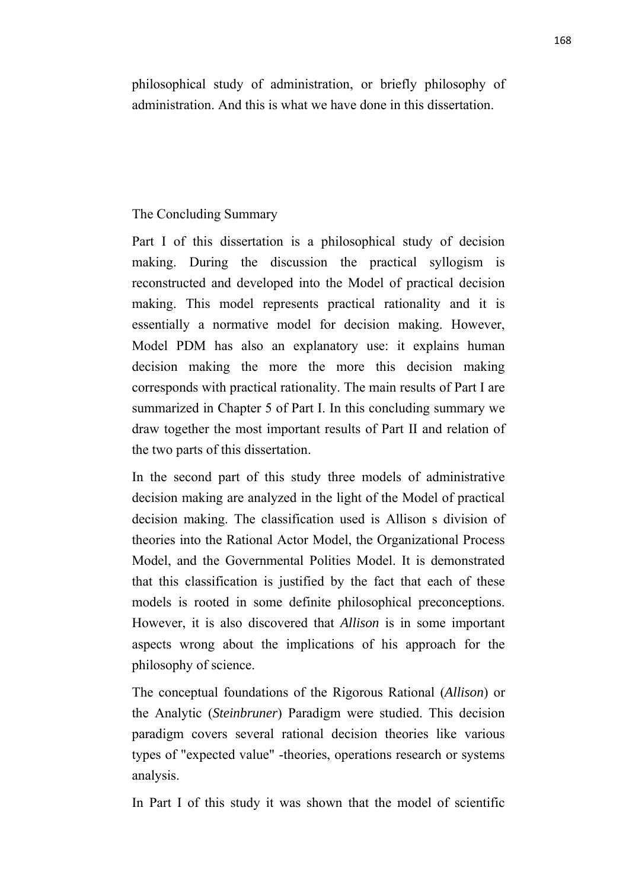philosophical study of administration, or briefly philosophy of administration. And this is what we have done in this dissertation.

# The Concluding Summary

Part I of this dissertation is a philosophical study of decision making. During the discussion the practical syllogism is reconstructed and developed into the Model of practical decision making. This model represents practical rationality and it is essentially a normative model for decision making. However, Model PDM has also an explanatory use: it explains human decision making the more the more this decision making corresponds with practical rationality. The main results of Part I are summarized in Chapter 5 of Part I. In this concluding summary we draw together the most important results of Part II and relation of the two parts of this dissertation.

In the second part of this study three models of administrative decision making are analyzed in the light of the Model of practical decision making. The classification used is Allison s division of theories into the Rational Actor Model, the Organizational Process Model, and the Governmental Polities Model. It is demonstrated that this classification is justified by the fact that each of these models is rooted in some definite philosophical preconceptions. However, it is also discovered that *Allison* is in some important aspects wrong about the implications of his approach for the philosophy of science.

The conceptual foundations of the Rigorous Rational (*Allison*) or the Analytic (*Steinbruner*) Paradigm were studied. This decision paradigm covers several rational decision theories like various types of "expected value" -theories, operations research or systems analysis.

In Part I of this study it was shown that the model of scientific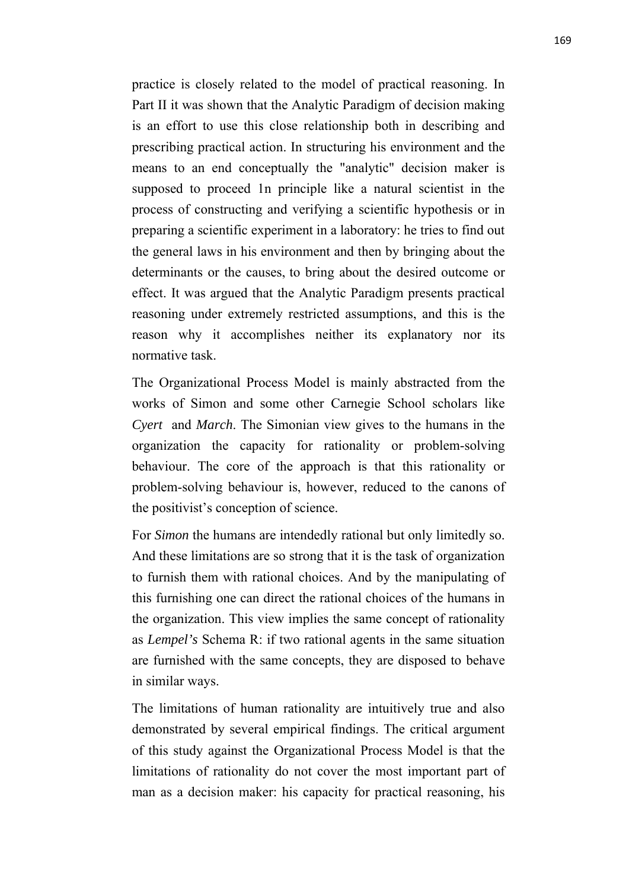practice is closely related to the model of practical reasoning. In Part II it was shown that the Analytic Paradigm of decision making is an effort to use this close relationship both in describing and prescribing practical action. In structuring his environment and the means to an end conceptually the "analytic" decision maker is supposed to proceed 1n principle like a natural scientist in the process of constructing and verifying a scientific hypothesis or in preparing a scientific experiment in a laboratory: he tries to find out the general laws in his environment and then by bringing about the determinants or the causes, to bring about the desired outcome or effect. It was argued that the Analytic Paradigm presents practical reasoning under extremely restricted assumptions, and this is the reason why it accomplishes neither its explanatory nor its normative task.

The Organizational Process Model is mainly abstracted from the works of Simon and some other Carnegie School scholars like *Cyert* and *March*. The Simonian view gives to the humans in the organization the capacity for rationality or problem-solving behaviour. The core of the approach is that this rationality or problem-solving behaviour is, however, reduced to the canons of the positivist's conception of science.

For *Simon* the humans are intendedly rational but only limitedly so. And these limitations are so strong that it is the task of organization to furnish them with rational choices. And by the manipulating of this furnishing one can direct the rational choices of the humans in the organization. This view implies the same concept of rationality as *Lempel's* Schema R: if two rational agents in the same situation are furnished with the same concepts, they are disposed to behave in similar ways.

The limitations of human rationality are intuitively true and also demonstrated by several empirical findings. The critical argument of this study against the Organizational Process Model is that the limitations of rationality do not cover the most important part of man as a decision maker: his capacity for practical reasoning, his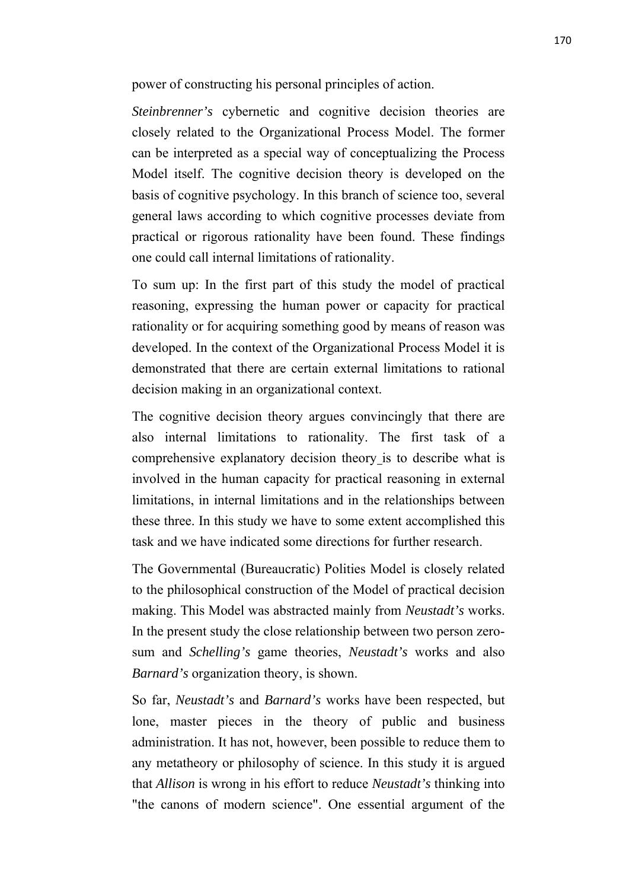power of constructing his personal principles of action.

*Steinbrenner's* cybernetic and cognitive decision theories are closely related to the Organizational Process Model. The former can be interpreted as a special way of conceptualizing the Process Model itself. The cognitive decision theory is developed on the basis of cognitive psychology. In this branch of science too, several general laws according to which cognitive processes deviate from practical or rigorous rationality have been found. These findings one could call internal limitations of rationality.

To sum up: In the first part of this study the model of practical reasoning, expressing the human power or capacity for practical rationality or for acquiring something good by means of reason was developed. In the context of the Organizational Process Model it is demonstrated that there are certain external limitations to rational decision making in an organizational context.

The cognitive decision theory argues convincingly that there are also internal limitations to rationality. The first task of a comprehensive explanatory decision theory is to describe what is involved in the human capacity for practical reasoning in external limitations, in internal limitations and in the relationships between these three. In this study we have to some extent accomplished this task and we have indicated some directions for further research.

The Governmental (Bureaucratic) Polities Model is closely related to the philosophical construction of the Model of practical decision making. This Model was abstracted mainly from *Neustadt's* works. In the present study the close relationship between two person zerosum and *Schelling's* game theories, *Neustadt's* works and also *Barnard's* organization theory, is shown.

So far, *Neustadt's* and *Barnard's* works have been respected, but lone, master pieces in the theory of public and business administration. It has not, however, been possible to reduce them to any metatheory or philosophy of science. In this study it is argued that *Allison* is wrong in his effort to reduce *Neustadt's* thinking into "the canons of modern science". One essential argument of the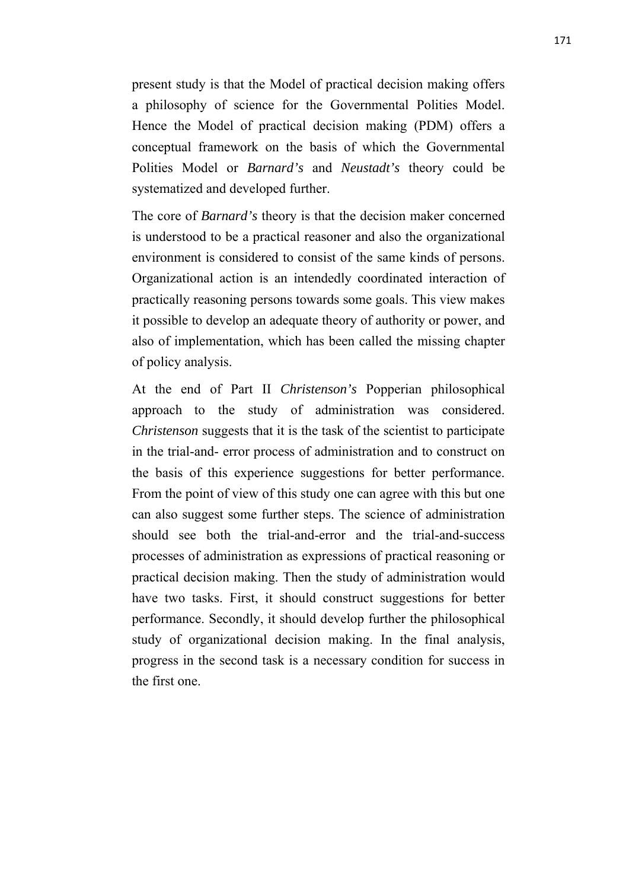present study is that the Model of practical decision making offers a philosophy of science for the Governmental Polities Model. Hence the Model of practical decision making (PDM) offers a conceptual framework on the basis of which the Governmental Polities Model or *Barnard's* and *Neustadt's* theory could be systematized and developed further.

The core of *Barnard's* theory is that the decision maker concerned is understood to be a practical reasoner and also the organizational environment is considered to consist of the same kinds of persons. Organizational action is an intendedly coordinated interaction of practically reasoning persons towards some goals. This view makes it possible to develop an adequate theory of authority or power, and also of implementation, which has been called the missing chapter of policy analysis.

At the end of Part II *Christenson's* Popperian philosophical approach to the study of administration was considered. *Christenson* suggests that it is the task of the scientist to participate in the trial-and- error process of administration and to construct on the basis of this experience suggestions for better performance. From the point of view of this study one can agree with this but one can also suggest some further steps. The science of administration should see both the trial-and-error and the trial-and-success processes of administration as expressions of practical reasoning or practical decision making. Then the study of administration would have two tasks. First, it should construct suggestions for better performance. Secondly, it should develop further the philosophical study of organizational decision making. In the final analysis, progress in the second task is a necessary condition for success in the first one.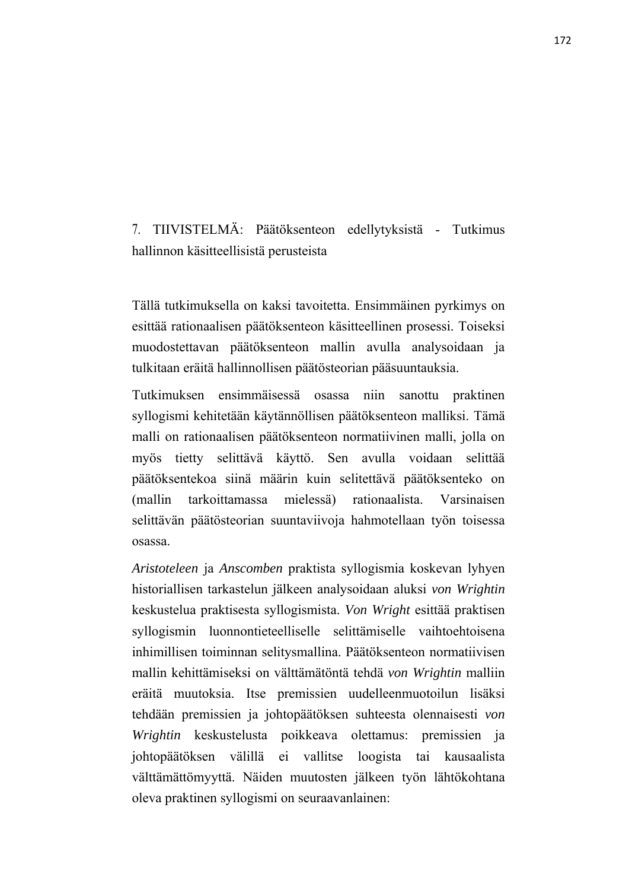7. TIIVISTELMÄ: Päätöksenteon edellytyksistä - Tutkimus hallinnon käsitteellisistä perusteista

Tällä tutkimuksella on kaksi tavoitetta. Ensimmäinen pyrkimys on esittää rationaalisen päätöksenteon käsitteellinen prosessi. Toiseksi muodostettavan päätöksenteon mallin avulla analysoidaan ja tulkitaan eräitä hallinnollisen päätösteorian pääsuuntauksia.

Tutkimuksen ensimmäisessä osassa niin sanottu praktinen syllogismi kehitetään käytännöllisen päätöksenteon malliksi. Tämä malli on rationaalisen päätöksenteon normatiivinen malli, jolla on myös tietty selittävä käyttö. Sen avulla voidaan selittää päätöksentekoa siinä määrin kuin selitettävä päätöksenteko on (mallin tarkoittamassa mielessä) rationaalista. Varsinaisen selittävän päätösteorian suuntaviivoja hahmotellaan työn toisessa osassa.

*Aristoteleen* ja *Anscomben* praktista syllogismia koskevan lyhyen historiallisen tarkastelun jälkeen analysoidaan aluksi *von Wrightin* keskustelua praktisesta syllogismista. *Von Wright* esittää praktisen syllogismin luonnontieteelliselle selittämiselle vaihtoehtoisena inhimillisen toiminnan selitysmallina. Päätöksenteon normatiivisen mallin kehittämiseksi on välttämätöntä tehdä *von Wrightin* malliin eräitä muutoksia. Itse premissien uudelleenmuotoilun lisäksi tehdään premissien ja johtopäätöksen suhteesta olennaisesti *von Wrightin* keskustelusta poikkeava olettamus: premissien ja johtopäätöksen välillä ei vallitse loogista tai kausaalista välttämättömyyttä. Näiden muutosten jälkeen työn lähtökohtana oleva praktinen syllogismi on seuraavanlainen: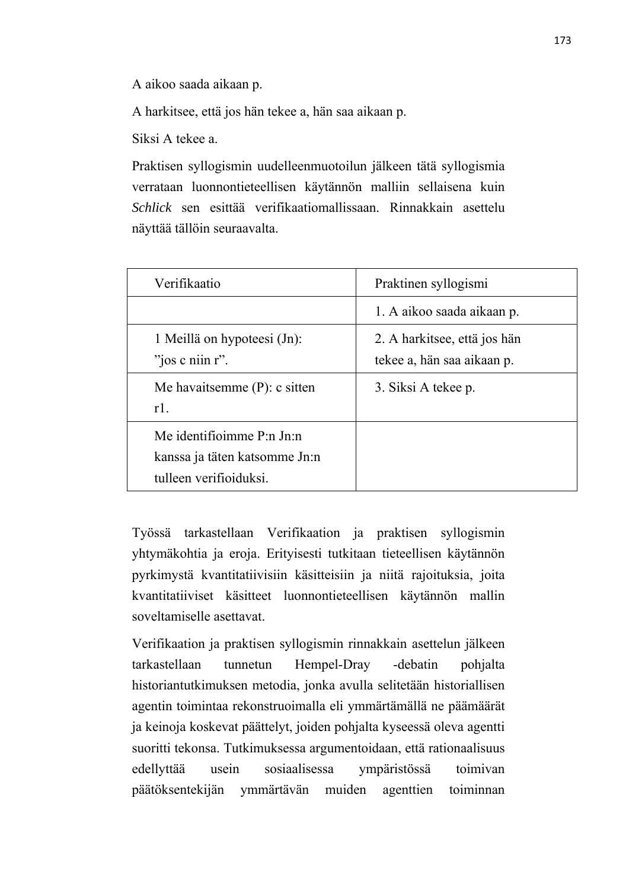A aikoo saada aikaan p.

A harkitsee, että jos hän tekee a, hän saa aikaan p.

Siksi A tekee a.

Praktisen syllogismin uudelleenmuotoilun jälkeen tätä syllogismia verrataan luonnontieteellisen käytännön malliin sellaisena kuin *Schlick* sen esittää verifikaatiomallissaan. Rinnakkain asettelu näyttää tällöin seuraavalta.

| Verifikaatio                                                                         | Praktinen syllogismi                                       |
|--------------------------------------------------------------------------------------|------------------------------------------------------------|
|                                                                                      | 1. A aikoo saada aikaan p.                                 |
| 1 Meillä on hypoteesi (Jn):<br>"jos c niin $r$ ".                                    | 2. A harkitsee, että jos hän<br>tekee a, hän saa aikaan p. |
| Me havaitsemme $(P)$ : c sitten<br>$r1$ .                                            | 3. Siksi A tekee p.                                        |
| Me identifioimme P:n Jn:n<br>kanssa ja täten katsomme Jn:n<br>tulleen verifioiduksi. |                                                            |

Työssä tarkastellaan Verifikaation ja praktisen syllogismin yhtymäkohtia ja eroja. Erityisesti tutkitaan tieteellisen käytännön pyrkimystä kvantitatiivisiin käsitteisiin ja niitä rajoituksia, joita kvantitatiiviset käsitteet luonnontieteellisen käytännön mallin soveltamiselle asettavat.

Verifikaation ja praktisen syllogismin rinnakkain asettelun jälkeen tarkastellaan tunnetun Hempel-Dray -debatin pohjalta historiantutkimuksen metodia, jonka avulla selitetään historiallisen agentin toimintaa rekonstruoimalla eli ymmärtämällä ne päämäärät ja keinoja koskevat päättelyt, joiden pohjalta kyseessä oleva agentti suoritti tekonsa. Tutkimuksessa argumentoidaan, että rationaalisuus edellyttää usein sosiaalisessa ympäristössä toimivan päätöksentekijän ymmärtävän muiden agenttien toiminnan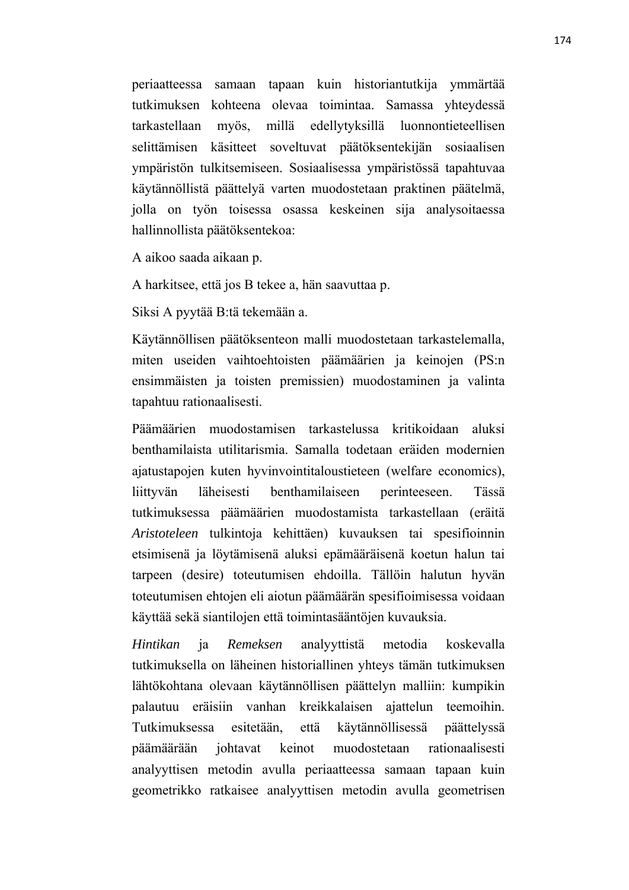periaatteessa samaan tapaan kuin historiantutkija ymmärtää tutkimuksen kohteena olevaa toimintaa. Samassa yhteydessä tarkastellaan myös, millä edellytyksillä luonnontieteellisen selittämisen käsitteet soveltuvat päätöksentekijän sosiaalisen ympäristön tulkitsemiseen. Sosiaalisessa ympäristössä tapahtuvaa käytännöllistä päättelyä varten muodostetaan praktinen päätelmä, jolla on työn toisessa osassa keskeinen sija analysoitaessa hallinnollista päätöksentekoa:

A aikoo saada aikaan p.

A harkitsee, että jos B tekee a, hän saavuttaa p.

Siksi A pyytää B:tä tekemään a.

Käytännöllisen päätöksenteon malli muodostetaan tarkastelemalla, miten useiden vaihtoehtoisten päämäärien ja keinojen (PS:n ensimmäisten ja toisten premissien) muodostaminen ja valinta tapahtuu rationaalisesti.

Päämäärien muodostamisen tarkastelussa kritikoidaan aluksi benthamilaista utilitarismia. Samalla todetaan eräiden modernien ajatustapojen kuten hyvinvointitaloustieteen (welfare economics), liittyvän läheisesti benthamilaiseen perinteeseen. Tässä tutkimuksessa päämäärien muodostamista tarkastellaan (eräitä *Aristoteleen* tulkintoja kehittäen) kuvauksen tai spesifioinnin etsimisenä ja löytämisenä aluksi epämääräisenä koetun halun tai tarpeen (desire) toteutumisen ehdoilla. Tällöin halutun hyvän toteutumisen ehtojen eli aiotun päämäärän spesifioimisessa voidaan käyttää sekä siantilojen että toimintasääntöjen kuvauksia.

*Hintikan* ja *Remeksen* analyyttistä metodia koskevalla tutkimuksella on läheinen historiallinen yhteys tämän tutkimuksen lähtökohtana olevaan käytännöllisen päättelyn malliin: kumpikin palautuu eräisiin vanhan kreikkalaisen ajattelun teemoihin. Tutkimuksessa esitetään, että käytännöllisessä päättelyssä päämäärään johtavat keinot muodostetaan rationaalisesti analyyttisen metodin avulla periaatteessa samaan tapaan kuin geometrikko ratkaisee analyyttisen metodin avulla geometrisen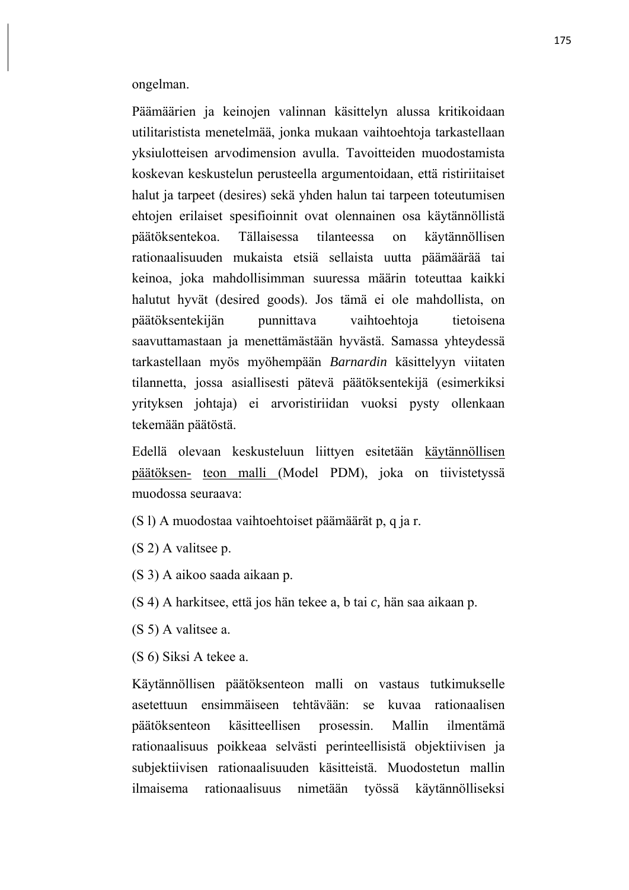ongelman.

Päämäärien ja keinojen valinnan käsittelyn alussa kritikoidaan utilitaristista menetelmää, jonka mukaan vaihtoehtoja tarkastellaan yksiulotteisen arvodimension avulla. Tavoitteiden muodostamista koskevan keskustelun perusteella argumentoidaan, että ristiriitaiset halut ja tarpeet (desires) sekä yhden halun tai tarpeen toteutumisen ehtojen erilaiset spesifioinnit ovat olennainen osa käytännöllistä päätöksentekoa. Tällaisessa tilanteessa on käytännöllisen rationaalisuuden mukaista etsiä sellaista uutta päämäärää tai keinoa, joka mahdollisimman suuressa määrin toteuttaa kaikki halutut hyvät (desired goods). Jos tämä ei ole mahdollista, on päätöksentekijän punnittava vaihtoehtoja tietoisena saavuttamastaan ja menettämästään hyvästä. Samassa yhteydessä tarkastellaan myös myöhempään *Barnardin* käsittelyyn viitaten tilannetta, jossa asiallisesti pätevä päätöksentekijä (esimerkiksi yrityksen johtaja) ei arvoristiriidan vuoksi pysty ollenkaan tekemään päätöstä.

Edellä olevaan keskusteluun liittyen esitetään käytännöllisen päätöksen teon malli (Model PDM), joka on tiivistetyssä muodossa seuraava:

(S l) A muodostaa vaihtoehtoiset päämäärät p, q ja r.

(S 2) A valitsee p.

(S 3) A aikoo saada aikaan p.

(S 4) A harkitsee, että jos hän tekee a, b tai *c,* hän saa aikaan p.

(S 5) A valitsee a.

(S 6) Siksi A tekee a.

Käytännöllisen päätöksenteon malli on vastaus tutkimukselle asetettuun ensimmäiseen tehtävään: se kuvaa rationaalisen päätöksenteon käsitteellisen prosessin. Mallin ilmentämä rationaalisuus poikkeaa selvästi perinteellisistä objektiivisen ja subjektiivisen rationaalisuuden käsitteistä. Muodostetun mallin ilmaisema rationaalisuus nimetään työssä käytännölliseksi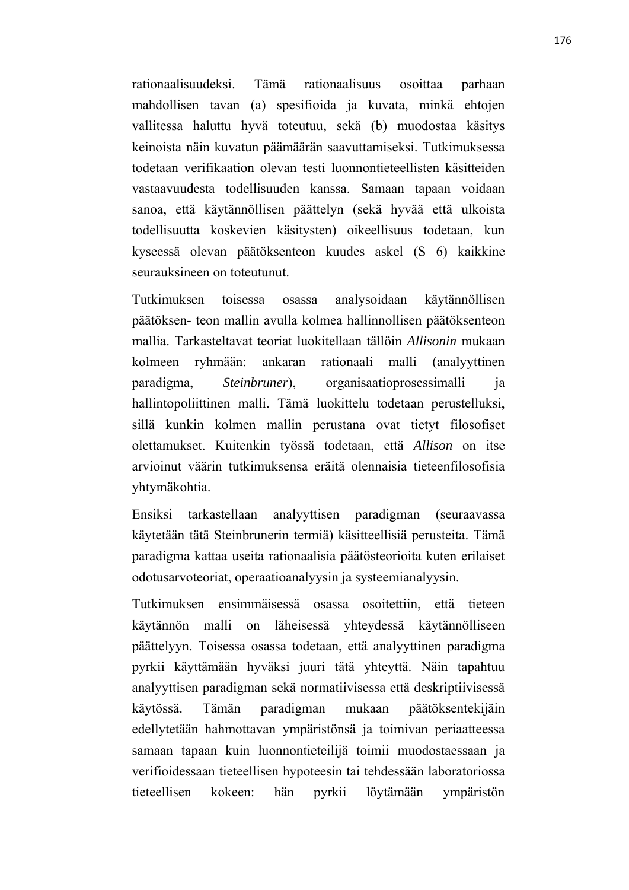rationaalisuudeksi. Tämä rationaalisuus osoittaa parhaan mahdollisen tavan (a) spesifioida ja kuvata, minkä ehtojen vallitessa haluttu hyvä toteutuu, sekä (b) muodostaa käsitys keinoista näin kuvatun päämäärän saavuttamiseksi. Tutkimuksessa todetaan verifikaation olevan testi luonnontieteellisten käsitteiden vastaavuudesta todellisuuden kanssa. Samaan tapaan voidaan sanoa, että käytännöllisen päättelyn (sekä hyvää että ulkoista todellisuutta koskevien käsitysten) oikeellisuus todetaan, kun kyseessä olevan päätöksenteon kuudes askel (S 6) kaikkine seurauksineen on toteutunut.

Tutkimuksen toisessa osassa analysoidaan käytännöllisen päätöksen- teon mallin avulla kolmea hallinnollisen päätöksenteon mallia. Tarkasteltavat teoriat luokitellaan tällöin *Allisonin* mukaan kolmeen ryhmään: ankaran rationaali malli (analyyttinen paradigma, *Steinbruner*), organisaatioprosessimalli ja hallintopoliittinen malli. Tämä luokittelu todetaan perustelluksi, sillä kunkin kolmen mallin perustana ovat tietyt filosofiset olettamukset. Kuitenkin työssä todetaan, että *Allison* on itse arvioinut väärin tutkimuksensa eräitä olennaisia tieteenfilosofisia yhtymäkohtia.

Ensiksi tarkastellaan analyyttisen paradigman (seuraavassa käytetään tätä Steinbrunerin termiä) käsitteellisiä perusteita. Tämä paradigma kattaa useita rationaalisia päätösteorioita kuten erilaiset odotusarvoteoriat, operaatioanalyysin ja systeemianalyysin.

Tutkimuksen ensimmäisessä osassa osoitettiin, että tieteen käytännön malli on läheisessä yhteydessä käytännölliseen päättelyyn. Toisessa osassa todetaan, että analyyttinen paradigma pyrkii käyttämään hyväksi juuri tätä yhteyttä. Näin tapahtuu analyyttisen paradigman sekä normatiivisessa että deskriptiivisessä käytössä. Tämän paradigman mukaan päätöksentekijäin edellytetään hahmottavan ympäristönsä ja toimivan periaatteessa samaan tapaan kuin luonnontieteilijä toimii muodostaessaan ja verifioidessaan tieteellisen hypoteesin tai tehdessään laboratoriossa tieteellisen kokeen: hän pyrkii löytämään ympäristön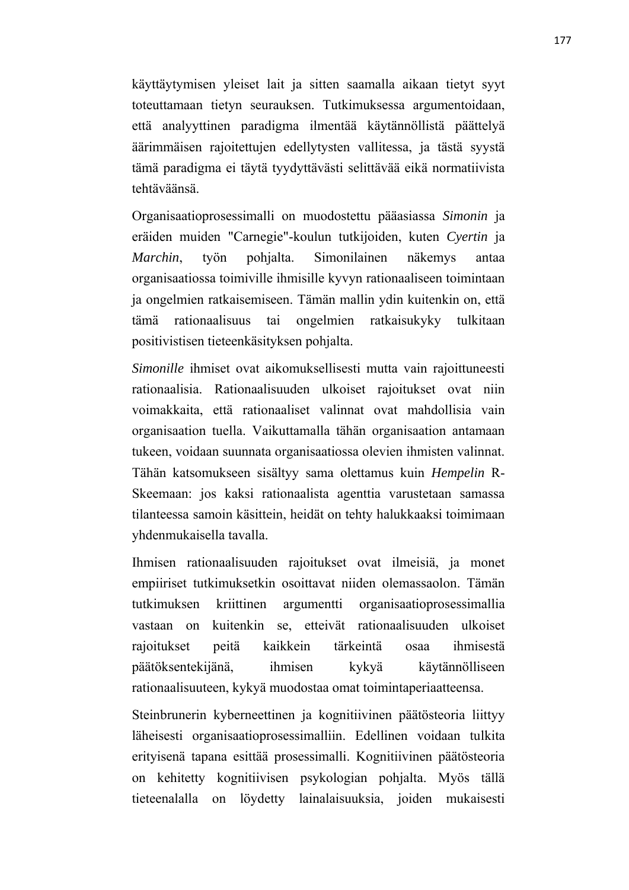käyttäytymisen yleiset lait ja sitten saamalla aikaan tietyt syyt toteuttamaan tietyn seurauksen. Tutkimuksessa argumentoidaan, että analyyttinen paradigma ilmentää käytännöllistä päättelyä äärimmäisen rajoitettujen edellytysten vallitessa, ja tästä syystä tämä paradigma ei täytä tyydyttävästi selittävää eikä normatiivista tehtäväänsä.

Organisaatioprosessimalli on muodostettu pääasiassa *Simonin* ja eräiden muiden "Carnegie"-koulun tutkijoiden, kuten *Cyertin* ja *Marchin*, työn pohjalta. Simonilainen näkemys antaa organisaatiossa toimiville ihmisille kyvyn rationaaliseen toimintaan ja ongelmien ratkaisemiseen. Tämän mallin ydin kuitenkin on, että tämä rationaalisuus tai ongelmien ratkaisukyky tulkitaan positivistisen tieteenkäsityksen pohjalta.

*Simonille* ihmiset ovat aikomuksellisesti mutta vain rajoittuneesti rationaalisia. Rationaalisuuden ulkoiset rajoitukset ovat niin voimakkaita, että rationaaliset valinnat ovat mahdollisia vain organisaation tuella. Vaikuttamalla tähän organisaation antamaan tukeen, voidaan suunnata organisaatiossa olevien ihmisten valinnat. Tähän katsomukseen sisältyy sama olettamus kuin *Hempelin* R-Skeemaan: jos kaksi rationaalista agenttia varustetaan samassa tilanteessa samoin käsittein, heidät on tehty halukkaaksi toimimaan yhdenmukaisella tavalla.

Ihmisen rationaalisuuden rajoitukset ovat ilmeisiä, ja monet empiiriset tutkimuksetkin osoittavat niiden olemassaolon. Tämän tutkimuksen kriittinen argumentti organisaatioprosessimallia vastaan on kuitenkin se, etteivät rationaalisuuden ulkoiset rajoitukset peitä kaikkein tärkeintä osaa ihmisestä päätöksentekijänä, ihmisen kykyä käytännölliseen rationaalisuuteen, kykyä muodostaa omat toimintaperiaatteensa.

Steinbrunerin kyberneettinen ja kognitiivinen päätösteoria liittyy läheisesti organisaatioprosessimalliin. Edellinen voidaan tulkita erityisenä tapana esittää prosessimalli. Kognitiivinen päätösteoria on kehitetty kognitiivisen psykologian pohjalta. Myös tällä tieteenalalla on löydetty lainalaisuuksia, joiden mukaisesti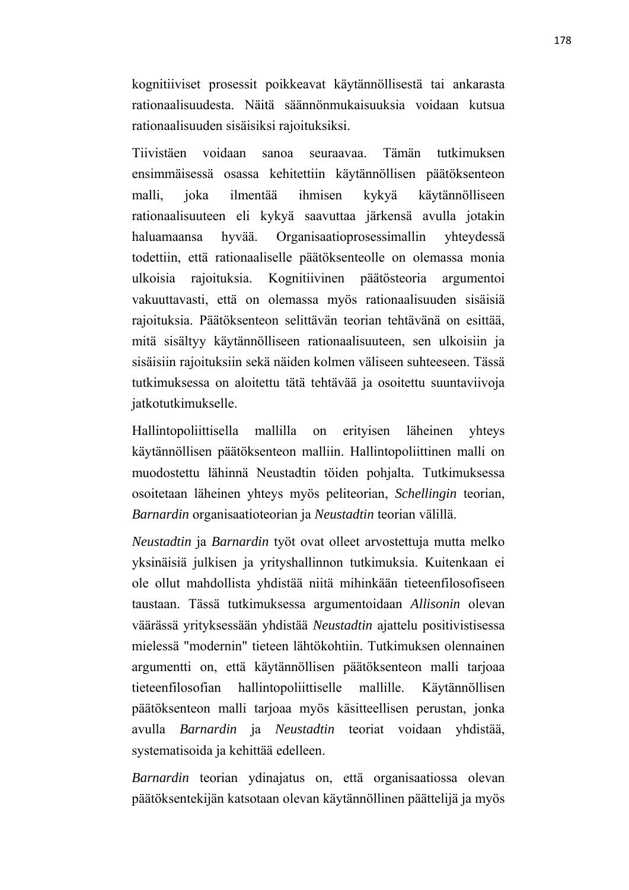kognitiiviset prosessit poikkeavat käytännöllisestä tai ankarasta rationaalisuudesta. Näitä säännönmukaisuuksia voidaan kutsua rationaalisuuden sisäisiksi rajoituksiksi.

Tiivistäen voidaan sanoa seuraavaa. Tämän tutkimuksen ensimmäisessä osassa kehitettiin käytännöllisen päätöksenteon malli, joka ilmentää ihmisen kykyä käytännölliseen rationaalisuuteen eli kykyä saavuttaa järkensä avulla jotakin haluamaansa hyvää. Organisaatioprosessimallin yhteydessä todettiin, että rationaaliselle päätöksenteolle on olemassa monia ulkoisia rajoituksia. Kognitiivinen päätösteoria argumentoi vakuuttavasti, että on olemassa myös rationaalisuuden sisäisiä rajoituksia. Päätöksenteon selittävän teorian tehtävänä on esittää, mitä sisältyy käytännölliseen rationaalisuuteen, sen ulkoisiin ja sisäisiin rajoituksiin sekä näiden kolmen väliseen suhteeseen. Tässä tutkimuksessa on aloitettu tätä tehtävää ja osoitettu suuntaviivoja jatkotutkimukselle.

Hallintopoliittisella mallilla on erityisen läheinen yhteys käytännöllisen päätöksenteon malliin. Hallintopoliittinen malli on muodostettu lähinnä Neustadtin töiden pohjalta. Tutkimuksessa osoitetaan läheinen yhteys myös peliteorian, *Schellingin* teorian, *Barnardin* organisaatioteorian ja *Neustadtin* teorian välillä.

*Neustadtin* ja *Barnardin* työt ovat olleet arvostettuja mutta melko yksinäisiä julkisen ja yrityshallinnon tutkimuksia. Kuitenkaan ei ole ollut mahdollista yhdistää niitä mihinkään tieteenfilosofiseen taustaan. Tässä tutkimuksessa argumentoidaan *Allisonin* olevan väärässä yrityksessään yhdistää *Neustadtin* ajattelu positivistisessa mielessä "modernin" tieteen lähtökohtiin. Tutkimuksen olennainen argumentti on, että käytännöllisen päätöksenteon malli tarjoaa tieteenfilosofian hallintopoliittiselle mallille. Käytännöllisen päätöksenteon malli tarjoaa myös käsitteellisen perustan, jonka avulla *Barnardin* ja *Neustadtin* teoriat voidaan yhdistää, systematisoida ja kehittää edelleen.

*Barnardin* teorian ydinajatus on, että organisaatiossa olevan päätöksentekijän katsotaan olevan käytännöllinen päättelijä ja myös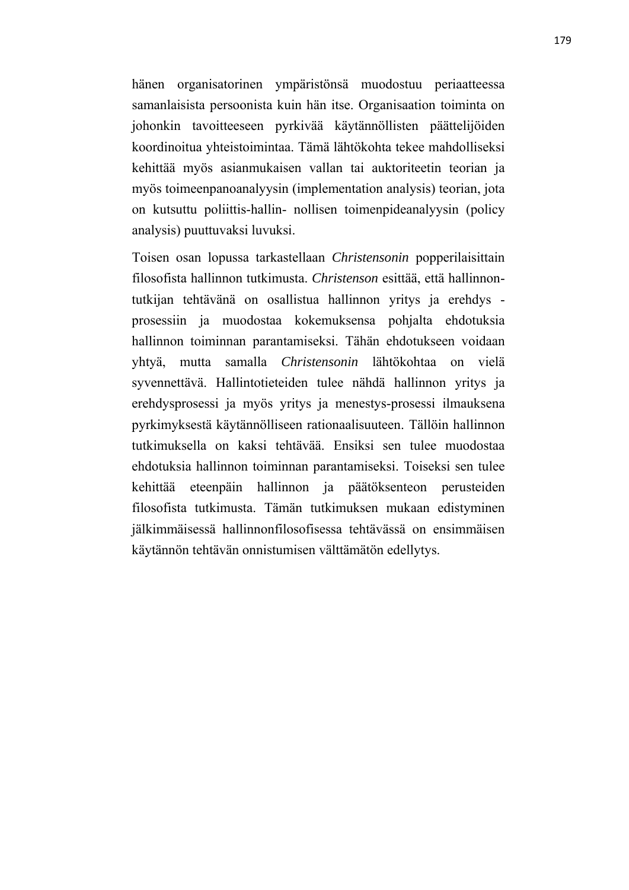hänen organisatorinen ympäristönsä muodostuu periaatteessa samanlaisista persoonista kuin hän itse. Organisaation toiminta on johonkin tavoitteeseen pyrkivää käytännöllisten päättelijöiden koordinoitua yhteistoimintaa. Tämä lähtökohta tekee mahdolliseksi kehittää myös asianmukaisen vallan tai auktoriteetin teorian ja myös toimeenpanoanalyysin (implementation analysis) teorian, jota on kutsuttu poliittis-hallin- nollisen toimenpideanalyysin (policy analysis) puuttuvaksi luvuksi.

Toisen osan lopussa tarkastellaan *Christensonin* popperilaisittain filosofista hallinnon tutkimusta. *Christenson* esittää, että hallinnontutkijan tehtävänä on osallistua hallinnon yritys ja erehdys prosessiin ja muodostaa kokemuksensa pohjalta ehdotuksia hallinnon toiminnan parantamiseksi. Tähän ehdotukseen voidaan yhtyä, mutta samalla *Christensonin* lähtökohtaa on vielä syvennettävä. Hallintotieteiden tulee nähdä hallinnon yritys ja erehdysprosessi ja myös yritys ja menestys-prosessi ilmauksena pyrkimyksestä käytännölliseen rationaalisuuteen. Tällöin hallinnon tutkimuksella on kaksi tehtävää. Ensiksi sen tulee muodostaa ehdotuksia hallinnon toiminnan parantamiseksi. Toiseksi sen tulee kehittää eteenpäin hallinnon ja päätöksenteon perusteiden filosofista tutkimusta. Tämän tutkimuksen mukaan edistyminen jälkimmäisessä hallinnonfilosofisessa tehtävässä on ensimmäisen käytännön tehtävän onnistumisen välttämätön edellytys.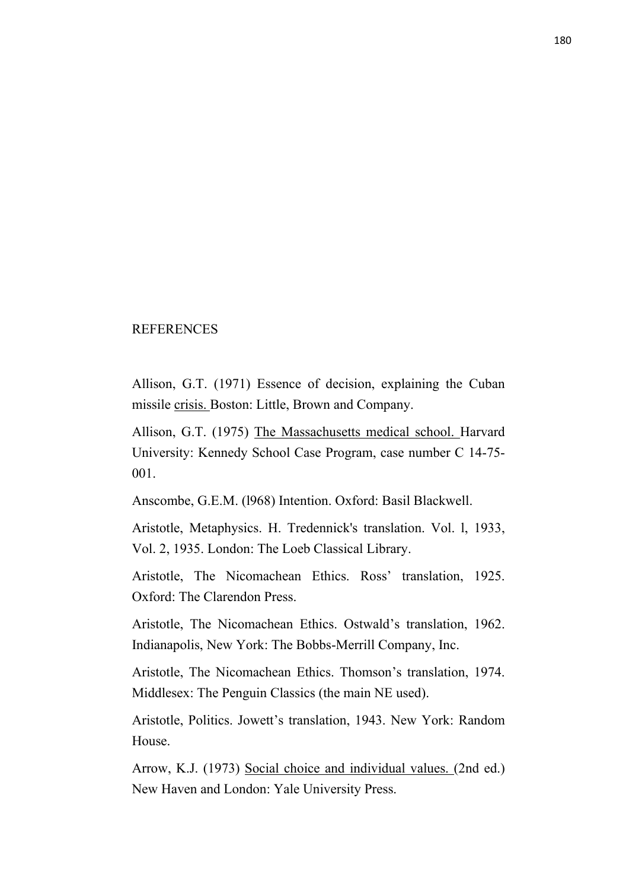## **REFERENCES**

Allison, G.T. (1971) Essence of decision, explaining the Cuban missile crisis. Boston: Little, Brown and Company.

Allison, G.T. (1975) The Massachusetts medical school. Harvard University: Kennedy School Case Program, case number C 14-75- 001.

Anscombe, G.E.M. (l968) Intention. Oxford: Basil Blackwell.

Aristotle, Metaphysics. H. Tredennick's translation. Vol. l, 1933, Vol. 2, 1935. London: The Loeb Classical Library.

Aristotle, The Nicomachean Ethics. Ross' translation, 1925. Oxford: The Clarendon Press.

Aristotle, The Nicomachean Ethics. Ostwald's translation, 1962. Indianapolis, New York: The Bobbs-Merrill Company, Inc.

Aristotle, The Nicomachean Ethics. Thomson's translation, 1974. Middlesex: The Penguin Classics (the main NE used).

Aristotle, Politics. Jowett's translation, 1943. New York: Random House.

Arrow, K.J. (1973) Social choice and individual values. (2nd ed.) New Haven and London: Yale University Press.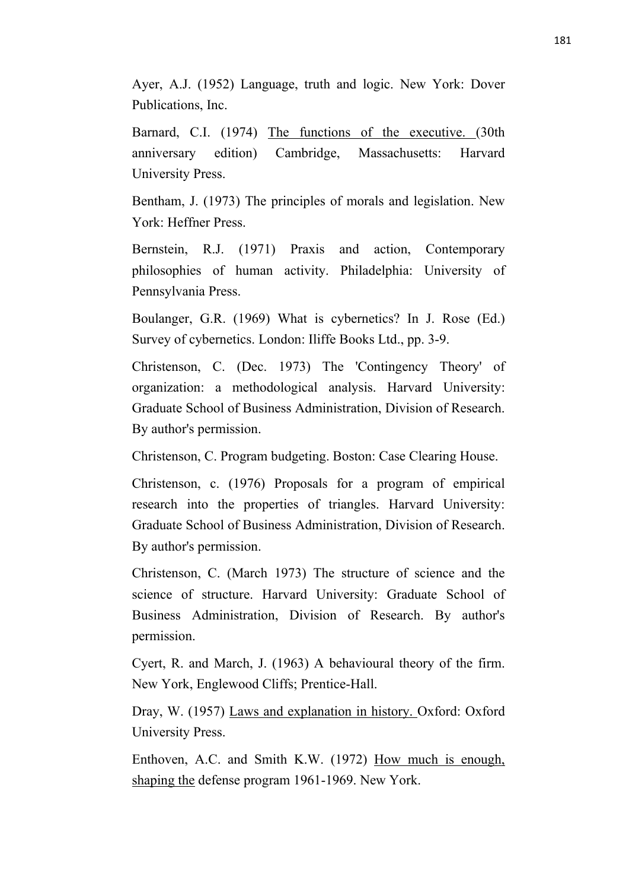Ayer, A.J. (1952) Language, truth and logic. New York: Dover Publications, Inc.

Barnard, C.I. (1974) The functions of the executive. (30th anniversary edition) Cambridge, Massachusetts: Harvard University Press.

Bentham, J. (1973) The principles of morals and legislation. New York: Heffner Press.

Bernstein, R.J. (1971) Praxis and action, Contemporary philosophies of human activity. Philadelphia: University of Pennsylvania Press.

Boulanger, G.R. (1969) What is cybernetics? In J. Rose (Ed.) Survey of cybernetics. London: Iliffe Books Ltd., pp. 3-9.

Christenson, C. (Dec. 1973) The 'Contingency Theory' of organization: a methodological analysis. Harvard University: Graduate School of Business Administration, Division of Research. By author's permission.

Christenson, C. Program budgeting. Boston: Case Clearing House.

Christenson, c. (1976) Proposals for a program of empirical research into the properties of triangles. Harvard University: Graduate School of Business Administration, Division of Research. By author's permission.

Christenson, C. (March 1973) The structure of science and the science of structure. Harvard University: Graduate School of Business Administration, Division of Research. By author's permission.

Cyert, R. and March, J. (1963) A behavioural theory of the firm. New York, Englewood Cliffs; Prentice-Hall.

Dray, W. (1957) Laws and explanation in history. Oxford: Oxford University Press.

Enthoven, A.C. and Smith K.W. (1972) How much is enough, shaping the defense program 1961-1969. New York.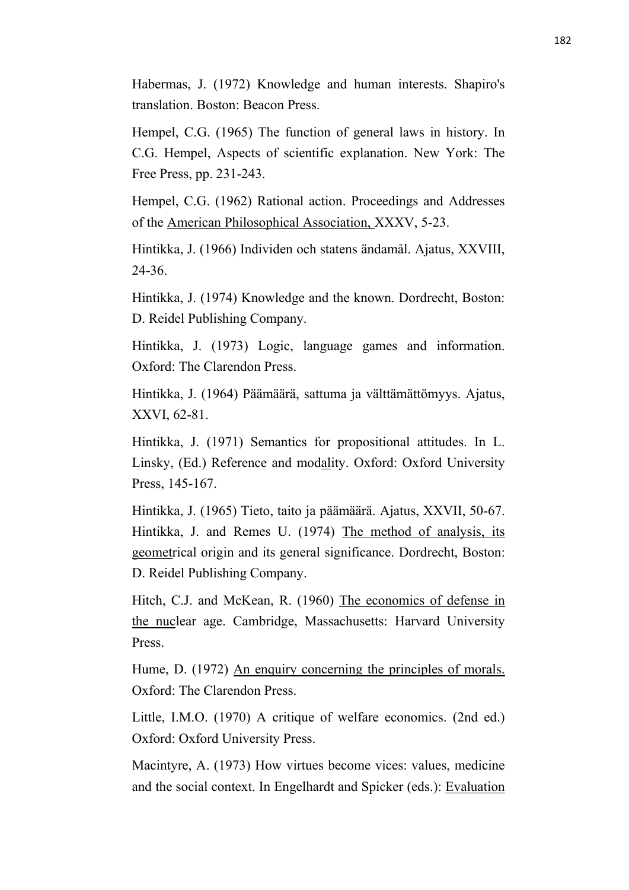Habermas, J. (1972) Knowledge and human interests. Shapiro's translation. Boston: Beacon Press.

Hempel, C.G. (1965) The function of general laws in history. In C.G. Hempel, Aspects of scientific explanation. New York: The Free Press, pp. 231-243.

Hempel, C.G. (1962) Rational action. Proceedings and Addresses of the American Philosophical Association, XXXV, 5-23.

Hintikka, J. (1966) Individen och statens ändamål. Ajatus, XXVIII, 24-36.

Hintikka, J. (1974) Knowledge and the known. Dordrecht, Boston: D. Reidel Publishing Company.

Hintikka, J. (1973) Logic, language games and information. Oxford: The Clarendon Press.

Hintikka, J. (1964) Päämäärä, sattuma ja välttämättömyys. Ajatus, XXVI, 62-81.

Hintikka, J. (1971) Semantics for propositional attitudes. In L. Linsky, (Ed.) Reference and modality. Oxford: Oxford University Press, 145-167.

Hintikka, J. (1965) Tieto, taito ja päämäärä. Ajatus, XXVII, 50-67. Hintikka, J. and Remes U. (1974) The method of analysis, its geometrical origin and its general significance. Dordrecht, Boston: D. Reidel Publishing Company.

Hitch, C.J. and McKean, R. (1960) The economics of defense in the nuclear age. Cambridge, Massachusetts: Harvard University Press.

Hume, D. (1972) An enquiry concerning the principles of morals. Oxford: The Clarendon Press.

Little, I.M.O. (1970) A critique of welfare economics. (2nd ed.) Oxford: Oxford University Press.

Macintyre, A. (1973) How virtues become vices: values, medicine and the social context. In Engelhardt and Spicker (eds.): Evaluation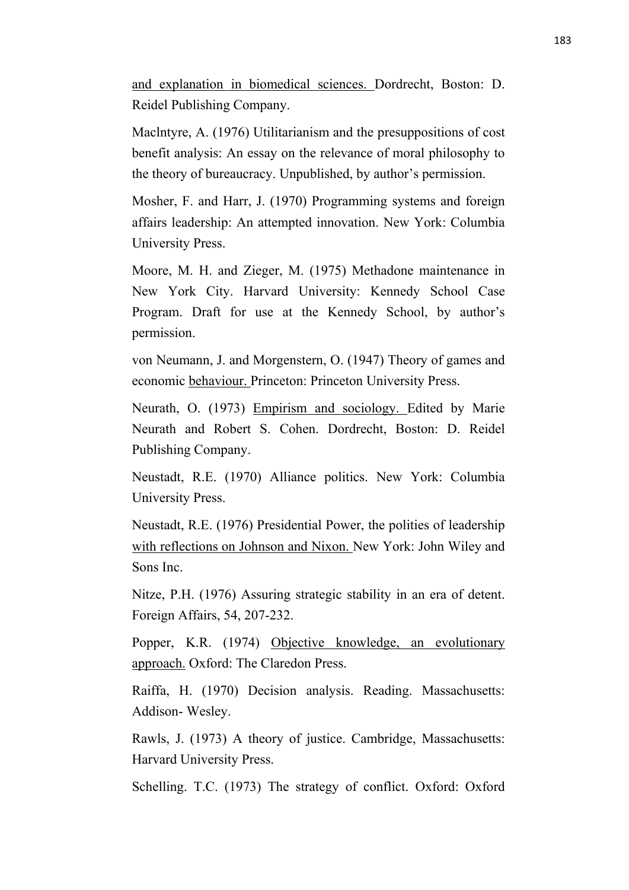and explanation in biomedical sciences. Dordrecht, Boston: D. Reidel Publishing Company.

Maclntyre, A. (1976) Utilitarianism and the presuppositions of cost benefit analysis: An essay on the relevance of moral philosophy to the theory of bureaucracy. Unpublished, by author's permission.

Mosher, F. and Harr, J. (1970) Programming systems and foreign affairs leadership: An attempted innovation. New York: Columbia University Press.

Moore, M. H. and Zieger, M. (1975) Methadone maintenance in New York City. Harvard University: Kennedy School Case Program. Draft for use at the Kennedy School, by author's permission.

von Neumann, J. and Morgenstern, O. (1947) Theory of games and economic behaviour. Princeton: Princeton University Press.

Neurath, O. (1973) Empirism and sociology. Edited by Marie Neurath and Robert S. Cohen. Dordrecht, Boston: D. Reidel Publishing Company.

Neustadt, R.E. (1970) Alliance politics. New York: Columbia University Press.

Neustadt, R.E. (1976) Presidential Power, the polities of leadership with reflections on Johnson and Nixon. New York: John Wiley and Sons Inc.

Nitze, P.H. (1976) Assuring strategic stability in an era of detent. Foreign Affairs, 54, 207-232.

Popper, K.R. (1974) Objective knowledge, an evolutionary approach. Oxford: The Claredon Press.

Raiffa, H. (1970) Decision analysis. Reading. Massachusetts: Addison-Wesley.

Rawls, J. (1973) A theory of justice. Cambridge, Massachusetts: Harvard University Press.

Schelling. T.C. (1973) The strategy of conflict. Oxford: Oxford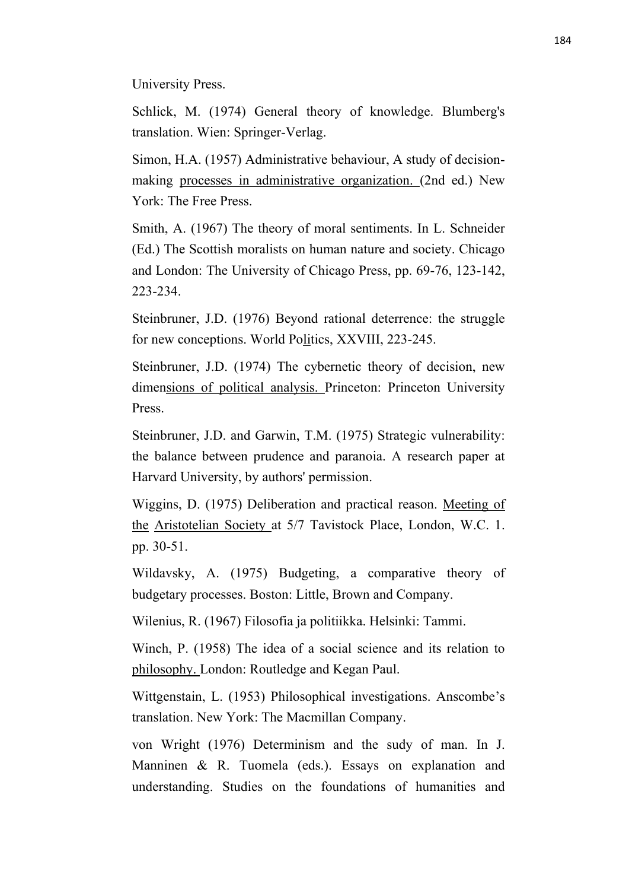University Press.

Schlick, M. (1974) General theory of knowledge. Blumberg's translation. Wien: Springer-Verlag.

Simon, H.A. (1957) Administrative behaviour, A study of decisionmaking processes in administrative organization. (2nd ed.) New York: The Free Press.

Smith, A. (1967) The theory of moral sentiments. In L. Schneider (Ed.) The Scottish moralists on human nature and society. Chicago and London: The University of Chicago Press, pp. 69-76, 123-142, 223-234.

Steinbruner, J.D. (1976) Beyond rational deterrence: the struggle for new conceptions. World Politics, XXVIII, 223-245.

Steinbruner, J.D. (1974) The cybernetic theory of decision, new dimensions of political analysis. Princeton: Princeton University Press.

Steinbruner, J.D. and Garwin, T.M. (1975) Strategic vulnerability: the balance between prudence and paranoia. A research paper at Harvard University, by authors' permission.

Wiggins, D. (1975) Deliberation and practical reason. Meeting of the Aristotelian Society at 5/7 Tavistock Place, London, W.C. 1. pp. 30-51.

Wildavsky, A. (1975) Budgeting, a comparative theory of budgetary processes. Boston: Little, Brown and Company.

Wilenius, R. (1967) Filosofia ja politiikka. Helsinki: Tammi.

Winch, P. (1958) The idea of a social science and its relation to philosophy. London: Routledge and Kegan Paul.

Wittgenstain, L. (1953) Philosophical investigations. Anscombe's translation. New York: The Macmillan Company.

von Wright (1976) Determinism and the sudy of man. In J. Manninen & R. Tuomela (eds.). Essays on explanation and understanding. Studies on the foundations of humanities and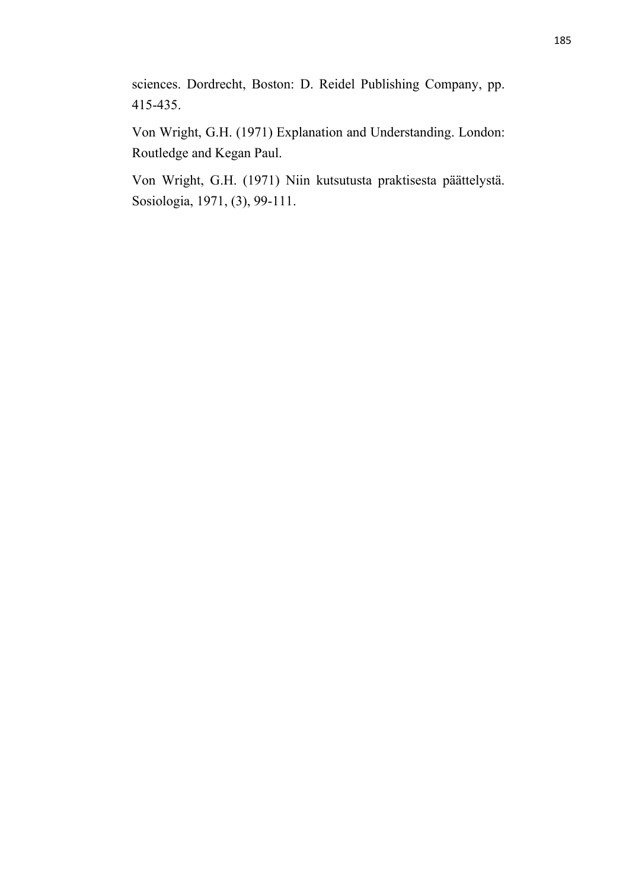sciences. Dordrecht, Boston: D. Reidel Publishing Company, pp. 415-435.

Von Wright, G.H. (1971) Explanation and Understanding. London: Routledge and Kegan Paul.

Von Wright, G.H. (1971) Niin kutsutusta praktisesta päättelystä. Sosiologia, 1971, (3), 99-111.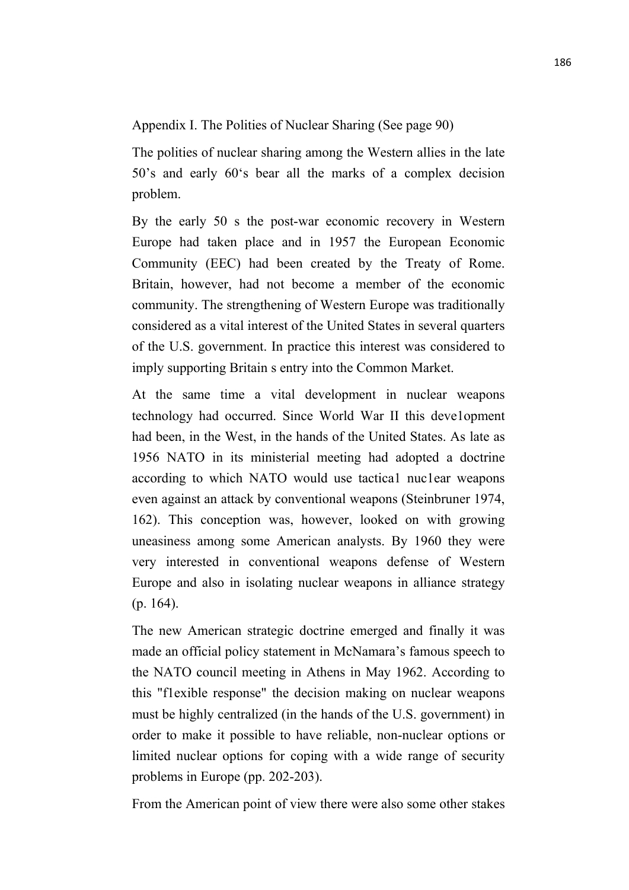Appendix I. The Polities of Nuclear Sharing (See page 90)

The polities of nuclear sharing among the Western allies in the late 50's and early 60's bear all the marks of a complex decision problem.

By the early 50 s the post-war economic recovery in Western Europe had taken place and in 1957 the European Economic Community (EEC) had been created by the Treaty of Rome. Britain, however, had not become a member of the economic community. The strengthening of Western Europe was traditionally considered as a vital interest of the United States in several quarters of the U.S. government. In practice this interest was considered to imply supporting Britain s entry into the Common Market.

At the same time a vital development in nuclear weapons technology had occurred. Since World War II this deve1opment had been, in the West, in the hands of the United States. As late as 1956 NATO in its ministerial meeting had adopted a doctrine according to which NATO would use tactica1 nuc1ear weapons even against an attack by conventional weapons (Steinbruner 1974, 162). This conception was, however, looked on with growing uneasiness among some American analysts. By 1960 they were very interested in conventional weapons defense of Western Europe and also in isolating nuclear weapons in alliance strategy (p. 164).

The new American strategic doctrine emerged and finally it was made an official policy statement in McNamara's famous speech to the NATO council meeting in Athens in May 1962. According to this "f1exible response" the decision making on nuclear weapons must be highly centralized (in the hands of the U.S. government) in order to make it possible to have reliable, non-nuclear options or limited nuclear options for coping with a wide range of security problems in Europe (pp. 202-203).

From the American point of view there were also some other stakes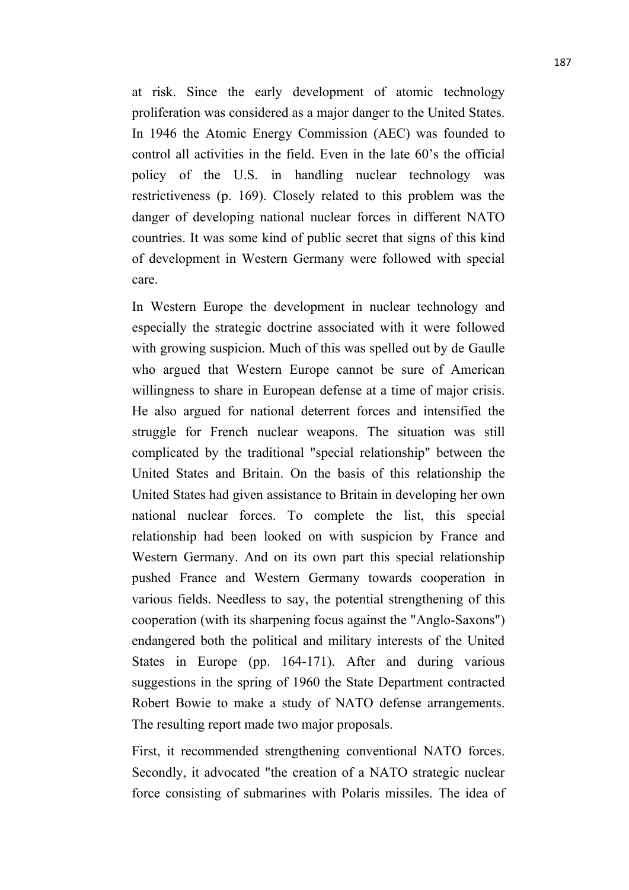at risk. Since the early development of atomic technology proliferation was considered as a major danger to the United States. In 1946 the Atomic Energy Commission (AEC) was founded to control all activities in the field. Even in the late 60's the official policy of the U.S. in handling nuclear technology was restrictiveness (p. 169). Closely related to this problem was the danger of developing national nuclear forces in different NATO countries. It was some kind of public secret that signs of this kind of development in Western Germany were followed with special care.

In Western Europe the development in nuclear technology and especially the strategic doctrine associated with it were followed with growing suspicion. Much of this was spelled out by de Gaulle who argued that Western Europe cannot be sure of American willingness to share in European defense at a time of major crisis. He also argued for national deterrent forces and intensified the struggle for French nuclear weapons. The situation was still complicated by the traditional "special relationship" between the United States and Britain. On the basis of this relationship the United States had given assistance to Britain in developing her own national nuclear forces. To complete the list, this special relationship had been looked on with suspicion by France and Western Germany. And on its own part this special relationship pushed France and Western Germany towards cooperation in various fields. Needless to say, the potential strengthening of this cooperation (with its sharpening focus against the "Anglo-Saxons") endangered both the political and military interests of the United States in Europe (pp. 164-171). After and during various suggestions in the spring of 1960 the State Department contracted Robert Bowie to make a study of NATO defense arrangements. The resulting report made two major proposals.

First, it recommended strengthening conventional NATO forces. Secondly, it advocated "the creation of a NATO strategic nuclear force consisting of submarines with Polaris missiles. The idea of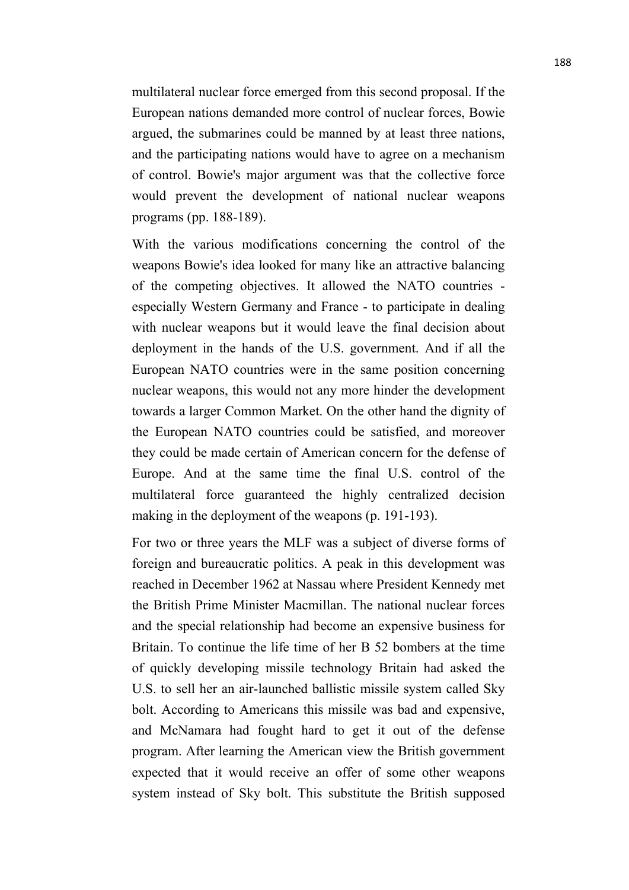multilateral nuclear force emerged from this second proposal. If the European nations demanded more control of nuclear forces, Bowie argued, the submarines could be manned by at least three nations, and the participating nations would have to agree on a mechanism of control. Bowie's major argument was that the collective force would prevent the development of national nuclear weapons programs (pp. 188-189).

With the various modifications concerning the control of the weapons Bowie's idea looked for many like an attractive balancing of the competing objectives. It allowed the NATO countries especially Western Germany and France - to participate in dealing with nuclear weapons but it would leave the final decision about deployment in the hands of the U.S. government. And if all the European NATO countries were in the same position concerning nuclear weapons, this would not any more hinder the development towards a larger Common Market. On the other hand the dignity of the European NATO countries could be satisfied, and moreover they could be made certain of American concern for the defense of Europe. And at the same time the final U.S. control of the multilateral force guaranteed the highly centralized decision making in the deployment of the weapons (p. 191-193).

For two or three years the MLF was a subject of diverse forms of foreign and bureaucratic politics. A peak in this development was reached in December 1962 at Nassau where President Kennedy met the British Prime Minister Macmillan. The national nuclear forces and the special relationship had become an expensive business for Britain. To continue the life time of her B 52 bombers at the time of quickly developing missile technology Britain had asked the U.S. to sell her an air-launched ballistic missile system called Sky bolt. According to Americans this missile was bad and expensive, and McNamara had fought hard to get it out of the defense program. After learning the American view the British government expected that it would receive an offer of some other weapons system instead of Sky bolt. This substitute the British supposed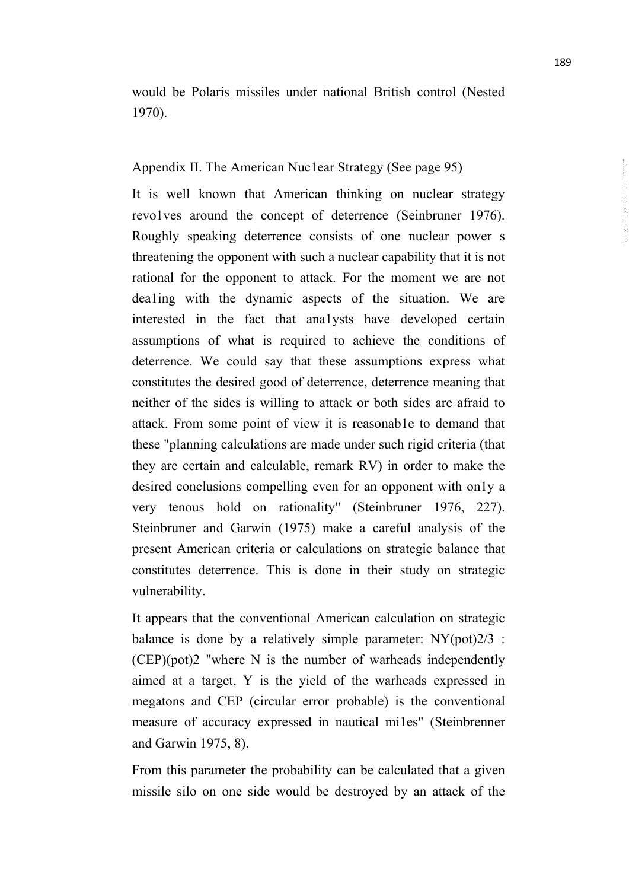would be Polaris missiles under national British control (Nested 1970).

## Appendix II. The American Nuc1ear Strategy (See page 95)

It is well known that American thinking on nuclear strategy revo1ves around the concept of deterrence (Seinbruner 1976). Roughly speaking deterrence consists of one nuclear power s threatening the opponent with such a nuclear capability that it is not rational for the opponent to attack. For the moment we are not dea1ing with the dynamic aspects of the situation. We are interested in the fact that ana1ysts have developed certain assumptions of what is required to achieve the conditions of deterrence. We could say that these assumptions express what constitutes the desired good of deterrence, deterrence meaning that neither of the sides is willing to attack or both sides are afraid to attack. From some point of view it is reasonab1e to demand that these "planning calculations are made under such rigid criteria (that they are certain and calculable, remark RV) in order to make the desired conclusions compelling even for an opponent with on1y a very tenous hold on rationality" (Steinbruner 1976, 227). Steinbruner and Garwin (1975) make a careful analysis of the present American criteria or calculations on strategic balance that constitutes deterrence. This is done in their study on strategic vulnerability.

It appears that the conventional American calculation on strategic balance is done by a relatively simple parameter:  $NY(pot)2/3$ : (CEP)(pot)2 "where N is the number of warheads independently aimed at a target, Y is the yield of the warheads expressed in megatons and CEP (circular error probable) is the conventional measure of accuracy expressed in nautical mi1es" (Steinbrenner and Garwin 1975, 8).

From this parameter the probability can be calculated that a given missile silo on one side would be destroyed by an attack of the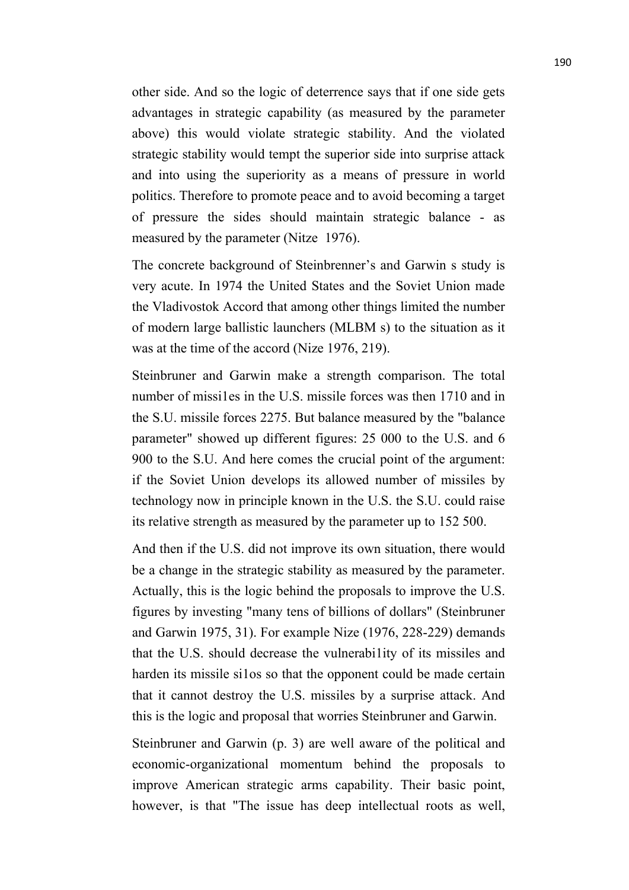other side. And so the logic of deterrence says that if one side gets advantages in strategic capability (as measured by the parameter above) this would violate strategic stability. And the violated strategic stability would tempt the superior side into surprise attack and into using the superiority as a means of pressure in world politics. Therefore to promote peace and to avoid becoming a target of pressure the sides should maintain strategic balance - as measured by the parameter (Nitze 1976).

The concrete background of Steinbrenner's and Garwin s study is very acute. In 1974 the United States and the Soviet Union made the Vladivostok Accord that among other things limited the number of modern large ballistic launchers (MLBM s) to the situation as it was at the time of the accord (Nize 1976, 219).

Steinbruner and Garwin make a strength comparison. The total number of missi1es in the U.S. missile forces was then 1710 and in the S.U. missile forces 2275. But balance measured by the "balance parameter" showed up different figures: 25 000 to the U.S. and 6 900 to the S.U. And here comes the crucial point of the argument: if the Soviet Union develops its allowed number of missiles by technology now in principle known in the U.S. the S.U. could raise its relative strength as measured by the parameter up to 152 500.

And then if the U.S. did not improve its own situation, there would be a change in the strategic stability as measured by the parameter. Actually, this is the logic behind the proposals to improve the U.S. figures by investing "many tens of billions of dollars" (Steinbruner and Garwin 1975, 31). For example Nize (1976, 228-229) demands that the U.S. should decrease the vulnerabi1ity of its missiles and harden its missile silos so that the opponent could be made certain that it cannot destroy the U.S. missiles by a surprise attack. And this is the logic and proposal that worries Steinbruner and Garwin.

Steinbruner and Garwin (p. 3) are well aware of the political and economic-organizational momentum behind the proposals to improve American strategic arms capability. Their basic point, however, is that "The issue has deep intellectual roots as well,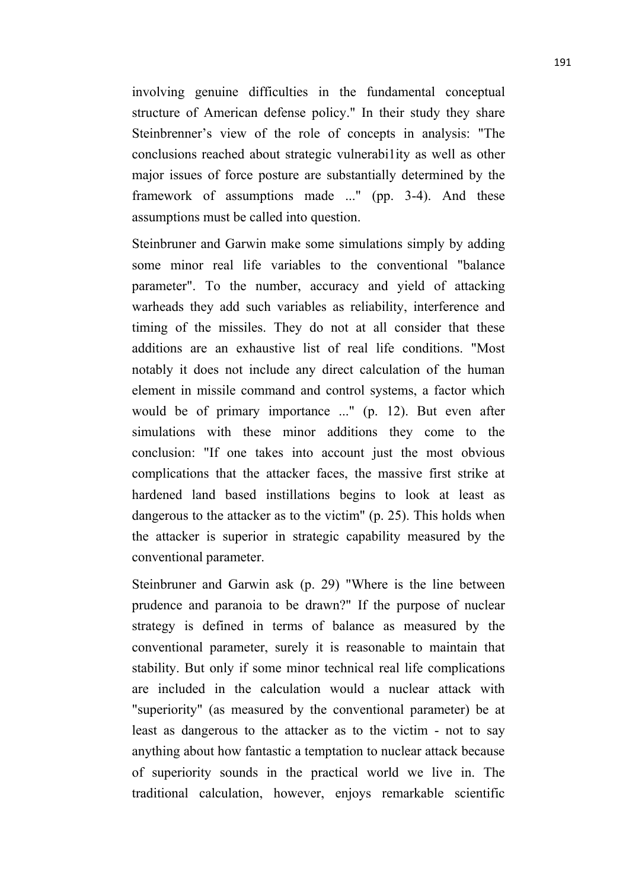involving genuine difficulties in the fundamental conceptual structure of American defense policy." In their study they share Steinbrenner's view of the role of concepts in analysis: "The conclusions reached about strategic vulnerabi1ity as well as other major issues of force posture are substantially determined by the framework of assumptions made ..." (pp. 3-4). And these assumptions must be called into question.

Steinbruner and Garwin make some simulations simply by adding some minor real life variables to the conventional "balance parameter". To the number, accuracy and yield of attacking warheads they add such variables as reliability, interference and timing of the missiles. They do not at all consider that these additions are an exhaustive list of real life conditions. "Most notably it does not include any direct calculation of the human element in missile command and control systems, a factor which would be of primary importance ..." (p. 12). But even after simulations with these minor additions they come to the conclusion: "If one takes into account just the most obvious complications that the attacker faces, the massive first strike at hardened land based instillations begins to look at least as dangerous to the attacker as to the victim" (p. 25). This holds when the attacker is superior in strategic capability measured by the conventional parameter.

Steinbruner and Garwin ask (p. 29) "Where is the line between prudence and paranoia to be drawn?" If the purpose of nuclear strategy is defined in terms of balance as measured by the conventional parameter, surely it is reasonable to maintain that stability. But only if some minor technical real life complications are included in the calculation would a nuclear attack with "superiority" (as measured by the conventional parameter) be at least as dangerous to the attacker as to the victim - not to say anything about how fantastic a temptation to nuclear attack because of superiority sounds in the practical world we live in. The traditional calculation, however, enjoys remarkable scientific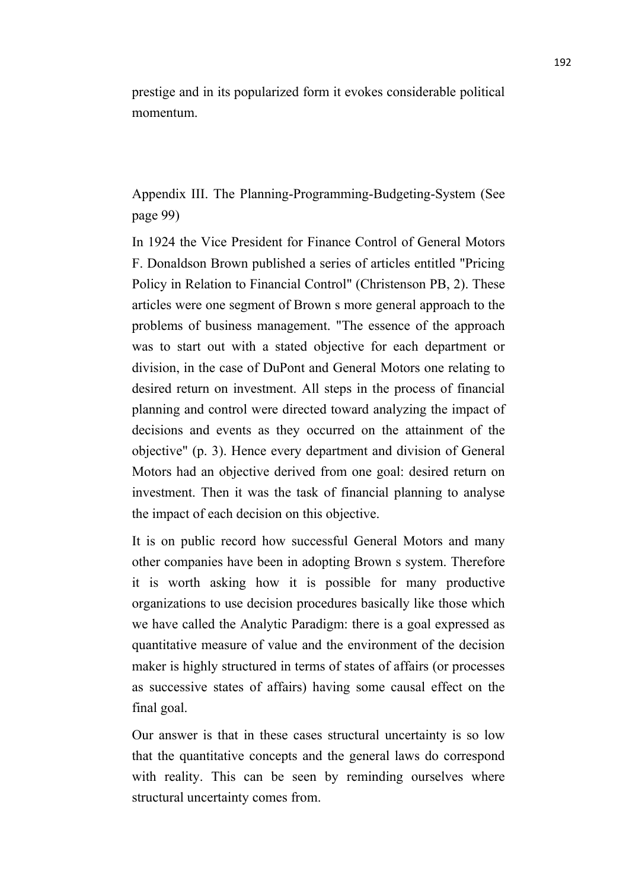prestige and in its popularized form it evokes considerable political momentum.

Appendix III. The Planning-Programming-Budgeting-System (See page 99)

In 1924 the Vice President for Finance Control of General Motors F. Donaldson Brown published a series of articles entitled "Pricing Policy in Relation to Financial Control" (Christenson PB, 2). These articles were one segment of Brown s more general approach to the problems of business management. "The essence of the approach was to start out with a stated objective for each department or division, in the case of DuPont and General Motors one relating to desired return on investment. All steps in the process of financial planning and control were directed toward analyzing the impact of decisions and events as they occurred on the attainment of the objective" (p. 3). Hence every department and division of General Motors had an objective derived from one goal: desired return on investment. Then it was the task of financial planning to analyse the impact of each decision on this objective.

It is on public record how successful General Motors and many other companies have been in adopting Brown s system. Therefore it is worth asking how it is possible for many productive organizations to use decision procedures basically like those which we have called the Analytic Paradigm: there is a goal expressed as quantitative measure of value and the environment of the decision maker is highly structured in terms of states of affairs (or processes as successive states of affairs) having some causal effect on the final goal.

Our answer is that in these cases structural uncertainty is so low that the quantitative concepts and the general laws do correspond with reality. This can be seen by reminding ourselves where structural uncertainty comes from.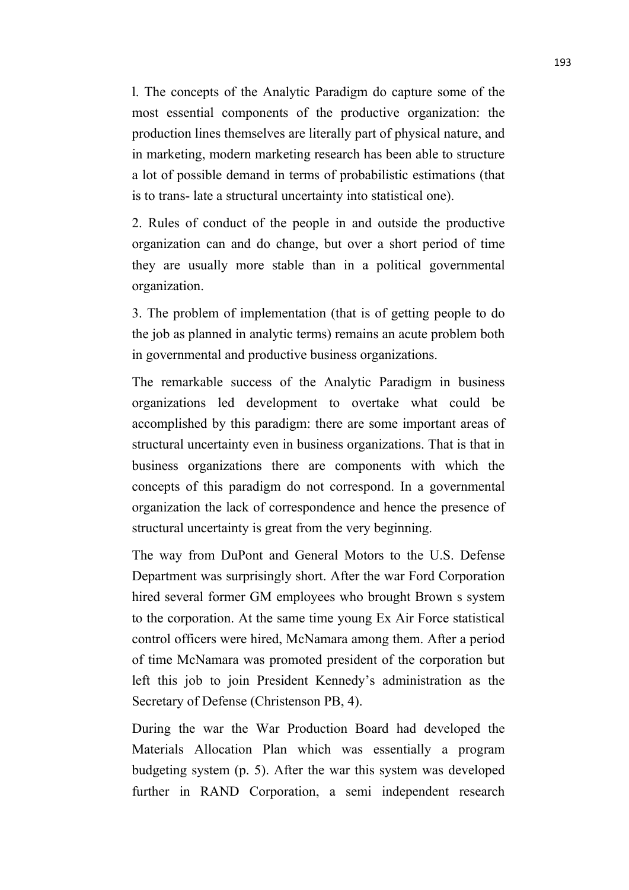l. The concepts of the Analytic Paradigm do capture some of the most essential components of the productive organization: the production lines themselves are literally part of physical nature, and in marketing, modern marketing research has been able to structure a lot of possible demand in terms of probabilistic estimations (that is to trans- late a structural uncertainty into statistical one).

2. Rules of conduct of the people in and outside the productive organization can and do change, but over a short period of time they are usually more stable than in a political governmental organization.

3. The problem of implementation (that is of getting people to do the job as planned in analytic terms) remains an acute problem both in governmental and productive business organizations.

The remarkable success of the Analytic Paradigm in business organizations led development to overtake what could be accomplished by this paradigm: there are some important areas of structural uncertainty even in business organizations. That is that in business organizations there are components with which the concepts of this paradigm do not correspond. In a governmental organization the lack of correspondence and hence the presence of structural uncertainty is great from the very beginning.

The way from DuPont and General Motors to the U.S. Defense Department was surprisingly short. After the war Ford Corporation hired several former GM employees who brought Brown s system to the corporation. At the same time young Ex Air Force statistical control officers were hired, McNamara among them. After a period of time McNamara was promoted president of the corporation but left this job to join President Kennedy's administration as the Secretary of Defense (Christenson PB, 4).

During the war the War Production Board had developed the Materials Allocation Plan which was essentially a program budgeting system (p. 5). After the war this system was developed further in RAND Corporation, a semi independent research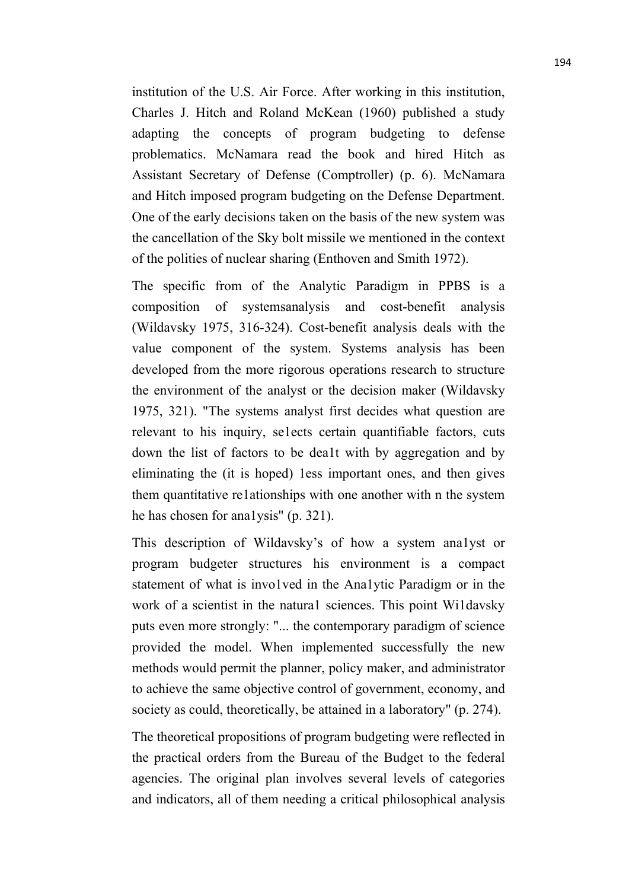institution of the U.S. Air Force. After working in this institution, Charles J. Hitch and Roland McKean (1960) published a study adapting the concepts of program budgeting to defense problematics. McNamara read the book and hired Hitch as Assistant Secretary of Defense (Comptroller) (p. 6). McNamara and Hitch imposed program budgeting on the Defense Department. One of the early decisions taken on the basis of the new system was the cancellation of the Sky bolt missile we mentioned in the context of the polities of nuclear sharing (Enthoven and Smith 1972).

The specific from of the Analytic Paradigm in PPBS is a composition of systemsanalysis and cost-benefit analysis (Wildavsky 1975, 316-324). Cost-benefit analysis deals with the value component of the system. Systems analysis has been developed from the more rigorous operations research to structure the environment of the analyst or the decision maker (Wildavsky 1975, 321). "The systems analyst first decides what question are relevant to his inquiry, se1ects certain quantifiable factors, cuts down the list of factors to be dea1t with by aggregation and by eliminating the (it is hoped) 1ess important ones, and then gives them quantitative re1ationships with one another with n the system he has chosen for ana1ysis" (p. 321).

This description of Wildavsky's of how a system ana1yst or program budgeter structures his environment is a compact statement of what is invo1ved in the Ana1ytic Paradigm or in the work of a scientist in the natura1 sciences. This point Wi1davsky puts even more strongly: "... the contemporary paradigm of science provided the model. When implemented successfully the new methods would permit the planner, policy maker, and administrator to achieve the same objective control of government, economy, and society as could, theoretically, be attained in a laboratory" (p. 274).

The theoretical propositions of program budgeting were reflected in the practical orders from the Bureau of the Budget to the federal agencies. The original plan involves several levels of categories and indicators, all of them needing a critical philosophical analysis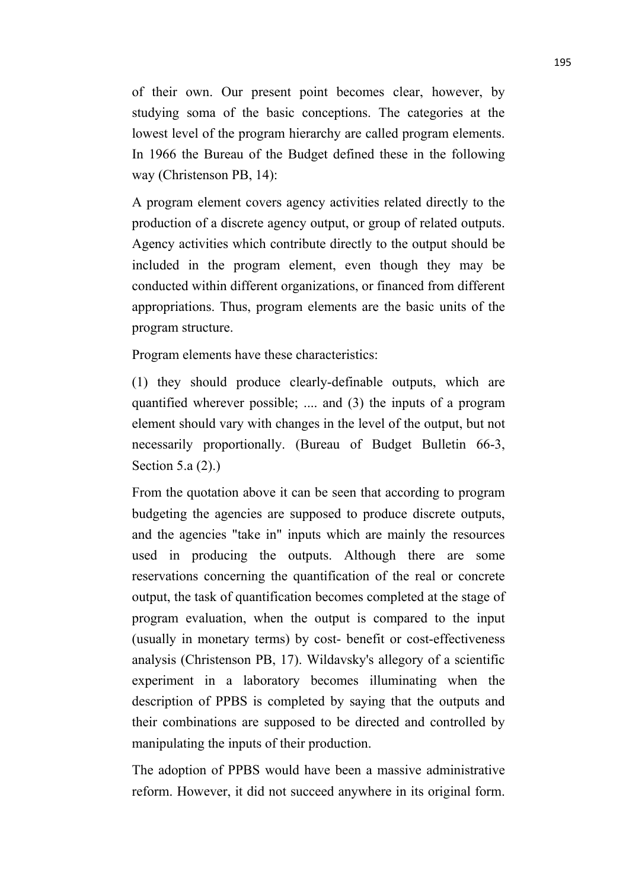of their own. Our present point becomes clear, however, by studying soma of the basic conceptions. The categories at the lowest level of the program hierarchy are called program elements. In 1966 the Bureau of the Budget defined these in the following way (Christenson PB, 14):

A program element covers agency activities related directly to the production of a discrete agency output, or group of related outputs. Agency activities which contribute directly to the output should be included in the program element, even though they may be conducted within different organizations, or financed from different appropriations. Thus, program elements are the basic units of the program structure.

Program elements have these characteristics:

(1) they should produce clearly-definable outputs, which are quantified wherever possible; .... and (3) the inputs of a program element should vary with changes in the level of the output, but not necessarily proportionally. (Bureau of Budget Bulletin 66-3, Section 5.a (2).)

From the quotation above it can be seen that according to program budgeting the agencies are supposed to produce discrete outputs, and the agencies "take in" inputs which are mainly the resources used in producing the outputs. Although there are some reservations concerning the quantification of the real or concrete output, the task of quantification becomes completed at the stage of program evaluation, when the output is compared to the input (usually in monetary terms) by cost-benefit or cost-effectiveness analysis (Christenson PB, 17). Wildavsky's allegory of a scientific experiment in a laboratory becomes illuminating when the description of PPBS is completed by saying that the outputs and their combinations are supposed to be directed and controlled by manipulating the inputs of their production.

The adoption of PPBS would have been a massive administrative reform. However, it did not succeed anywhere in its original form.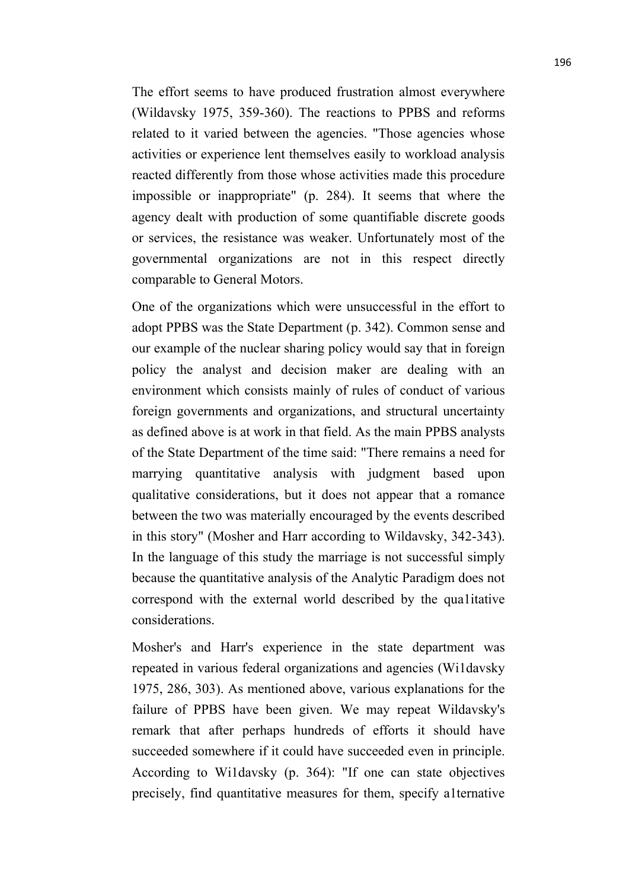The effort seems to have produced frustration almost everywhere (Wildavsky 1975, 359-360). The reactions to PPBS and reforms related to it varied between the agencies. "Those agencies whose activities or experience lent themselves easily to workload analysis reacted differently from those whose activities made this procedure impossible or inappropriate" (p. 284). It seems that where the agency dealt with production of some quantifiable discrete goods or services, the resistance was weaker. Unfortunately most of the governmental organizations are not in this respect directly comparable to General Motors.

One of the organizations which were unsuccessful in the effort to adopt PPBS was the State Department (p. 342). Common sense and our example of the nuclear sharing policy would say that in foreign policy the analyst and decision maker are dealing with an environment which consists mainly of rules of conduct of various foreign governments and organizations, and structural uncertainty as defined above is at work in that field. As the main PPBS analysts of the State Department of the time said: "There remains a need for marrying quantitative analysis with judgment based upon qualitative considerations, but it does not appear that a romance between the two was materially encouraged by the events described in this story" (Mosher and Harr according to Wildavsky, 342-343). In the language of this study the marriage is not successful simply because the quantitative analysis of the Analytic Paradigm does not correspond with the external world described by the qua1itative considerations.

Mosher's and Harr's experience in the state department was repeated in various federal organizations and agencies (Wi1davsky 1975, 286, 303). As mentioned above, various explanations for the failure of PPBS have been given. We may repeat Wildavsky's remark that after perhaps hundreds of efforts it should have succeeded somewhere if it could have succeeded even in principle. According to Wi1davsky (p. 364): "If one can state objectives precisely, find quantitative measures for them, specify a1ternative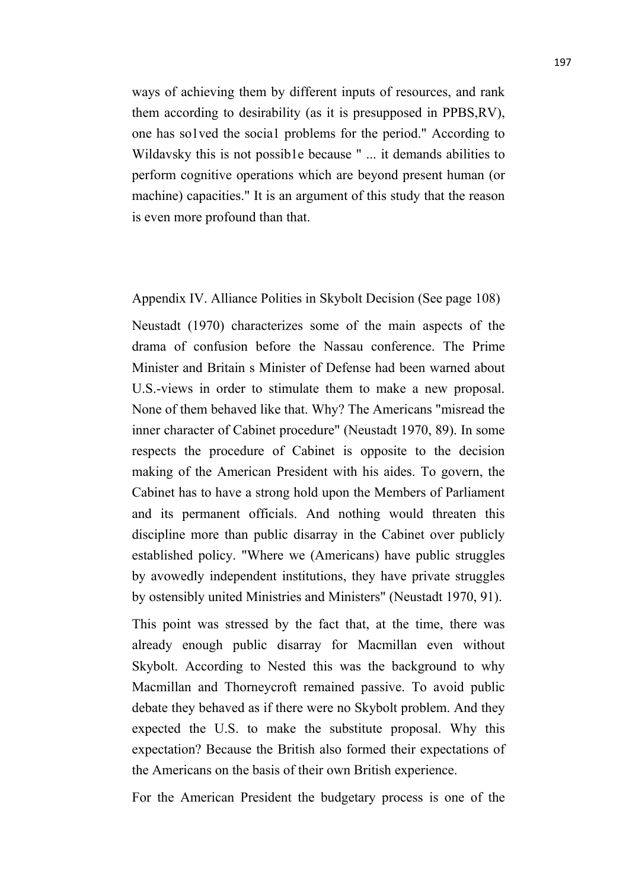ways of achieving them by different inputs of resources, and rank them according to desirability (as it is presupposed in PPBS,RV), one has so1ved the socia1 problems for the period." According to Wildavsky this is not possib1e because " ... it demands abilities to perform cognitive operations which are beyond present human (or machine) capacities." It is an argument of this study that the reason is even more profound than that.

Appendix IV. Alliance Polities in Skybolt Decision (See page 108)

Neustadt (1970) characterizes some of the main aspects of the drama of confusion before the Nassau conference. The Prime Minister and Britain s Minister of Defense had been warned about U.S.-views in order to stimulate them to make a new proposal. None of them behaved like that. Why? The Americans "misread the inner character of Cabinet procedure" (Neustadt 1970, 89). In some respects the procedure of Cabinet is opposite to the decision making of the American President with his aides. To govern, the Cabinet has to have a strong hold upon the Members of Parliament and its permanent officials. And nothing would threaten this discipline more than public disarray in the Cabinet over publicly established policy. "Where we (Americans) have public struggles by avowedly independent institutions, they have private struggles by ostensibly united Ministries and Ministers" (Neustadt 1970, 91).

This point was stressed by the fact that, at the time, there was already enough public disarray for Macmillan even without Skybolt. According to Nested this was the background to why Macmillan and Thorneycroft remained passive. To avoid public debate they behaved as if there were no Skybolt problem. And they expected the U.S. to make the substitute proposal. Why this expectation? Because the British also formed their expectations of the Americans on the basis of their own British experience.

For the American President the budgetary process is one of the